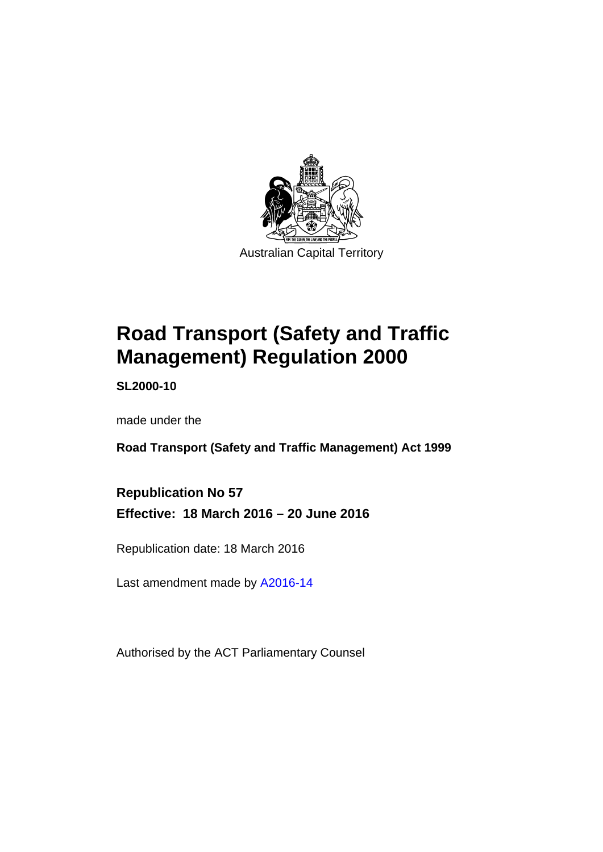

# **Road Transport (Safety and Traffic Management) Regulation 2000**

**SL2000-10** 

made under the

**Road Transport (Safety and Traffic Management) Act 1999** 

**Republication No 57 Effective: 18 March 2016 – 20 June 2016** 

Republication date: 18 March 2016

Last amendment made by [A2016-14](http://www.legislation.act.gov.au/a/2016-14)

Authorised by the ACT Parliamentary Counsel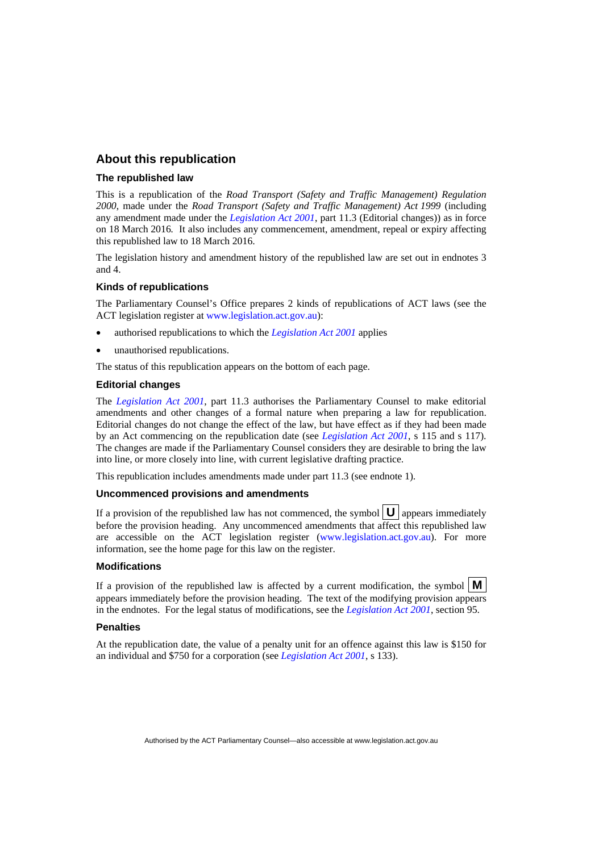### **About this republication**

#### **The republished law**

This is a republication of the *Road Transport (Safety and Traffic Management) Regulation 2000*, made under the *Road Transport (Safety and Traffic Management) Act 1999* (including any amendment made under the *[Legislation Act 2001](http://www.legislation.act.gov.au/a/2001-14)*, part 11.3 (Editorial changes)) as in force on 18 March 2016*.* It also includes any commencement, amendment, repeal or expiry affecting this republished law to 18 March 2016.

The legislation history and amendment history of the republished law are set out in endnotes 3 and 4.

#### **Kinds of republications**

The Parliamentary Counsel's Office prepares 2 kinds of republications of ACT laws (see the ACT legislation register at [www.legislation.act.gov.au](http://www.legislation.act.gov.au/)):

- authorised republications to which the *[Legislation Act 2001](http://www.legislation.act.gov.au/a/2001-14)* applies
- unauthorised republications.

The status of this republication appears on the bottom of each page.

#### **Editorial changes**

The *[Legislation Act 2001](http://www.legislation.act.gov.au/a/2001-14)*, part 11.3 authorises the Parliamentary Counsel to make editorial amendments and other changes of a formal nature when preparing a law for republication. Editorial changes do not change the effect of the law, but have effect as if they had been made by an Act commencing on the republication date (see *[Legislation Act 2001](http://www.legislation.act.gov.au/a/2001-14)*, s 115 and s 117). The changes are made if the Parliamentary Counsel considers they are desirable to bring the law into line, or more closely into line, with current legislative drafting practice.

This republication includes amendments made under part 11.3 (see endnote 1).

#### **Uncommenced provisions and amendments**

If a provision of the republished law has not commenced, the symbol  $\mathbf{U}$  appears immediately before the provision heading. Any uncommenced amendments that affect this republished law are accessible on the ACT legislation register [\(www.legislation.act.gov.au](http://www.legislation.act.gov.au/)). For more information, see the home page for this law on the register.

#### **Modifications**

If a provision of the republished law is affected by a current modification, the symbol  $\mathbf{M}$ appears immediately before the provision heading. The text of the modifying provision appears in the endnotes. For the legal status of modifications, see the *[Legislation Act 2001](http://www.legislation.act.gov.au/a/2001-14)*, section 95.

#### **Penalties**

At the republication date, the value of a penalty unit for an offence against this law is \$150 for an individual and \$750 for a corporation (see *[Legislation Act 2001](http://www.legislation.act.gov.au/a/2001-14)*, s 133).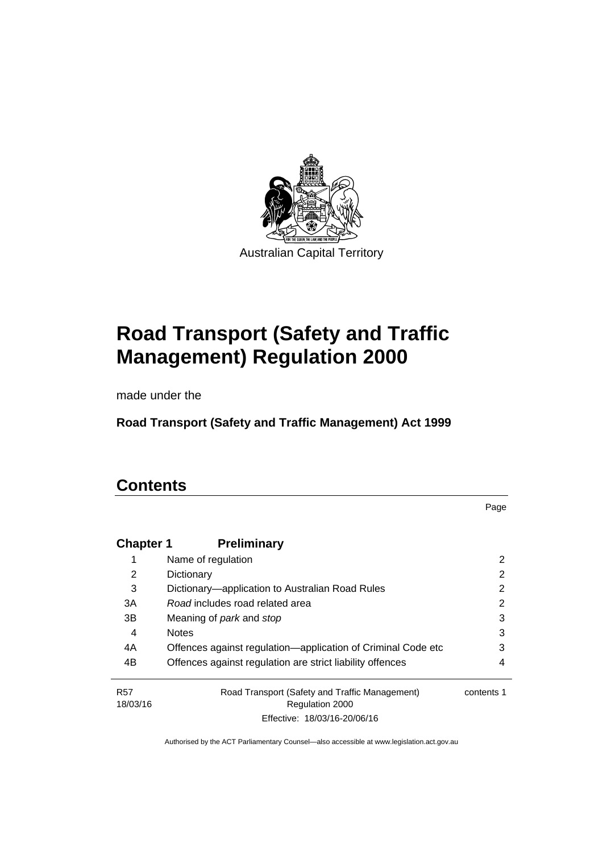

# **Road Transport (Safety and Traffic Management) Regulation 2000**

made under the

**Road Transport (Safety and Traffic Management) Act 1999** 

# **Contents**

Page

| <b>Chapter 1</b>       | <b>Preliminary</b>                                                |            |
|------------------------|-------------------------------------------------------------------|------------|
|                        | Name of regulation                                                | 2          |
| 2                      | Dictionary                                                        | 2          |
| 3                      | Dictionary—application to Australian Road Rules                   | 2          |
| 3A                     | Road includes road related area                                   | 2          |
| 3B                     | Meaning of <i>park</i> and <i>stop</i>                            | 3          |
| 4                      | <b>Notes</b>                                                      | 3          |
| 4A                     | Offences against regulation—application of Criminal Code etc      | 3          |
| 4B                     | Offences against regulation are strict liability offences         | 4          |
| <b>R57</b><br>18/03/16 | Road Transport (Safety and Traffic Management)<br>Regulation 2000 | contents 1 |
|                        | Effective: 18/03/16-20/06/16                                      |            |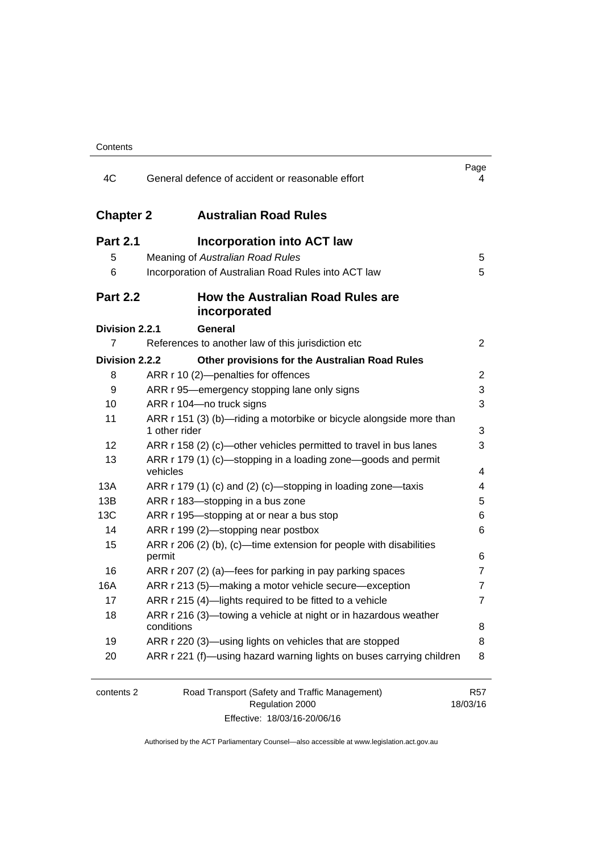| 4C               | General defence of accident or reasonable effort                                     | Page<br>4              |
|------------------|--------------------------------------------------------------------------------------|------------------------|
| <b>Chapter 2</b> | <b>Australian Road Rules</b>                                                         |                        |
| <b>Part 2.1</b>  | <b>Incorporation into ACT law</b>                                                    |                        |
| 5                | Meaning of Australian Road Rules                                                     | 5                      |
| 6                | Incorporation of Australian Road Rules into ACT law                                  | 5                      |
| <b>Part 2.2</b>  | How the Australian Road Rules are<br>incorporated                                    |                        |
| Division 2.2.1   | <b>General</b>                                                                       |                        |
| 7                | References to another law of this jurisdiction etc                                   | $\overline{2}$         |
| Division 2.2.2   | Other provisions for the Australian Road Rules                                       |                        |
| 8                | ARR r 10 (2)-penalties for offences                                                  | 2                      |
| 9                | ARR r 95—emergency stopping lane only signs                                          | 3                      |
| 10               | ARR r 104-no truck signs                                                             | 3                      |
| 11               | ARR r 151 (3) (b)—riding a motorbike or bicycle alongside more than<br>1 other rider | 3                      |
| 12               | ARR r 158 (2) (c)—other vehicles permitted to travel in bus lanes                    | 3                      |
| 13               | ARR r 179 (1) (c)—stopping in a loading zone—goods and permit<br>vehicles            | 4                      |
| 13A              | ARR r 179 (1) (c) and (2) (c)-stopping in loading zone-taxis                         | 4                      |
| 13B              | ARR r 183-stopping in a bus zone                                                     | 5                      |
| 13C              | ARR r 195-stopping at or near a bus stop                                             | 6                      |
| 14               | ARR r 199 (2)-stopping near postbox                                                  | 6                      |
| 15               | ARR r 206 (2) (b), (c)—time extension for people with disabilities                   |                        |
|                  | permit                                                                               | 6                      |
| 16               | ARR r 207 (2) (a)—fees for parking in pay parking spaces                             | 7                      |
| 16A              | ARR r 213 (5)—making a motor vehicle secure—exception                                | 7                      |
| 17               | ARR r 215 (4)-lights required to be fitted to a vehicle                              | 7                      |
| 18               | ARR r 216 (3)-towing a vehicle at night or in hazardous weather<br>conditions        | 8                      |
| 19               | ARR r 220 (3)—using lights on vehicles that are stopped                              | 8                      |
| 20               | ARR r 221 (f)—using hazard warning lights on buses carrying children                 | 8                      |
|                  |                                                                                      |                        |
| contents 2       | Road Transport (Safety and Traffic Management)<br>Regulation 2000                    | <b>R57</b><br>18/03/16 |

Effective: 18/03/16-20/06/16

18/03/16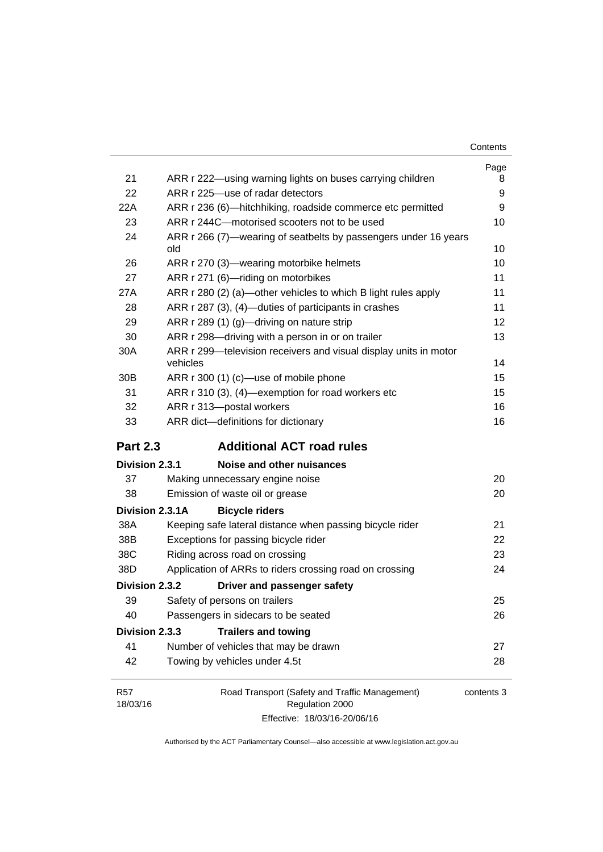| Contents |
|----------|
|----------|

|                 |                                                                        | Page |
|-----------------|------------------------------------------------------------------------|------|
| 21              | ARR r 222—using warning lights on buses carrying children              | 8    |
| 22              | ARR r 225-use of radar detectors                                       | 9    |
| 22A             | ARR r 236 (6)-hitchhiking, roadside commerce etc permitted             | 9    |
| 23              | ARR r 244C-motorised scooters not to be used                           | 10   |
| 24              | ARR r 266 (7)—wearing of seatbelts by passengers under 16 years<br>old | 10   |
| 26              | ARR r 270 (3)—wearing motorbike helmets                                | 10   |
| 27              | ARR r 271 (6)-riding on motorbikes                                     | 11   |
| 27A             | ARR r 280 (2) (a)—other vehicles to which B light rules apply          | 11   |
| 28              | ARR r 287 (3), (4)—duties of participants in crashes                   | 11   |
| 29              | ARR r 289 (1) (g)-driving on nature strip                              | 12   |
| 30              | ARR r 298-driving with a person in or on trailer                       | 13   |
| 30A             | ARR r 299-television receivers and visual display units in motor       |      |
|                 | vehicles                                                               | 14   |
| 30 <sub>B</sub> | ARR r 300 (1) (c)-use of mobile phone                                  | 15   |
| 31              | ARR r 310 (3), (4)-exemption for road workers etc                      | 15   |
| 32              | ARR r 313-postal workers                                               | 16   |
| 33              | ARR dict-definitions for dictionary                                    | 16   |
|                 |                                                                        |      |
| <b>Part 2.3</b> | <b>Additional ACT road rules</b>                                       |      |
| Division 2.3.1  | Noise and other nuisances                                              |      |
| 37              | Making unnecessary engine noise                                        | 20   |
| 38              | Emission of waste oil or grease                                        | 20   |
| Division 2.3.1A | <b>Bicycle riders</b>                                                  |      |
| 38A             | Keeping safe lateral distance when passing bicycle rider               | 21   |
| 38B             | Exceptions for passing bicycle rider                                   | 22   |
| 38C             | Riding across road on crossing                                         | 23   |
| 38D             | Application of ARRs to riders crossing road on crossing                | 24   |
| Division 2.3.2  | Driver and passenger safety                                            |      |
| 39              | Safety of persons on trailers                                          | 25   |
| 40              | Passengers in sidecars to be seated                                    | 26   |
| Division 2.3.3  | <b>Trailers and towing</b>                                             |      |
| 41              | Number of vehicles that may be drawn                                   | 27   |
| 42              | Towing by vehicles under 4.5t                                          | 28   |

Effective: 18/03/16-20/06/16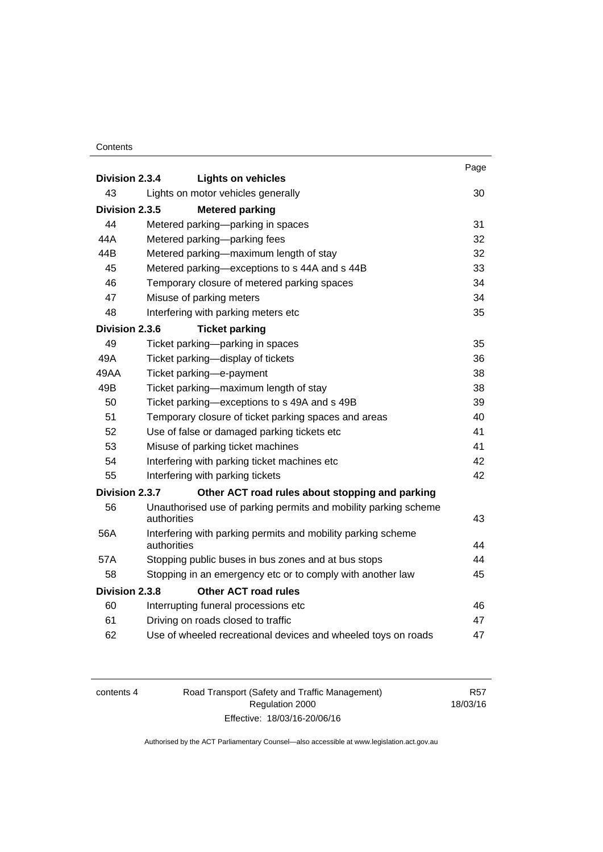#### **Contents**

| Division 2.3.4 | <b>Lights on vehicles</b>                                                   | Page |
|----------------|-----------------------------------------------------------------------------|------|
| 43             | Lights on motor vehicles generally                                          | 30   |
| Division 2.3.5 | <b>Metered parking</b>                                                      |      |
| 44             | Metered parking—parking in spaces                                           | 31   |
| 44A            | Metered parking-parking fees                                                | 32   |
| 44B            | Metered parking-maximum length of stay                                      | 32   |
| 45             | Metered parking-exceptions to s 44A and s 44B                               | 33   |
| 46             | Temporary closure of metered parking spaces                                 | 34   |
| 47             | Misuse of parking meters                                                    | 34   |
| 48             | Interfering with parking meters etc                                         | 35   |
| Division 2.3.6 | <b>Ticket parking</b>                                                       |      |
| 49             | Ticket parking-parking in spaces                                            | 35   |
| 49A            | Ticket parking-display of tickets                                           | 36   |
| 49AA           | Ticket parking-e-payment                                                    | 38   |
| 49B            | Ticket parking-maximum length of stay                                       | 38   |
| 50             | Ticket parking-exceptions to s 49A and s 49B                                | 39   |
| 51             | Temporary closure of ticket parking spaces and areas                        | 40   |
| 52             | Use of false or damaged parking tickets etc                                 | 41   |
| 53             | Misuse of parking ticket machines                                           | 41   |
| 54             | Interfering with parking ticket machines etc                                | 42   |
| 55             | Interfering with parking tickets                                            | 42   |
| Division 2.3.7 | Other ACT road rules about stopping and parking                             |      |
| 56             | Unauthorised use of parking permits and mobility parking scheme             |      |
|                | authorities                                                                 | 43   |
| 56A            | Interfering with parking permits and mobility parking scheme<br>authorities | 44   |
| 57A            | Stopping public buses in bus zones and at bus stops                         | 44   |
| 58             | Stopping in an emergency etc or to comply with another law                  | 45   |
| Division 2.3.8 | <b>Other ACT road rules</b>                                                 |      |
| 60             | Interrupting funeral processions etc                                        | 46   |
| 61             | Driving on roads closed to traffic                                          | 47   |
| 62             | Use of wheeled recreational devices and wheeled toys on roads               | 47   |

| contents 4 | Road Transport (Safety and Traffic Management) | R57      |
|------------|------------------------------------------------|----------|
|            | Regulation 2000                                | 18/03/16 |
|            | Effective: 18/03/16-20/06/16                   |          |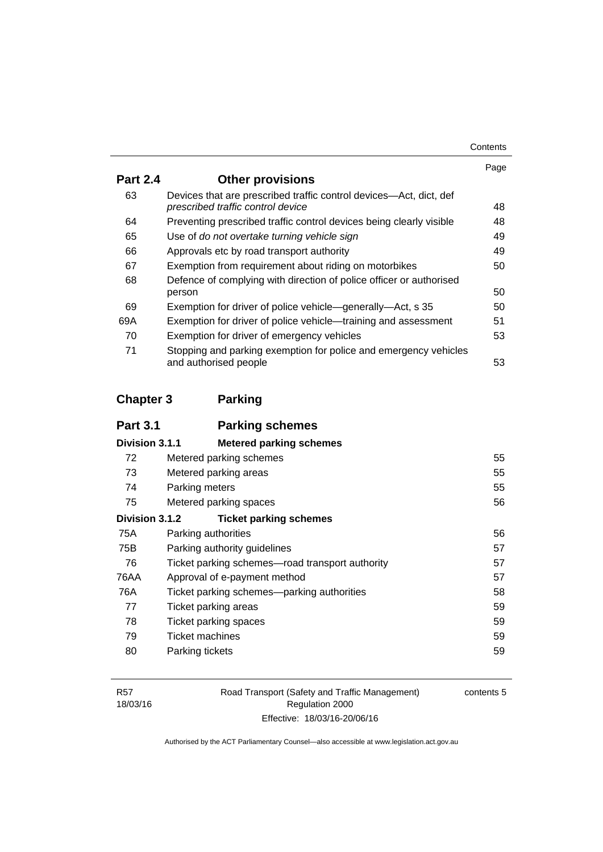| Contents |
|----------|
|----------|

|                                                                                                         | Page |
|---------------------------------------------------------------------------------------------------------|------|
| <b>Other provisions</b>                                                                                 |      |
| Devices that are prescribed traffic control devices—Act, dict, def<br>prescribed traffic control device | 48   |
| Preventing prescribed traffic control devices being clearly visible                                     | 48   |
| Use of do not overtake turning vehicle sign                                                             | 49   |
| Approvals etc by road transport authority                                                               | 49   |
| Exemption from requirement about riding on motorbikes                                                   | 50   |
| Defence of complying with direction of police officer or authorised                                     |      |
| person                                                                                                  | 50   |
| Exemption for driver of police vehicle-generally-Act, s 35                                              | 50   |
| Exemption for driver of police vehicle—training and assessment                                          | 51   |
| Exemption for driver of emergency vehicles                                                              | 53   |
| Stopping and parking exemption for police and emergency vehicles<br>and authorised people               | 53   |
|                                                                                                         |      |

# **[Chapter 3](#page-71-0) Parking**

| <b>Part 3.1</b> | <b>Parking schemes</b>                          |    |
|-----------------|-------------------------------------------------|----|
| Division 3.1.1  | <b>Metered parking schemes</b>                  |    |
| 72              | Metered parking schemes                         | 55 |
| 73              | Metered parking areas                           | 55 |
| 74              | Parking meters                                  | 55 |
| 75              | Metered parking spaces                          | 56 |
| Division 3.1.2  | <b>Ticket parking schemes</b>                   |    |
| 75A             | Parking authorities                             | 56 |
| 75B             | Parking authority guidelines                    | 57 |
| 76              | Ticket parking schemes—road transport authority | 57 |
| 76AA            | Approval of e-payment method                    | 57 |
| 76A             | Ticket parking schemes—parking authorities      | 58 |
| 77              | Ticket parking areas                            | 59 |
| 78              | Ticket parking spaces                           | 59 |
| 79              | Ticket machines                                 | 59 |
| 80              | Parking tickets                                 | 59 |
|                 |                                                 |    |

Road Transport (Safety and Traffic Management) Regulation 2000 Effective: 18/03/16-20/06/16

contents 5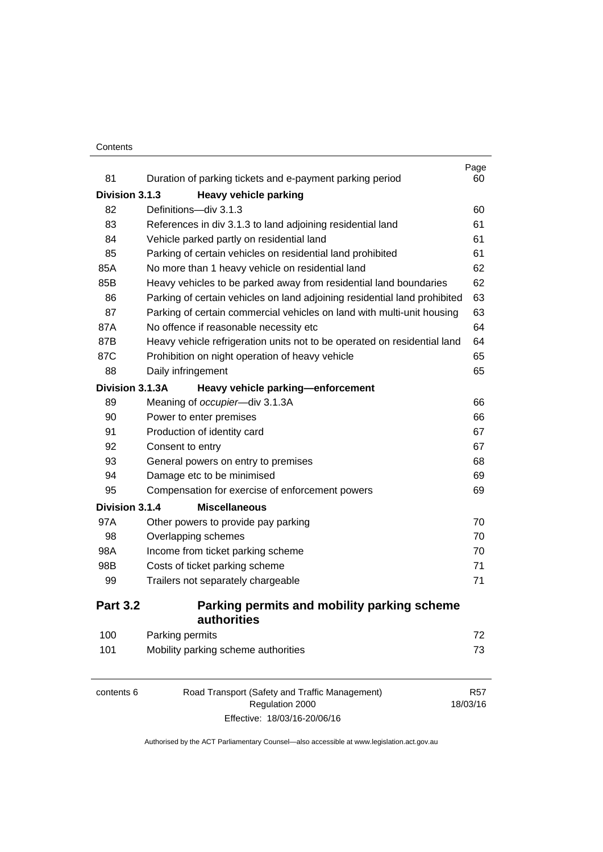#### **Contents**

| 81              | Duration of parking tickets and e-payment parking period                  | Page<br>60 |
|-----------------|---------------------------------------------------------------------------|------------|
| Division 3.1.3  | <b>Heavy vehicle parking</b>                                              |            |
| 82              | Definitions-div 3.1.3                                                     | 60         |
| 83              | References in div 3.1.3 to land adjoining residential land                | 61         |
| 84              | Vehicle parked partly on residential land                                 | 61         |
| 85              | Parking of certain vehicles on residential land prohibited                | 61         |
| 85A             | No more than 1 heavy vehicle on residential land                          | 62         |
| 85B             | Heavy vehicles to be parked away from residential land boundaries         | 62         |
| 86              | Parking of certain vehicles on land adjoining residential land prohibited | 63         |
| 87              | Parking of certain commercial vehicles on land with multi-unit housing    | 63         |
| 87A             | No offence if reasonable necessity etc                                    | 64         |
| 87B             | Heavy vehicle refrigeration units not to be operated on residential land  | 64         |
| 87C             | Prohibition on night operation of heavy vehicle                           | 65         |
| 88              | Daily infringement                                                        | 65         |
| Division 3.1.3A | Heavy vehicle parking-enforcement                                         |            |
| 89              | Meaning of occupier-div 3.1.3A                                            | 66         |
| 90              | Power to enter premises                                                   | 66         |
| 91              | Production of identity card                                               | 67         |
| 92              | Consent to entry                                                          | 67         |
| 93              | General powers on entry to premises                                       | 68         |
| 94              | Damage etc to be minimised                                                | 69         |
| 95              | Compensation for exercise of enforcement powers                           | 69         |
| Division 3.1.4  | <b>Miscellaneous</b>                                                      |            |
| 97A             | Other powers to provide pay parking                                       | 70         |
| 98              | Overlapping schemes                                                       | 70         |
| 98A             | Income from ticket parking scheme                                         | 70         |
| 98B             | Costs of ticket parking scheme                                            | 71         |
| 99              | Trailers not separately chargeable                                        | 71         |
| <b>Part 3.2</b> | Parking permits and mobility parking scheme<br>authorities                |            |
| 100             | Parking permits                                                           | 72         |
| 101             | Mobility parking scheme authorities                                       | 73         |

| contents 6 | Road Transport (Safety and Traffic Management) | R <sub>57</sub> |
|------------|------------------------------------------------|-----------------|
|            | Regulation 2000                                | 18/03/16        |
|            | Effective: 18/03/16-20/06/16                   |                 |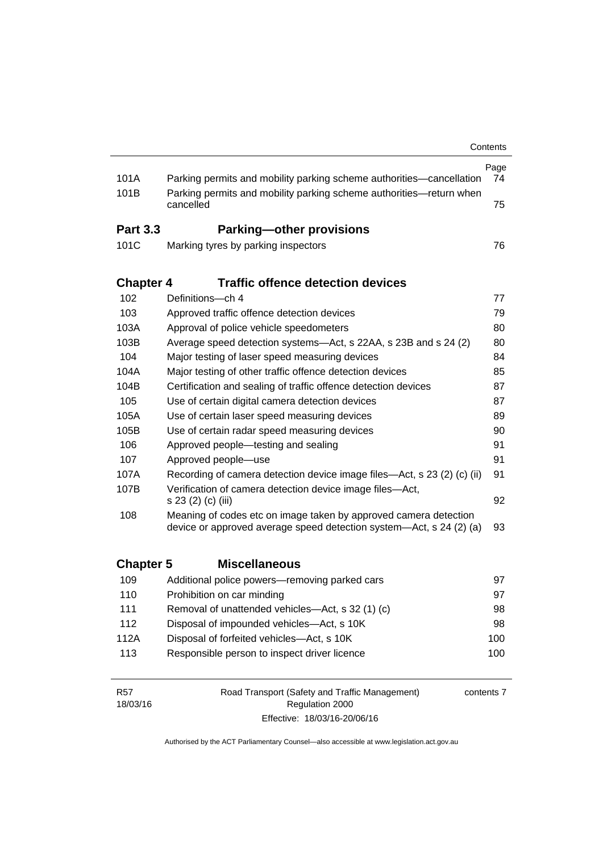|                        |                                                                                                                                         | Contents   |
|------------------------|-----------------------------------------------------------------------------------------------------------------------------------------|------------|
| 101A                   | Parking permits and mobility parking scheme authorities-cancellation                                                                    | Page<br>74 |
| 101B                   | Parking permits and mobility parking scheme authorities-return when<br>cancelled                                                        | 75         |
| <b>Part 3.3</b>        | <b>Parking-other provisions</b>                                                                                                         |            |
| 101C                   | Marking tyres by parking inspectors                                                                                                     | 76         |
| <b>Chapter 4</b>       | <b>Traffic offence detection devices</b>                                                                                                |            |
| 102                    | Definitions-ch 4                                                                                                                        | 77         |
| 103                    | Approved traffic offence detection devices                                                                                              | 79         |
| 103A                   | Approval of police vehicle speedometers                                                                                                 | 80         |
| 103B                   | Average speed detection systems-Act, s 22AA, s 23B and s 24 (2)                                                                         | 80         |
| 104                    | Major testing of laser speed measuring devices                                                                                          | 84         |
| 104A                   | Major testing of other traffic offence detection devices                                                                                | 85         |
| 104B                   | Certification and sealing of traffic offence detection devices                                                                          | 87         |
| 105                    | Use of certain digital camera detection devices                                                                                         | 87         |
| 105A                   | Use of certain laser speed measuring devices                                                                                            | 89         |
| 105B                   | Use of certain radar speed measuring devices                                                                                            | 90         |
| 106                    | Approved people-testing and sealing                                                                                                     | 91         |
| 107                    | Approved people-use                                                                                                                     | 91         |
| 107A                   | Recording of camera detection device image files—Act, s 23 (2) (c) (ii)                                                                 | 91         |
| 107B                   | Verification of camera detection device image files-Act,<br>s 23 (2) (c) (iii)                                                          | 92         |
| 108                    | Meaning of codes etc on image taken by approved camera detection<br>device or approved average speed detection system—Act, s 24 (2) (a) | 93         |
| <b>Chapter 5</b>       | <b>Miscellaneous</b>                                                                                                                    |            |
| 109                    | Additional police powers—removing parked cars                                                                                           | 97         |
| 110                    | Prohibition on car minding                                                                                                              | 97         |
| 111                    | Removal of unattended vehicles—Act, s 32 (1) (c)                                                                                        | 98         |
| 112                    | Disposal of impounded vehicles-Act, s 10K                                                                                               | 98         |
| 112A                   | Disposal of forfeited vehicles-Act, s 10K                                                                                               | 100        |
| 113                    | Responsible person to inspect driver licence                                                                                            | 100        |
| <b>R57</b><br>18/03/16 | Road Transport (Safety and Traffic Management)<br>Regulation 2000                                                                       | contents 7 |

Authorised by the ACT Parliamentary Counsel—also accessible at www.legislation.act.gov.au

Effective: 18/03/16-20/06/16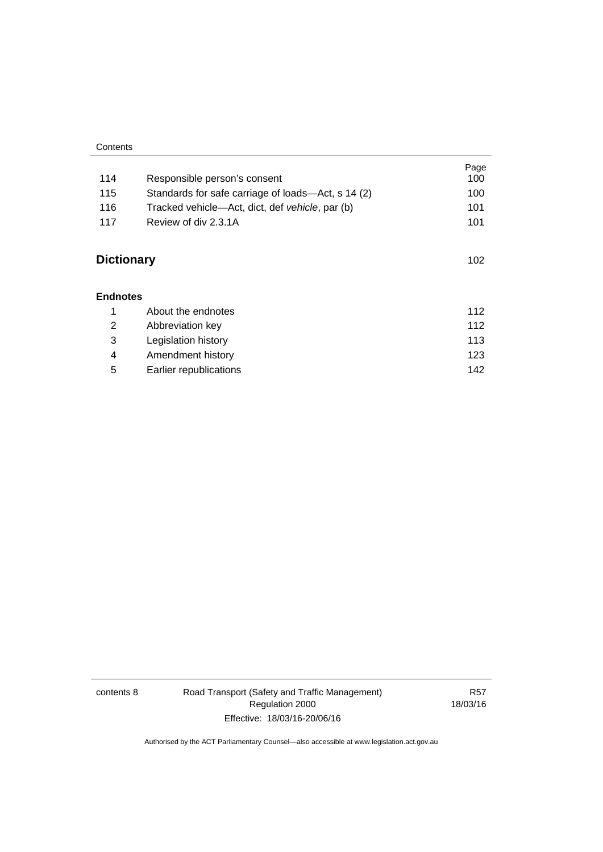| Contents |  |
|----------|--|
|          |  |

| 114               | Responsible person's consent                       | Page<br>100 |
|-------------------|----------------------------------------------------|-------------|
|                   |                                                    |             |
| 115               | Standards for safe carriage of loads—Act, s 14 (2) | 100         |
| 116               | Tracked vehicle—Act, dict, def vehicle, par (b)    | 101         |
| 117               | Review of div 2.3.1A                               | 101         |
| <b>Dictionary</b> |                                                    | 102         |
| <b>Endnotes</b>   |                                                    |             |
| 1                 | About the endnotes                                 | 112         |
| 2                 | Abbreviation key                                   | 112         |
| 3                 | Legislation history                                | 113         |
| 4                 | Amendment history                                  | 123         |
| 5                 | Earlier republications                             | 142         |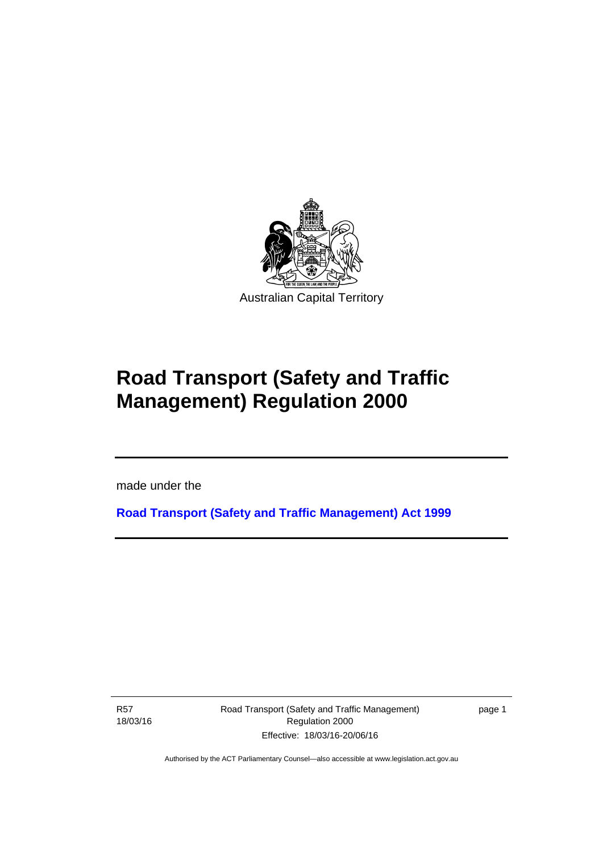

# **Road Transport (Safety and Traffic Management) Regulation 2000**

made under the

**[Road Transport \(Safety and Traffic Management\) Act 1999](http://www.legislation.act.gov.au/a/1999-80)**

R57 18/03/16

l

Road Transport (Safety and Traffic Management) Regulation 2000 Effective: 18/03/16-20/06/16

page 1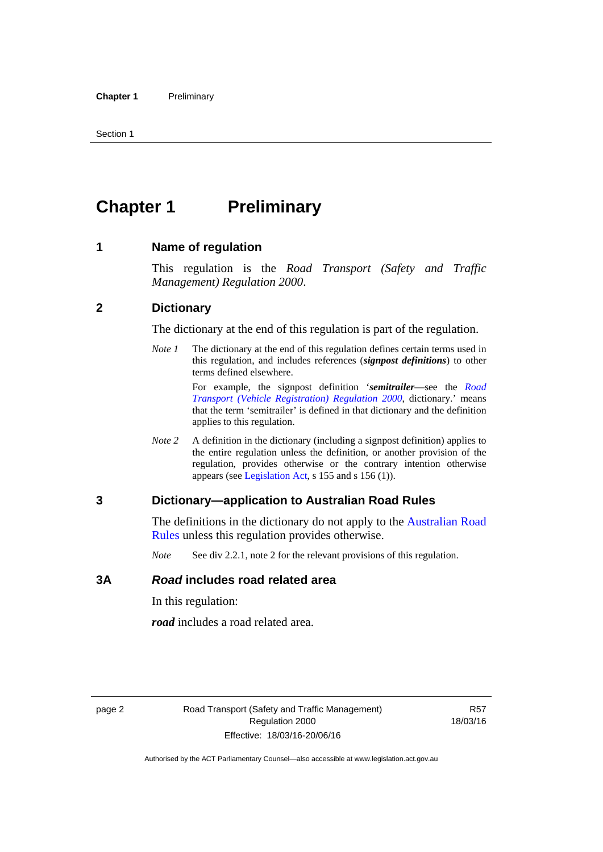# <span id="page-11-0"></span>**Chapter 1** Preliminary

#### <span id="page-11-1"></span>**1 Name of regulation**

This regulation is the *Road Transport (Safety and Traffic Management) Regulation 2000*.

#### <span id="page-11-2"></span>**2 Dictionary**

The dictionary at the end of this regulation is part of the regulation.

*Note 1* The dictionary at the end of this regulation defines certain terms used in this regulation, and includes references (*signpost definitions*) to other terms defined elsewhere.

> For example, the signpost definition '*semitrailer*—see the *[Road](http://www.legislation.act.gov.au/sl/2000-12)  [Transport \(Vehicle Registration\) Regulation 2000](http://www.legislation.act.gov.au/sl/2000-12)*, dictionary.' means that the term 'semitrailer' is defined in that dictionary and the definition applies to this regulation.

*Note 2* A definition in the dictionary (including a signpost definition) applies to the entire regulation unless the definition, or another provision of the regulation, provides otherwise or the contrary intention otherwise appears (see [Legislation Act,](http://www.legislation.act.gov.au/a/2001-14) s 155 and s 156 (1)).

#### <span id="page-11-3"></span>**3 Dictionary—application to Australian Road Rules**

The definitions in the dictionary do not apply to the Australian Road [Rules](http://www.legislation.act.gov.au//ni/db_37271/default.asp) unless this regulation provides otherwise.

*Note* See div 2.2.1, note 2 for the relevant provisions of this regulation.

#### <span id="page-11-4"></span>**3A** *Road* **includes road related area**

In this regulation:

*road* includes a road related area.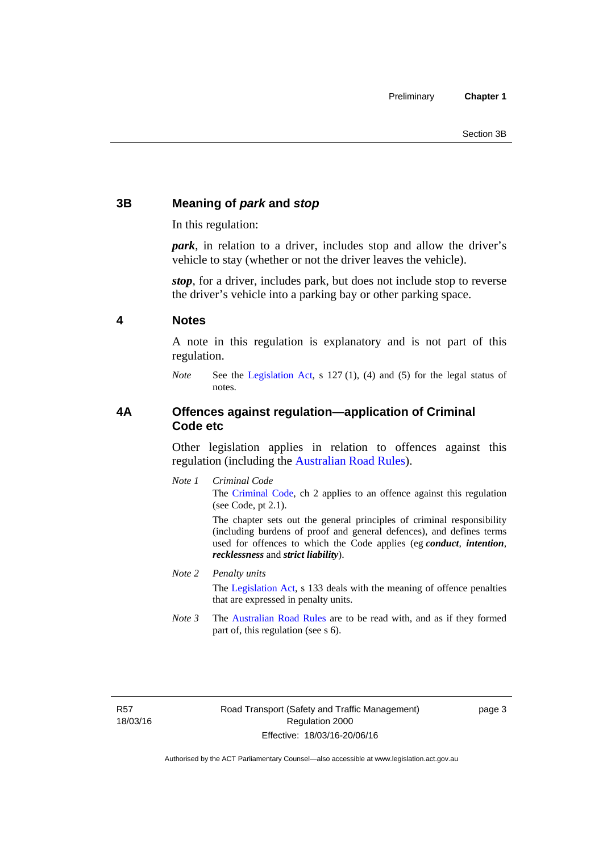# <span id="page-12-0"></span>**3B Meaning of** *park* **and** *stop*

In this regulation:

*park*, in relation to a driver, includes stop and allow the driver's vehicle to stay (whether or not the driver leaves the vehicle).

*stop*, for a driver, includes park, but does not include stop to reverse the driver's vehicle into a parking bay or other parking space.

#### <span id="page-12-1"></span>**4 Notes**

A note in this regulation is explanatory and is not part of this regulation.

*Note* See the [Legislation Act,](http://www.legislation.act.gov.au/a/2001-14) s 127 (1), (4) and (5) for the legal status of notes.

### <span id="page-12-2"></span>**4A Offences against regulation—application of Criminal Code etc**

Other legislation applies in relation to offences against this regulation (including the [Australian Road Rules](http://www.legislation.act.gov.au//ni/db_37271/default.asp)).

*Note 1 Criminal Code* The [Criminal Code,](http://www.legislation.act.gov.au/a/2002-51) ch 2 applies to an offence against this regulation (see Code, pt 2.1).

> The chapter sets out the general principles of criminal responsibility (including burdens of proof and general defences), and defines terms used for offences to which the Code applies (eg *conduct*, *intention*, *recklessness* and *strict liability*).

#### *Note 2 Penalty units*

The [Legislation Act](http://www.legislation.act.gov.au/a/2001-14), s 133 deals with the meaning of offence penalties that are expressed in penalty units.

*Note 3* The [Australian Road Rules](http://www.legislation.act.gov.au//ni/db_37271/default.asp) are to be read with, and as if they formed part of, this regulation (see s 6).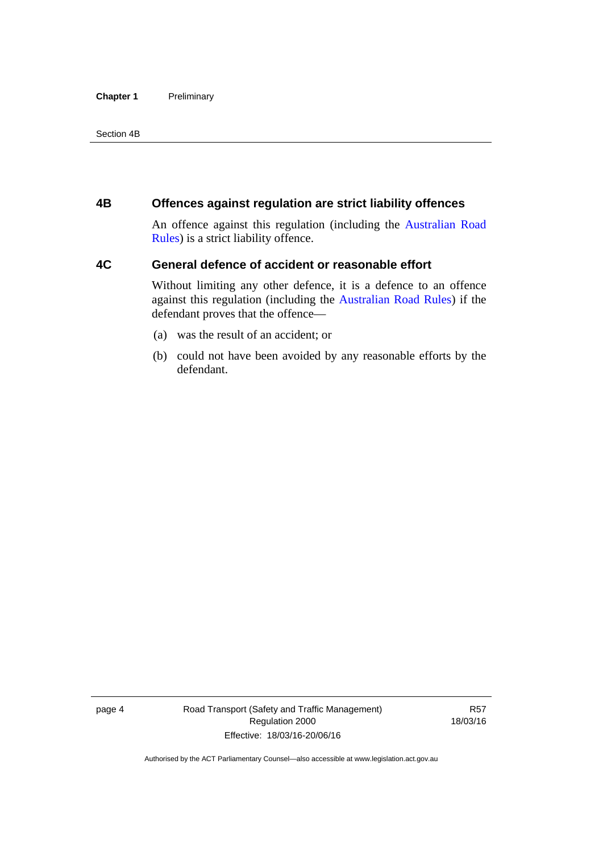#### **Chapter 1** Preliminary

Section 4B

### <span id="page-13-0"></span>**4B Offences against regulation are strict liability offences**

An offence against this regulation (including the [Australian Road](http://www.legislation.act.gov.au//ni/db_37271/default.asp)  [Rules](http://www.legislation.act.gov.au//ni/db_37271/default.asp)) is a strict liability offence.

# <span id="page-13-1"></span>**4C General defence of accident or reasonable effort**

Without limiting any other defence, it is a defence to an offence against this regulation (including the [Australian Road Rules\)](http://www.legislation.act.gov.au//ni/db_37271/default.asp) if the defendant proves that the offence—

- (a) was the result of an accident; or
- (b) could not have been avoided by any reasonable efforts by the defendant.

page 4 Road Transport (Safety and Traffic Management) Regulation 2000 Effective: 18/03/16-20/06/16

R57 18/03/16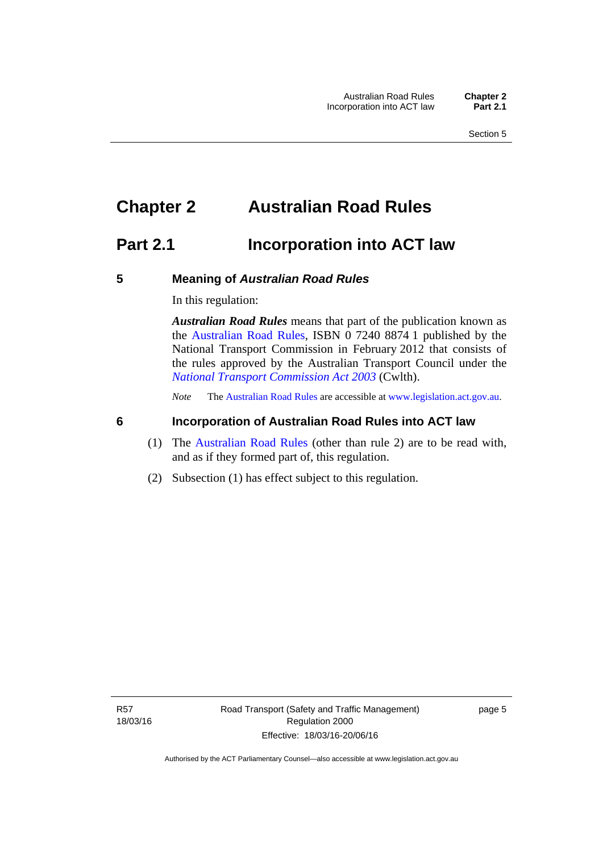# <span id="page-14-0"></span>**Chapter 2 Australian Road Rules**

# <span id="page-14-1"></span>**Part 2.1 Incorporation into ACT law**

#### <span id="page-14-2"></span>**5 Meaning of** *Australian Road Rules*

In this regulation:

*Australian Road Rules* means that part of the publication known as the [Australian Road Rules](http://www.legislation.act.gov.au//ni/db_37271/default.asp), ISBN 0 7240 8874 1 published by the National Transport Commission in February 2012 that consists of the rules approved by the Australian Transport Council under the *[National Transport Commission Act 2003](http://www.comlaw.gov.au/Series/C2004A01166)* (Cwlth).

*Note* The [Australian Road Rules](http://www.legislation.act.gov.au//ni/db_37271/default.asp) are accessible at [www.legislation.act.gov.au](http://www.legislation.act.gov.au/).

### <span id="page-14-3"></span>**6 Incorporation of Australian Road Rules into ACT law**

- (1) The [Australian Road Rules](http://www.legislation.act.gov.au//ni/db_37271/default.asp) (other than rule 2) are to be read with, and as if they formed part of, this regulation.
- (2) Subsection (1) has effect subject to this regulation.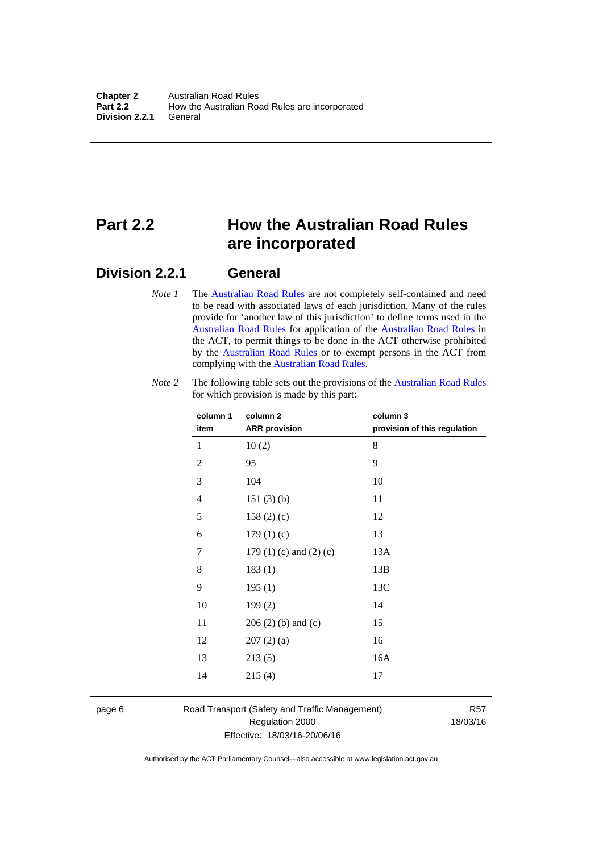# <span id="page-15-0"></span>**Part 2.2 How the Australian Road Rules are incorporated**

# <span id="page-15-1"></span>**Division 2.2.1 General**

*Note 1* The [Australian Road Rules](http://www.legislation.act.gov.au//ni/db_37271/default.asp) are not completely self-contained and need to be read with associated laws of each jurisdiction. Many of the rules provide for 'another law of this jurisdiction' to define terms used in the [Australian Road Rules](http://www.legislation.act.gov.au//ni/db_37271/default.asp) for application of the [Australian Road Rules](http://www.legislation.act.gov.au//ni/db_37271/default.asp) in the ACT, to permit things to be done in the ACT otherwise prohibited by the [Australian Road Rules](http://www.legislation.act.gov.au//ni/db_37271/default.asp) or to exempt persons in the ACT from complying with the [Australian Road Rules.](http://www.legislation.act.gov.au//ni/db_37271/default.asp)

| column 1<br>item | column <sub>2</sub><br><b>ARR</b> provision | column 3<br>provision of this regulation |
|------------------|---------------------------------------------|------------------------------------------|
| 1                | 10(2)                                       | 8                                        |
| $\overline{2}$   | 95                                          | 9                                        |
| 3                | 104                                         | 10                                       |
| $\overline{4}$   | 151(3)(b)                                   | 11                                       |
| 5                | 158 $(2)(c)$                                | 12                                       |
| 6                | 179(1)(c)                                   | 13                                       |
| 7                | 179 $(1)$ $(c)$ and $(2)$ $(c)$             | 13A                                      |
| 8                | 183(1)                                      | 13B                                      |
| 9                | 195(1)                                      | 13C                                      |
| 10               | 199(2)                                      | 14                                       |
| 11               | $206(2)$ (b) and (c)                        | 15                                       |
| 12               | 207(2)(a)                                   | 16                                       |
| 13               | 213(5)                                      | 16A                                      |
| 14               | 215(4)                                      | 17                                       |

*Note 2* The following table sets out the provisions of the [Australian Road Rules](http://www.legislation.act.gov.au//ni/db_37271/default.asp) for which provision is made by this part:

page 6 Road Transport (Safety and Traffic Management) Regulation 2000 Effective: 18/03/16-20/06/16

R57 18/03/16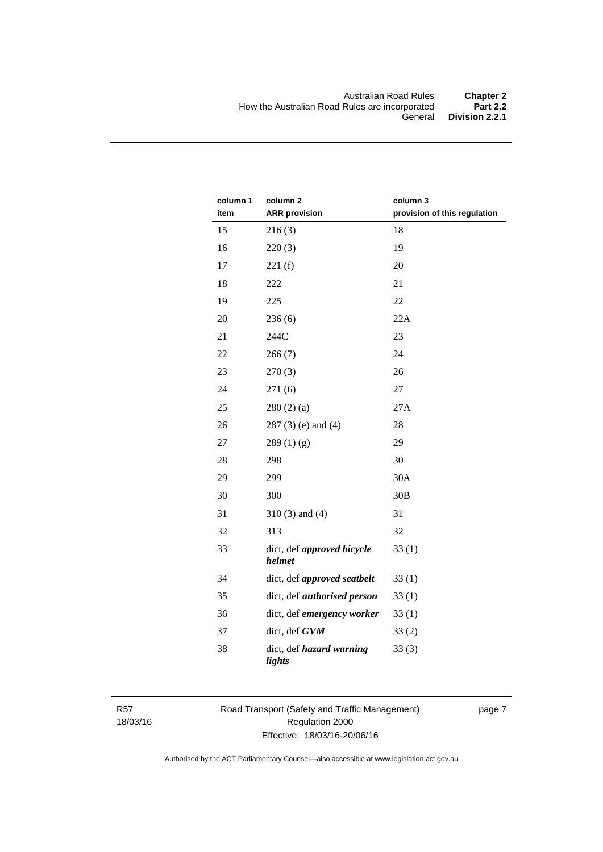| column 1<br>item | column <sub>2</sub><br><b>ARR</b> provision | column 3<br>provision of this regulation |
|------------------|---------------------------------------------|------------------------------------------|
| 15               | 216(3)                                      | 18                                       |
| 16               | 220(3)                                      | 19                                       |
| 17               | 221(f)                                      | 20                                       |
| 18               | 222                                         | 21                                       |
| 19               | 225                                         | 22                                       |
| 20               | 236(6)                                      | 22A                                      |
| 21               | 244C                                        | 23                                       |
| 22               | 266(7)                                      | 24                                       |
| 23               | 270(3)                                      | 26                                       |
| 24               | 271(6)                                      | 27                                       |
| 25               | 280(2)(a)                                   | 27A                                      |
| 26               | $287(3)$ (e) and (4)                        | 28                                       |
| 27               | 289(1)(g)                                   | 29                                       |
| 28               | 298                                         | 30                                       |
| 29               | 299                                         | 30A                                      |
| 30               | 300                                         | 30B                                      |
| 31               | $310(3)$ and $(4)$                          | 31                                       |
| 32               | 313                                         | 32                                       |
| 33               | dict, def approved bicycle<br>helmet        | 33(1)                                    |
| 34               | dict, def approved seatbelt                 | 33(1)                                    |
| 35               | dict, def <i>authorised</i> person          | 33(1)                                    |
| 36               | dict, def emergency worker                  | 33(1)                                    |
| 37               | dict, def GVM                               | 33(2)                                    |
| 38               | dict, def hazard warning<br>lights          | 33(3)                                    |

R57 18/03/16 Road Transport (Safety and Traffic Management) Regulation 2000 Effective: 18/03/16-20/06/16

page 7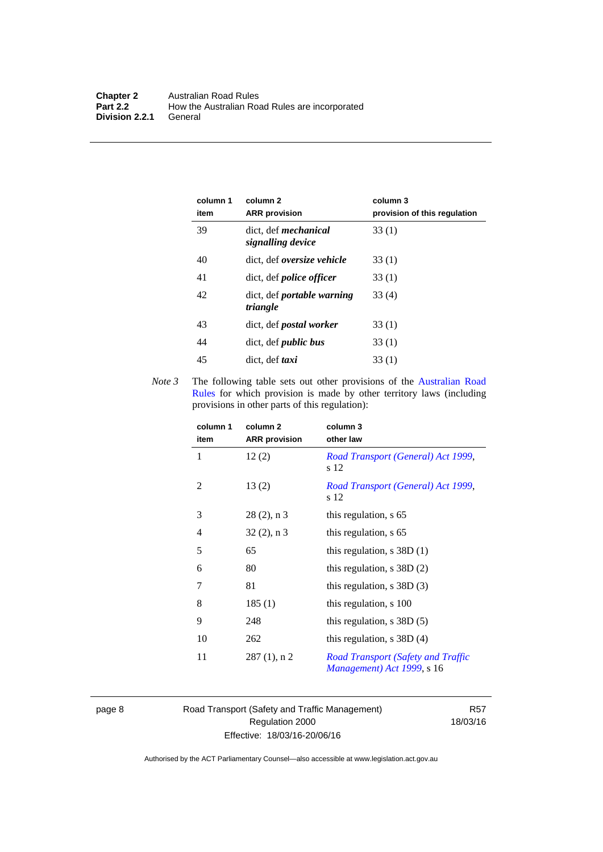| column 1<br>item | column 2<br><b>ARR</b> provision                 | column 3<br>provision of this regulation |
|------------------|--------------------------------------------------|------------------------------------------|
| 39               | dict. def <i>mechanical</i><br>signalling device | 33(1)                                    |
| 40               | dict, def oversize vehicle                       | 33(1)                                    |
| 41               | dict, def <i>police</i> officer                  | 33(1)                                    |
| 42               | dict, def <i>portable</i> warning<br>triangle    | 33(4)                                    |
| 43               | dict, def <i>postal</i> worker                   | 33(1)                                    |
| 44               | dict, def <i>public</i> bus                      | 33(1)                                    |
| 45               | dict, def taxi                                   | 33(1)                                    |

*Note 3* The following table sets out other provisions of the Australian Road [Rules](http://www.legislation.act.gov.au//ni/db_37271/default.asp) for which provision is made by other territory laws (including provisions in other parts of this regulation):

| column 1<br>item | column 2<br><b>ARR</b> provision | column 3<br>other law                                            |
|------------------|----------------------------------|------------------------------------------------------------------|
| 1                | 12(2)                            | Road Transport (General) Act 1999,<br>s 12                       |
| 2                | 13(2)                            | Road Transport (General) Act 1999,<br>s 12                       |
| 3                | $28(2)$ , n 3                    | this regulation, s 65                                            |
| $\overline{4}$   | $32(2)$ , n 3                    | this regulation, s 65                                            |
| 5                | 65                               | this regulation, $s$ 38D (1)                                     |
| 6                | 80                               | this regulation, $s$ 38D $(2)$                                   |
| 7                | 81                               | this regulation, $s$ 38D $(3)$                                   |
| 8                | 185(1)                           | this regulation, s 100                                           |
| 9                | 248                              | this regulation, $s$ 38D $(5)$                                   |
| 10               | 262                              | this regulation, $s$ 38D (4)                                     |
| 11               | $287(1)$ , n 2                   | Road Transport (Safety and Traffic<br>Management) Act 1999, s 16 |

page 8 Road Transport (Safety and Traffic Management) Regulation 2000 Effective: 18/03/16-20/06/16

R57 18/03/16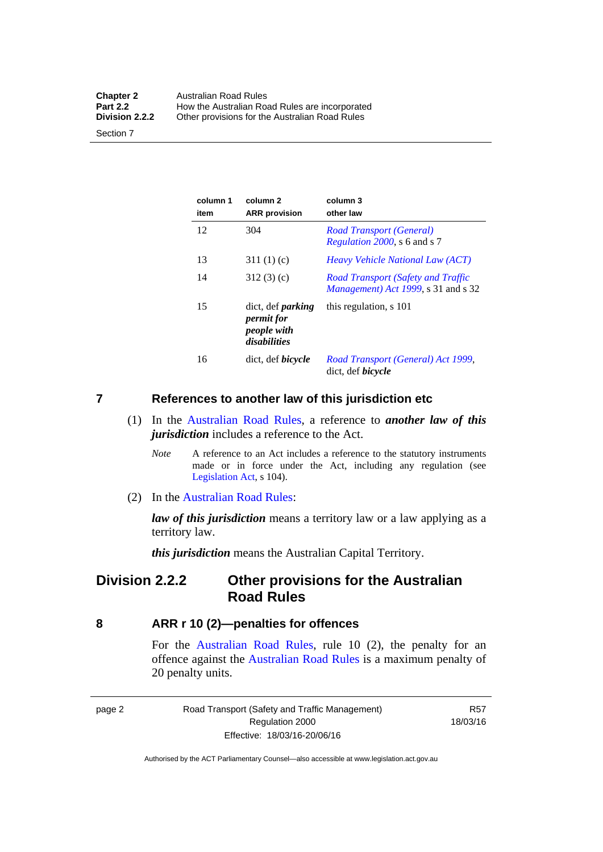| <b>Chapter 2</b> | <b>Australian Road Rules</b>                   |
|------------------|------------------------------------------------|
| <b>Part 2.2</b>  | How the Australian Road Rules are incorporated |
| Division 2.2.2   | Other provisions for the Australian Road Rules |

Section 7

| column 1<br>item | column <sub>2</sub><br><b>ARR</b> provision                           | column 3<br>other law                                                                    |
|------------------|-----------------------------------------------------------------------|------------------------------------------------------------------------------------------|
| 12               | 304                                                                   | Road Transport (General)<br>Regulation 2000, s 6 and s 7                                 |
| 13               | 311(1)(c)                                                             | <i>Heavy Vehicle National Law (ACT)</i>                                                  |
| 14               | 312(3)(c)                                                             | <b>Road Transport (Safety and Traffic</b><br><i>Management</i> ) Act 1999, s 31 and s 32 |
| 15               | dict, def <i>parking</i><br>permit for<br>people with<br>disabilities | this regulation, s 101                                                                   |
| 16               | dict, def <i>bicycle</i>                                              | Road Transport (General) Act 1999,<br>dict, def <i>bicycle</i>                           |

#### <span id="page-18-0"></span>**7 References to another law of this jurisdiction etc**

- (1) In the [Australian Road Rules,](http://www.legislation.act.gov.au//ni/db_37271/default.asp) a reference to *another law of this jurisdiction* includes a reference to the Act.
	- *Note* A reference to an Act includes a reference to the statutory instruments made or in force under the Act, including any regulation (see [Legislation Act,](http://www.legislation.act.gov.au/a/2001-14) s 104).
- (2) In the [Australian Road Rules](http://www.legislation.act.gov.au//ni/db_37271/default.asp):

*law of this jurisdiction* means a territory law or a law applying as a territory law.

*this jurisdiction* means the Australian Capital Territory.

# <span id="page-18-1"></span>**Division 2.2.2 Other provisions for the Australian Road Rules**

#### <span id="page-18-2"></span>**8 ARR r 10 (2)—penalties for offences**

For the [Australian Road Rules,](http://www.legislation.act.gov.au//ni/db_37271/default.asp) rule 10 (2), the penalty for an offence against the [Australian Road Rules](http://www.legislation.act.gov.au//ni/db_37271/default.asp) is a maximum penalty of 20 penalty units.

|--|--|

Road Transport (Safety and Traffic Management) Regulation 2000 Effective: 18/03/16-20/06/16

R57 18/03/16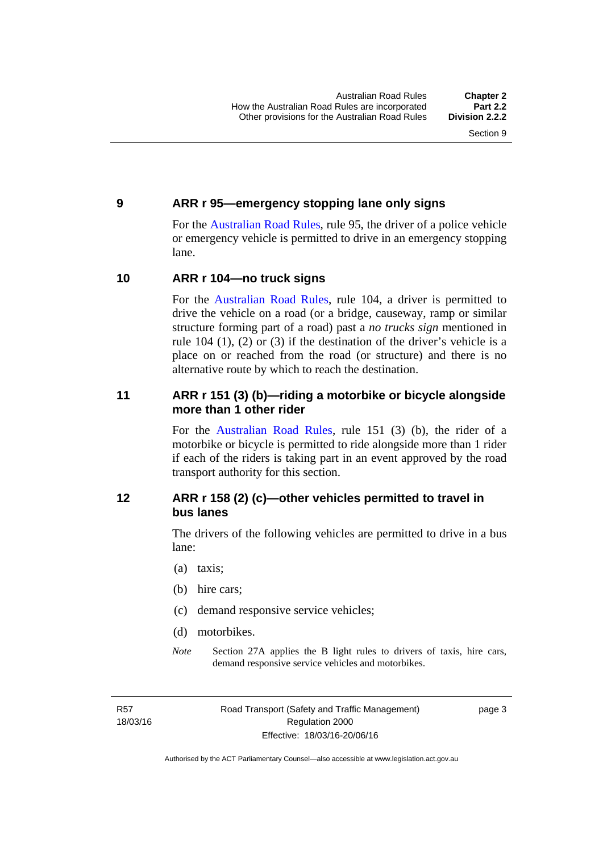#### <span id="page-19-0"></span>**9 ARR r 95—emergency stopping lane only signs**

For the [Australian Road Rules,](http://www.legislation.act.gov.au//ni/db_37271/default.asp) rule 95, the driver of a police vehicle or emergency vehicle is permitted to drive in an emergency stopping lane.

#### <span id="page-19-1"></span>**10 ARR r 104—no truck signs**

For the [Australian Road Rules,](http://www.legislation.act.gov.au//ni/db_37271/default.asp) rule 104, a driver is permitted to drive the vehicle on a road (or a bridge, causeway, ramp or similar structure forming part of a road) past a *no trucks sign* mentioned in rule 104 (1), (2) or (3) if the destination of the driver's vehicle is a place on or reached from the road (or structure) and there is no alternative route by which to reach the destination.

### <span id="page-19-2"></span>**11 ARR r 151 (3) (b)—riding a motorbike or bicycle alongside more than 1 other rider**

For the [Australian Road Rules](http://www.legislation.act.gov.au//ni/db_37271/default.asp), rule 151 (3) (b), the rider of a motorbike or bicycle is permitted to ride alongside more than 1 rider if each of the riders is taking part in an event approved by the road transport authority for this section.

# <span id="page-19-3"></span>**12 ARR r 158 (2) (c)—other vehicles permitted to travel in bus lanes**

The drivers of the following vehicles are permitted to drive in a bus lane:

- (a) taxis;
- (b) hire cars;
- (c) demand responsive service vehicles;
- (d) motorbikes.
- *Note* Section 27A applies the B light rules to drivers of taxis, hire cars, demand responsive service vehicles and motorbikes.

R57 18/03/16 page 3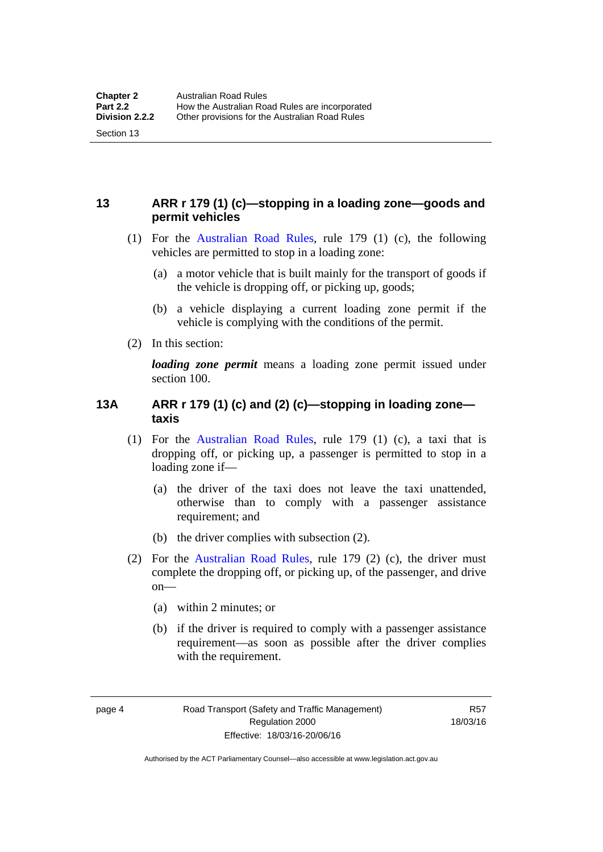# <span id="page-20-0"></span>**13 ARR r 179 (1) (c)—stopping in a loading zone—goods and permit vehicles**

- (1) For the [Australian Road Rules,](http://www.legislation.act.gov.au//ni/db_37271/default.asp) rule 179 (1) (c), the following vehicles are permitted to stop in a loading zone:
	- (a) a motor vehicle that is built mainly for the transport of goods if the vehicle is dropping off, or picking up, goods;
	- (b) a vehicle displaying a current loading zone permit if the vehicle is complying with the conditions of the permit.
- (2) In this section:

Section 13

*loading zone permit* means a loading zone permit issued under section 100.

### <span id="page-20-1"></span>**13A ARR r 179 (1) (c) and (2) (c)—stopping in loading zone taxis**

- (1) For the [Australian Road Rules,](http://www.legislation.act.gov.au//ni/db_37271/default.asp) rule 179 (1) (c), a taxi that is dropping off, or picking up, a passenger is permitted to stop in a loading zone if—
	- (a) the driver of the taxi does not leave the taxi unattended, otherwise than to comply with a passenger assistance requirement; and
	- (b) the driver complies with subsection (2).
- (2) For the [Australian Road Rules,](http://www.legislation.act.gov.au//ni/db_37271/default.asp) rule 179 (2) (c), the driver must complete the dropping off, or picking up, of the passenger, and drive on—
	- (a) within 2 minutes; or
	- (b) if the driver is required to comply with a passenger assistance requirement—as soon as possible after the driver complies with the requirement.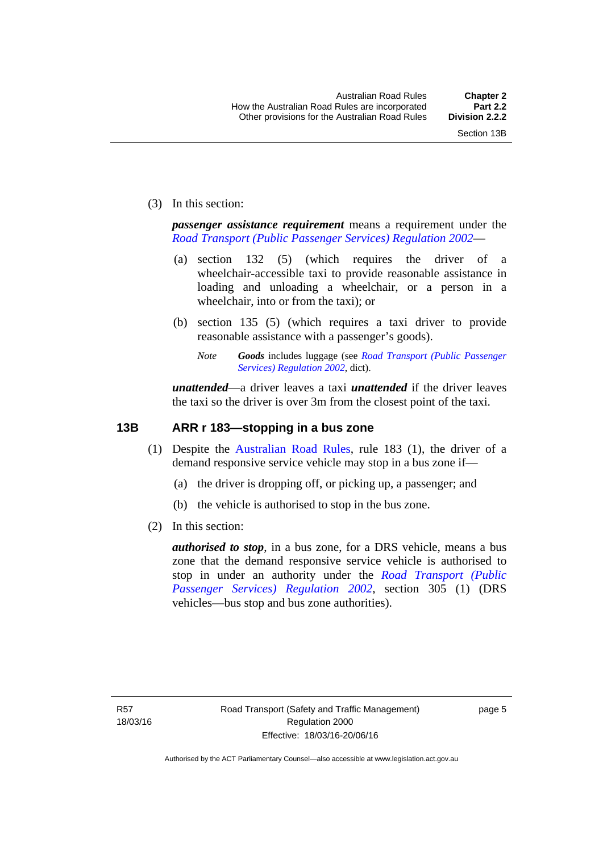(3) In this section:

*passenger assistance requirement* means a requirement under the *[Road Transport \(Public Passenger Services\) Regulation 2002](http://www.legislation.act.gov.au/sl/2002-3)*—

- (a) section 132 (5) (which requires the driver of a wheelchair-accessible taxi to provide reasonable assistance in loading and unloading a wheelchair, or a person in a wheelchair, into or from the taxi); or
- (b) section 135 (5) (which requires a taxi driver to provide reasonable assistance with a passenger's goods).
	- *Note Goods* includes luggage (see *[Road Transport \(Public Passenger](http://www.legislation.act.gov.au/sl/2002-3)  [Services\) Regulation 2002](http://www.legislation.act.gov.au/sl/2002-3)*, dict).

*unattended*—a driver leaves a taxi *unattended* if the driver leaves the taxi so the driver is over 3m from the closest point of the taxi.

### <span id="page-21-0"></span>**13B ARR r 183—stopping in a bus zone**

- (1) Despite the [Australian Road Rules](http://www.legislation.act.gov.au//ni/db_37271/default.asp), rule 183 (1), the driver of a demand responsive service vehicle may stop in a bus zone if—
	- (a) the driver is dropping off, or picking up, a passenger; and
	- (b) the vehicle is authorised to stop in the bus zone.
- (2) In this section:

*authorised to stop*, in a bus zone, for a DRS vehicle, means a bus zone that the demand responsive service vehicle is authorised to stop in under an authority under the *[Road Transport \(Public](http://www.legislation.act.gov.au/sl/2002-3)  [Passenger Services\) Regulation 2002](http://www.legislation.act.gov.au/sl/2002-3)*, section 305 (1) (DRS vehicles—bus stop and bus zone authorities).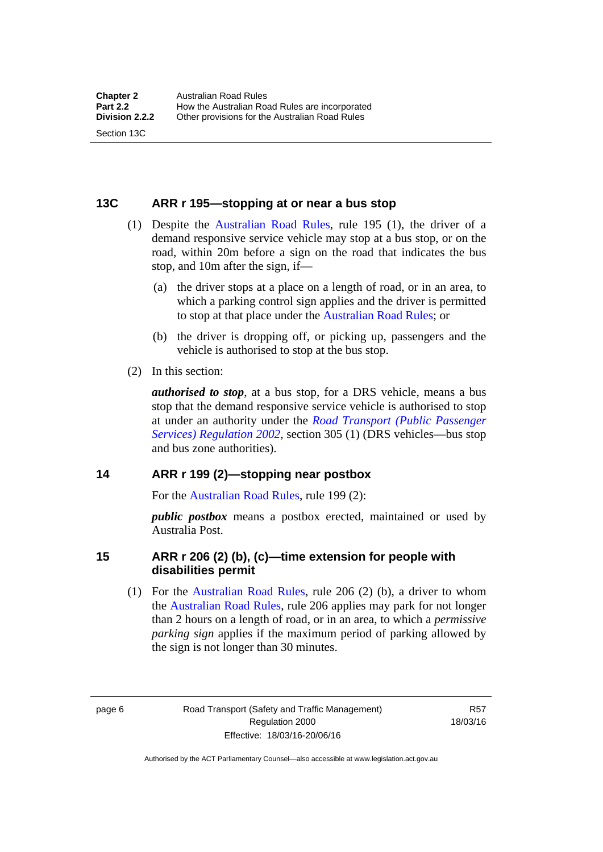#### <span id="page-22-0"></span>**13C ARR r 195—stopping at or near a bus stop**

- (1) Despite the [Australian Road Rules](http://www.legislation.act.gov.au//ni/db_37271/default.asp), rule 195 (1), the driver of a demand responsive service vehicle may stop at a bus stop, or on the road, within 20m before a sign on the road that indicates the bus stop, and 10m after the sign, if—
	- (a) the driver stops at a place on a length of road, or in an area, to which a parking control sign applies and the driver is permitted to stop at that place under the [Australian Road Rules;](http://www.legislation.act.gov.au//ni/db_37271/default.asp) or
	- (b) the driver is dropping off, or picking up, passengers and the vehicle is authorised to stop at the bus stop.
- (2) In this section:

Section 13C

*authorised to stop*, at a bus stop, for a DRS vehicle, means a bus stop that the demand responsive service vehicle is authorised to stop at under an authority under the *[Road Transport \(Public Passenger](http://www.legislation.act.gov.au/sl/2002-3)  [Services\) Regulation 2002](http://www.legislation.act.gov.au/sl/2002-3)*, section 305 (1) (DRS vehicles—bus stop and bus zone authorities).

#### <span id="page-22-1"></span>**14 ARR r 199 (2)—stopping near postbox**

For the [Australian Road Rules,](http://www.legislation.act.gov.au//ni/db_37271/default.asp) rule 199 (2):

*public postbox* means a postbox erected, maintained or used by Australia Post.

#### <span id="page-22-2"></span>**15 ARR r 206 (2) (b), (c)—time extension for people with disabilities permit**

 (1) For the [Australian Road Rules](http://www.legislation.act.gov.au//ni/db_37271/default.asp), rule 206 (2) (b), a driver to whom the [Australian Road Rules](http://www.legislation.act.gov.au//ni/db_37271/default.asp), rule 206 applies may park for not longer than 2 hours on a length of road, or in an area, to which a *permissive parking sign* applies if the maximum period of parking allowed by the sign is not longer than 30 minutes.

page 6 Road Transport (Safety and Traffic Management) Regulation 2000 Effective: 18/03/16-20/06/16

R57 18/03/16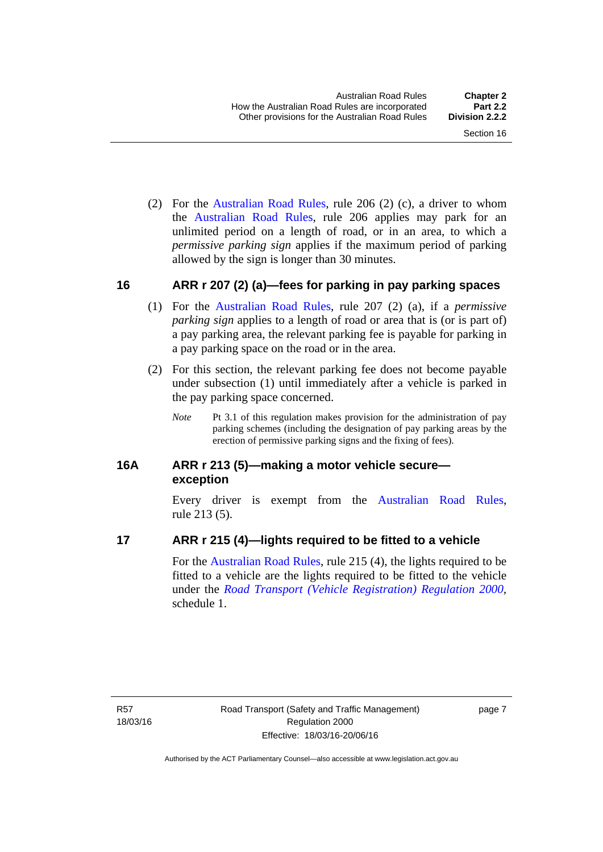(2) For the [Australian Road Rules,](http://www.legislation.act.gov.au//ni/db_37271/default.asp) rule 206 (2) (c), a driver to whom the [Australian Road Rules](http://www.legislation.act.gov.au//ni/db_37271/default.asp), rule 206 applies may park for an unlimited period on a length of road, or in an area, to which a *permissive parking sign* applies if the maximum period of parking allowed by the sign is longer than 30 minutes.

#### <span id="page-23-0"></span>**16 ARR r 207 (2) (a)—fees for parking in pay parking spaces**

- (1) For the [Australian Road Rules,](http://www.legislation.act.gov.au//ni/db_37271/default.asp) rule 207 (2) (a), if a *permissive parking sign* applies to a length of road or area that is (or is part of) a pay parking area, the relevant parking fee is payable for parking in a pay parking space on the road or in the area.
- (2) For this section, the relevant parking fee does not become payable under subsection (1) until immediately after a vehicle is parked in the pay parking space concerned.
	- *Note* Pt 3.1 of this regulation makes provision for the administration of pay parking schemes (including the designation of pay parking areas by the erection of permissive parking signs and the fixing of fees).

### <span id="page-23-1"></span>**16A ARR r 213 (5)—making a motor vehicle secure exception**

Every driver is exempt from the [Australian Road Rules](http://www.legislation.act.gov.au//ni/db_37271/default.asp), rule 213 (5).

#### <span id="page-23-2"></span>**17 ARR r 215 (4)—lights required to be fitted to a vehicle**

For the [Australian Road Rules,](http://www.legislation.act.gov.au//ni/db_37271/default.asp) rule 215 (4), the lights required to be fitted to a vehicle are the lights required to be fitted to the vehicle under the *[Road Transport \(Vehicle Registration\) Regulation 2000](http://www.legislation.act.gov.au/sl/2000-12),*  schedule 1.

R57 18/03/16 page 7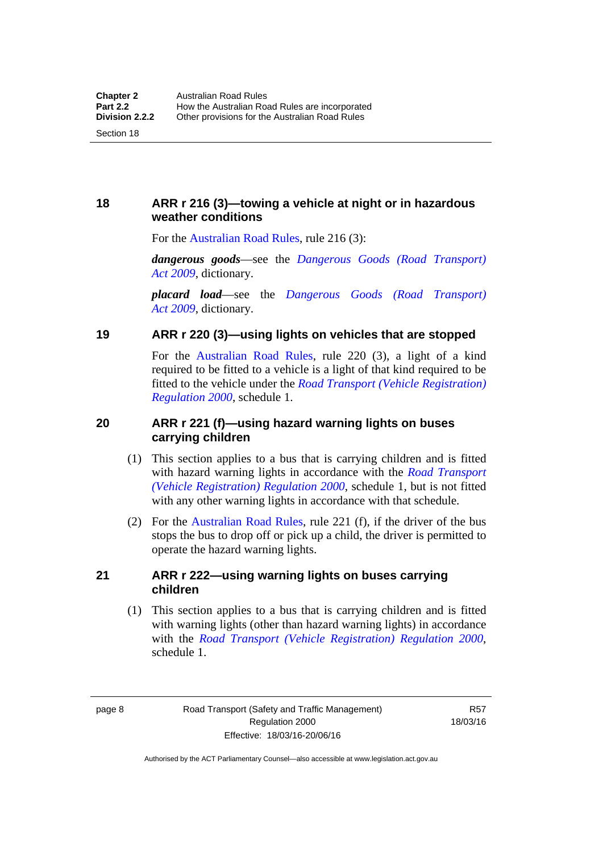# <span id="page-24-0"></span>**18 ARR r 216 (3)—towing a vehicle at night or in hazardous weather conditions**

For the [Australian Road Rules,](http://www.legislation.act.gov.au//ni/db_37271/default.asp) rule 216 (3):

*dangerous goods*—see the *[Dangerous Goods \(Road Transport\)](http://www.legislation.act.gov.au/a/2009-34)  [Act 2009](http://www.legislation.act.gov.au/a/2009-34)*, dictionary.

*placard load*—see the *[Dangerous Goods \(Road Transport\)](http://www.legislation.act.gov.au/a/2009-34)  [Act 2009](http://www.legislation.act.gov.au/a/2009-34)*, dictionary.

### <span id="page-24-1"></span>**19 ARR r 220 (3)—using lights on vehicles that are stopped**

For the [Australian Road Rules](http://www.legislation.act.gov.au//ni/db_37271/default.asp), rule 220 (3), a light of a kind required to be fitted to a vehicle is a light of that kind required to be fitted to the vehicle under the *[Road Transport \(Vehicle Registration\)](http://www.legislation.act.gov.au/sl/2000-12)  [Regulation 2000](http://www.legislation.act.gov.au/sl/2000-12)*, schedule 1.

# <span id="page-24-2"></span>**20 ARR r 221 (f)—using hazard warning lights on buses carrying children**

- (1) This section applies to a bus that is carrying children and is fitted with hazard warning lights in accordance with the *[Road Transport](http://www.legislation.act.gov.au/sl/2000-12)  [\(Vehicle Registration\) Regulation 2000](http://www.legislation.act.gov.au/sl/2000-12)*, schedule 1, but is not fitted with any other warning lights in accordance with that schedule.
- (2) For the [Australian Road Rules](http://www.legislation.act.gov.au//ni/db_37271/default.asp), rule 221 (f), if the driver of the bus stops the bus to drop off or pick up a child, the driver is permitted to operate the hazard warning lights.

### <span id="page-24-3"></span>**21 ARR r 222—using warning lights on buses carrying children**

(1) This section applies to a bus that is carrying children and is fitted with warning lights (other than hazard warning lights) in accordance with the *[Road Transport \(Vehicle Registration\) Regulation 2000](http://www.legislation.act.gov.au/sl/2000-12)*, schedule 1.

page 8 Road Transport (Safety and Traffic Management) Regulation 2000 Effective: 18/03/16-20/06/16

R57 18/03/16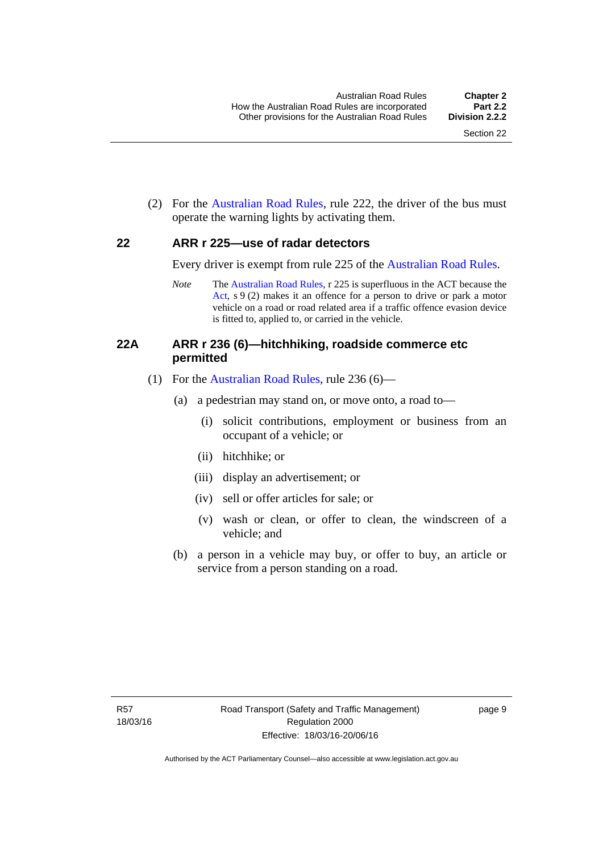(2) For the [Australian Road Rules](http://www.legislation.act.gov.au//ni/db_37271/default.asp), rule 222, the driver of the bus must operate the warning lights by activating them.

#### <span id="page-25-0"></span>**22 ARR r 225—use of radar detectors**

Every driver is exempt from rule 225 of the [Australian Road Rules.](http://www.legislation.act.gov.au//ni/db_37271/default.asp)

*Note* The [Australian Road Rules](http://www.legislation.act.gov.au//ni/db_37271/default.asp), r 225 is superfluous in the ACT because the [Act,](http://www.legislation.act.gov.au/a/1999-80/default.asp) s 9 (2) makes it an offence for a person to drive or park a motor vehicle on a road or road related area if a traffic offence evasion device is fitted to, applied to, or carried in the vehicle.

#### <span id="page-25-1"></span>**22A ARR r 236 (6)—hitchhiking, roadside commerce etc permitted**

- (1) For the [Australian Road Rules](http://www.legislation.act.gov.au//ni/db_37271/default.asp), rule 236 (6)—
	- (a) a pedestrian may stand on, or move onto, a road to—
		- (i) solicit contributions, employment or business from an occupant of a vehicle; or
		- (ii) hitchhike; or
		- (iii) display an advertisement; or
		- (iv) sell or offer articles for sale; or
		- (v) wash or clean, or offer to clean, the windscreen of a vehicle; and
	- (b) a person in a vehicle may buy, or offer to buy, an article or service from a person standing on a road.

page 9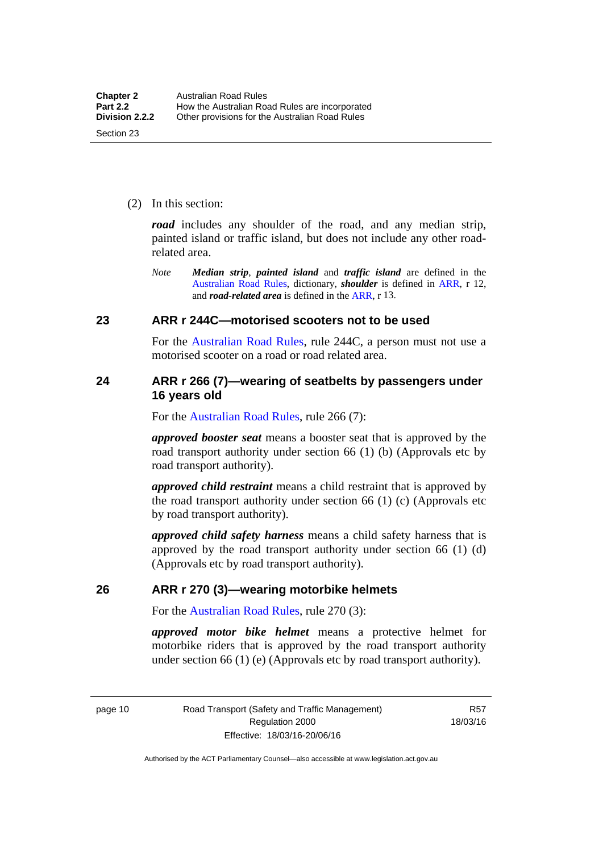(2) In this section:

*road* includes any shoulder of the road, and any median strip, painted island or traffic island, but does not include any other roadrelated area.

*Note Median strip*, *painted island* and *traffic island* are defined in the [Australian Road Rules](http://www.legislation.act.gov.au//ni/db_37271/default.asp), dictionary, *shoulder* is defined in [ARR,](http://www.legislation.act.gov.au//ni/db_37271/default.asp) r 12, and *road-related area* is defined in the [ARR,](http://www.legislation.act.gov.au//ni/db_37271/default.asp) r 13.

#### <span id="page-26-0"></span>**23 ARR r 244C—motorised scooters not to be used**

For the [Australian Road Rules](http://www.legislation.act.gov.au//ni/db_37271/default.asp), rule 244C, a person must not use a motorised scooter on a road or road related area.

#### <span id="page-26-1"></span>**24 ARR r 266 (7)—wearing of seatbelts by passengers under 16 years old**

For the [Australian Road Rules,](http://www.legislation.act.gov.au//ni/db_37271/default.asp) rule 266 (7):

*approved booster seat* means a booster seat that is approved by the road transport authority under section 66 (1) (b) (Approvals etc by road transport authority).

*approved child restraint* means a child restraint that is approved by the road transport authority under section 66 (1) (c) (Approvals etc by road transport authority).

*approved child safety harness* means a child safety harness that is approved by the road transport authority under section 66 (1) (d) (Approvals etc by road transport authority).

#### <span id="page-26-2"></span>**26 ARR r 270 (3)—wearing motorbike helmets**

For the [Australian Road Rules,](http://www.legislation.act.gov.au//ni/db_37271/default.asp) rule 270 (3):

*approved motor bike helmet* means a protective helmet for motorbike riders that is approved by the road transport authority under section 66 (1) (e) (Approvals etc by road transport authority).

page 10 Road Transport (Safety and Traffic Management) Regulation 2000 Effective: 18/03/16-20/06/16

R57 18/03/16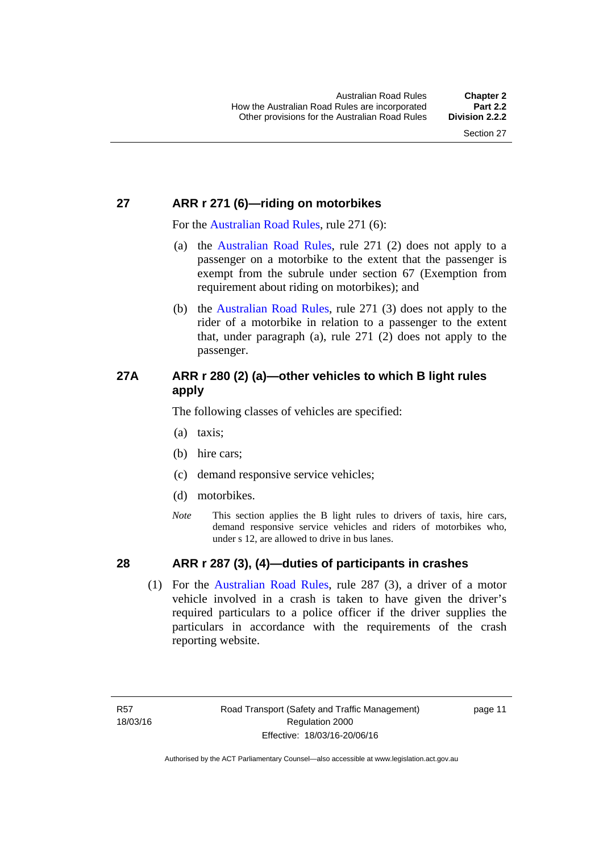# <span id="page-27-0"></span>**27 ARR r 271 (6)—riding on motorbikes**

For the [Australian Road Rules](http://www.legislation.act.gov.au//ni/db_37271/default.asp), rule 271 (6):

- (a) the [Australian Road Rules,](http://www.legislation.act.gov.au//ni/db_37271/default.asp) rule 271 (2) does not apply to a passenger on a motorbike to the extent that the passenger is exempt from the subrule under section 67 (Exemption from requirement about riding on motorbikes); and
- (b) the [Australian Road Rules](http://www.legislation.act.gov.au//ni/db_37271/default.asp), rule 271 (3) does not apply to the rider of a motorbike in relation to a passenger to the extent that, under paragraph (a), rule 271 (2) does not apply to the passenger.

# <span id="page-27-1"></span>**27A ARR r 280 (2) (a)—other vehicles to which B light rules apply**

The following classes of vehicles are specified:

- (a) taxis;
- (b) hire cars;
- (c) demand responsive service vehicles;
- (d) motorbikes.
- *Note* This section applies the B light rules to drivers of taxis, hire cars, demand responsive service vehicles and riders of motorbikes who, under s 12, are allowed to drive in bus lanes.

# <span id="page-27-2"></span>**28 ARR r 287 (3), (4)—duties of participants in crashes**

 (1) For the [Australian Road Rules,](http://www.legislation.act.gov.au//ni/db_37271/default.asp) rule 287 (3), a driver of a motor vehicle involved in a crash is taken to have given the driver's required particulars to a police officer if the driver supplies the particulars in accordance with the requirements of the crash reporting website.

page 11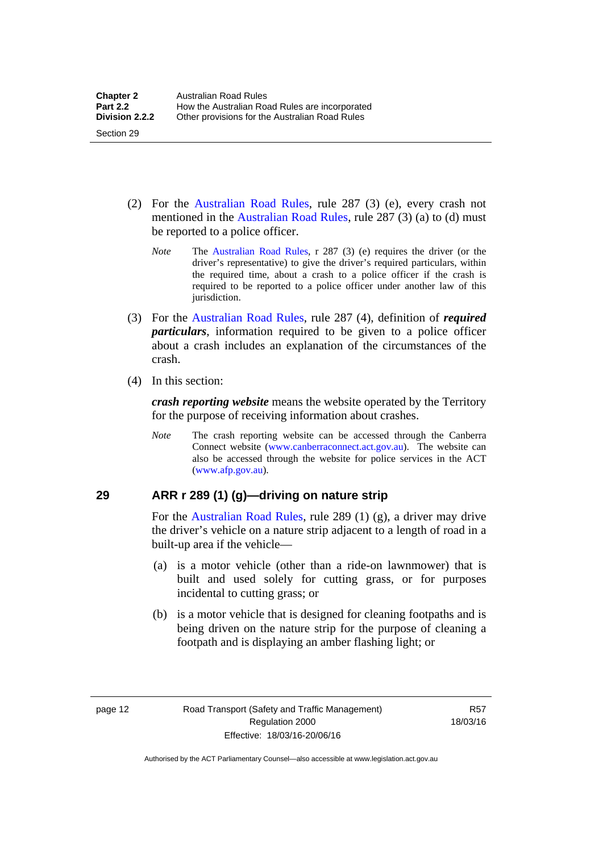- (2) For the [Australian Road Rules](http://www.legislation.act.gov.au//ni/db_37271/default.asp), rule 287 (3) (e), every crash not mentioned in the [Australian Road Rules,](http://www.legislation.act.gov.au//ni/db_37271/default.asp) rule 287 (3) (a) to (d) must be reported to a police officer.
	- *Note* The [Australian Road Rules](http://www.legislation.act.gov.au//ni/db_37271/default.asp), r 287 (3) (e) requires the driver (or the driver's representative) to give the driver's required particulars, within the required time, about a crash to a police officer if the crash is required to be reported to a police officer under another law of this jurisdiction.
- (3) For the [Australian Road Rules](http://www.legislation.act.gov.au//ni/db_37271/default.asp), rule 287 (4), definition of *required particulars*, information required to be given to a police officer about a crash includes an explanation of the circumstances of the crash.
- (4) In this section:

Section 29

*crash reporting website* means the website operated by the Territory for the purpose of receiving information about crashes.

*Note* The crash reporting website can be accessed through the Canberra Connect website [\(www.canberraconnect.act.gov.au](http://www.canberraconnect.act.gov.au/)). The website can also be accessed through the website for police services in the ACT [\(www.afp.gov.au\)](http://www.afp.gov.au/).

# <span id="page-28-0"></span>**29 ARR r 289 (1) (g)—driving on nature strip**

For the [Australian Road Rules](http://www.legislation.act.gov.au//ni/db_37271/default.asp), rule 289 (1) (g), a driver may drive the driver's vehicle on a nature strip adjacent to a length of road in a built-up area if the vehicle—

- (a) is a motor vehicle (other than a ride-on lawnmower) that is built and used solely for cutting grass, or for purposes incidental to cutting grass; or
- (b) is a motor vehicle that is designed for cleaning footpaths and is being driven on the nature strip for the purpose of cleaning a footpath and is displaying an amber flashing light; or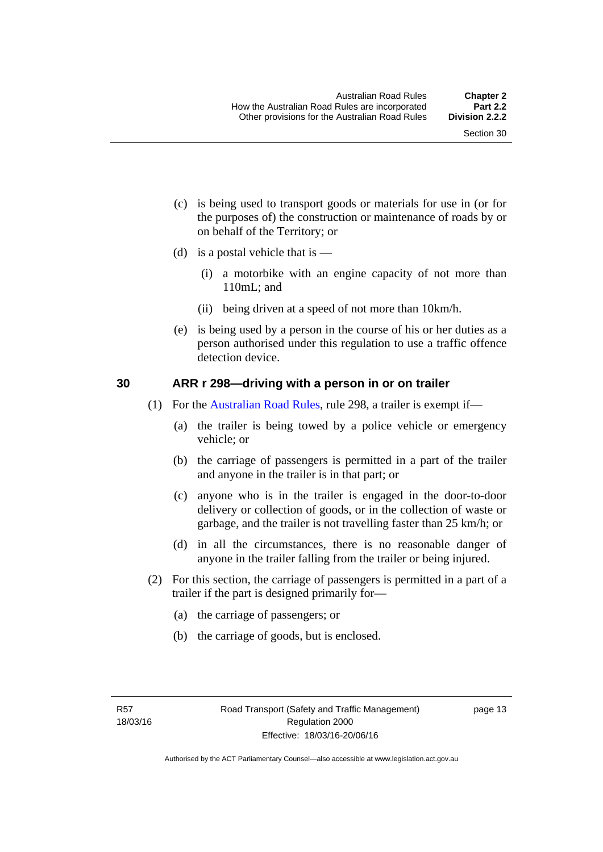- (c) is being used to transport goods or materials for use in (or for the purposes of) the construction or maintenance of roads by or on behalf of the Territory; or
- (d) is a postal vehicle that is  $-$ 
	- (i) a motorbike with an engine capacity of not more than 110mL; and
	- (ii) being driven at a speed of not more than 10km/h.
- (e) is being used by a person in the course of his or her duties as a person authorised under this regulation to use a traffic offence detection device.

#### <span id="page-29-0"></span>**30 ARR r 298—driving with a person in or on trailer**

- (1) For the [Australian Road Rules](http://www.legislation.act.gov.au//ni/db_37271/default.asp), rule 298, a trailer is exempt if—
	- (a) the trailer is being towed by a police vehicle or emergency vehicle; or
	- (b) the carriage of passengers is permitted in a part of the trailer and anyone in the trailer is in that part; or
	- (c) anyone who is in the trailer is engaged in the door-to-door delivery or collection of goods, or in the collection of waste or garbage, and the trailer is not travelling faster than 25 km/h; or
	- (d) in all the circumstances, there is no reasonable danger of anyone in the trailer falling from the trailer or being injured.
- (2) For this section, the carriage of passengers is permitted in a part of a trailer if the part is designed primarily for—
	- (a) the carriage of passengers; or
	- (b) the carriage of goods, but is enclosed.

page 13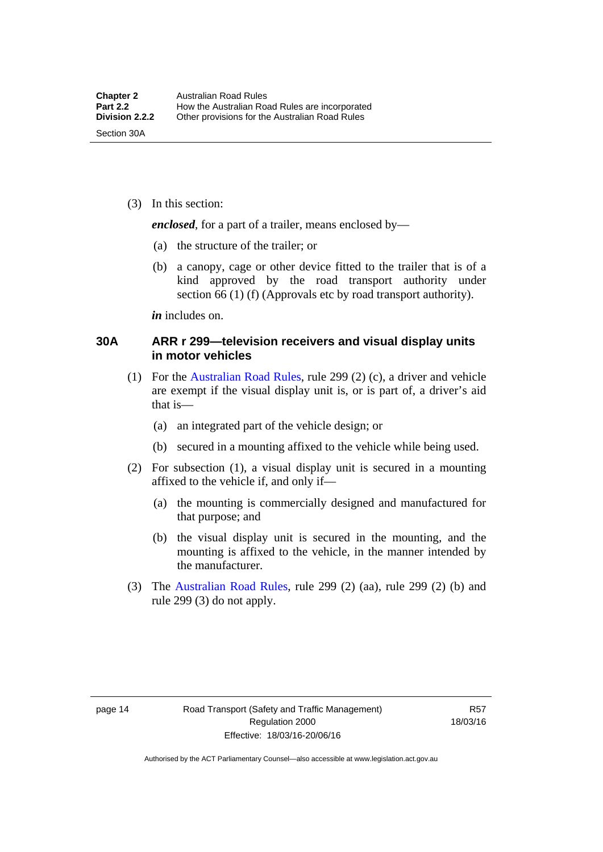(3) In this section:

*enclosed*, for a part of a trailer, means enclosed by—

- (a) the structure of the trailer; or
- (b) a canopy, cage or other device fitted to the trailer that is of a kind approved by the road transport authority under section 66 (1) (f) (Approvals etc by road transport authority).

*in* includes on.

#### <span id="page-30-0"></span>**30A ARR r 299—television receivers and visual display units in motor vehicles**

- (1) For the [Australian Road Rules](http://www.legislation.act.gov.au//ni/db_37271/default.asp), rule 299 (2) (c), a driver and vehicle are exempt if the visual display unit is, or is part of, a driver's aid that is—
	- (a) an integrated part of the vehicle design; or
	- (b) secured in a mounting affixed to the vehicle while being used.
- (2) For subsection (1), a visual display unit is secured in a mounting affixed to the vehicle if, and only if—
	- (a) the mounting is commercially designed and manufactured for that purpose; and
	- (b) the visual display unit is secured in the mounting, and the mounting is affixed to the vehicle, in the manner intended by the manufacturer.
- (3) The [Australian Road Rules](http://www.legislation.act.gov.au//ni/db_37271/default.asp), rule 299 (2) (aa), rule 299 (2) (b) and rule 299 (3) do not apply.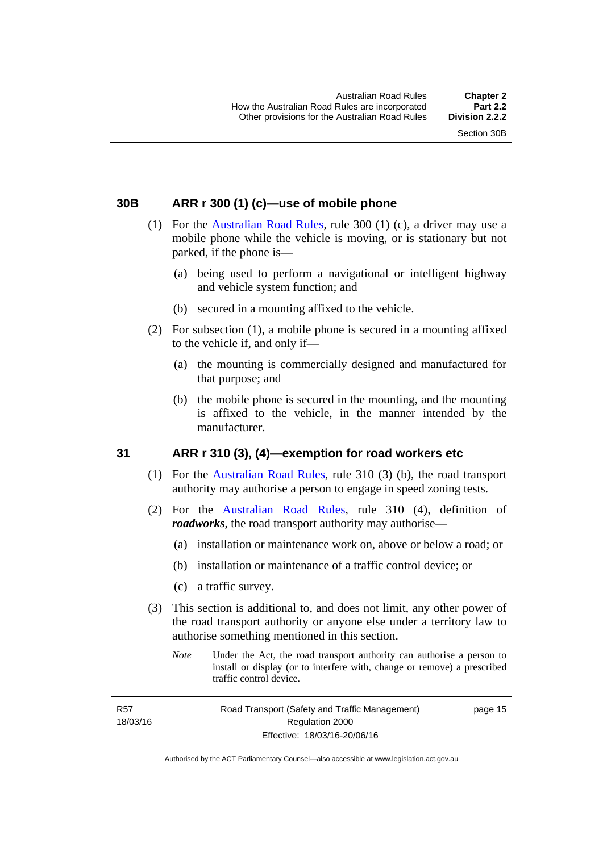### <span id="page-31-0"></span>**30B ARR r 300 (1) (c)—use of mobile phone**

- (1) For the [Australian Road Rules,](http://www.legislation.act.gov.au//ni/db_37271/default.asp) rule 300 (1) (c), a driver may use a mobile phone while the vehicle is moving, or is stationary but not parked, if the phone is—
	- (a) being used to perform a navigational or intelligent highway and vehicle system function; and
	- (b) secured in a mounting affixed to the vehicle.
- (2) For subsection (1), a mobile phone is secured in a mounting affixed to the vehicle if, and only if—
	- (a) the mounting is commercially designed and manufactured for that purpose; and
	- (b) the mobile phone is secured in the mounting, and the mounting is affixed to the vehicle, in the manner intended by the manufacturer.

# <span id="page-31-1"></span>**31 ARR r 310 (3), (4)—exemption for road workers etc**

- (1) For the [Australian Road Rules](http://www.legislation.act.gov.au//ni/db_37271/default.asp), rule 310 (3) (b), the road transport authority may authorise a person to engage in speed zoning tests.
- (2) For the [Australian Road Rules](http://www.legislation.act.gov.au//ni/db_37271/default.asp), rule 310 (4), definition of *roadworks*, the road transport authority may authorise—
	- (a) installation or maintenance work on, above or below a road; or
	- (b) installation or maintenance of a traffic control device; or
	- (c) a traffic survey.
- (3) This section is additional to, and does not limit, any other power of the road transport authority or anyone else under a territory law to authorise something mentioned in this section.
	- *Note* Under the Act, the road transport authority can authorise a person to install or display (or to interfere with, change or remove) a prescribed traffic control device.

R57 18/03/16 Road Transport (Safety and Traffic Management) Regulation 2000 Effective: 18/03/16-20/06/16

page 15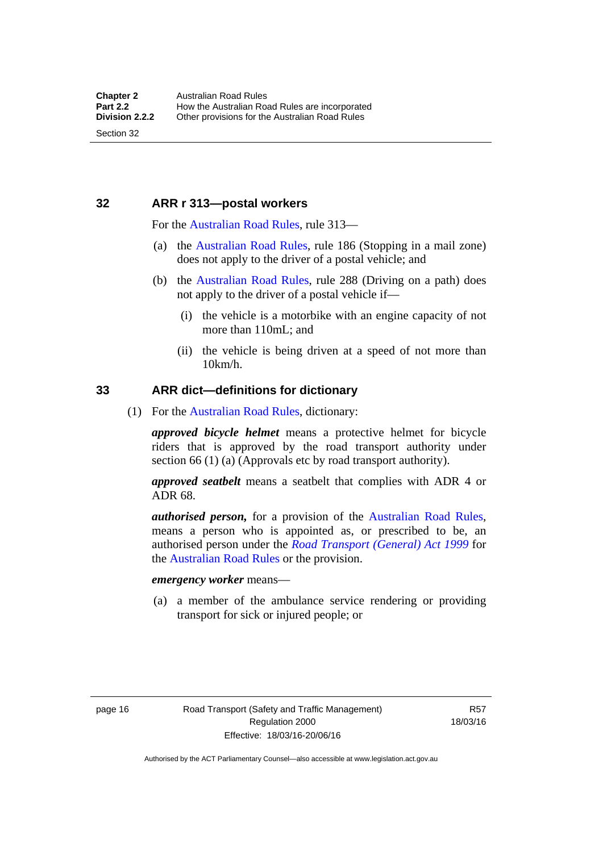### <span id="page-32-0"></span>**32 ARR r 313—postal workers**

For the [Australian Road Rules,](http://www.legislation.act.gov.au//ni/db_37271/default.asp) rule 313—

- (a) the [Australian Road Rules,](http://www.legislation.act.gov.au//ni/db_37271/default.asp) rule 186 (Stopping in a mail zone) does not apply to the driver of a postal vehicle; and
- (b) the [Australian Road Rules](http://www.legislation.act.gov.au//ni/db_37271/default.asp), rule 288 (Driving on a path) does not apply to the driver of a postal vehicle if—
	- (i) the vehicle is a motorbike with an engine capacity of not more than 110mL; and
	- (ii) the vehicle is being driven at a speed of not more than 10km/h.

#### <span id="page-32-1"></span>**33 ARR dict—definitions for dictionary**

(1) For the [Australian Road Rules,](http://www.legislation.act.gov.au//ni/db_37271/default.asp) dictionary:

*approved bicycle helmet* means a protective helmet for bicycle riders that is approved by the road transport authority under section 66 (1) (a) (Approvals etc by road transport authority).

*approved seatbelt* means a seatbelt that complies with ADR 4 or ADR 68.

*authorised person,* for a provision of the [Australian Road Rules](http://www.legislation.act.gov.au//ni/db_37271/default.asp), means a person who is appointed as, or prescribed to be, an authorised person under the *[Road Transport \(General\) Act 1999](http://www.legislation.act.gov.au/a/1999-77)* for the [Australian Road Rules](http://www.legislation.act.gov.au//ni/db_37271/default.asp) or the provision.

#### *emergency worker* means—

 (a) a member of the ambulance service rendering or providing transport for sick or injured people; or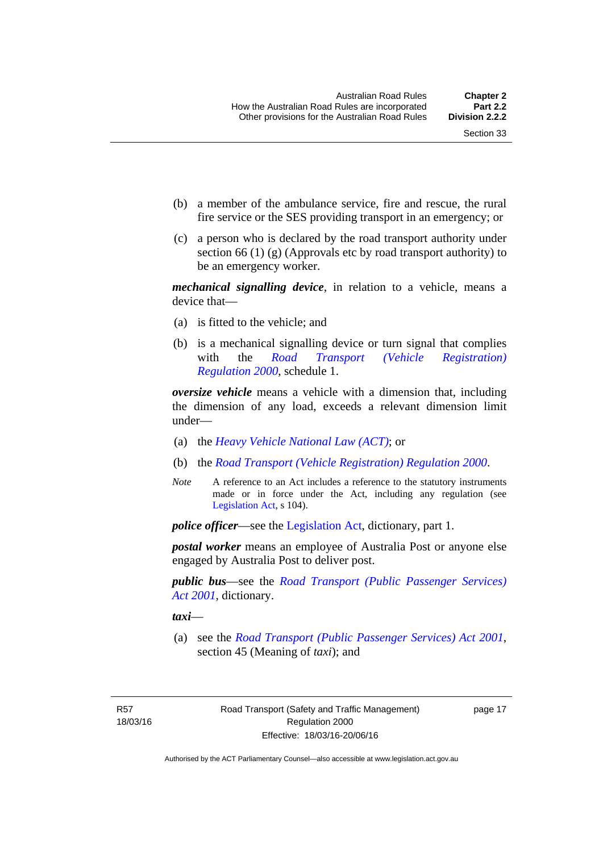- (b) a member of the ambulance service, fire and rescue, the rural fire service or the SES providing transport in an emergency; or
- (c) a person who is declared by the road transport authority under section 66 (1) (g) (Approvals etc by road transport authority) to be an emergency worker.

*mechanical signalling device*, in relation to a vehicle, means a device that—

- (a) is fitted to the vehicle; and
- (b) is a mechanical signalling device or turn signal that complies with the *[Road Transport \(Vehicle Registration\)](http://www.legislation.act.gov.au/sl/2000-12)  [Regulation 2000](http://www.legislation.act.gov.au/sl/2000-12)*, schedule 1.

*oversize vehicle* means a vehicle with a dimension that, including the dimension of any load, exceeds a relevant dimension limit under—

- (a) the *[Heavy Vehicle National Law \(ACT\)](http://www.legislation.act.gov.au/a/db_49155/default.asp)*; or
- (b) the *[Road Transport \(Vehicle Registration\) Regulation 2000](http://www.legislation.act.gov.au/sl/2000-12)*.
- *Note* A reference to an Act includes a reference to the statutory instruments made or in force under the Act, including any regulation (see [Legislation Act,](http://www.legislation.act.gov.au/a/2001-14) s 104).

*police officer*—see the [Legislation Act](http://www.legislation.act.gov.au/a/2001-14), dictionary, part 1.

*postal worker* means an employee of Australia Post or anyone else engaged by Australia Post to deliver post.

*public bus*—see the *[Road Transport \(Public Passenger Services\)](http://www.legislation.act.gov.au/a/2001-62)  [Act 2001](http://www.legislation.act.gov.au/a/2001-62)*, dictionary.

*taxi*—

 (a) see the *[Road Transport \(Public Passenger Services\) Act 2001](http://www.legislation.act.gov.au/a/2001-62)*, section 45 (Meaning of *taxi*); and

R57 18/03/16 page 17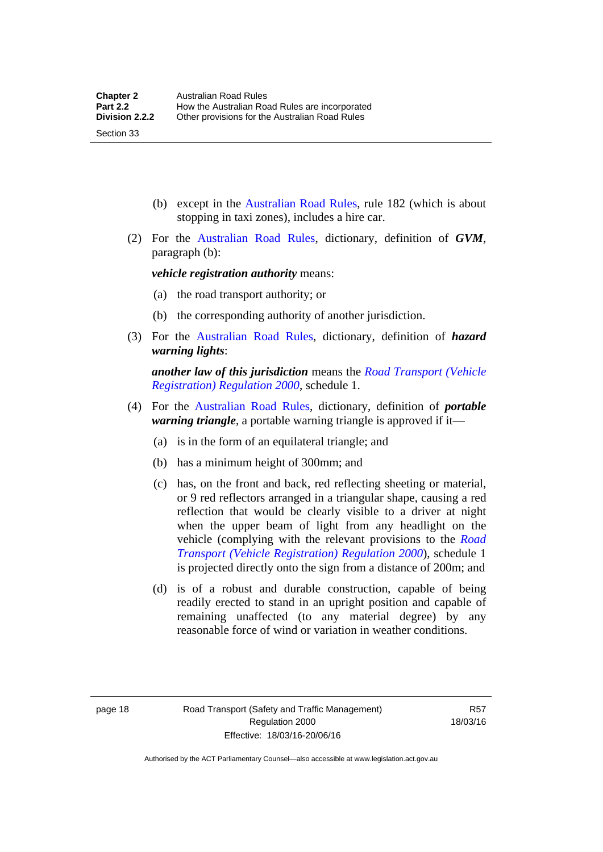(b) except in the [Australian Road Rules,](http://www.legislation.act.gov.au//ni/db_37271/default.asp) rule 182 (which is about stopping in taxi zones), includes a hire car.

 (2) For the [Australian Road Rules](http://www.legislation.act.gov.au//ni/db_37271/default.asp), dictionary, definition of *GVM*, paragraph (b):

*vehicle registration authority* means:

- (a) the road transport authority; or
- (b) the corresponding authority of another jurisdiction.
- (3) For the [Australian Road Rules](http://www.legislation.act.gov.au//ni/db_37271/default.asp), dictionary, definition of *hazard warning lights*:

*another law of this jurisdiction* means the *[Road Transport \(Vehicle](http://www.legislation.act.gov.au/sl/2000-12)  [Registration\) Regulation 2000](http://www.legislation.act.gov.au/sl/2000-12)*, schedule 1.

- (4) For the [Australian Road Rules](http://www.legislation.act.gov.au//ni/db_37271/default.asp), dictionary, definition of *portable warning triangle*, a portable warning triangle is approved if it—
	- (a) is in the form of an equilateral triangle; and
	- (b) has a minimum height of 300mm; and
	- (c) has, on the front and back, red reflecting sheeting or material, or 9 red reflectors arranged in a triangular shape, causing a red reflection that would be clearly visible to a driver at night when the upper beam of light from any headlight on the vehicle (complying with the relevant provisions to the *[Road](http://www.legislation.act.gov.au/sl/2000-12)  [Transport \(Vehicle Registration\) Regulation 2000](http://www.legislation.act.gov.au/sl/2000-12)*), schedule 1 is projected directly onto the sign from a distance of 200m; and
	- (d) is of a robust and durable construction, capable of being readily erected to stand in an upright position and capable of remaining unaffected (to any material degree) by any reasonable force of wind or variation in weather conditions.

Section 33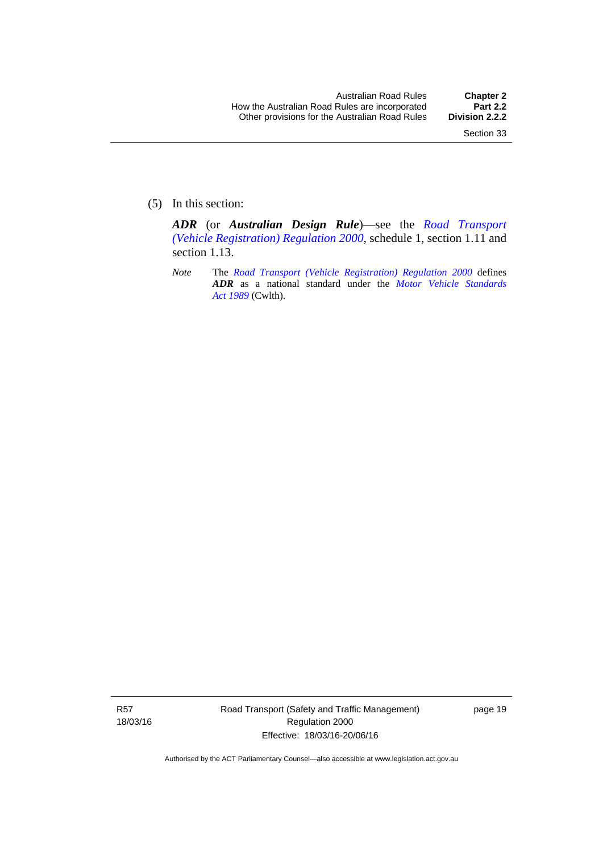(5) In this section:

*ADR* (or *Australian Design Rule*)—see the *[Road Transport](http://www.legislation.act.gov.au/sl/2000-12)  [\(Vehicle Registration\) Regulation 2000](http://www.legislation.act.gov.au/sl/2000-12)*, schedule 1, section 1.11 and section 1.13.

*Note* The *[Road Transport \(Vehicle Registration\) Regulation 2000](http://www.legislation.act.gov.au/sl/2000-12)* defines *ADR* as a national standard under the *[Motor Vehicle Standards](http://www.comlaw.gov.au/Series/C2004A03813)  [Act 1989](http://www.comlaw.gov.au/Series/C2004A03813)* (Cwlth).

R57 18/03/16 Road Transport (Safety and Traffic Management) Regulation 2000 Effective: 18/03/16-20/06/16

page 19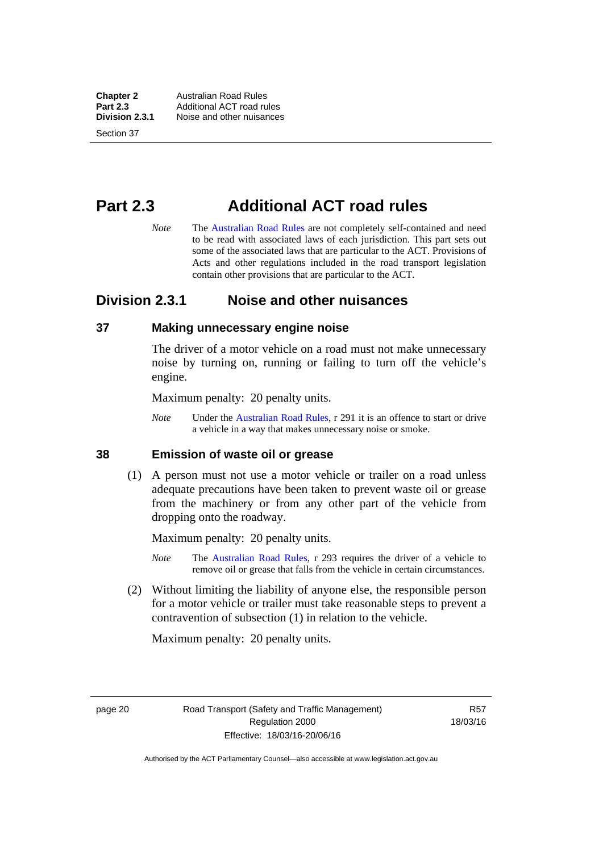**Chapter 2 Australian Road Rules**<br>**Part 2.3 Additional ACT road rules Part 2.3** Additional ACT road rules<br>**Division 2.3.1** Noise and other nuisances **Division 2.3.1** Noise and other nuisances

Section 37

# **Part 2.3 Additional ACT road rules**

*Note* The [Australian Road Rules](http://www.legislation.act.gov.au//ni/db_37271/default.asp) are not completely self-contained and need to be read with associated laws of each jurisdiction. This part sets out some of the associated laws that are particular to the ACT. Provisions of Acts and other regulations included in the road transport legislation contain other provisions that are particular to the ACT.

# **Division 2.3.1 Noise and other nuisances**

#### **37 Making unnecessary engine noise**

The driver of a motor vehicle on a road must not make unnecessary noise by turning on, running or failing to turn off the vehicle's engine.

Maximum penalty: 20 penalty units.

*Note* Under the [Australian Road Rules,](http://www.legislation.act.gov.au//ni/db_37271/default.asp) r 291 it is an offence to start or drive a vehicle in a way that makes unnecessary noise or smoke.

#### **38 Emission of waste oil or grease**

 (1) A person must not use a motor vehicle or trailer on a road unless adequate precautions have been taken to prevent waste oil or grease from the machinery or from any other part of the vehicle from dropping onto the roadway.

Maximum penalty: 20 penalty units.

- *Note* The [Australian Road Rules,](http://www.legislation.act.gov.au//ni/db_37271/default.asp) r 293 requires the driver of a vehicle to remove oil or grease that falls from the vehicle in certain circumstances.
- (2) Without limiting the liability of anyone else, the responsible person for a motor vehicle or trailer must take reasonable steps to prevent a contravention of subsection (1) in relation to the vehicle.

Maximum penalty: 20 penalty units.

page 20 Road Transport (Safety and Traffic Management) Regulation 2000 Effective: 18/03/16-20/06/16

R57 18/03/16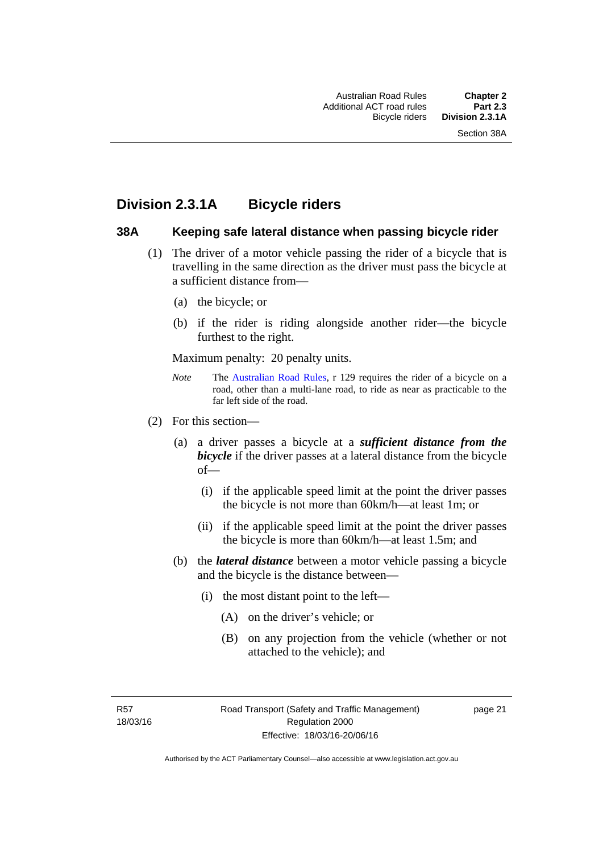# **Division 2.3.1A Bicycle riders**

#### **38A Keeping safe lateral distance when passing bicycle rider**

- (1) The driver of a motor vehicle passing the rider of a bicycle that is travelling in the same direction as the driver must pass the bicycle at a sufficient distance from—
	- (a) the bicycle; or
	- (b) if the rider is riding alongside another rider—the bicycle furthest to the right.

Maximum penalty: 20 penalty units.

- *Note* **The [Australian Road Rules](http://www.legislation.act.gov.au//ni/db_37271/default.asp), r 129 requires the rider of a bicycle on a** road, other than a multi-lane road, to ride as near as practicable to the far left side of the road.
- (2) For this section—
	- (a) a driver passes a bicycle at a *sufficient distance from the bicycle* if the driver passes at a lateral distance from the bicycle of—
		- (i) if the applicable speed limit at the point the driver passes the bicycle is not more than 60km/h—at least 1m; or
		- (ii) if the applicable speed limit at the point the driver passes the bicycle is more than 60km/h—at least 1.5m; and
	- (b) the *lateral distance* between a motor vehicle passing a bicycle and the bicycle is the distance between—
		- (i) the most distant point to the left—
			- (A) on the driver's vehicle; or
			- (B) on any projection from the vehicle (whether or not attached to the vehicle); and

R57 18/03/16 page 21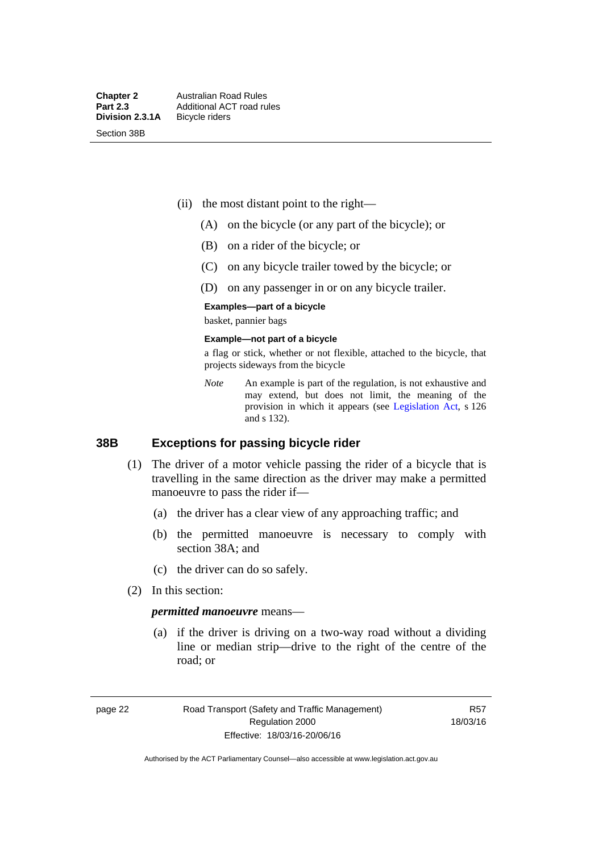Section 38B

- (ii) the most distant point to the right—
	- (A) on the bicycle (or any part of the bicycle); or
	- (B) on a rider of the bicycle; or
	- (C) on any bicycle trailer towed by the bicycle; or
	- (D) on any passenger in or on any bicycle trailer.

#### **Examples—part of a bicycle**

basket, pannier bags

#### **Example—not part of a bicycle**

a flag or stick, whether or not flexible, attached to the bicycle, that projects sideways from the bicycle

*Note* An example is part of the regulation, is not exhaustive and may extend, but does not limit, the meaning of the provision in which it appears (see [Legislation Act](http://www.legislation.act.gov.au/a/2001-14), s 126 and s 132).

#### **38B Exceptions for passing bicycle rider**

- (1) The driver of a motor vehicle passing the rider of a bicycle that is travelling in the same direction as the driver may make a permitted manoeuvre to pass the rider if—
	- (a) the driver has a clear view of any approaching traffic; and
	- (b) the permitted manoeuvre is necessary to comply with section 38A; and
	- (c) the driver can do so safely.
- (2) In this section:

#### *permitted manoeuvre* means—

 (a) if the driver is driving on a two-way road without a dividing line or median strip—drive to the right of the centre of the road; or

page 22 Road Transport (Safety and Traffic Management) Regulation 2000 Effective: 18/03/16-20/06/16

R57 18/03/16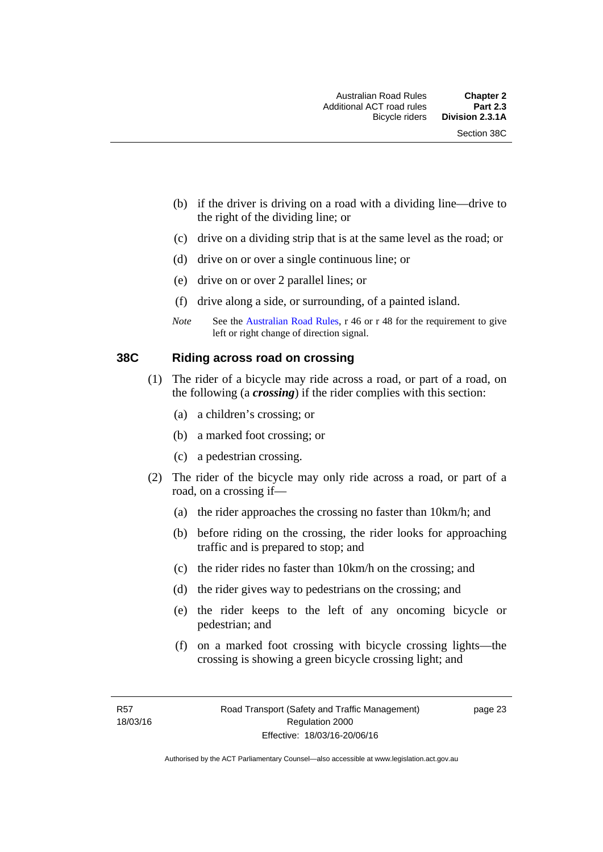- (b) if the driver is driving on a road with a dividing line—drive to the right of the dividing line; or
- (c) drive on a dividing strip that is at the same level as the road; or
- (d) drive on or over a single continuous line; or
- (e) drive on or over 2 parallel lines; or
- (f) drive along a side, or surrounding, of a painted island.
- *Note* See the [Australian Road Rules,](http://www.legislation.act.gov.au//ni/db_37271/default.asp) r 46 or r 48 for the requirement to give left or right change of direction signal.

#### **38C Riding across road on crossing**

- (1) The rider of a bicycle may ride across a road, or part of a road, on the following (a *crossing*) if the rider complies with this section:
	- (a) a children's crossing; or
	- (b) a marked foot crossing; or
	- (c) a pedestrian crossing.
- (2) The rider of the bicycle may only ride across a road, or part of a road, on a crossing if—
	- (a) the rider approaches the crossing no faster than 10km/h; and
	- (b) before riding on the crossing, the rider looks for approaching traffic and is prepared to stop; and
	- (c) the rider rides no faster than 10km/h on the crossing; and
	- (d) the rider gives way to pedestrians on the crossing; and
	- (e) the rider keeps to the left of any oncoming bicycle or pedestrian; and
	- (f) on a marked foot crossing with bicycle crossing lights—the crossing is showing a green bicycle crossing light; and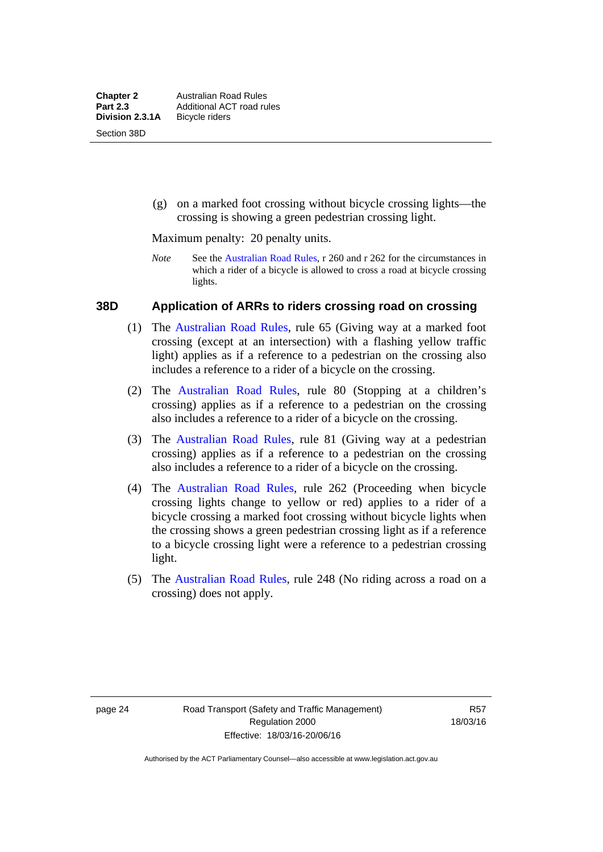(g) on a marked foot crossing without bicycle crossing lights—the crossing is showing a green pedestrian crossing light.

Maximum penalty: 20 penalty units.

*Note* See the [Australian Road Rules](http://www.legislation.act.gov.au//ni/db_37271/default.asp), r 260 and r 262 for the circumstances in which a rider of a bicycle is allowed to cross a road at bicycle crossing lights.

#### **38D Application of ARRs to riders crossing road on crossing**

- (1) The [Australian Road Rules,](http://www.legislation.act.gov.au//ni/db_37271/default.asp) rule 65 (Giving way at a marked foot crossing (except at an intersection) with a flashing yellow traffic light) applies as if a reference to a pedestrian on the crossing also includes a reference to a rider of a bicycle on the crossing.
- (2) The [Australian Road Rules](http://www.legislation.act.gov.au//ni/db_37271/default.asp), rule 80 (Stopping at a children's crossing) applies as if a reference to a pedestrian on the crossing also includes a reference to a rider of a bicycle on the crossing.
- (3) The [Australian Road Rules,](http://www.legislation.act.gov.au//ni/db_37271/default.asp) rule 81 (Giving way at a pedestrian crossing) applies as if a reference to a pedestrian on the crossing also includes a reference to a rider of a bicycle on the crossing.
- (4) The [Australian Road Rules](http://www.legislation.act.gov.au//ni/db_37271/default.asp), rule 262 (Proceeding when bicycle crossing lights change to yellow or red) applies to a rider of a bicycle crossing a marked foot crossing without bicycle lights when the crossing shows a green pedestrian crossing light as if a reference to a bicycle crossing light were a reference to a pedestrian crossing light.
- (5) The [Australian Road Rules](http://www.legislation.act.gov.au//ni/db_37271/default.asp), rule 248 (No riding across a road on a crossing) does not apply.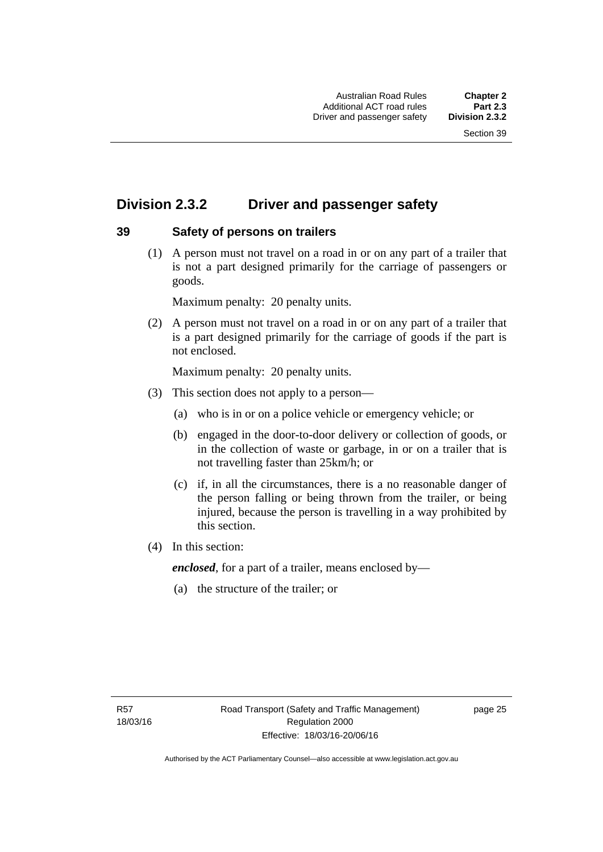# **Division 2.3.2 Driver and passenger safety**

### **39 Safety of persons on trailers**

 (1) A person must not travel on a road in or on any part of a trailer that is not a part designed primarily for the carriage of passengers or goods.

Maximum penalty: 20 penalty units.

 (2) A person must not travel on a road in or on any part of a trailer that is a part designed primarily for the carriage of goods if the part is not enclosed.

Maximum penalty: 20 penalty units.

- (3) This section does not apply to a person—
	- (a) who is in or on a police vehicle or emergency vehicle; or
	- (b) engaged in the door-to-door delivery or collection of goods, or in the collection of waste or garbage, in or on a trailer that is not travelling faster than 25km/h; or
	- (c) if, in all the circumstances, there is a no reasonable danger of the person falling or being thrown from the trailer, or being injured, because the person is travelling in a way prohibited by this section.
- (4) In this section:

*enclosed*, for a part of a trailer, means enclosed by—

(a) the structure of the trailer; or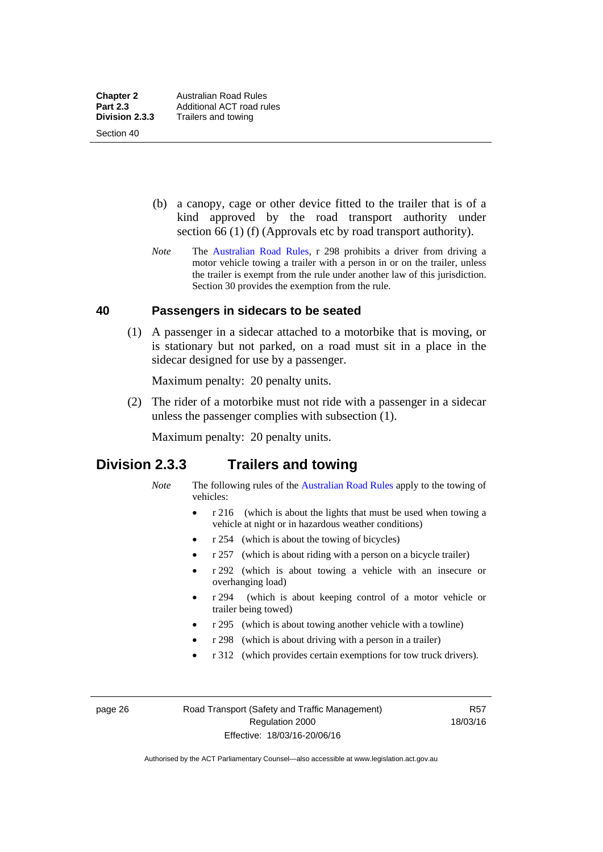Section 40

 (b) a canopy, cage or other device fitted to the trailer that is of a kind approved by the road transport authority under section 66 (1) (f) (Approvals etc by road transport authority).

*Note* The [Australian Road Rules](http://www.legislation.act.gov.au//ni/db_37271/default.asp), r 298 prohibits a driver from driving a motor vehicle towing a trailer with a person in or on the trailer, unless the trailer is exempt from the rule under another law of this jurisdiction. Section 30 provides the exemption from the rule.

#### **40 Passengers in sidecars to be seated**

 (1) A passenger in a sidecar attached to a motorbike that is moving, or is stationary but not parked, on a road must sit in a place in the sidecar designed for use by a passenger.

Maximum penalty: 20 penalty units.

 (2) The rider of a motorbike must not ride with a passenger in a sidecar unless the passenger complies with subsection (1).

Maximum penalty: 20 penalty units.

## **Division 2.3.3 Trailers and towing**

- *Note* The following rules of the [Australian Road Rules](http://www.legislation.act.gov.au//ni/db_37271/default.asp) apply to the towing of vehicles:
	- r 216 (which is about the lights that must be used when towing a vehicle at night or in hazardous weather conditions)
	- r 254 (which is about the towing of bicycles)
	- r 257 (which is about riding with a person on a bicycle trailer)
	- r 292 (which is about towing a vehicle with an insecure or overhanging load)
	- r 294 (which is about keeping control of a motor vehicle or trailer being towed)
	- r 295 (which is about towing another vehicle with a towline)
	- r 298 (which is about driving with a person in a trailer)
	- r 312 (which provides certain exemptions for tow truck drivers).

page 26 Road Transport (Safety and Traffic Management) Regulation 2000 Effective: 18/03/16-20/06/16

R57 18/03/16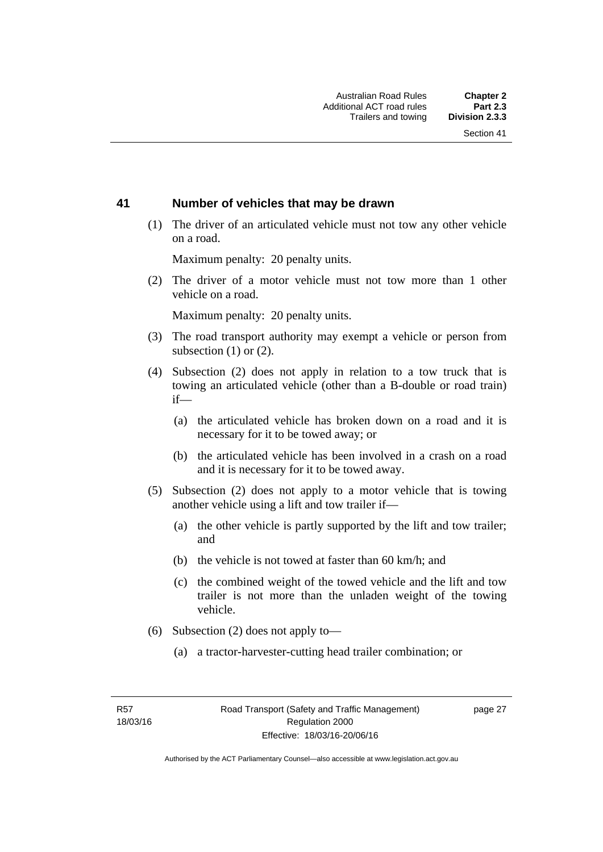#### **41 Number of vehicles that may be drawn**

 (1) The driver of an articulated vehicle must not tow any other vehicle on a road.

Maximum penalty: 20 penalty units.

 (2) The driver of a motor vehicle must not tow more than 1 other vehicle on a road.

Maximum penalty: 20 penalty units.

- (3) The road transport authority may exempt a vehicle or person from subsection (1) or (2).
- (4) Subsection (2) does not apply in relation to a tow truck that is towing an articulated vehicle (other than a B-double or road train) if—
	- (a) the articulated vehicle has broken down on a road and it is necessary for it to be towed away; or
	- (b) the articulated vehicle has been involved in a crash on a road and it is necessary for it to be towed away.
- (5) Subsection (2) does not apply to a motor vehicle that is towing another vehicle using a lift and tow trailer if—
	- (a) the other vehicle is partly supported by the lift and tow trailer; and
	- (b) the vehicle is not towed at faster than 60 km/h; and
	- (c) the combined weight of the towed vehicle and the lift and tow trailer is not more than the unladen weight of the towing vehicle.
- (6) Subsection (2) does not apply to—
	- (a) a tractor-harvester-cutting head trailer combination; or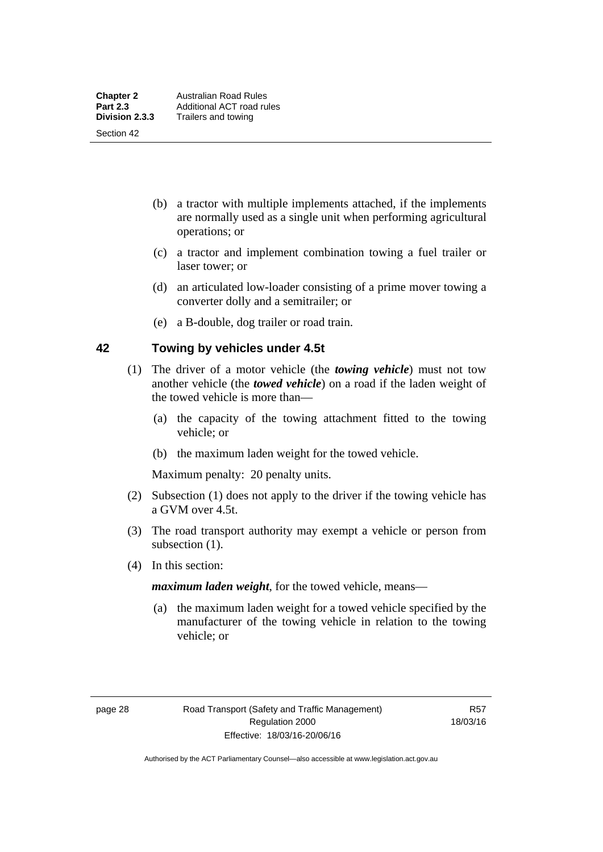Section 42

- (b) a tractor with multiple implements attached, if the implements are normally used as a single unit when performing agricultural operations; or
- (c) a tractor and implement combination towing a fuel trailer or laser tower; or
- (d) an articulated low-loader consisting of a prime mover towing a converter dolly and a semitrailer; or
- (e) a B-double, dog trailer or road train.

#### **42 Towing by vehicles under 4.5t**

- (1) The driver of a motor vehicle (the *towing vehicle*) must not tow another vehicle (the *towed vehicle*) on a road if the laden weight of the towed vehicle is more than—
	- (a) the capacity of the towing attachment fitted to the towing vehicle; or
	- (b) the maximum laden weight for the towed vehicle.

Maximum penalty: 20 penalty units.

- (2) Subsection (1) does not apply to the driver if the towing vehicle has a GVM over 4.5t.
- (3) The road transport authority may exempt a vehicle or person from subsection  $(1)$ .
- (4) In this section:

*maximum laden weight*, for the towed vehicle, means—

 (a) the maximum laden weight for a towed vehicle specified by the manufacturer of the towing vehicle in relation to the towing vehicle; or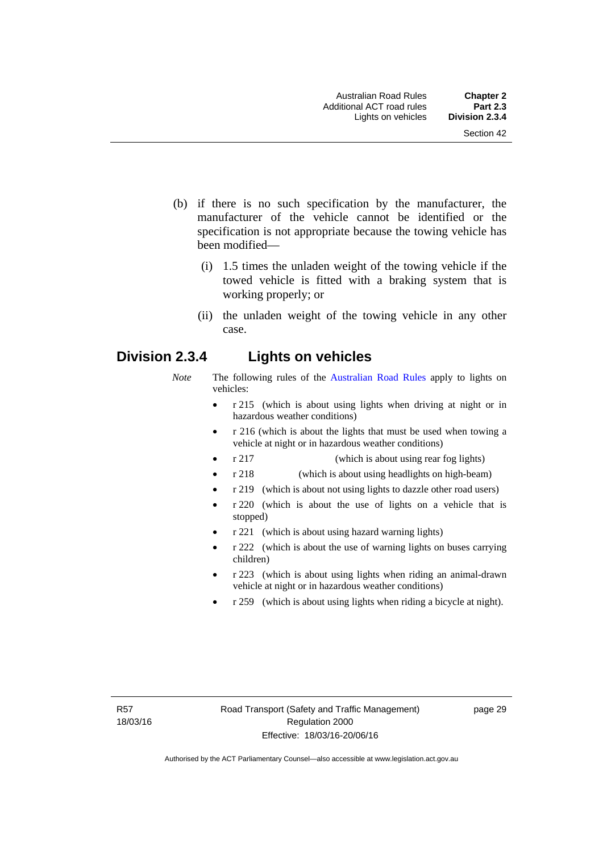- (b) if there is no such specification by the manufacturer, the manufacturer of the vehicle cannot be identified or the specification is not appropriate because the towing vehicle has been modified—
	- (i) 1.5 times the unladen weight of the towing vehicle if the towed vehicle is fitted with a braking system that is working properly; or
	- (ii) the unladen weight of the towing vehicle in any other case.

# **Division 2.3.4 Lights on vehicles**

- *Note* The following rules of the [Australian Road Rules](http://www.legislation.act.gov.au//ni/db_37271/default.asp) apply to lights on vehicles:
	- r 215 (which is about using lights when driving at night or in hazardous weather conditions)
	- r 216 (which is about the lights that must be used when towing a vehicle at night or in hazardous weather conditions)
	- r 217 (which is about using rear fog lights)
	- r 218 (which is about using headlights on high-beam)
	- r 219 (which is about not using lights to dazzle other road users)
	- r 220 (which is about the use of lights on a vehicle that is stopped)
	- r 221 (which is about using hazard warning lights)
	- r 222 (which is about the use of warning lights on buses carrying children)
	- r 223 (which is about using lights when riding an animal-drawn vehicle at night or in hazardous weather conditions)
	- r 259 (which is about using lights when riding a bicycle at night).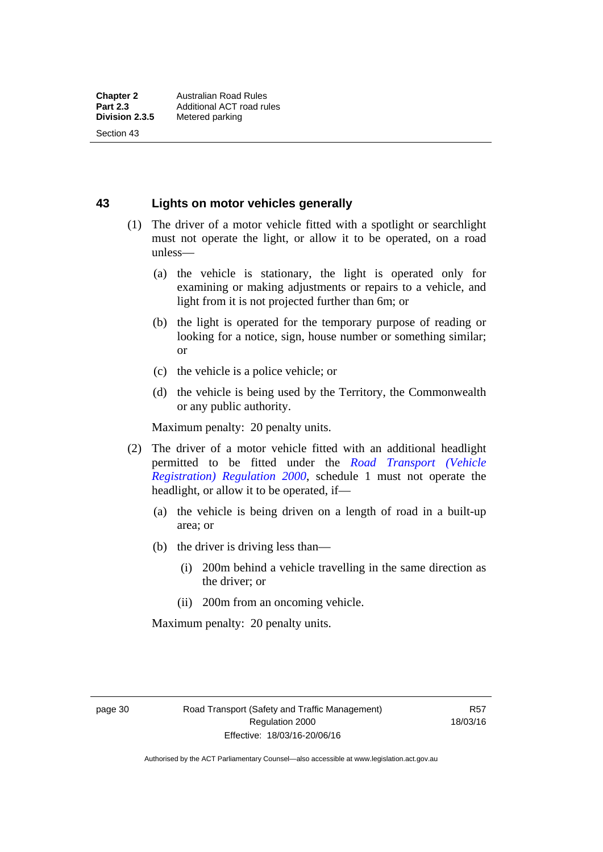Section 43

### **43 Lights on motor vehicles generally**

- (1) The driver of a motor vehicle fitted with a spotlight or searchlight must not operate the light, or allow it to be operated, on a road unless—
	- (a) the vehicle is stationary, the light is operated only for examining or making adjustments or repairs to a vehicle, and light from it is not projected further than 6m; or
	- (b) the light is operated for the temporary purpose of reading or looking for a notice, sign, house number or something similar; or
	- (c) the vehicle is a police vehicle; or
	- (d) the vehicle is being used by the Territory, the Commonwealth or any public authority.

Maximum penalty: 20 penalty units.

- (2) The driver of a motor vehicle fitted with an additional headlight permitted to be fitted under the *[Road Transport \(Vehicle](http://www.legislation.act.gov.au/sl/2000-12)  [Registration\) Regulation 2000](http://www.legislation.act.gov.au/sl/2000-12)*, schedule 1 must not operate the headlight, or allow it to be operated, if—
	- (a) the vehicle is being driven on a length of road in a built-up area; or
	- (b) the driver is driving less than—
		- (i) 200m behind a vehicle travelling in the same direction as the driver; or
		- (ii) 200m from an oncoming vehicle.

Maximum penalty: 20 penalty units.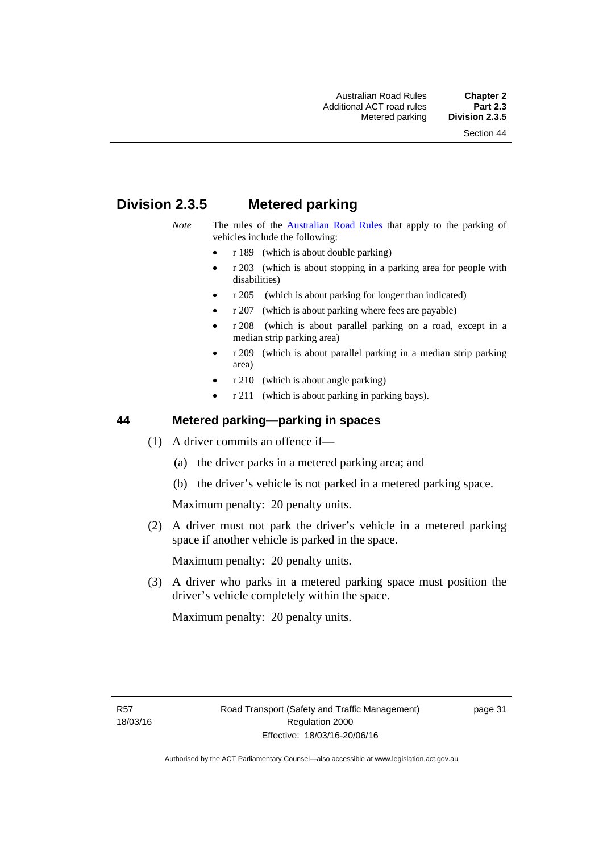# **Division 2.3.5 Metered parking**

- *Note* The rules of the [Australian Road Rules](http://www.legislation.act.gov.au//ni/db_37271/default.asp) that apply to the parking of vehicles include the following:
	- r 189 (which is about double parking)
	- r 203 (which is about stopping in a parking area for people with disabilities)
	- r 205 (which is about parking for longer than indicated)
	- r 207 (which is about parking where fees are payable)
	- r 208 (which is about parallel parking on a road, except in a median strip parking area)
	- r 209 (which is about parallel parking in a median strip parking area)
	- r 210 (which is about angle parking)
	- r 211 (which is about parking in parking bays).

#### **44 Metered parking—parking in spaces**

- (1) A driver commits an offence if—
	- (a) the driver parks in a metered parking area; and
	- (b) the driver's vehicle is not parked in a metered parking space.

Maximum penalty: 20 penalty units.

 (2) A driver must not park the driver's vehicle in a metered parking space if another vehicle is parked in the space.

Maximum penalty: 20 penalty units.

 (3) A driver who parks in a metered parking space must position the driver's vehicle completely within the space.

Maximum penalty: 20 penalty units.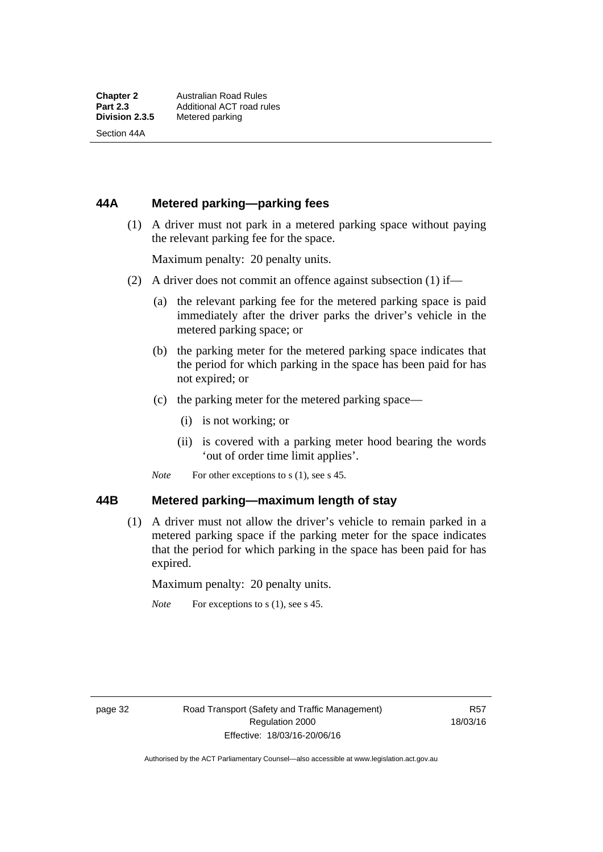Section 44A

#### **44A Metered parking—parking fees**

 (1) A driver must not park in a metered parking space without paying the relevant parking fee for the space.

Maximum penalty: 20 penalty units.

- (2) A driver does not commit an offence against subsection (1) if—
	- (a) the relevant parking fee for the metered parking space is paid immediately after the driver parks the driver's vehicle in the metered parking space; or
	- (b) the parking meter for the metered parking space indicates that the period for which parking in the space has been paid for has not expired; or
	- (c) the parking meter for the metered parking space—
		- (i) is not working; or
		- (ii) is covered with a parking meter hood bearing the words 'out of order time limit applies'.
	- *Note* For other exceptions to s (1), see s 45.

#### **44B Metered parking—maximum length of stay**

 (1) A driver must not allow the driver's vehicle to remain parked in a metered parking space if the parking meter for the space indicates that the period for which parking in the space has been paid for has expired.

Maximum penalty: 20 penalty units.

*Note* For exceptions to s (1), see s 45.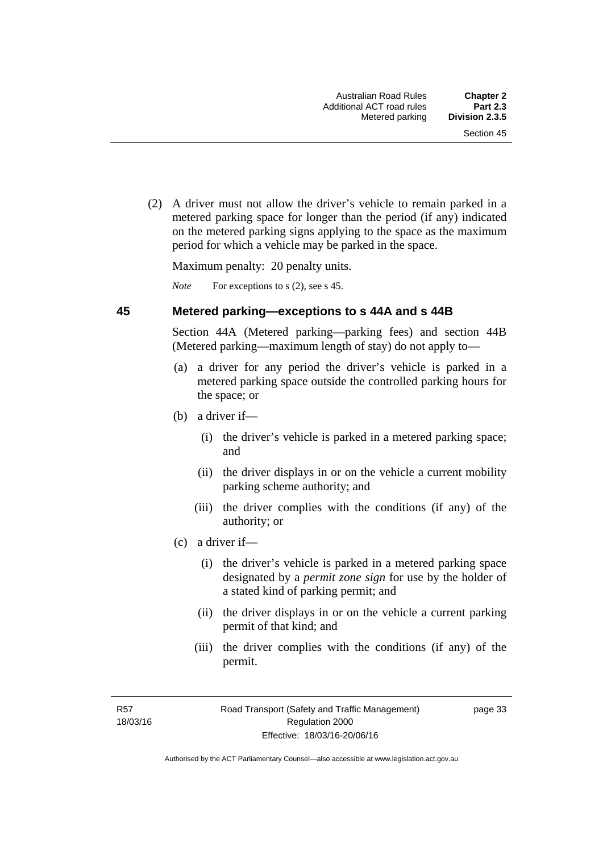(2) A driver must not allow the driver's vehicle to remain parked in a metered parking space for longer than the period (if any) indicated on the metered parking signs applying to the space as the maximum period for which a vehicle may be parked in the space.

Maximum penalty: 20 penalty units.

*Note* For exceptions to s (2), see s 45.

#### **45 Metered parking—exceptions to s 44A and s 44B**

Section 44A (Metered parking—parking fees) and section 44B (Metered parking—maximum length of stay) do not apply to—

- (a) a driver for any period the driver's vehicle is parked in a metered parking space outside the controlled parking hours for the space; or
- (b) a driver if—
	- (i) the driver's vehicle is parked in a metered parking space; and
	- (ii) the driver displays in or on the vehicle a current mobility parking scheme authority; and
	- (iii) the driver complies with the conditions (if any) of the authority; or
- (c) a driver if—
	- (i) the driver's vehicle is parked in a metered parking space designated by a *permit zone sign* for use by the holder of a stated kind of parking permit; and
	- (ii) the driver displays in or on the vehicle a current parking permit of that kind; and
	- (iii) the driver complies with the conditions (if any) of the permit.

R57 18/03/16 page 33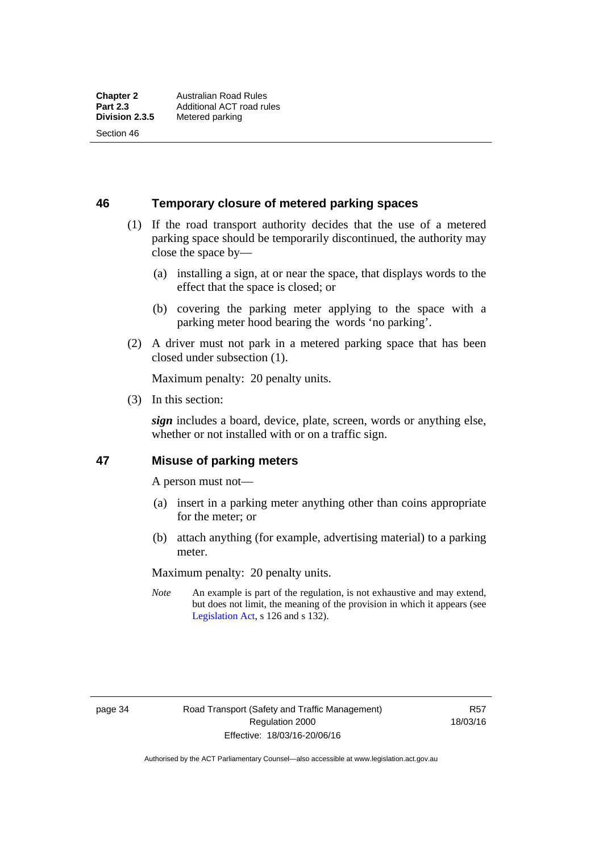Section 46

**46 Temporary closure of metered parking spaces**

- (1) If the road transport authority decides that the use of a metered parking space should be temporarily discontinued, the authority may close the space by—
	- (a) installing a sign, at or near the space, that displays words to the effect that the space is closed; or
	- (b) covering the parking meter applying to the space with a parking meter hood bearing the words 'no parking'.
- (2) A driver must not park in a metered parking space that has been closed under subsection (1).

Maximum penalty: 20 penalty units.

(3) In this section:

*sign* includes a board, device, plate, screen, words or anything else, whether or not installed with or on a traffic sign.

#### **47 Misuse of parking meters**

A person must not—

- (a) insert in a parking meter anything other than coins appropriate for the meter; or
- (b) attach anything (for example, advertising material) to a parking meter.

Maximum penalty: 20 penalty units.

*Note* An example is part of the regulation, is not exhaustive and may extend, but does not limit, the meaning of the provision in which it appears (see [Legislation Act,](http://www.legislation.act.gov.au/a/2001-14) s 126 and s 132).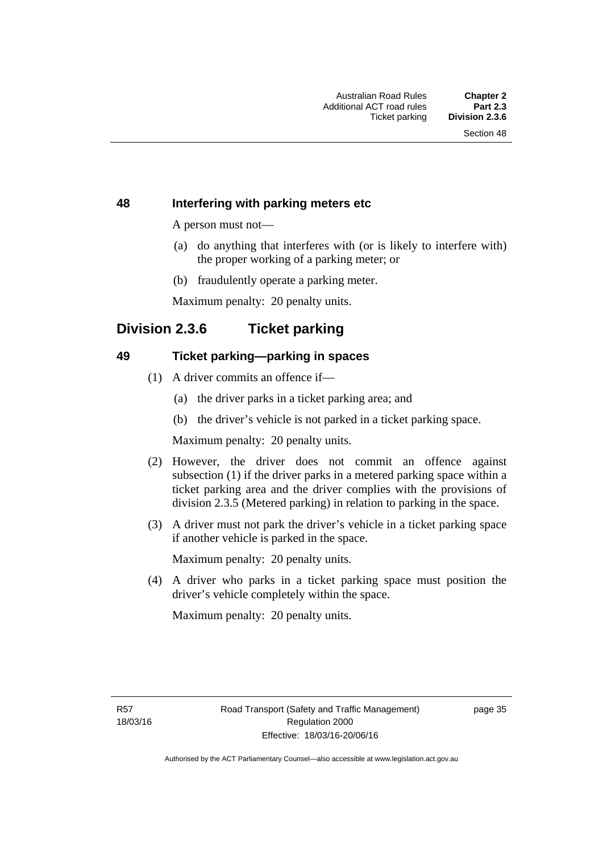#### **48 Interfering with parking meters etc**

A person must not—

- (a) do anything that interferes with (or is likely to interfere with) the proper working of a parking meter; or
- (b) fraudulently operate a parking meter.

Maximum penalty: 20 penalty units.

# **Division 2.3.6 Ticket parking**

#### **49 Ticket parking—parking in spaces**

- (1) A driver commits an offence if—
	- (a) the driver parks in a ticket parking area; and
	- (b) the driver's vehicle is not parked in a ticket parking space.

Maximum penalty: 20 penalty units.

- (2) However, the driver does not commit an offence against subsection (1) if the driver parks in a metered parking space within a ticket parking area and the driver complies with the provisions of division 2.3.5 (Metered parking) in relation to parking in the space.
- (3) A driver must not park the driver's vehicle in a ticket parking space if another vehicle is parked in the space.

Maximum penalty: 20 penalty units.

 (4) A driver who parks in a ticket parking space must position the driver's vehicle completely within the space.

Maximum penalty: 20 penalty units.

R57 18/03/16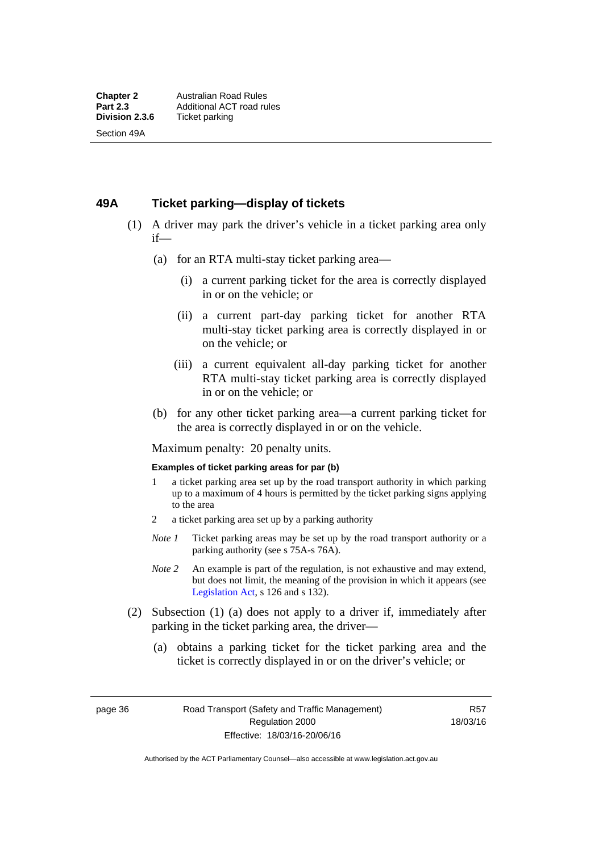#### **49A Ticket parking—display of tickets**

- (1) A driver may park the driver's vehicle in a ticket parking area only if—
	- (a) for an RTA multi-stay ticket parking area—
		- (i) a current parking ticket for the area is correctly displayed in or on the vehicle; or
		- (ii) a current part-day parking ticket for another RTA multi-stay ticket parking area is correctly displayed in or on the vehicle; or
		- (iii) a current equivalent all-day parking ticket for another RTA multi-stay ticket parking area is correctly displayed in or on the vehicle; or
	- (b) for any other ticket parking area—a current parking ticket for the area is correctly displayed in or on the vehicle.

Maximum penalty: 20 penalty units.

#### **Examples of ticket parking areas for par (b)**

- 1 a ticket parking area set up by the road transport authority in which parking up to a maximum of 4 hours is permitted by the ticket parking signs applying to the area
- 2 a ticket parking area set up by a parking authority
- *Note 1* Ticket parking areas may be set up by the road transport authority or a parking authority (see s 75A-s 76A).
- *Note 2* An example is part of the regulation, is not exhaustive and may extend, but does not limit, the meaning of the provision in which it appears (see [Legislation Act,](http://www.legislation.act.gov.au/a/2001-14) s 126 and s 132).
- (2) Subsection (1) (a) does not apply to a driver if, immediately after parking in the ticket parking area, the driver—
	- (a) obtains a parking ticket for the ticket parking area and the ticket is correctly displayed in or on the driver's vehicle; or

page 36 Road Transport (Safety and Traffic Management) Regulation 2000 Effective: 18/03/16-20/06/16

R57 18/03/16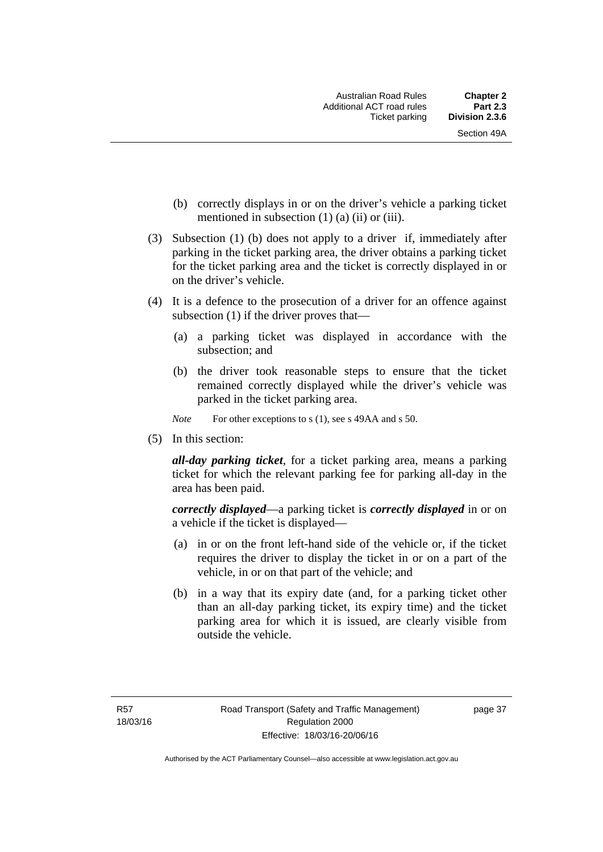- (b) correctly displays in or on the driver's vehicle a parking ticket mentioned in subsection  $(1)$   $(a)$   $(ii)$  or  $(iii)$ .
- (3) Subsection (1) (b) does not apply to a driver if, immediately after parking in the ticket parking area, the driver obtains a parking ticket for the ticket parking area and the ticket is correctly displayed in or on the driver's vehicle.
- (4) It is a defence to the prosecution of a driver for an offence against subsection (1) if the driver proves that—
	- (a) a parking ticket was displayed in accordance with the subsection; and
	- (b) the driver took reasonable steps to ensure that the ticket remained correctly displayed while the driver's vehicle was parked in the ticket parking area.
	- *Note* For other exceptions to s (1), see s 49AA and s 50.
- (5) In this section:

*all-day parking ticket*, for a ticket parking area, means a parking ticket for which the relevant parking fee for parking all-day in the area has been paid.

*correctly displayed*—a parking ticket is *correctly displayed* in or on a vehicle if the ticket is displayed—

- (a) in or on the front left-hand side of the vehicle or, if the ticket requires the driver to display the ticket in or on a part of the vehicle, in or on that part of the vehicle; and
- (b) in a way that its expiry date (and, for a parking ticket other than an all-day parking ticket, its expiry time) and the ticket parking area for which it is issued, are clearly visible from outside the vehicle.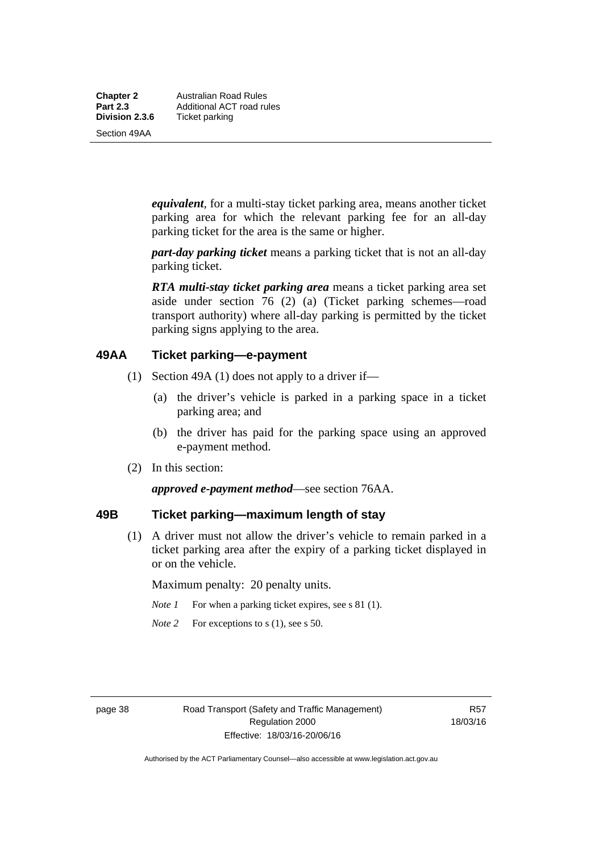**Chapter 2** Australian Road Rules<br>**Part 2.3** Additional ACT road ru **Part 2.3 Additional ACT road rules**<br>**Division 2.3.6** Ticket parking **Ticket parking** 

Section 49AA

*equivalent*, for a multi-stay ticket parking area, means another ticket parking area for which the relevant parking fee for an all-day parking ticket for the area is the same or higher.

*part-day parking ticket* means a parking ticket that is not an all-day parking ticket.

*RTA multi-stay ticket parking area* means a ticket parking area set aside under section 76 (2) (a) (Ticket parking schemes—road transport authority) where all-day parking is permitted by the ticket parking signs applying to the area.

#### **49AA Ticket parking—e-payment**

- (1) Section 49A (1) does not apply to a driver if—
	- (a) the driver's vehicle is parked in a parking space in a ticket parking area; and
	- (b) the driver has paid for the parking space using an approved e-payment method.
- (2) In this section:

*approved e-payment method*—see section 76AA.

### **49B Ticket parking—maximum length of stay**

(1) A driver must not allow the driver's vehicle to remain parked in a ticket parking area after the expiry of a parking ticket displayed in or on the vehicle.

Maximum penalty: 20 penalty units.

- *Note 1* For when a parking ticket expires, see s 81 (1).
- *Note* 2 For exceptions to s (1), see s 50.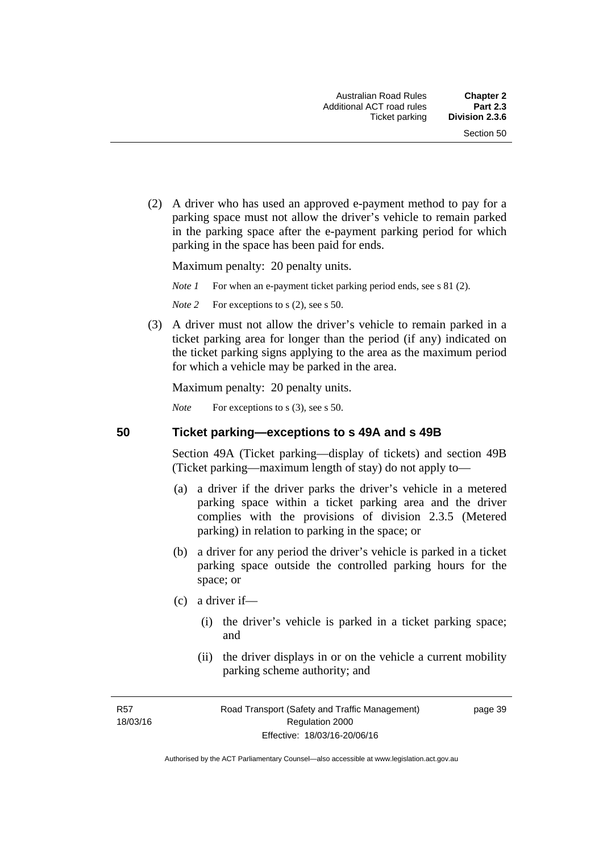(2) A driver who has used an approved e-payment method to pay for a parking space must not allow the driver's vehicle to remain parked in the parking space after the e-payment parking period for which parking in the space has been paid for ends.

Maximum penalty: 20 penalty units.

*Note 1* For when an e-payment ticket parking period ends, see s 81 (2).

*Note* 2 For exceptions to s (2), see s 50.

 (3) A driver must not allow the driver's vehicle to remain parked in a ticket parking area for longer than the period (if any) indicated on the ticket parking signs applying to the area as the maximum period for which a vehicle may be parked in the area.

Maximum penalty: 20 penalty units.

*Note* For exceptions to s (3), see s 50.

**50 Ticket parking—exceptions to s 49A and s 49B** 

Section 49A (Ticket parking—display of tickets) and section 49B (Ticket parking—maximum length of stay) do not apply to—

- (a) a driver if the driver parks the driver's vehicle in a metered parking space within a ticket parking area and the driver complies with the provisions of division 2.3.5 (Metered parking) in relation to parking in the space; or
- (b) a driver for any period the driver's vehicle is parked in a ticket parking space outside the controlled parking hours for the space; or
- (c) a driver if—
	- (i) the driver's vehicle is parked in a ticket parking space; and
	- (ii) the driver displays in or on the vehicle a current mobility parking scheme authority; and

R57 18/03/16 page 39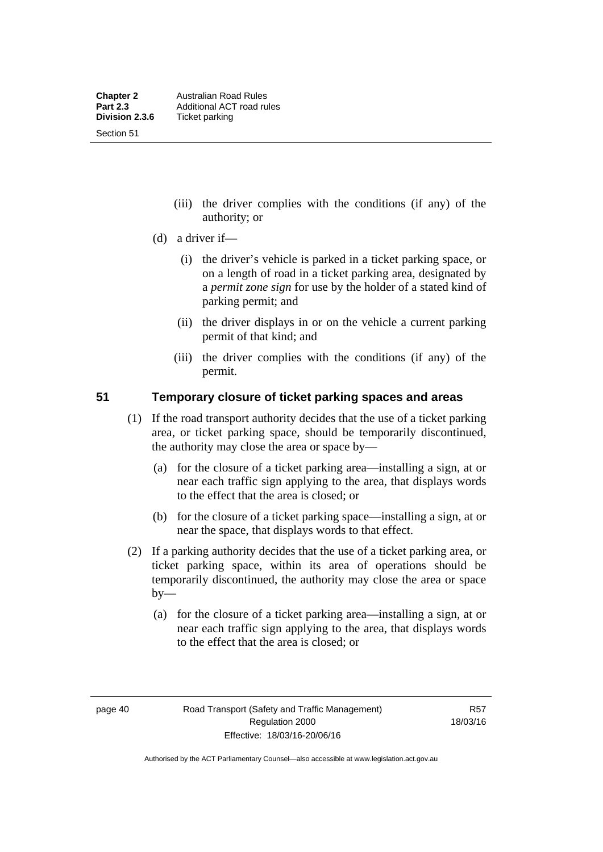Section 51

- (iii) the driver complies with the conditions (if any) of the authority; or
- (d) a driver if—
	- (i) the driver's vehicle is parked in a ticket parking space, or on a length of road in a ticket parking area, designated by a *permit zone sign* for use by the holder of a stated kind of parking permit; and
	- (ii) the driver displays in or on the vehicle a current parking permit of that kind; and
	- (iii) the driver complies with the conditions (if any) of the permit.

#### **51 Temporary closure of ticket parking spaces and areas**

- (1) If the road transport authority decides that the use of a ticket parking area, or ticket parking space, should be temporarily discontinued, the authority may close the area or space by—
	- (a) for the closure of a ticket parking area—installing a sign, at or near each traffic sign applying to the area, that displays words to the effect that the area is closed; or
	- (b) for the closure of a ticket parking space—installing a sign, at or near the space, that displays words to that effect.
- (2) If a parking authority decides that the use of a ticket parking area, or ticket parking space, within its area of operations should be temporarily discontinued, the authority may close the area or space  $by-$ 
	- (a) for the closure of a ticket parking area—installing a sign, at or near each traffic sign applying to the area, that displays words to the effect that the area is closed; or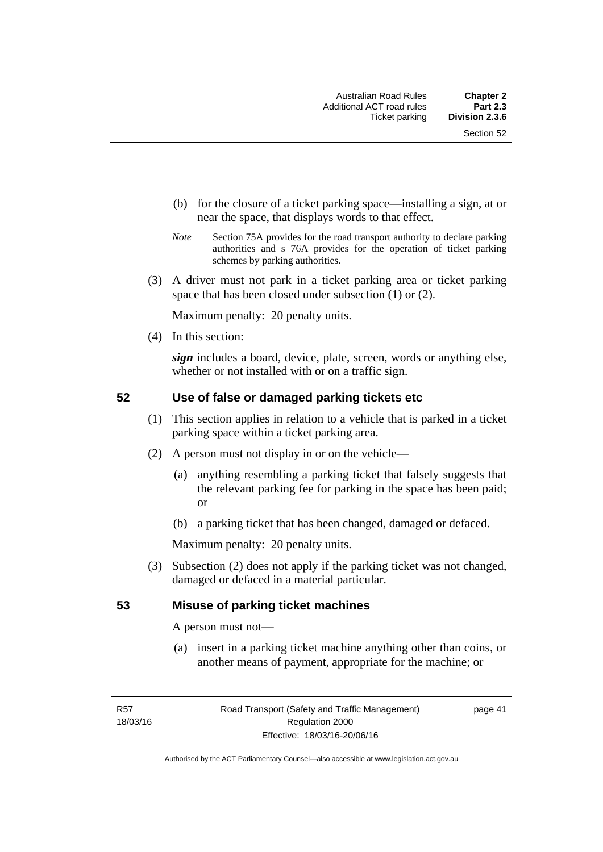- (b) for the closure of a ticket parking space—installing a sign, at or near the space, that displays words to that effect.
- *Note* Section 75A provides for the road transport authority to declare parking authorities and s 76A provides for the operation of ticket parking schemes by parking authorities.
- (3) A driver must not park in a ticket parking area or ticket parking space that has been closed under subsection (1) or (2).

Maximum penalty: 20 penalty units.

(4) In this section:

*sign* includes a board, device, plate, screen, words or anything else, whether or not installed with or on a traffic sign.

#### **52 Use of false or damaged parking tickets etc**

- (1) This section applies in relation to a vehicle that is parked in a ticket parking space within a ticket parking area.
- (2) A person must not display in or on the vehicle—
	- (a) anything resembling a parking ticket that falsely suggests that the relevant parking fee for parking in the space has been paid; or
	- (b) a parking ticket that has been changed, damaged or defaced.

Maximum penalty: 20 penalty units.

 (3) Subsection (2) does not apply if the parking ticket was not changed, damaged or defaced in a material particular.

#### **53 Misuse of parking ticket machines**

A person must not—

(a) insert in a parking ticket machine anything other than coins, or another means of payment, appropriate for the machine; or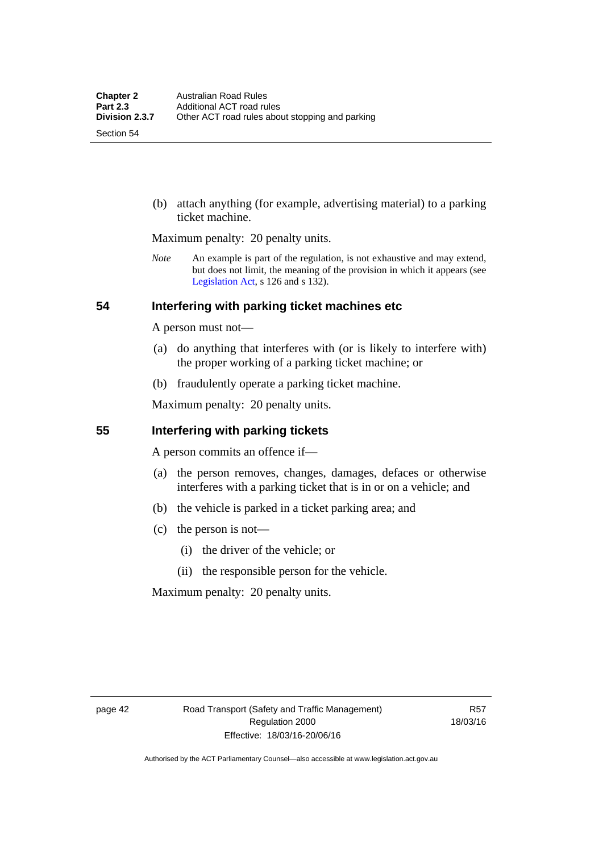Section 54

 (b) attach anything (for example, advertising material) to a parking ticket machine.

Maximum penalty: 20 penalty units.

*Note* An example is part of the regulation, is not exhaustive and may extend, but does not limit, the meaning of the provision in which it appears (see [Legislation Act,](http://www.legislation.act.gov.au/a/2001-14) s 126 and s 132).

#### **54 Interfering with parking ticket machines etc**

A person must not—

- (a) do anything that interferes with (or is likely to interfere with) the proper working of a parking ticket machine; or
- (b) fraudulently operate a parking ticket machine.

Maximum penalty: 20 penalty units.

#### **55 Interfering with parking tickets**

A person commits an offence if—

- (a) the person removes, changes, damages, defaces or otherwise interferes with a parking ticket that is in or on a vehicle; and
- (b) the vehicle is parked in a ticket parking area; and
- (c) the person is not—
	- (i) the driver of the vehicle; or
	- (ii) the responsible person for the vehicle.

Maximum penalty: 20 penalty units.

R57 18/03/16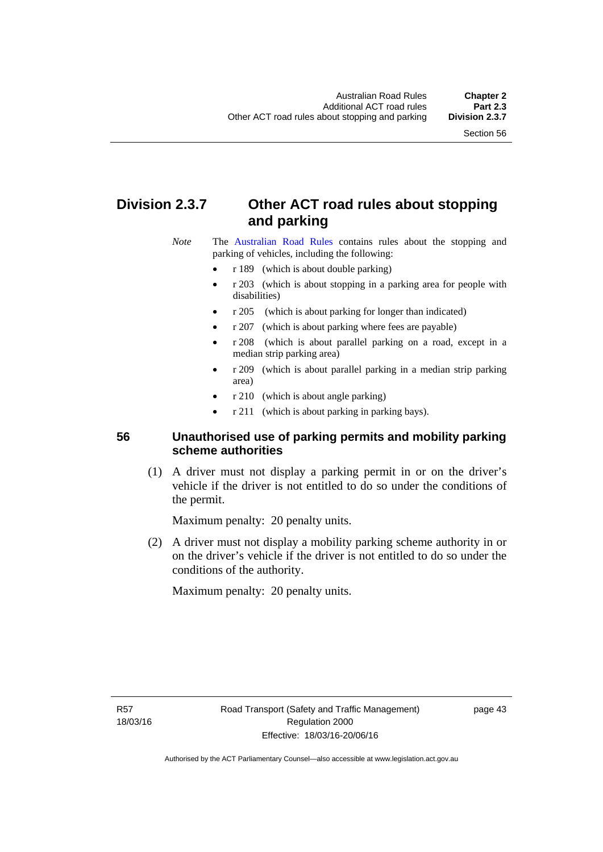# **Division 2.3.7 Other ACT road rules about stopping and parking**

*Note* The [Australian Road Rules](http://www.legislation.act.gov.au//ni/db_37271/default.asp) contains rules about the stopping and parking of vehicles, including the following:

- r 189 (which is about double parking)
- r 203 (which is about stopping in a parking area for people with disabilities)
- r 205 (which is about parking for longer than indicated)
- r 207 (which is about parking where fees are payable)
- r 208 (which is about parallel parking on a road, except in a median strip parking area)
- r 209 (which is about parallel parking in a median strip parking area)
- r 210 (which is about angle parking)
- r 211 (which is about parking in parking bays).

### **56 Unauthorised use of parking permits and mobility parking scheme authorities**

 (1) A driver must not display a parking permit in or on the driver's vehicle if the driver is not entitled to do so under the conditions of the permit.

Maximum penalty: 20 penalty units.

 (2) A driver must not display a mobility parking scheme authority in or on the driver's vehicle if the driver is not entitled to do so under the conditions of the authority.

Maximum penalty: 20 penalty units.

R57 18/03/16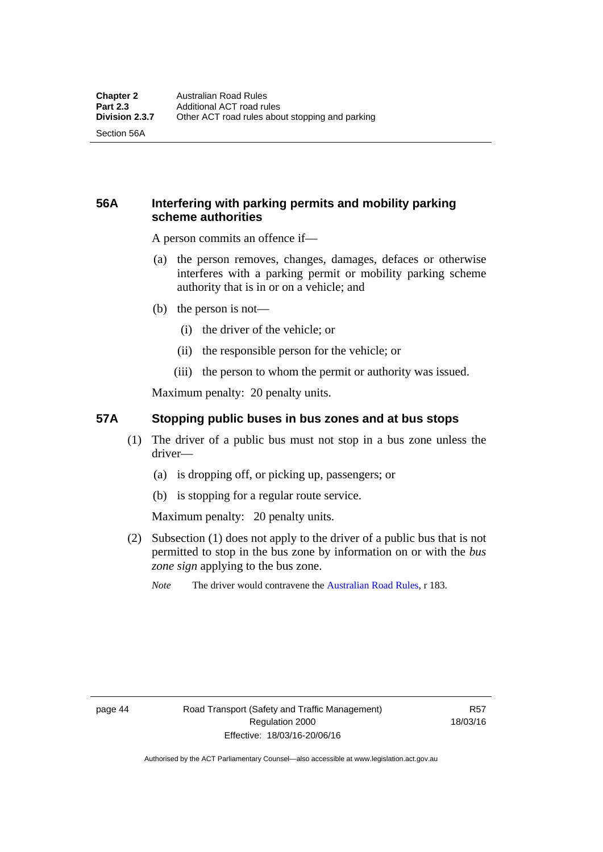Section 56A

### **56A Interfering with parking permits and mobility parking scheme authorities**

A person commits an offence if—

- (a) the person removes, changes, damages, defaces or otherwise interferes with a parking permit or mobility parking scheme authority that is in or on a vehicle; and
- (b) the person is not—
	- (i) the driver of the vehicle; or
	- (ii) the responsible person for the vehicle; or
	- (iii) the person to whom the permit or authority was issued.

Maximum penalty: 20 penalty units.

#### **57A Stopping public buses in bus zones and at bus stops**

- (1) The driver of a public bus must not stop in a bus zone unless the driver—
	- (a) is dropping off, or picking up, passengers; or
	- (b) is stopping for a regular route service.

Maximum penalty: 20 penalty units.

- (2) Subsection (1) does not apply to the driver of a public bus that is not permitted to stop in the bus zone by information on or with the *bus zone sign* applying to the bus zone.
	- *Note* The driver would contravene the [Australian Road Rules,](http://www.legislation.act.gov.au//ni/db_37271/default.asp) r 183.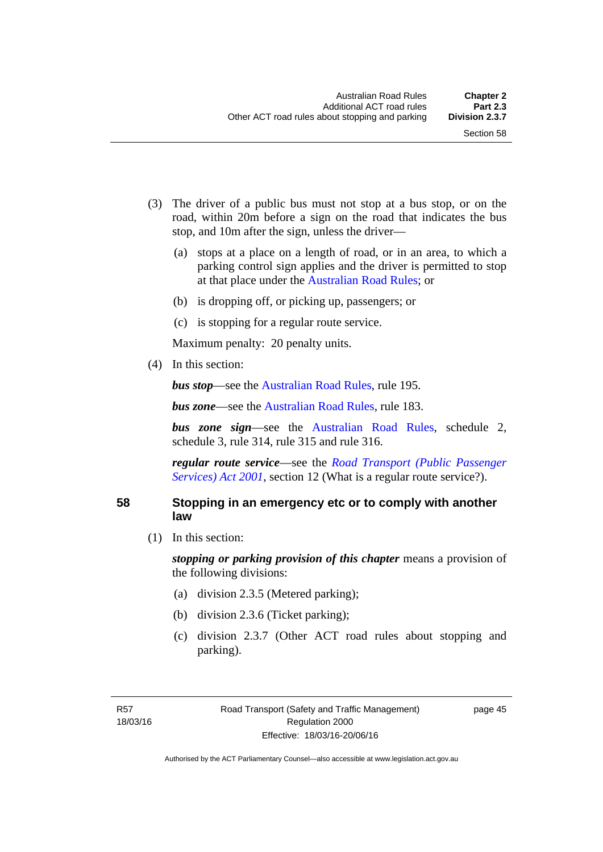- (3) The driver of a public bus must not stop at a bus stop, or on the road, within 20m before a sign on the road that indicates the bus stop, and 10m after the sign, unless the driver—
	- (a) stops at a place on a length of road, or in an area, to which a parking control sign applies and the driver is permitted to stop at that place under the [Australian Road Rules;](http://www.legislation.act.gov.au//ni/db_37271/default.asp) or
	- (b) is dropping off, or picking up, passengers; or
	- (c) is stopping for a regular route service.

Maximum penalty: 20 penalty units.

(4) In this section:

*bus stop***—see the [Australian Road Rules](http://www.legislation.act.gov.au//ni/db_37271/default.asp)**, rule 195.

*bus zone***—see the Australian Road Rules**, rule 183.

*bus zone sign*—see the [Australian Road Rules,](http://www.legislation.act.gov.au//ni/db_37271/default.asp) schedule 2, schedule 3, rule 314, rule 315 and rule 316.

*regular route service*—see the *[Road Transport \(Public Passenger](http://www.legislation.act.gov.au/a/2001-62)  Services*) *Act 2001*, section 12 (What is a regular route service?).

#### **58 Stopping in an emergency etc or to comply with another law**

(1) In this section:

*stopping or parking provision of this chapter* means a provision of the following divisions:

- (a) division 2.3.5 (Metered parking);
- (b) division 2.3.6 (Ticket parking);
- (c) division 2.3.7 (Other ACT road rules about stopping and parking).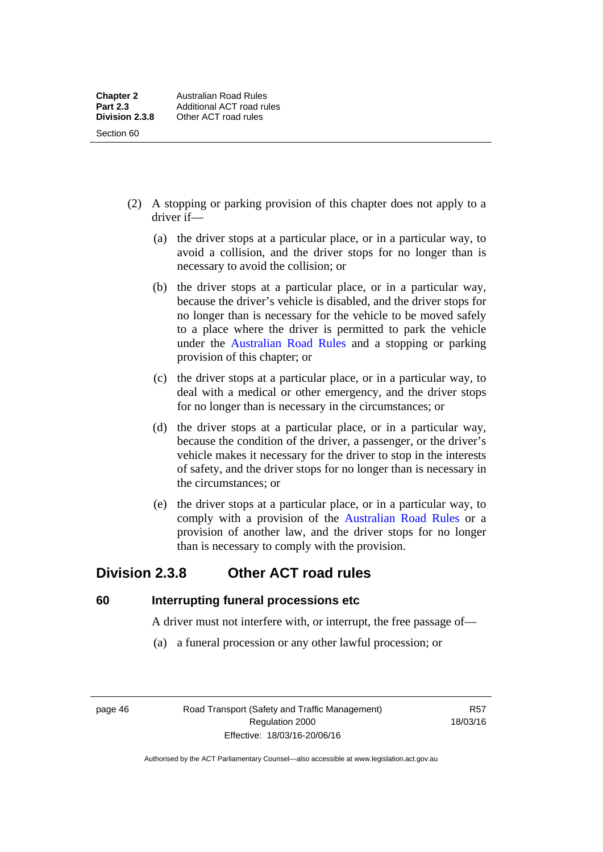- (2) A stopping or parking provision of this chapter does not apply to a driver if—
	- (a) the driver stops at a particular place, or in a particular way, to avoid a collision, and the driver stops for no longer than is necessary to avoid the collision; or
	- (b) the driver stops at a particular place, or in a particular way, because the driver's vehicle is disabled, and the driver stops for no longer than is necessary for the vehicle to be moved safely to a place where the driver is permitted to park the vehicle under the [Australian Road Rules](http://www.legislation.act.gov.au//ni/db_37271/default.asp) and a stopping or parking provision of this chapter; or
	- (c) the driver stops at a particular place, or in a particular way, to deal with a medical or other emergency, and the driver stops for no longer than is necessary in the circumstances; or
	- (d) the driver stops at a particular place, or in a particular way, because the condition of the driver, a passenger, or the driver's vehicle makes it necessary for the driver to stop in the interests of safety, and the driver stops for no longer than is necessary in the circumstances; or
	- (e) the driver stops at a particular place, or in a particular way, to comply with a provision of the [Australian Road Rules](http://www.legislation.act.gov.au//ni/db_37271/default.asp) or a provision of another law, and the driver stops for no longer than is necessary to comply with the provision.

# **Division 2.3.8 Other ACT road rules**

**60 Interrupting funeral processions etc**

A driver must not interfere with, or interrupt, the free passage of—

(a) a funeral procession or any other lawful procession; or

page 46 Road Transport (Safety and Traffic Management) Regulation 2000 Effective: 18/03/16-20/06/16

R57 18/03/16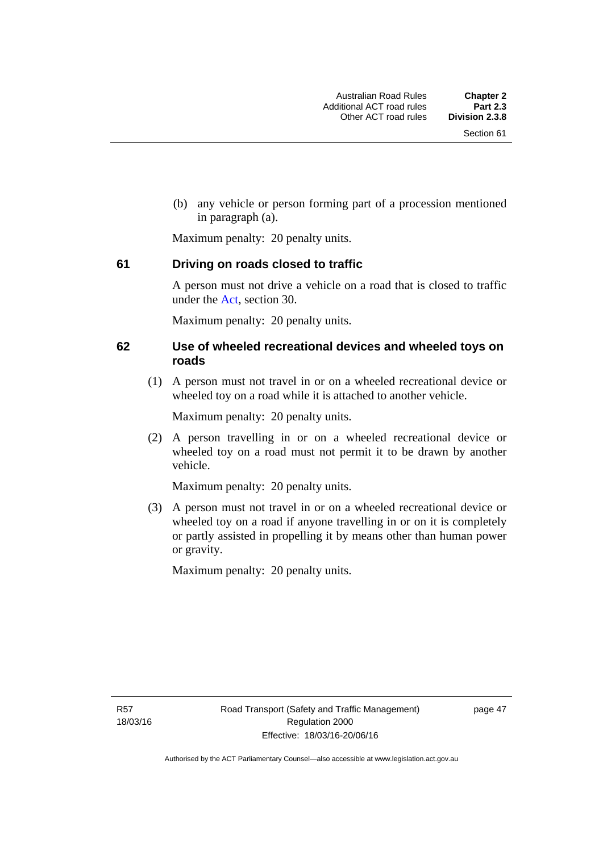(b) any vehicle or person forming part of a procession mentioned in paragraph (a).

Maximum penalty: 20 penalty units.

#### **61 Driving on roads closed to traffic**

A person must not drive a vehicle on a road that is closed to traffic under the [Act](http://www.legislation.act.gov.au/a/1999-80/default.asp), section 30.

Maximum penalty: 20 penalty units.

#### **62 Use of wheeled recreational devices and wheeled toys on roads**

 (1) A person must not travel in or on a wheeled recreational device or wheeled toy on a road while it is attached to another vehicle.

Maximum penalty: 20 penalty units.

 (2) A person travelling in or on a wheeled recreational device or wheeled toy on a road must not permit it to be drawn by another vehicle.

Maximum penalty: 20 penalty units.

 (3) A person must not travel in or on a wheeled recreational device or wheeled toy on a road if anyone travelling in or on it is completely or partly assisted in propelling it by means other than human power or gravity.

Maximum penalty: 20 penalty units.

R57 18/03/16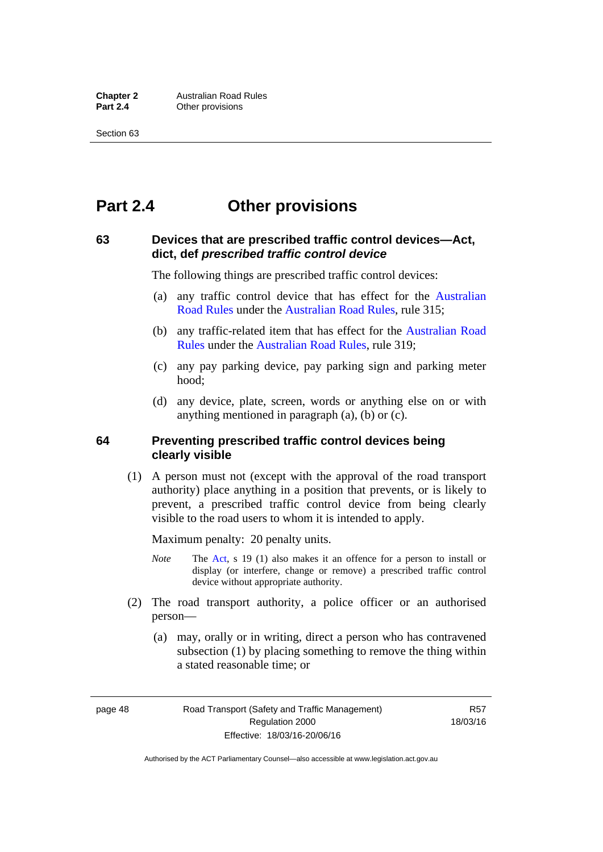# **Part 2.4 Other provisions**

#### **63 Devices that are prescribed traffic control devices—Act, dict, def** *prescribed traffic control device*

The following things are prescribed traffic control devices:

- (a) any traffic control device that has effect for the [Australian](http://www.legislation.act.gov.au//ni/db_37271/default.asp)  [Road Rules](http://www.legislation.act.gov.au//ni/db_37271/default.asp) under the [Australian Road Rules](http://www.legislation.act.gov.au//ni/db_37271/default.asp), rule 315;
- (b) any traffic-related item that has effect for the [Australian Road](http://www.legislation.act.gov.au//ni/db_37271/default.asp)  [Rules](http://www.legislation.act.gov.au//ni/db_37271/default.asp) under the [Australian Road Rules,](http://www.legislation.act.gov.au//ni/db_37271/default.asp) rule 319;
- (c) any pay parking device, pay parking sign and parking meter hood;
- (d) any device, plate, screen, words or anything else on or with anything mentioned in paragraph (a), (b) or (c).

#### **64 Preventing prescribed traffic control devices being clearly visible**

 (1) A person must not (except with the approval of the road transport authority) place anything in a position that prevents, or is likely to prevent, a prescribed traffic control device from being clearly visible to the road users to whom it is intended to apply.

Maximum penalty: 20 penalty units.

- *Note* The [Act](http://www.legislation.act.gov.au/a/1999-80/default.asp), s 19 (1) also makes it an offence for a person to install or display (or interfere, change or remove) a prescribed traffic control device without appropriate authority.
- (2) The road transport authority, a police officer or an authorised person—
	- (a) may, orally or in writing, direct a person who has contravened subsection (1) by placing something to remove the thing within a stated reasonable time; or

page 48 Road Transport (Safety and Traffic Management) Regulation 2000 Effective: 18/03/16-20/06/16

R57 18/03/16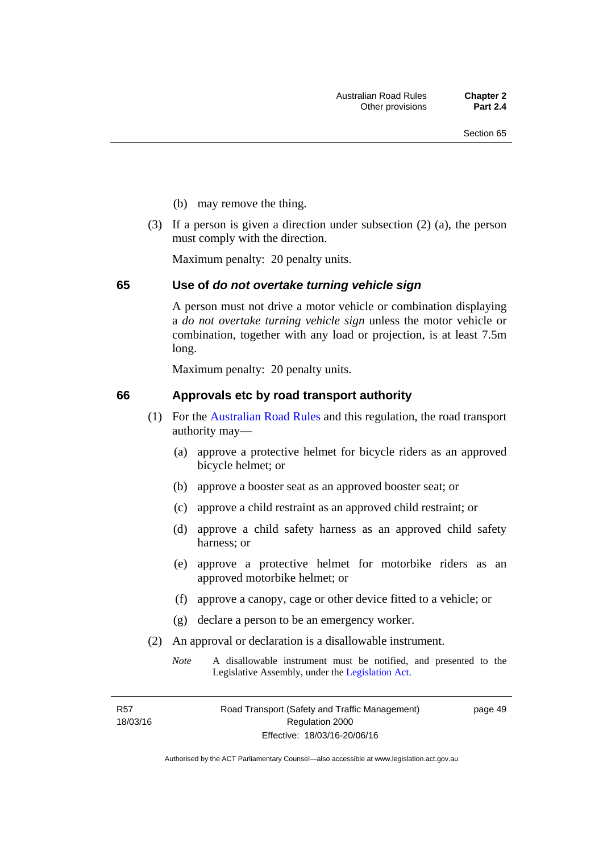- (b) may remove the thing.
- (3) If a person is given a direction under subsection (2) (a), the person must comply with the direction.

Maximum penalty: 20 penalty units.

#### **65 Use of** *do not overtake turning vehicle sign*

A person must not drive a motor vehicle or combination displaying a *do not overtake turning vehicle sign* unless the motor vehicle or combination, together with any load or projection, is at least 7.5m long.

Maximum penalty: 20 penalty units.

#### **66 Approvals etc by road transport authority**

- (1) For the [Australian Road Rules](http://www.legislation.act.gov.au//ni/db_37271/default.asp) and this regulation, the road transport authority may—
	- (a) approve a protective helmet for bicycle riders as an approved bicycle helmet; or
	- (b) approve a booster seat as an approved booster seat; or
	- (c) approve a child restraint as an approved child restraint; or
	- (d) approve a child safety harness as an approved child safety harness; or
	- (e) approve a protective helmet for motorbike riders as an approved motorbike helmet; or
	- (f) approve a canopy, cage or other device fitted to a vehicle; or
	- (g) declare a person to be an emergency worker.
- (2) An approval or declaration is a disallowable instrument.
	- *Note* A disallowable instrument must be notified, and presented to the Legislative Assembly, under the [Legislation Act.](http://www.legislation.act.gov.au/a/2001-14)

R57 18/03/16 page 49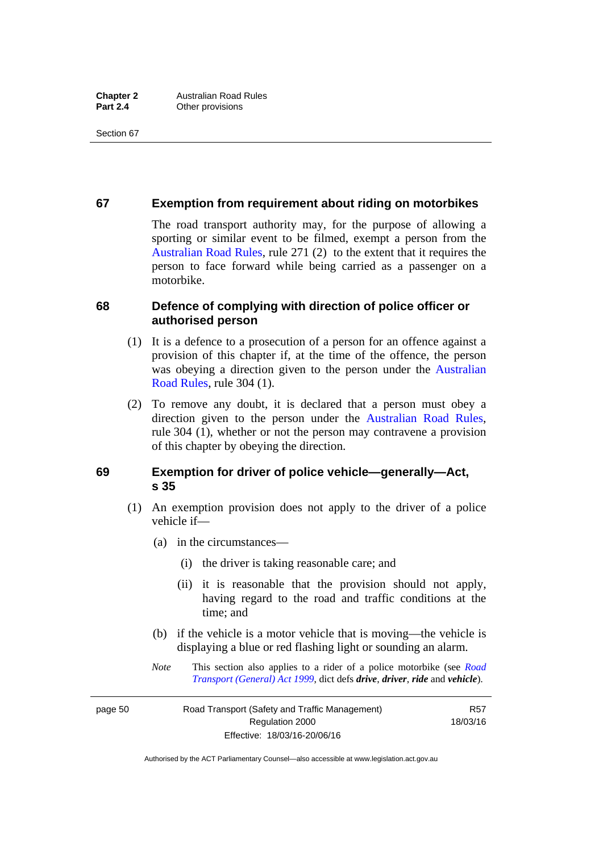#### **67 Exemption from requirement about riding on motorbikes**

The road transport authority may, for the purpose of allowing a sporting or similar event to be filmed, exempt a person from the [Australian Road Rules](http://www.legislation.act.gov.au//ni/db_37271/default.asp), rule 271 (2) to the extent that it requires the person to face forward while being carried as a passenger on a motorbike.

#### **68 Defence of complying with direction of police officer or authorised person**

- (1) It is a defence to a prosecution of a person for an offence against a provision of this chapter if, at the time of the offence, the person was obeying a direction given to the person under the [Australian](http://www.legislation.act.gov.au//ni/db_37271/default.asp)  [Road Rules,](http://www.legislation.act.gov.au//ni/db_37271/default.asp) rule 304 (1).
- (2) To remove any doubt, it is declared that a person must obey a direction given to the person under the [Australian Road Rules](http://www.legislation.act.gov.au//ni/db_37271/default.asp), rule 304 (1), whether or not the person may contravene a provision of this chapter by obeying the direction.

#### **69 Exemption for driver of police vehicle—generally—Act, s 35**

- (1) An exemption provision does not apply to the driver of a police vehicle if—
	- (a) in the circumstances—
		- (i) the driver is taking reasonable care; and
		- (ii) it is reasonable that the provision should not apply, having regard to the road and traffic conditions at the time; and
	- (b) if the vehicle is a motor vehicle that is moving—the vehicle is displaying a blue or red flashing light or sounding an alarm.
	- *Note* This section also applies to a rider of a police motorbike (see *[Road](http://www.legislation.act.gov.au/a/1999-77)  [Transport \(General\) Act 1999](http://www.legislation.act.gov.au/a/1999-77)*, dict defs *drive*, *driver*, *ride* and *vehicle*).

page 50 Road Transport (Safety and Traffic Management) Regulation 2000 Effective: 18/03/16-20/06/16

R57 18/03/16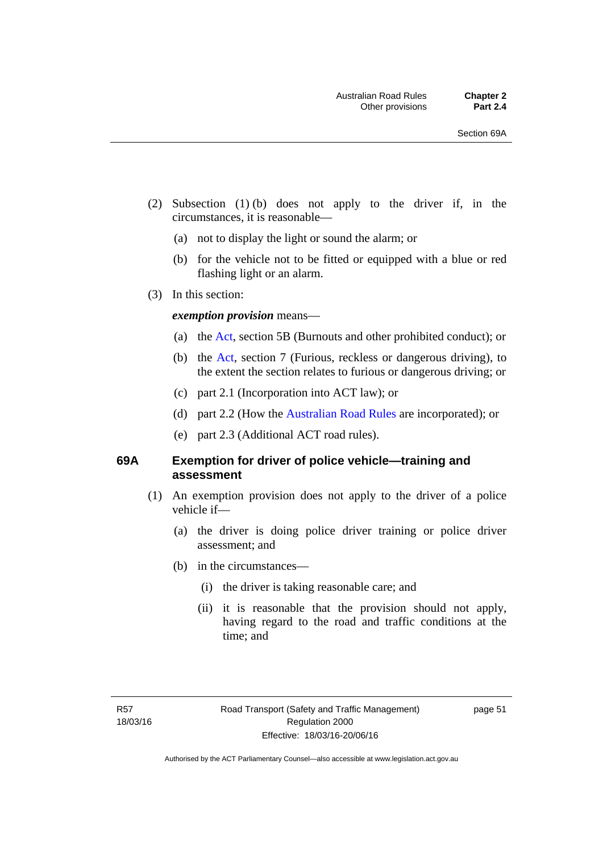- (2) Subsection (1) (b) does not apply to the driver if, in the circumstances, it is reasonable—
	- (a) not to display the light or sound the alarm; or
	- (b) for the vehicle not to be fitted or equipped with a blue or red flashing light or an alarm.
- (3) In this section:

#### *exemption provision* means—

- (a) the [Act](http://www.legislation.act.gov.au/a/1999-80/default.asp), section 5B (Burnouts and other prohibited conduct); or
- (b) the [Act](http://www.legislation.act.gov.au/a/1999-80/default.asp), section 7 (Furious, reckless or dangerous driving), to the extent the section relates to furious or dangerous driving; or
- (c) part 2.1 (Incorporation into ACT law); or
- (d) part 2.2 (How the [Australian Road Rules](http://www.legislation.act.gov.au//ni/db_37271/default.asp) are incorporated); or
- (e) part 2.3 (Additional ACT road rules).

#### **69A Exemption for driver of police vehicle—training and assessment**

- (1) An exemption provision does not apply to the driver of a police vehicle if—
	- (a) the driver is doing police driver training or police driver assessment; and
	- (b) in the circumstances—
		- (i) the driver is taking reasonable care; and
		- (ii) it is reasonable that the provision should not apply, having regard to the road and traffic conditions at the time; and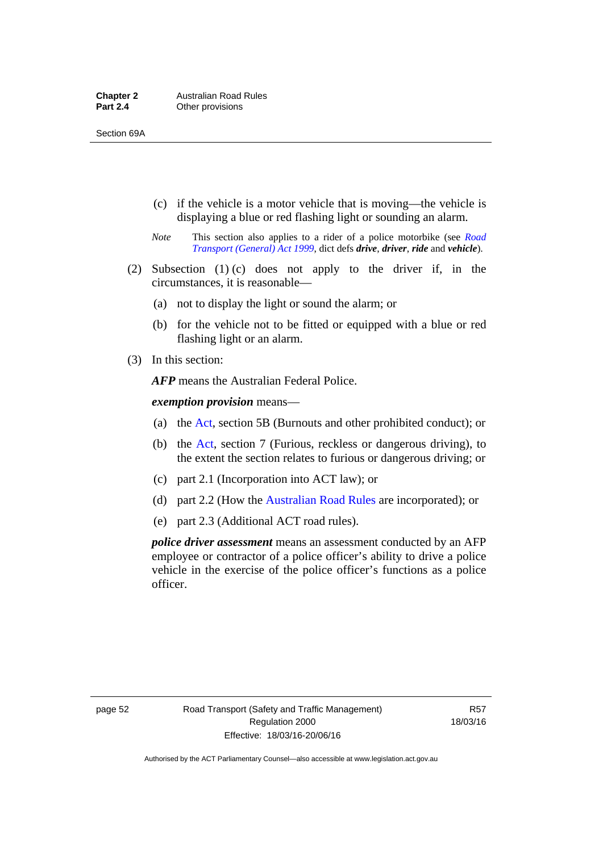- (c) if the vehicle is a motor vehicle that is moving—the vehicle is displaying a blue or red flashing light or sounding an alarm.
- *Note* This section also applies to a rider of a police motorbike (see *[Road](http://www.legislation.act.gov.au/a/1999-77)  [Transport \(General\) Act 1999](http://www.legislation.act.gov.au/a/1999-77)*, dict defs *drive*, *driver*, *ride* and *vehicle*).
- (2) Subsection (1) (c) does not apply to the driver if, in the circumstances, it is reasonable—
	- (a) not to display the light or sound the alarm; or
	- (b) for the vehicle not to be fitted or equipped with a blue or red flashing light or an alarm.
- (3) In this section:

*AFP* means the Australian Federal Police.

*exemption provision* means—

- (a) the [Act,](http://www.legislation.act.gov.au/a/1999-80/default.asp) section 5B (Burnouts and other prohibited conduct); or
- (b) the [Act](http://www.legislation.act.gov.au/a/1999-80/default.asp), section 7 (Furious, reckless or dangerous driving), to the extent the section relates to furious or dangerous driving; or
- (c) part 2.1 (Incorporation into ACT law); or
- (d) part 2.2 (How the [Australian Road Rules](http://www.legislation.act.gov.au//ni/db_37271/default.asp) are incorporated); or
- (e) part 2.3 (Additional ACT road rules).

*police driver assessment* means an assessment conducted by an AFP employee or contractor of a police officer's ability to drive a police vehicle in the exercise of the police officer's functions as a police officer.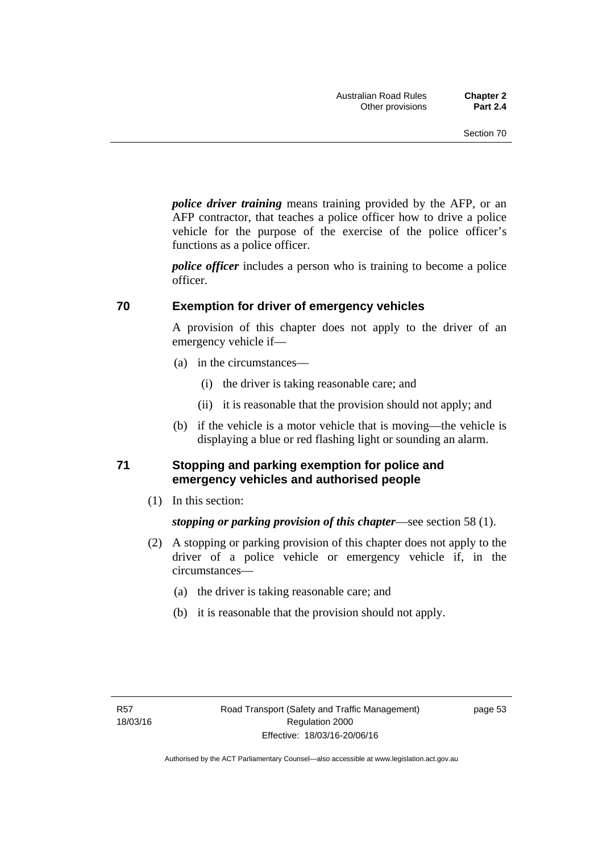*police driver training* means training provided by the AFP, or an AFP contractor, that teaches a police officer how to drive a police vehicle for the purpose of the exercise of the police officer's functions as a police officer.

*police officer* includes a person who is training to become a police officer.

#### **70 Exemption for driver of emergency vehicles**

A provision of this chapter does not apply to the driver of an emergency vehicle if—

- (a) in the circumstances—
	- (i) the driver is taking reasonable care; and
	- (ii) it is reasonable that the provision should not apply; and
- (b) if the vehicle is a motor vehicle that is moving—the vehicle is displaying a blue or red flashing light or sounding an alarm.

#### **71 Stopping and parking exemption for police and emergency vehicles and authorised people**

(1) In this section:

*stopping or parking provision of this chapter*—see section 58 (1).

- (2) A stopping or parking provision of this chapter does not apply to the driver of a police vehicle or emergency vehicle if, in the circumstances—
	- (a) the driver is taking reasonable care; and
	- (b) it is reasonable that the provision should not apply.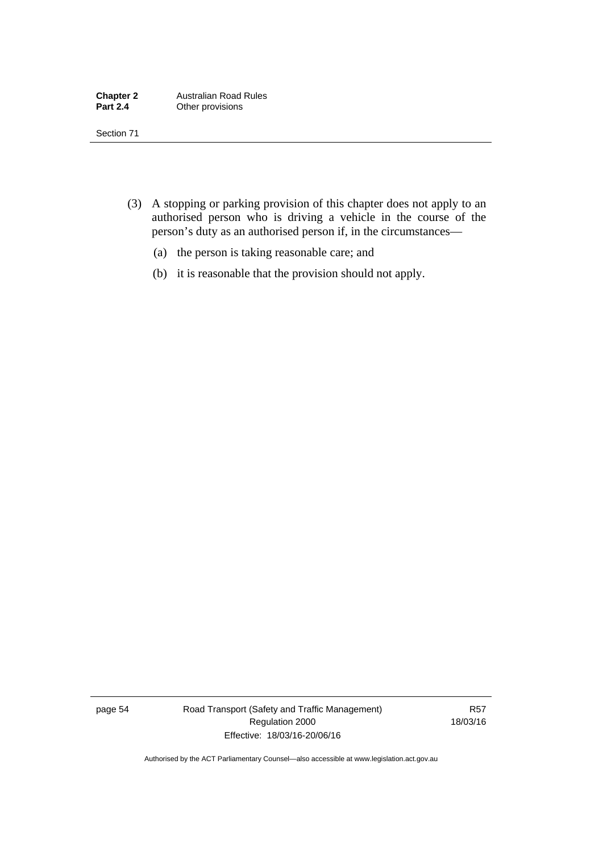- (3) A stopping or parking provision of this chapter does not apply to an authorised person who is driving a vehicle in the course of the person's duty as an authorised person if, in the circumstances—
	- (a) the person is taking reasonable care; and
	- (b) it is reasonable that the provision should not apply.

page 54 Road Transport (Safety and Traffic Management) Regulation 2000 Effective: 18/03/16-20/06/16

R57 18/03/16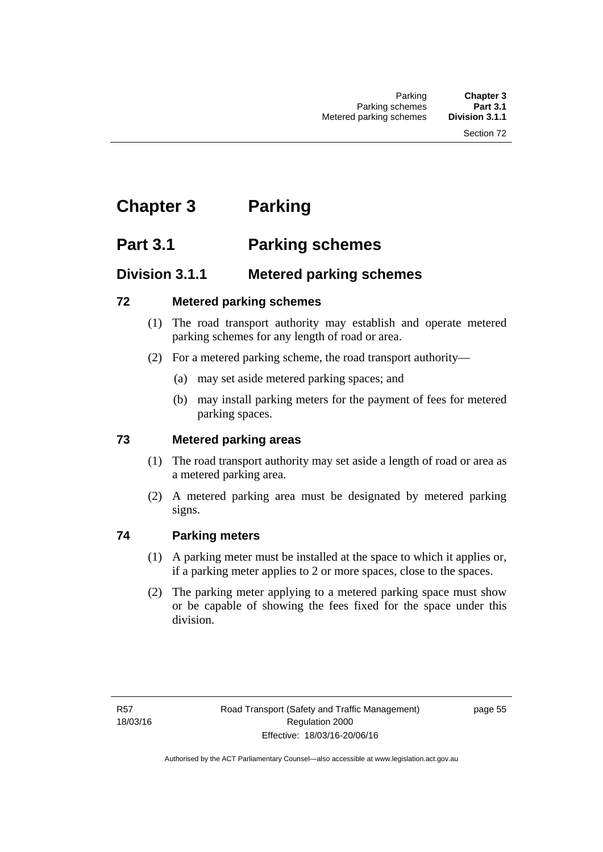# **Chapter 3 Parking**

# **Part 3.1 Parking schemes**

# **Division 3.1.1 Metered parking schemes**

### **72 Metered parking schemes**

- (1) The road transport authority may establish and operate metered parking schemes for any length of road or area.
- (2) For a metered parking scheme, the road transport authority—
	- (a) may set aside metered parking spaces; and
	- (b) may install parking meters for the payment of fees for metered parking spaces.

## **73 Metered parking areas**

- (1) The road transport authority may set aside a length of road or area as a metered parking area.
- (2) A metered parking area must be designated by metered parking signs.

## **74 Parking meters**

- (1) A parking meter must be installed at the space to which it applies or, if a parking meter applies to 2 or more spaces, close to the spaces.
- (2) The parking meter applying to a metered parking space must show or be capable of showing the fees fixed for the space under this division.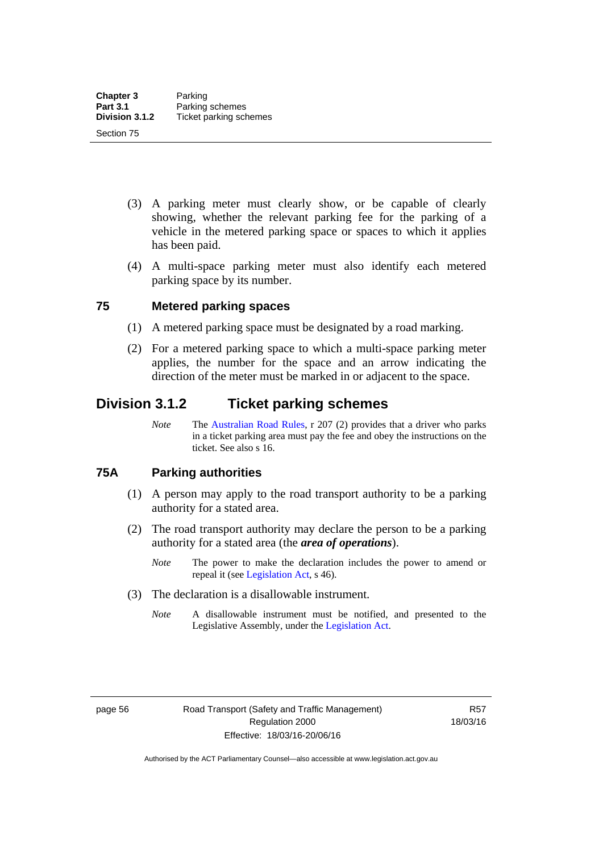- (3) A parking meter must clearly show, or be capable of clearly showing, whether the relevant parking fee for the parking of a vehicle in the metered parking space or spaces to which it applies has been paid.
- (4) A multi-space parking meter must also identify each metered parking space by its number.

## **75 Metered parking spaces**

- (1) A metered parking space must be designated by a road marking.
- (2) For a metered parking space to which a multi-space parking meter applies, the number for the space and an arrow indicating the direction of the meter must be marked in or adjacent to the space.

# **Division 3.1.2 Ticket parking schemes**

*Note* The [Australian Road Rules](http://www.legislation.act.gov.au//ni/db_37271/default.asp), r 207 (2) provides that a driver who parks in a ticket parking area must pay the fee and obey the instructions on the ticket. See also s 16.

### **75A Parking authorities**

- (1) A person may apply to the road transport authority to be a parking authority for a stated area.
- (2) The road transport authority may declare the person to be a parking authority for a stated area (the *area of operations*).
	- *Note* The power to make the declaration includes the power to amend or repeal it (see [Legislation Act,](http://www.legislation.act.gov.au/a/2001-14) s 46).
- (3) The declaration is a disallowable instrument.
	- *Note* A disallowable instrument must be notified, and presented to the Legislative Assembly, under the [Legislation Act.](http://www.legislation.act.gov.au/a/2001-14)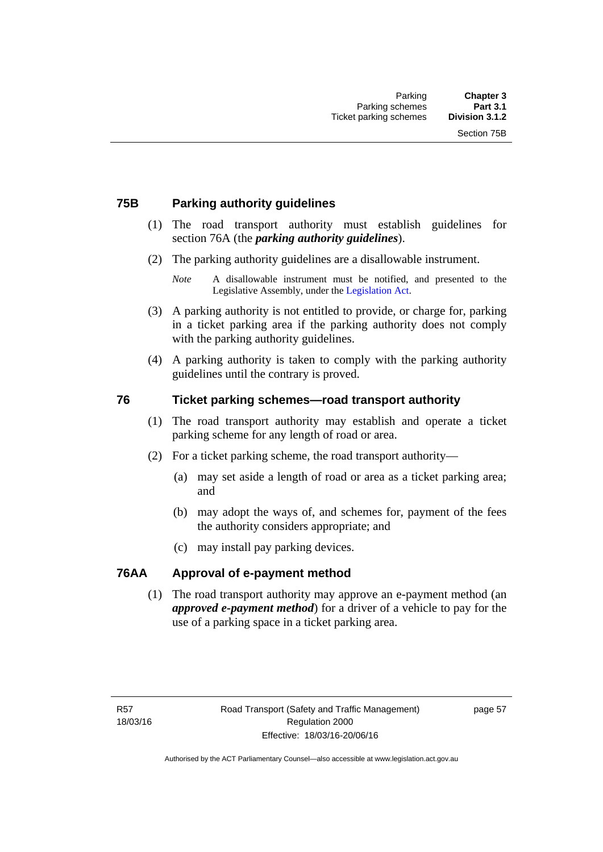# **75B Parking authority guidelines**

- (1) The road transport authority must establish guidelines for section 76A (the *parking authority guidelines*).
- (2) The parking authority guidelines are a disallowable instrument.

- (3) A parking authority is not entitled to provide, or charge for, parking in a ticket parking area if the parking authority does not comply with the parking authority guidelines.
- (4) A parking authority is taken to comply with the parking authority guidelines until the contrary is proved.

## **76 Ticket parking schemes—road transport authority**

- (1) The road transport authority may establish and operate a ticket parking scheme for any length of road or area.
- (2) For a ticket parking scheme, the road transport authority—
	- (a) may set aside a length of road or area as a ticket parking area; and
	- (b) may adopt the ways of, and schemes for, payment of the fees the authority considers appropriate; and
	- (c) may install pay parking devices.

### **76AA Approval of e-payment method**

(1) The road transport authority may approve an e-payment method (an *approved e-payment method*) for a driver of a vehicle to pay for the use of a parking space in a ticket parking area.

*Note* A disallowable instrument must be notified, and presented to the Legislative Assembly, under the [Legislation Act.](http://www.legislation.act.gov.au/a/2001-14)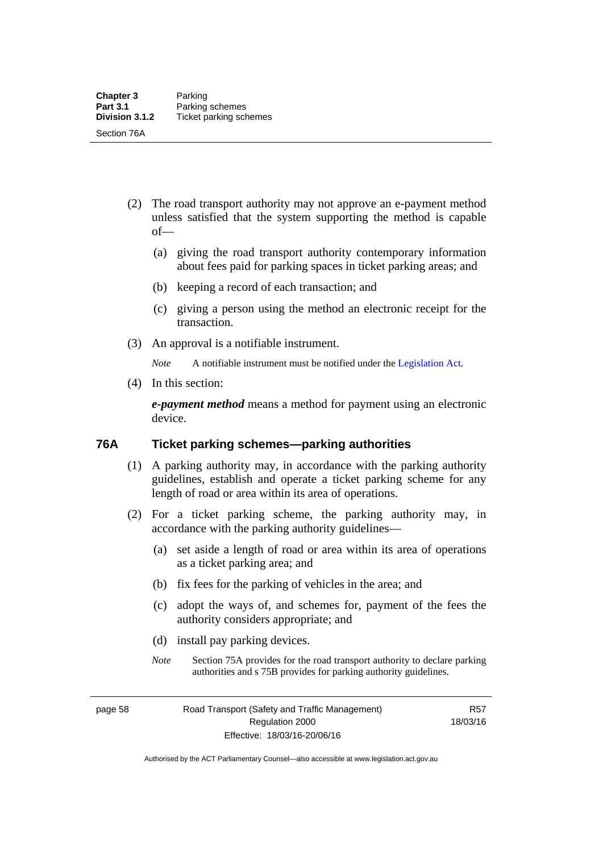- (2) The road transport authority may not approve an e-payment method unless satisfied that the system supporting the method is capable of—
	- (a) giving the road transport authority contemporary information about fees paid for parking spaces in ticket parking areas; and
	- (b) keeping a record of each transaction; and
	- (c) giving a person using the method an electronic receipt for the transaction.
- (3) An approval is a notifiable instrument.

*Note* A notifiable instrument must be notified under the [Legislation Act](http://www.legislation.act.gov.au/a/2001-14).

(4) In this section:

*e-payment method* means a method for payment using an electronic device.

### **76A Ticket parking schemes—parking authorities**

- (1) A parking authority may, in accordance with the parking authority guidelines, establish and operate a ticket parking scheme for any length of road or area within its area of operations.
- (2) For a ticket parking scheme, the parking authority may, in accordance with the parking authority guidelines—
	- (a) set aside a length of road or area within its area of operations as a ticket parking area; and
	- (b) fix fees for the parking of vehicles in the area; and
	- (c) adopt the ways of, and schemes for, payment of the fees the authority considers appropriate; and
	- (d) install pay parking devices.
	- *Note* Section 75A provides for the road transport authority to declare parking authorities and s 75B provides for parking authority guidelines.

page 58 Road Transport (Safety and Traffic Management) Regulation 2000 Effective: 18/03/16-20/06/16

R57 18/03/16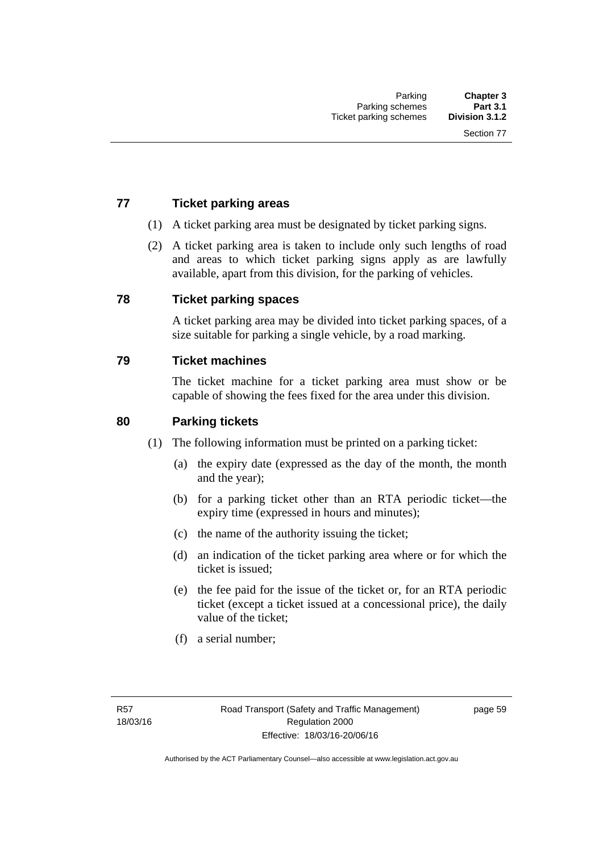# **77 Ticket parking areas**

- (1) A ticket parking area must be designated by ticket parking signs.
- (2) A ticket parking area is taken to include only such lengths of road and areas to which ticket parking signs apply as are lawfully available, apart from this division, for the parking of vehicles.

### **78 Ticket parking spaces**

A ticket parking area may be divided into ticket parking spaces, of a size suitable for parking a single vehicle, by a road marking.

### **79 Ticket machines**

The ticket machine for a ticket parking area must show or be capable of showing the fees fixed for the area under this division.

### **80 Parking tickets**

- (1) The following information must be printed on a parking ticket:
	- (a) the expiry date (expressed as the day of the month, the month and the year);
	- (b) for a parking ticket other than an RTA periodic ticket—the expiry time (expressed in hours and minutes);
	- (c) the name of the authority issuing the ticket;
	- (d) an indication of the ticket parking area where or for which the ticket is issued;
	- (e) the fee paid for the issue of the ticket or, for an RTA periodic ticket (except a ticket issued at a concessional price), the daily value of the ticket;
	- (f) a serial number;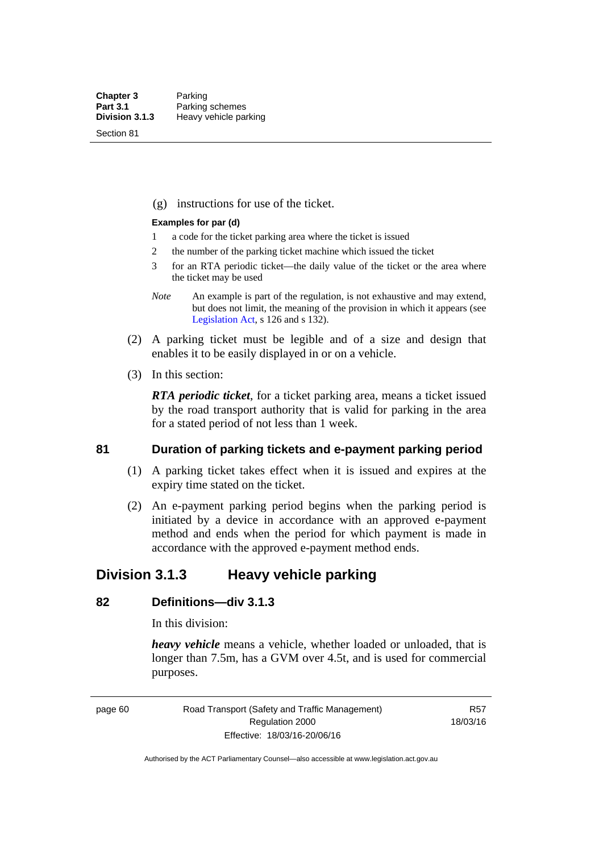Section 81

(g) instructions for use of the ticket.

#### **Examples for par (d)**

- 1 a code for the ticket parking area where the ticket is issued
- 2 the number of the parking ticket machine which issued the ticket
- 3 for an RTA periodic ticket—the daily value of the ticket or the area where the ticket may be used
- *Note* An example is part of the regulation, is not exhaustive and may extend, but does not limit, the meaning of the provision in which it appears (see [Legislation Act,](http://www.legislation.act.gov.au/a/2001-14) s 126 and s 132).
- (2) A parking ticket must be legible and of a size and design that enables it to be easily displayed in or on a vehicle.
- (3) In this section:

*RTA periodic ticket*, for a ticket parking area, means a ticket issued by the road transport authority that is valid for parking in the area for a stated period of not less than 1 week.

### **81 Duration of parking tickets and e-payment parking period**

- (1) A parking ticket takes effect when it is issued and expires at the expiry time stated on the ticket.
- (2) An e-payment parking period begins when the parking period is initiated by a device in accordance with an approved e-payment method and ends when the period for which payment is made in accordance with the approved e-payment method ends.

# **Division 3.1.3 Heavy vehicle parking**

# **82 Definitions—div 3.1.3**

In this division:

*heavy vehicle* means a vehicle, whether loaded or unloaded, that is longer than 7.5m, has a GVM over 4.5t, and is used for commercial purposes.

page 60 Road Transport (Safety and Traffic Management) Regulation 2000 Effective: 18/03/16-20/06/16

R57 18/03/16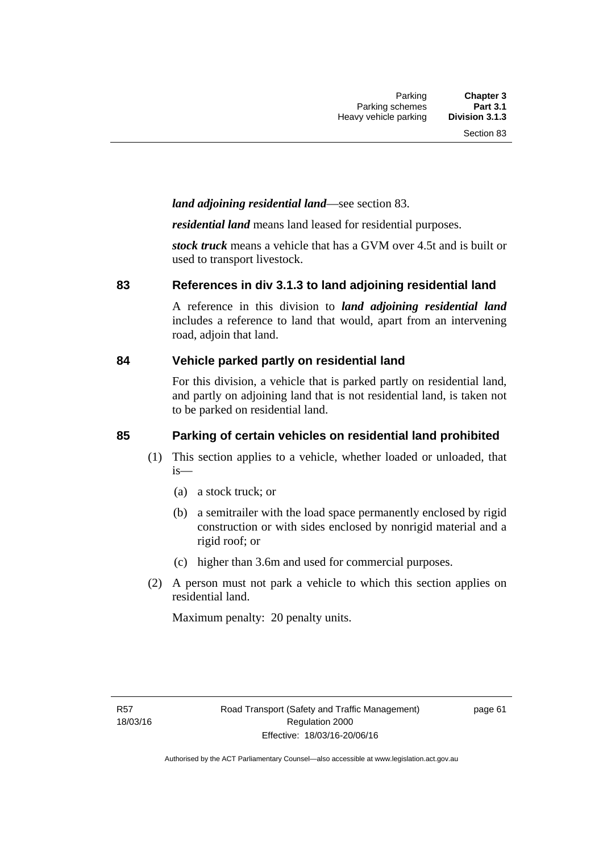# *land adjoining residential land*—see section 83.

*residential land* means land leased for residential purposes.

*stock truck* means a vehicle that has a GVM over 4.5t and is built or used to transport livestock.

### **83 References in div 3.1.3 to land adjoining residential land**

A reference in this division to *land adjoining residential land* includes a reference to land that would, apart from an intervening road, adjoin that land.

### **84 Vehicle parked partly on residential land**

For this division, a vehicle that is parked partly on residential land, and partly on adjoining land that is not residential land, is taken not to be parked on residential land.

# **85 Parking of certain vehicles on residential land prohibited**

- (1) This section applies to a vehicle, whether loaded or unloaded, that is—
	- (a) a stock truck; or
	- (b) a semitrailer with the load space permanently enclosed by rigid construction or with sides enclosed by nonrigid material and a rigid roof; or
	- (c) higher than 3.6m and used for commercial purposes.
- (2) A person must not park a vehicle to which this section applies on residential land.

Maximum penalty: 20 penalty units.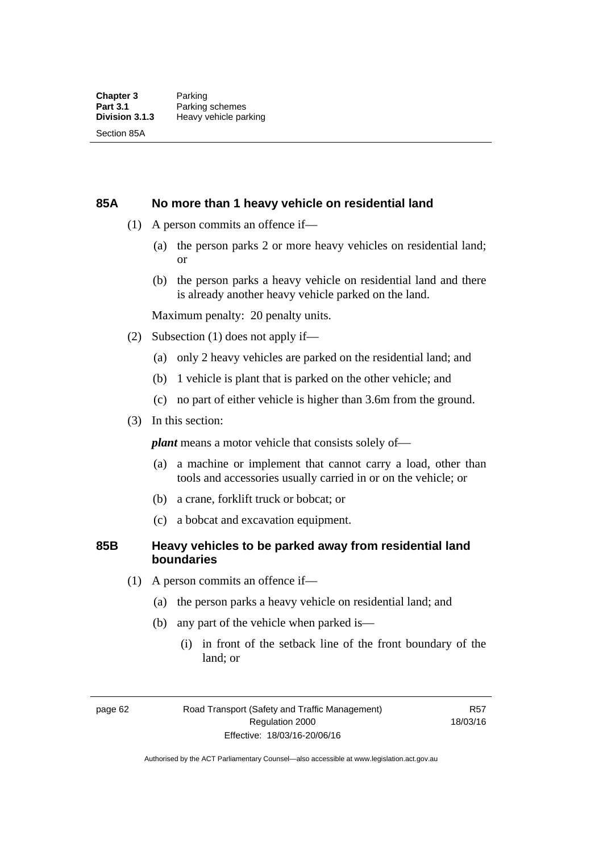### **85A No more than 1 heavy vehicle on residential land**

- (1) A person commits an offence if—
	- (a) the person parks 2 or more heavy vehicles on residential land; or
	- (b) the person parks a heavy vehicle on residential land and there is already another heavy vehicle parked on the land.

Maximum penalty: 20 penalty units.

- (2) Subsection (1) does not apply if—
	- (a) only 2 heavy vehicles are parked on the residential land; and
	- (b) 1 vehicle is plant that is parked on the other vehicle; and
	- (c) no part of either vehicle is higher than 3.6m from the ground.
- (3) In this section:

*plant* means a motor vehicle that consists solely of—

- (a) a machine or implement that cannot carry a load, other than tools and accessories usually carried in or on the vehicle; or
- (b) a crane, forklift truck or bobcat; or
- (c) a bobcat and excavation equipment.

### **85B Heavy vehicles to be parked away from residential land boundaries**

- (1) A person commits an offence if—
	- (a) the person parks a heavy vehicle on residential land; and
	- (b) any part of the vehicle when parked is—
		- (i) in front of the setback line of the front boundary of the land; or

page 62 Road Transport (Safety and Traffic Management) Regulation 2000 Effective: 18/03/16-20/06/16

R57 18/03/16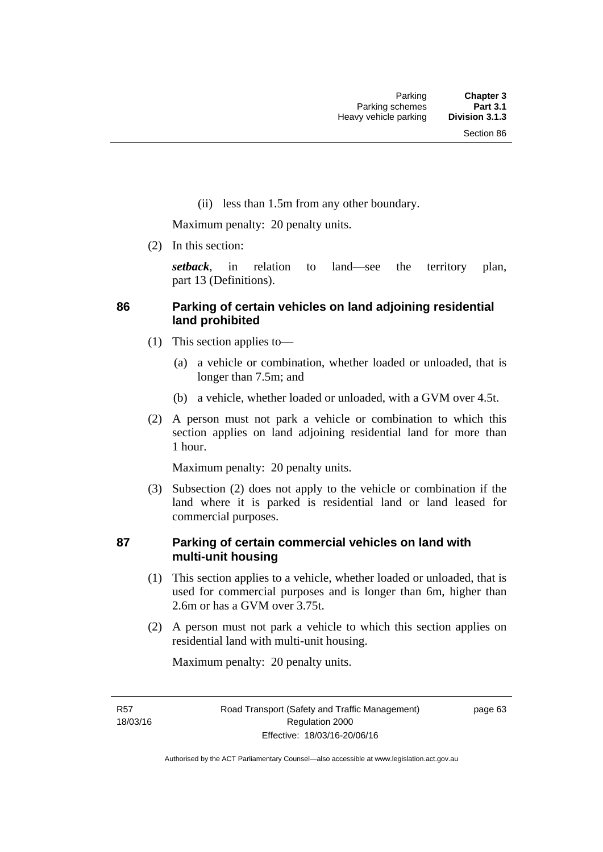(ii) less than 1.5m from any other boundary.

Maximum penalty: 20 penalty units.

(2) In this section:

*setback*, in relation to land—see the territory plan, part 13 (Definitions).

# **86 Parking of certain vehicles on land adjoining residential land prohibited**

- (1) This section applies to—
	- (a) a vehicle or combination, whether loaded or unloaded, that is longer than 7.5m; and
	- (b) a vehicle, whether loaded or unloaded, with a GVM over 4.5t.
- (2) A person must not park a vehicle or combination to which this section applies on land adjoining residential land for more than 1 hour.

Maximum penalty: 20 penalty units.

 (3) Subsection (2) does not apply to the vehicle or combination if the land where it is parked is residential land or land leased for commercial purposes.

## **87 Parking of certain commercial vehicles on land with multi-unit housing**

- (1) This section applies to a vehicle, whether loaded or unloaded, that is used for commercial purposes and is longer than 6m, higher than 2.6m or has a GVM over 3.75t.
- (2) A person must not park a vehicle to which this section applies on residential land with multi-unit housing.

Maximum penalty: 20 penalty units.

R57 18/03/16 page 63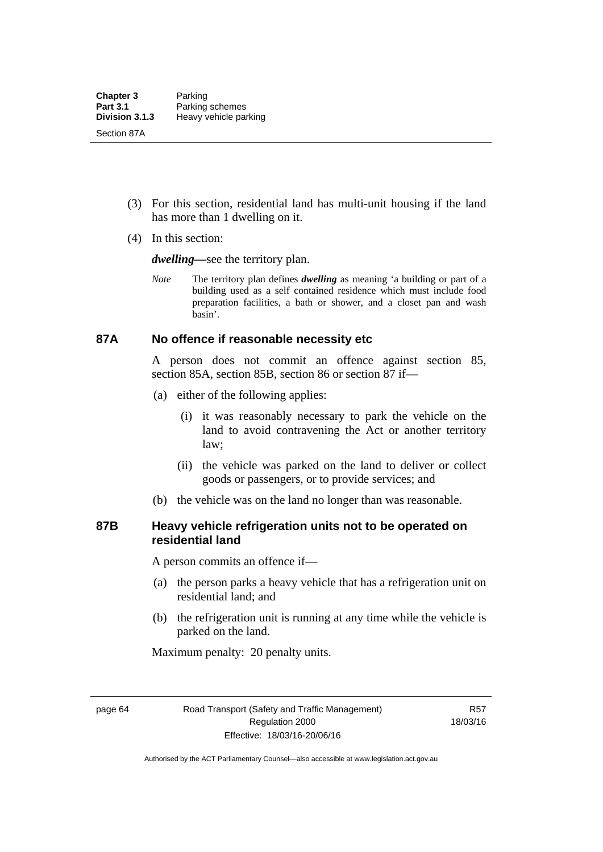- (3) For this section, residential land has multi-unit housing if the land has more than 1 dwelling on it.
- (4) In this section:

*dwelling—*see the territory plan.

*Note* The territory plan defines *dwelling* as meaning 'a building or part of a building used as a self contained residence which must include food preparation facilities, a bath or shower, and a closet pan and wash basin'.

### **87A No offence if reasonable necessity etc**

A person does not commit an offence against section 85, section 85A, section 85B, section 86 or section 87 if—

- (a) either of the following applies:
	- (i) it was reasonably necessary to park the vehicle on the land to avoid contravening the Act or another territory law;
	- (ii) the vehicle was parked on the land to deliver or collect goods or passengers, or to provide services; and
- (b) the vehicle was on the land no longer than was reasonable.

## **87B Heavy vehicle refrigeration units not to be operated on residential land**

A person commits an offence if—

- (a) the person parks a heavy vehicle that has a refrigeration unit on residential land; and
- (b) the refrigeration unit is running at any time while the vehicle is parked on the land.

Maximum penalty: 20 penalty units.

page 64 Road Transport (Safety and Traffic Management) Regulation 2000 Effective: 18/03/16-20/06/16

R57 18/03/16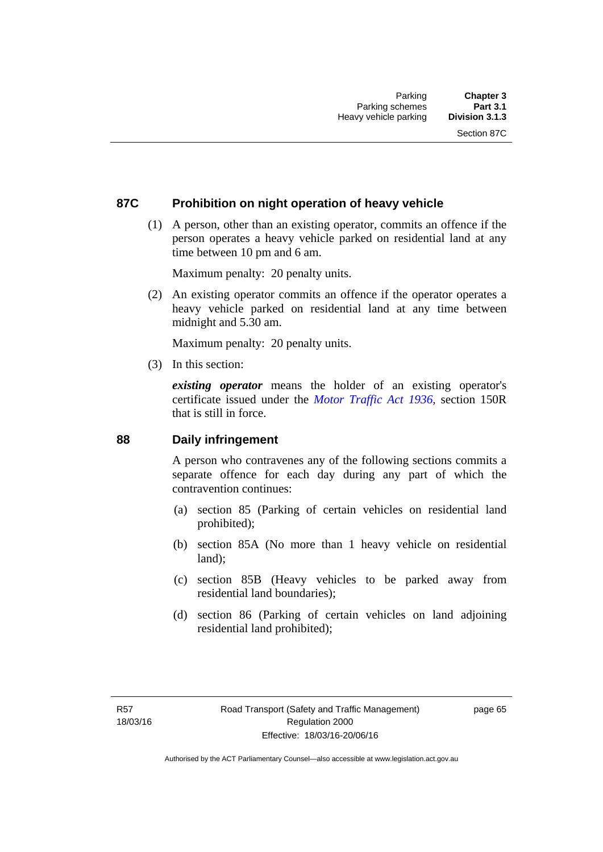## **87C Prohibition on night operation of heavy vehicle**

 (1) A person, other than an existing operator, commits an offence if the person operates a heavy vehicle parked on residential land at any time between 10 pm and 6 am.

Maximum penalty: 20 penalty units.

 (2) An existing operator commits an offence if the operator operates a heavy vehicle parked on residential land at any time between midnight and 5.30 am.

Maximum penalty: 20 penalty units.

(3) In this section:

*existing operator* means the holder of an existing operator's certificate issued under the *[Motor Traffic Act 1936](http://www.legislation.act.gov.au/a/1936-45)*, section 150R that is still in force.

### **88 Daily infringement**

A person who contravenes any of the following sections commits a separate offence for each day during any part of which the contravention continues:

- (a) section 85 (Parking of certain vehicles on residential land prohibited);
- (b) section 85A (No more than 1 heavy vehicle on residential land);
- (c) section 85B (Heavy vehicles to be parked away from residential land boundaries);
- (d) section 86 (Parking of certain vehicles on land adjoining residential land prohibited);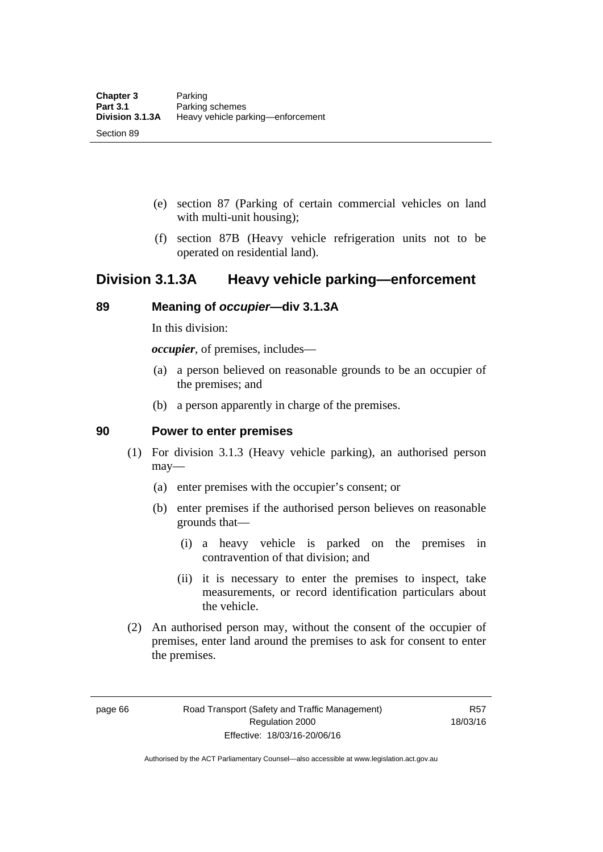- (e) section 87 (Parking of certain commercial vehicles on land with multi-unit housing);
- (f) section 87B (Heavy vehicle refrigeration units not to be operated on residential land).

# **Division 3.1.3A Heavy vehicle parking—enforcement**

## **89 Meaning of** *occupier***—div 3.1.3A**

In this division:

*occupier*, of premises, includes—

- (a) a person believed on reasonable grounds to be an occupier of the premises; and
- (b) a person apparently in charge of the premises.

### **90 Power to enter premises**

- (1) For division 3.1.3 (Heavy vehicle parking), an authorised person may—
	- (a) enter premises with the occupier's consent; or
	- (b) enter premises if the authorised person believes on reasonable grounds that—
		- (i) a heavy vehicle is parked on the premises in contravention of that division; and
		- (ii) it is necessary to enter the premises to inspect, take measurements, or record identification particulars about the vehicle.
- (2) An authorised person may, without the consent of the occupier of premises, enter land around the premises to ask for consent to enter the premises.

page 66 Road Transport (Safety and Traffic Management) Regulation 2000 Effective: 18/03/16-20/06/16

R57 18/03/16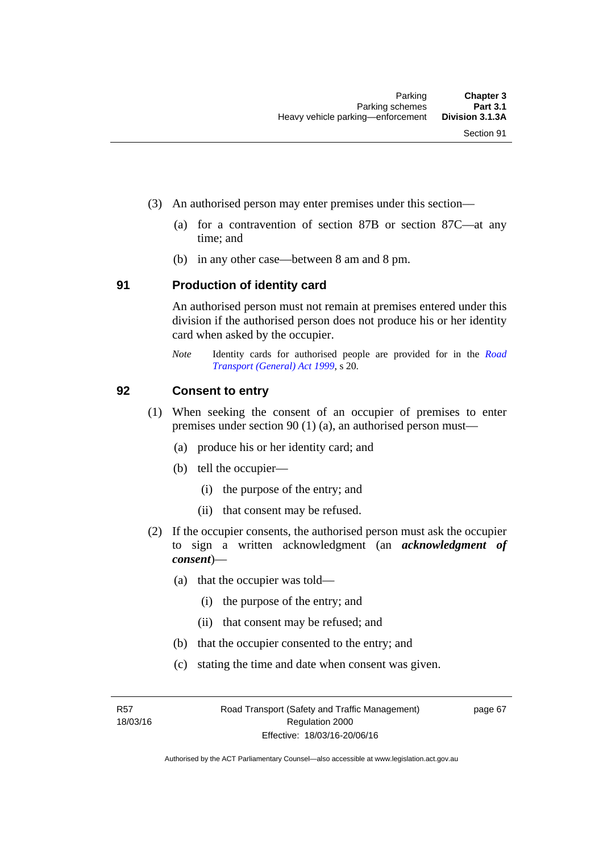- (3) An authorised person may enter premises under this section––
	- (a) for a contravention of section 87B or section 87C––at any time; and
	- (b) in any other case––between 8 am and 8 pm.

### **91 Production of identity card**

An authorised person must not remain at premises entered under this division if the authorised person does not produce his or her identity card when asked by the occupier.

*Note* Identity cards for authorised people are provided for in the *[Road](http://www.legislation.act.gov.au/a/1999-77)  [Transport \(General\) Act 1999](http://www.legislation.act.gov.au/a/1999-77)*, s 20.

### **92 Consent to entry**

- (1) When seeking the consent of an occupier of premises to enter premises under section 90 (1) (a), an authorised person must—
	- (a) produce his or her identity card; and
	- (b) tell the occupier—
		- (i) the purpose of the entry; and
		- (ii) that consent may be refused.
- (2) If the occupier consents, the authorised person must ask the occupier to sign a written acknowledgment (an *acknowledgment of consent*)—
	- (a) that the occupier was told—
		- (i) the purpose of the entry; and
		- (ii) that consent may be refused; and
	- (b) that the occupier consented to the entry; and
	- (c) stating the time and date when consent was given.

R57 18/03/16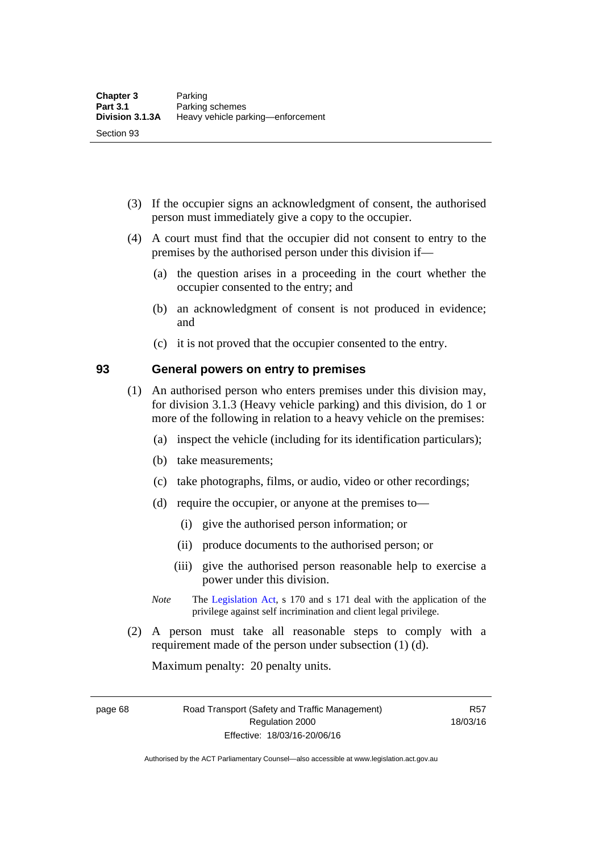- (3) If the occupier signs an acknowledgment of consent, the authorised person must immediately give a copy to the occupier.
- (4) A court must find that the occupier did not consent to entry to the premises by the authorised person under this division if—
	- (a) the question arises in a proceeding in the court whether the occupier consented to the entry; and
	- (b) an acknowledgment of consent is not produced in evidence; and
	- (c) it is not proved that the occupier consented to the entry.

### **93 General powers on entry to premises**

- (1) An authorised person who enters premises under this division may, for division 3.1.3 (Heavy vehicle parking) and this division, do 1 or more of the following in relation to a heavy vehicle on the premises:
	- (a) inspect the vehicle (including for its identification particulars);
	- (b) take measurements;
	- (c) take photographs, films, or audio, video or other recordings;
	- (d) require the occupier, or anyone at the premises to—
		- (i) give the authorised person information; or
		- (ii) produce documents to the authorised person; or
		- (iii) give the authorised person reasonable help to exercise a power under this division.
	- *Note* The [Legislation Act](http://www.legislation.act.gov.au/a/2001-14), s 170 and s 171 deal with the application of the privilege against self incrimination and client legal privilege.
- (2) A person must take all reasonable steps to comply with a requirement made of the person under subsection (1) (d).

Maximum penalty: 20 penalty units.

page 68 Road Transport (Safety and Traffic Management) Regulation 2000 Effective: 18/03/16-20/06/16

R57 18/03/16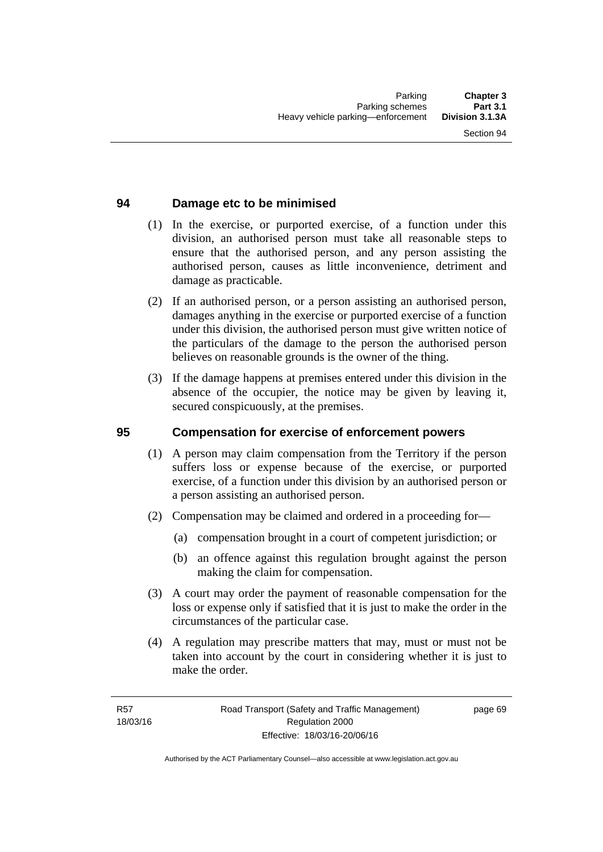## **94 Damage etc to be minimised**

- (1) In the exercise, or purported exercise, of a function under this division, an authorised person must take all reasonable steps to ensure that the authorised person, and any person assisting the authorised person, causes as little inconvenience, detriment and damage as practicable.
- (2) If an authorised person, or a person assisting an authorised person, damages anything in the exercise or purported exercise of a function under this division, the authorised person must give written notice of the particulars of the damage to the person the authorised person believes on reasonable grounds is the owner of the thing.
- (3) If the damage happens at premises entered under this division in the absence of the occupier, the notice may be given by leaving it, secured conspicuously, at the premises.

### **95 Compensation for exercise of enforcement powers**

- (1) A person may claim compensation from the Territory if the person suffers loss or expense because of the exercise, or purported exercise, of a function under this division by an authorised person or a person assisting an authorised person.
- (2) Compensation may be claimed and ordered in a proceeding for—
	- (a) compensation brought in a court of competent jurisdiction; or
	- (b) an offence against this regulation brought against the person making the claim for compensation.
- (3) A court may order the payment of reasonable compensation for the loss or expense only if satisfied that it is just to make the order in the circumstances of the particular case.
- (4) A regulation may prescribe matters that may, must or must not be taken into account by the court in considering whether it is just to make the order.

page 69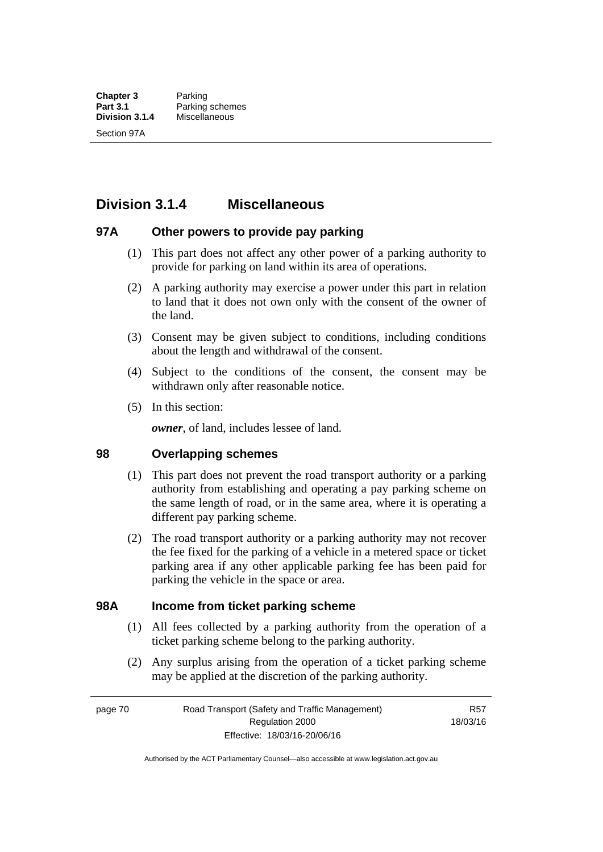# **Division 3.1.4 Miscellaneous**

### **97A Other powers to provide pay parking**

- (1) This part does not affect any other power of a parking authority to provide for parking on land within its area of operations.
- (2) A parking authority may exercise a power under this part in relation to land that it does not own only with the consent of the owner of the land.
- (3) Consent may be given subject to conditions, including conditions about the length and withdrawal of the consent.
- (4) Subject to the conditions of the consent, the consent may be withdrawn only after reasonable notice.
- (5) In this section:

*owner*, of land, includes lessee of land.

### **98 Overlapping schemes**

- (1) This part does not prevent the road transport authority or a parking authority from establishing and operating a pay parking scheme on the same length of road, or in the same area, where it is operating a different pay parking scheme.
- (2) The road transport authority or a parking authority may not recover the fee fixed for the parking of a vehicle in a metered space or ticket parking area if any other applicable parking fee has been paid for parking the vehicle in the space or area.

### **98A Income from ticket parking scheme**

- (1) All fees collected by a parking authority from the operation of a ticket parking scheme belong to the parking authority.
- (2) Any surplus arising from the operation of a ticket parking scheme may be applied at the discretion of the parking authority.

page 70 Road Transport (Safety and Traffic Management) Regulation 2000 Effective: 18/03/16-20/06/16

R57 18/03/16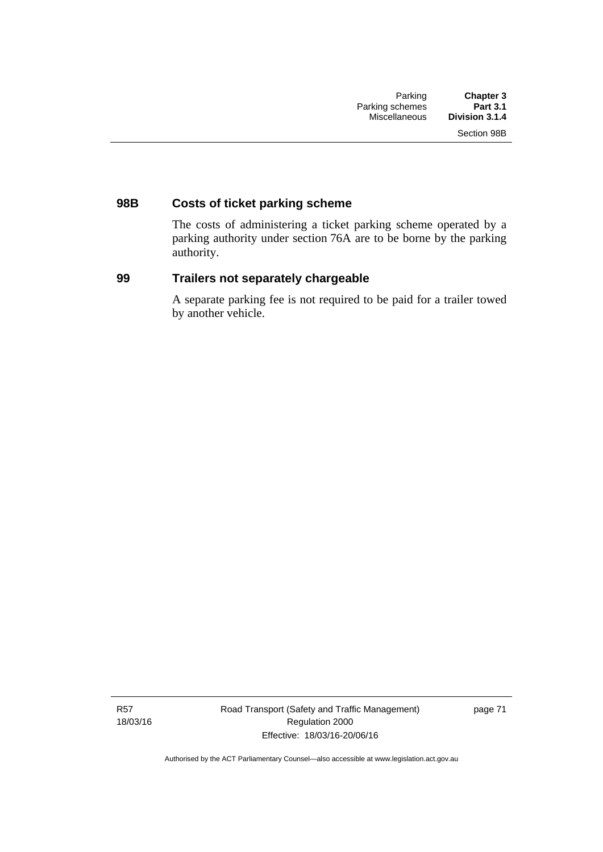# **98B Costs of ticket parking scheme**

The costs of administering a ticket parking scheme operated by a parking authority under section 76A are to be borne by the parking authority.

## **99 Trailers not separately chargeable**

A separate parking fee is not required to be paid for a trailer towed by another vehicle.

R57 18/03/16 Road Transport (Safety and Traffic Management) Regulation 2000 Effective: 18/03/16-20/06/16

page 71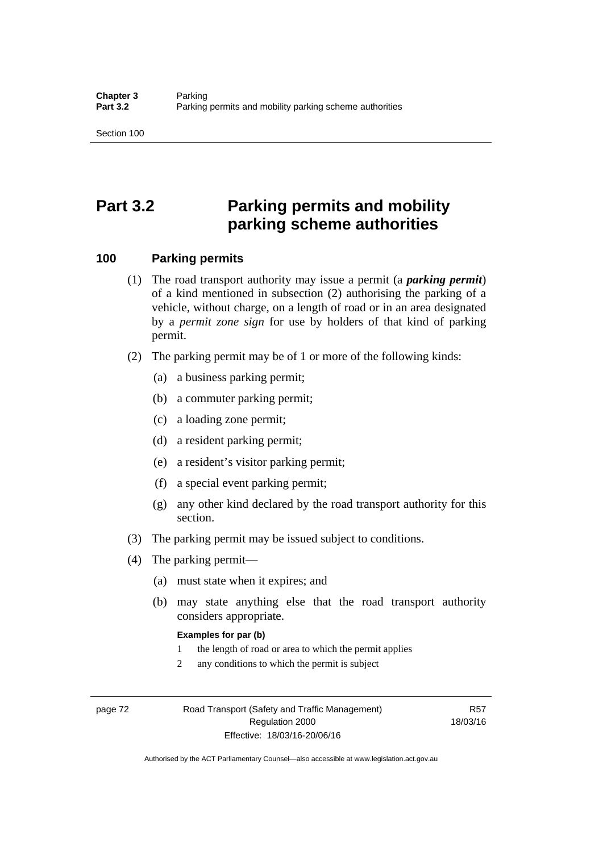# **Part 3.2 Parking permits and mobility parking scheme authorities**

### **100 Parking permits**

- (1) The road transport authority may issue a permit (a *parking permit*) of a kind mentioned in subsection (2) authorising the parking of a vehicle, without charge, on a length of road or in an area designated by a *permit zone sign* for use by holders of that kind of parking permit.
- (2) The parking permit may be of 1 or more of the following kinds:
	- (a) a business parking permit;
	- (b) a commuter parking permit;
	- (c) a loading zone permit;
	- (d) a resident parking permit;
	- (e) a resident's visitor parking permit;
	- (f) a special event parking permit;
	- (g) any other kind declared by the road transport authority for this section.
- (3) The parking permit may be issued subject to conditions.
- (4) The parking permit—
	- (a) must state when it expires; and
	- (b) may state anything else that the road transport authority considers appropriate.

### **Examples for par (b)**

- 1 the length of road or area to which the permit applies
- 2 any conditions to which the permit is subject

page 72 Road Transport (Safety and Traffic Management) Regulation 2000 Effective: 18/03/16-20/06/16

R57 18/03/16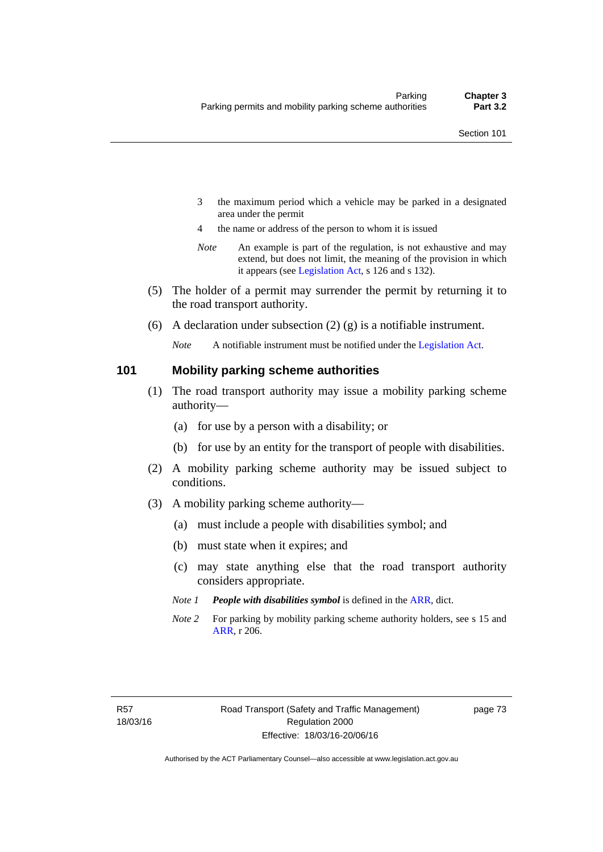- 3 the maximum period which a vehicle may be parked in a designated area under the permit
- 4 the name or address of the person to whom it is issued
- *Note* An example is part of the regulation, is not exhaustive and may extend, but does not limit, the meaning of the provision in which it appears (see [Legislation Act,](http://www.legislation.act.gov.au/a/2001-14) s 126 and s 132).
- (5) The holder of a permit may surrender the permit by returning it to the road transport authority.
- (6) A declaration under subsection  $(2)$  (g) is a notifiable instrument.

*Note* A notifiable instrument must be notified under the [Legislation Act](http://www.legislation.act.gov.au/a/2001-14).

### **101 Mobility parking scheme authorities**

- (1) The road transport authority may issue a mobility parking scheme authority—
	- (a) for use by a person with a disability; or
	- (b) for use by an entity for the transport of people with disabilities.
- (2) A mobility parking scheme authority may be issued subject to conditions.
- (3) A mobility parking scheme authority—
	- (a) must include a people with disabilities symbol; and
	- (b) must state when it expires; and
	- (c) may state anything else that the road transport authority considers appropriate.
	- *Note 1 People with disabilities symbol* is defined in the [ARR,](http://www.legislation.act.gov.au//ni/db_37271/default.asp) dict.
	- *Note 2* For parking by mobility parking scheme authority holders, see s 15 and [ARR,](http://www.legislation.act.gov.au//ni/db_37271/default.asp) r 206.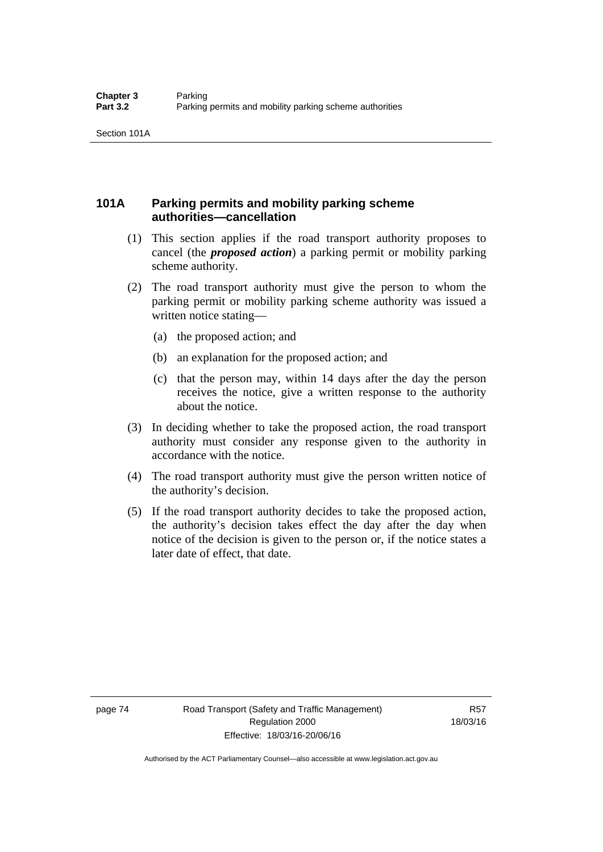# **101A Parking permits and mobility parking scheme authorities—cancellation**

- (1) This section applies if the road transport authority proposes to cancel (the *proposed action*) a parking permit or mobility parking scheme authority.
- (2) The road transport authority must give the person to whom the parking permit or mobility parking scheme authority was issued a written notice stating—
	- (a) the proposed action; and
	- (b) an explanation for the proposed action; and
	- (c) that the person may, within 14 days after the day the person receives the notice, give a written response to the authority about the notice.
- (3) In deciding whether to take the proposed action, the road transport authority must consider any response given to the authority in accordance with the notice.
- (4) The road transport authority must give the person written notice of the authority's decision.
- (5) If the road transport authority decides to take the proposed action, the authority's decision takes effect the day after the day when notice of the decision is given to the person or, if the notice states a later date of effect, that date.

page 74 Road Transport (Safety and Traffic Management) Regulation 2000 Effective: 18/03/16-20/06/16

R57 18/03/16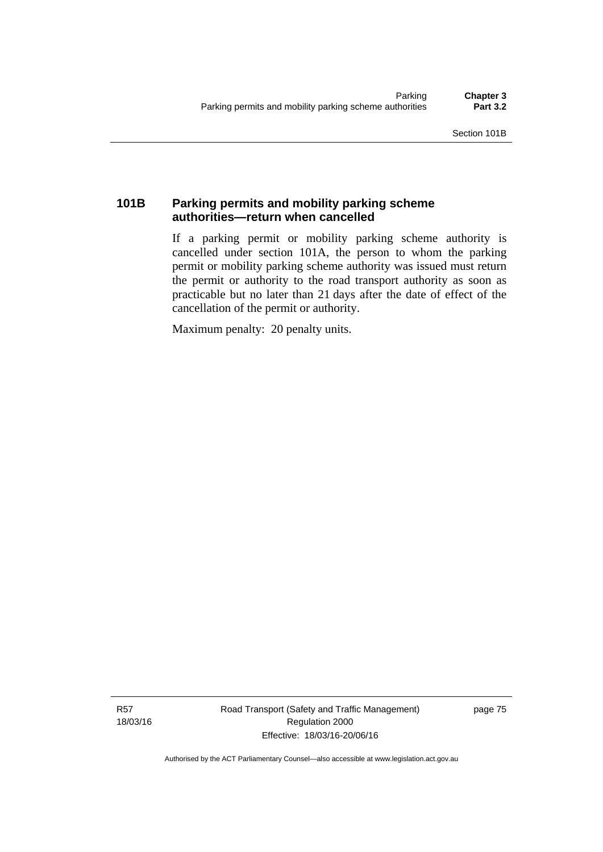# **101B Parking permits and mobility parking scheme authorities—return when cancelled**

If a parking permit or mobility parking scheme authority is cancelled under section 101A, the person to whom the parking permit or mobility parking scheme authority was issued must return the permit or authority to the road transport authority as soon as practicable but no later than 21 days after the date of effect of the cancellation of the permit or authority.

Maximum penalty: 20 penalty units.

R57 18/03/16 Road Transport (Safety and Traffic Management) Regulation 2000 Effective: 18/03/16-20/06/16

page 75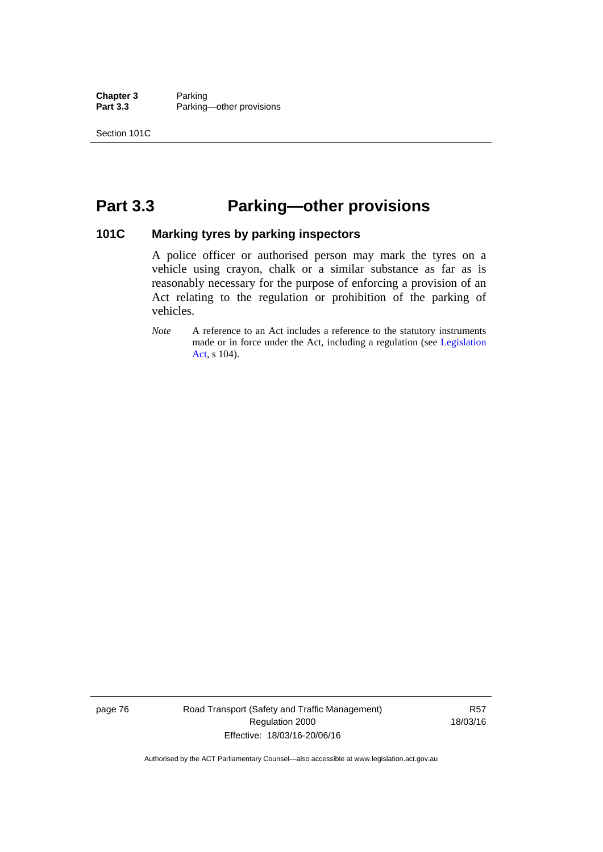**Chapter 3** Parking<br>**Part 3.3** Parking Parking—other provisions

# **Part 3.3 Parking—other provisions**

### **101C Marking tyres by parking inspectors**

A police officer or authorised person may mark the tyres on a vehicle using crayon, chalk or a similar substance as far as is reasonably necessary for the purpose of enforcing a provision of an Act relating to the regulation or prohibition of the parking of vehicles.

*Note* A reference to an Act includes a reference to the statutory instruments made or in force under the Act, including a regulation (see [Legislation](http://www.legislation.act.gov.au/a/2001-14)  [Act](http://www.legislation.act.gov.au/a/2001-14), s 104).

page 76 Road Transport (Safety and Traffic Management) Regulation 2000 Effective: 18/03/16-20/06/16

R57 18/03/16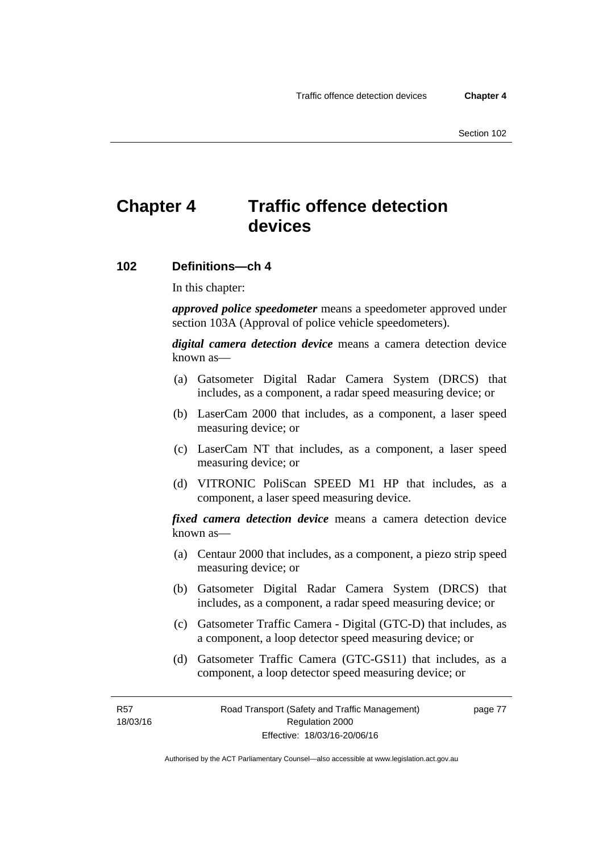# **Chapter 4 Traffic offence detection devices**

### **102 Definitions—ch 4**

In this chapter:

*approved police speedometer* means a speedometer approved under section 103A (Approval of police vehicle speedometers).

*digital camera detection device* means a camera detection device known as—

- (a) Gatsometer Digital Radar Camera System (DRCS) that includes, as a component, a radar speed measuring device; or
- (b) LaserCam 2000 that includes, as a component, a laser speed measuring device; or
- (c) LaserCam NT that includes, as a component, a laser speed measuring device; or
- (d) VITRONIC PoliScan SPEED M1 HP that includes, as a component, a laser speed measuring device.

*fixed camera detection device* means a camera detection device known as—

- (a) Centaur 2000 that includes, as a component, a piezo strip speed measuring device; or
- (b) Gatsometer Digital Radar Camera System (DRCS) that includes, as a component, a radar speed measuring device; or
- (c) Gatsometer Traffic Camera Digital (GTC-D) that includes, as a component, a loop detector speed measuring device; or
- (d) Gatsometer Traffic Camera (GTC-GS11) that includes, as a component, a loop detector speed measuring device; or

R57 18/03/16 page 77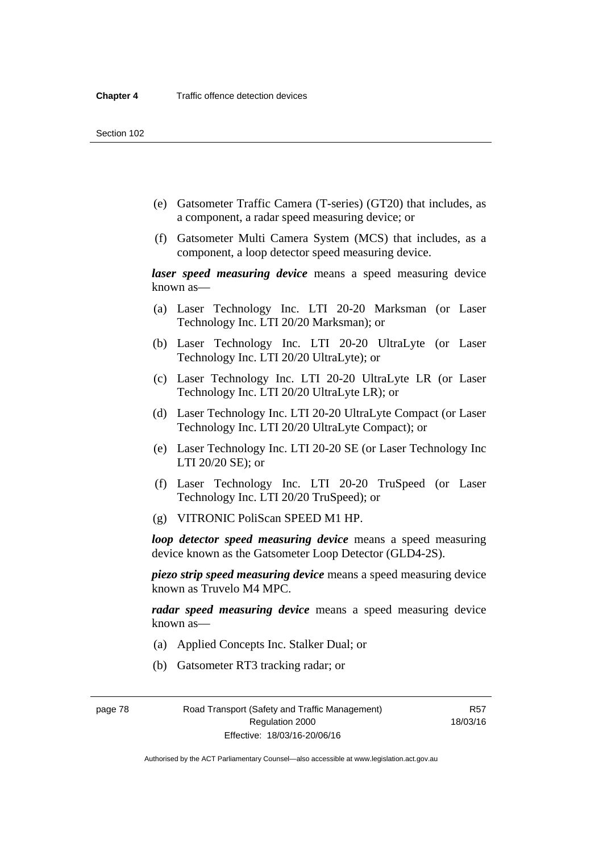- (e) Gatsometer Traffic Camera (T-series) (GT20) that includes, as a component, a radar speed measuring device; or
- (f) Gatsometer Multi Camera System (MCS) that includes, as a component, a loop detector speed measuring device.

*laser speed measuring device* means a speed measuring device known as—

- (a) Laser Technology Inc. LTI 20-20 Marksman (or Laser Technology Inc. LTI 20/20 Marksman); or
- (b) Laser Technology Inc. LTI 20-20 UltraLyte (or Laser Technology Inc. LTI 20/20 UltraLyte); or
- (c) Laser Technology Inc. LTI 20-20 UltraLyte LR (or Laser Technology Inc. LTI 20/20 UltraLyte LR); or
- (d) Laser Technology Inc. LTI 20-20 UltraLyte Compact (or Laser Technology Inc. LTI 20/20 UltraLyte Compact); or
- (e) Laser Technology Inc. LTI 20-20 SE (or Laser Technology Inc LTI 20/20 SE); or
- (f) Laser Technology Inc. LTI 20-20 TruSpeed (or Laser Technology Inc. LTI 20/20 TruSpeed); or
- (g) VITRONIC PoliScan SPEED M1 HP.

*loop detector speed measuring device* means a speed measuring device known as the Gatsometer Loop Detector (GLD4-2S).

*piezo strip speed measuring device* means a speed measuring device known as Truvelo M4 MPC.

*radar speed measuring device* means a speed measuring device known as—

- (a) Applied Concepts Inc. Stalker Dual; or
- (b) Gatsometer RT3 tracking radar; or

page 78 Road Transport (Safety and Traffic Management) Regulation 2000 Effective: 18/03/16-20/06/16

R57 18/03/16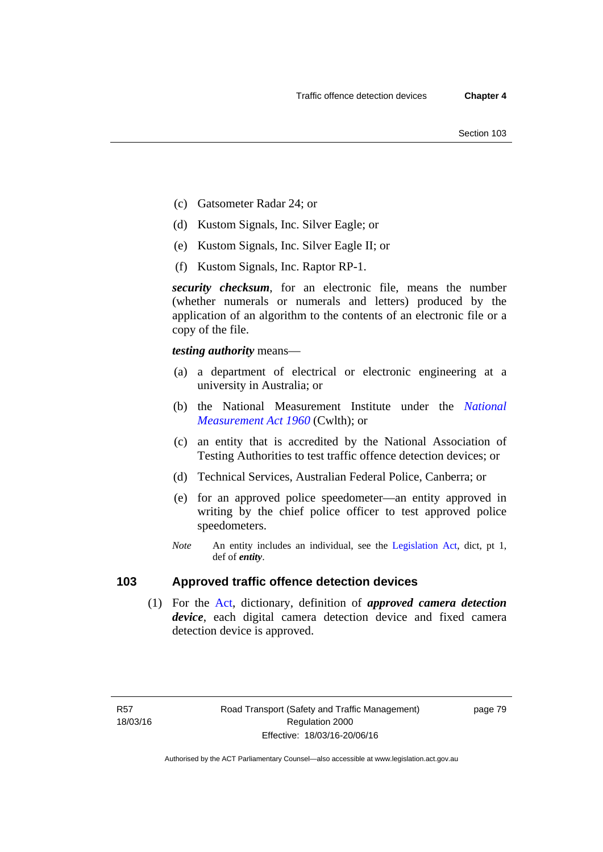- (c) Gatsometer Radar 24; or
- (d) Kustom Signals, Inc. Silver Eagle; or
- (e) Kustom Signals, Inc. Silver Eagle II; or
- (f) Kustom Signals, Inc. Raptor RP-1.

*security checksum*, for an electronic file, means the number (whether numerals or numerals and letters) produced by the application of an algorithm to the contents of an electronic file or a copy of the file.

*testing authority* means—

- (a) a department of electrical or electronic engineering at a university in Australia; or
- (b) the National Measurement Institute under the *[National](http://www.comlaw.gov.au/Series/C2004A07405)  [Measurement Act 1960](http://www.comlaw.gov.au/Series/C2004A07405)* (Cwlth); or
- (c) an entity that is accredited by the National Association of Testing Authorities to test traffic offence detection devices; or
- (d) Technical Services, Australian Federal Police, Canberra; or
- (e) for an approved police speedometer—an entity approved in writing by the chief police officer to test approved police speedometers.
- *Note* An entity includes an individual, see the [Legislation Act,](http://www.legislation.act.gov.au/a/2001-14) dict, pt 1, def of *entity*.

# **103 Approved traffic offence detection devices**

 (1) For the [Act,](http://www.legislation.act.gov.au/a/1999-80/default.asp) dictionary, definition of *approved camera detection device*, each digital camera detection device and fixed camera detection device is approved.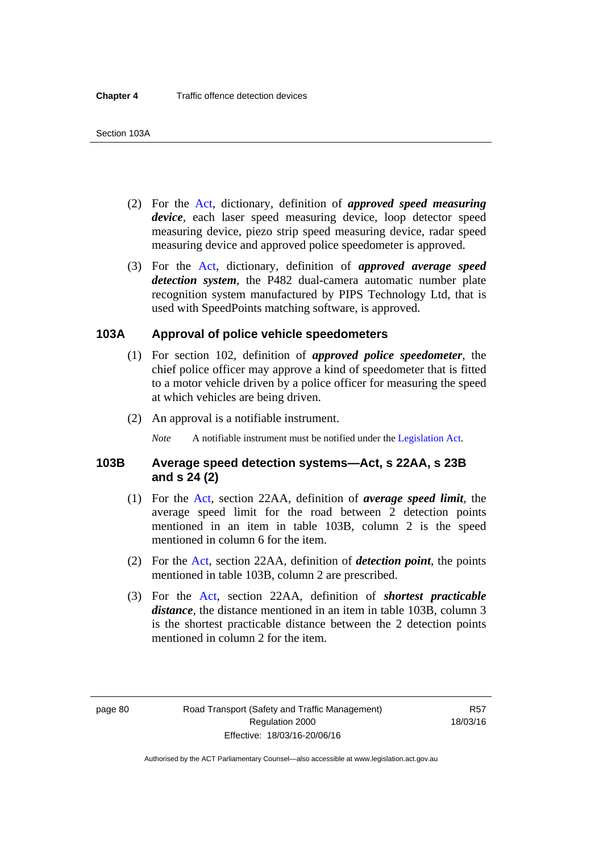- (2) For the [Act,](http://www.legislation.act.gov.au/a/1999-80/default.asp) dictionary, definition of *approved speed measuring device*, each laser speed measuring device, loop detector speed measuring device, piezo strip speed measuring device, radar speed measuring device and approved police speedometer is approved.
- (3) For the [Act](http://www.legislation.act.gov.au/a/1999-80/default.asp), dictionary, definition of *approved average speed detection system*, the P482 dual-camera automatic number plate recognition system manufactured by PIPS Technology Ltd, that is used with SpeedPoints matching software, is approved.

### **103A Approval of police vehicle speedometers**

- (1) For section 102, definition of *approved police speedometer*, the chief police officer may approve a kind of speedometer that is fitted to a motor vehicle driven by a police officer for measuring the speed at which vehicles are being driven.
- (2) An approval is a notifiable instrument.

*Note* A notifiable instrument must be notified under the [Legislation Act](http://www.legislation.act.gov.au/a/2001-14).

### **103B Average speed detection systems—Act, s 22AA, s 23B and s 24 (2)**

- (1) For the [Act](http://www.legislation.act.gov.au/a/1999-80/default.asp), section 22AA, definition of *average speed limit*, the average speed limit for the road between 2 detection points mentioned in an item in table 103B, column 2 is the speed mentioned in column 6 for the item.
- (2) For the [Act](http://www.legislation.act.gov.au/a/1999-80/default.asp), section 22AA, definition of *detection point*, the points mentioned in table 103B, column 2 are prescribed.
- (3) For the [Act](http://www.legislation.act.gov.au/a/1999-80/default.asp), section 22AA, definition of *shortest practicable distance*, the distance mentioned in an item in table 103B, column 3 is the shortest practicable distance between the 2 detection points mentioned in column 2 for the item.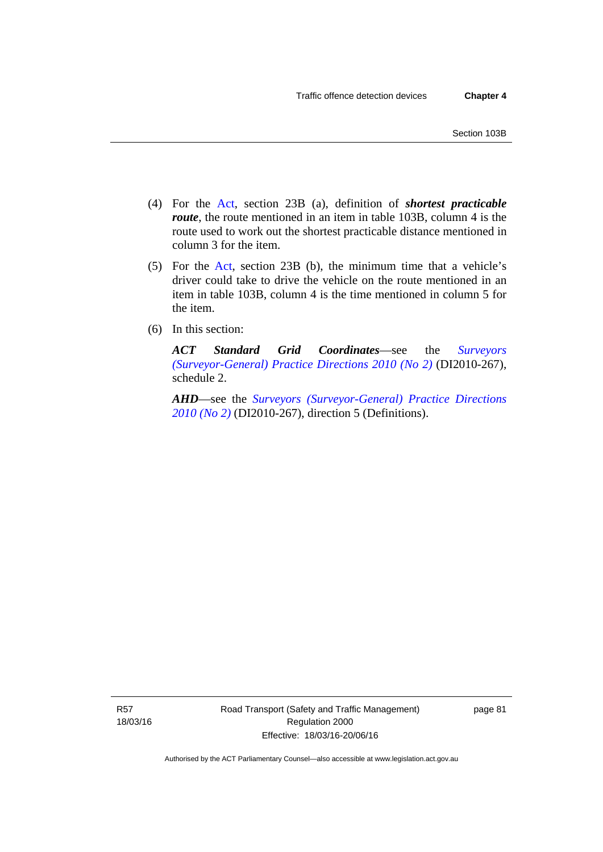- (4) For the [Act,](http://www.legislation.act.gov.au/a/1999-80/default.asp) section 23B (a), definition of *shortest practicable route*, the route mentioned in an item in table 103B, column 4 is the route used to work out the shortest practicable distance mentioned in column 3 for the item.
- (5) For the [Act](http://www.legislation.act.gov.au/a/1999-80/default.asp), section 23B (b), the minimum time that a vehicle's driver could take to drive the vehicle on the route mentioned in an item in table 103B, column 4 is the time mentioned in column 5 for the item.
- (6) In this section:

*ACT Standard Grid Coordinates*—see the *[Surveyors](http://www.legislation.act.gov.au/di/2010-267/default.asp)  [\(Surveyor-General\) Practice Directions 2010 \(No 2\)](http://www.legislation.act.gov.au/di/2010-267/default.asp)* (DI2010-267), schedule 2.

*AHD*—see the *[Surveyors \(Surveyor-General\) Practice Directions](http://www.legislation.act.gov.au/di/2010-267/default.asp)  [2010 \(No 2\)](http://www.legislation.act.gov.au/di/2010-267/default.asp)* (DI2010-267), direction 5 (Definitions).

R57 18/03/16 page 81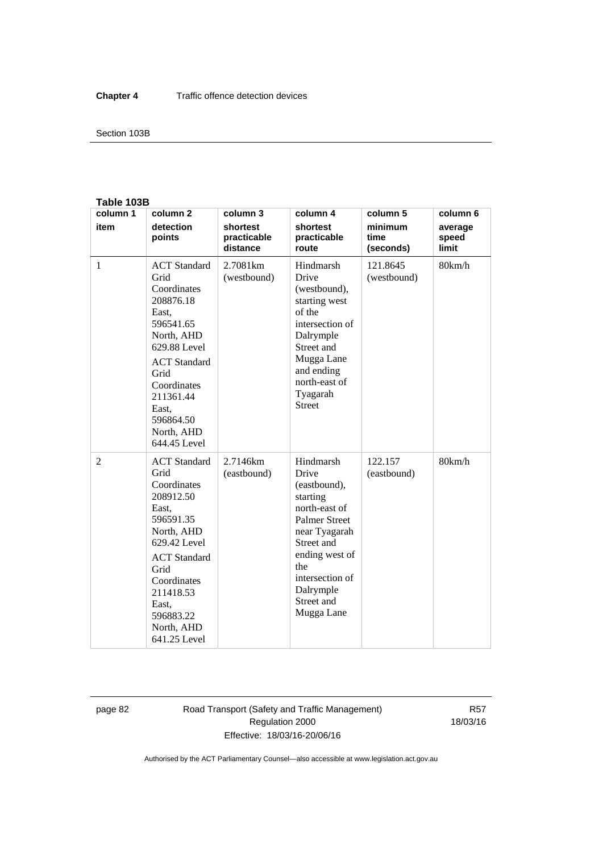#### Section 103B

### **Table 103B**

| column 1       | column <sub>2</sub>                                                                                                                                                                                                        | column 3                            | column 4                                                                                                                                                                                                    | column 5                     | column 6                  |
|----------------|----------------------------------------------------------------------------------------------------------------------------------------------------------------------------------------------------------------------------|-------------------------------------|-------------------------------------------------------------------------------------------------------------------------------------------------------------------------------------------------------------|------------------------------|---------------------------|
| item           | detection<br>points                                                                                                                                                                                                        | shortest<br>practicable<br>distance | shortest<br>practicable<br>route                                                                                                                                                                            | minimum<br>time<br>(seconds) | average<br>speed<br>limit |
| $\mathbf{1}$   | <b>ACT</b> Standard<br>Grid<br>Coordinates<br>208876.18<br>East,<br>596541.65<br>North, AHD<br>629.88 Level<br><b>ACT</b> Standard<br>Grid<br>Coordinates<br>211361.44<br>East,<br>596864.50<br>North, AHD<br>644.45 Level | 2.7081km<br>(westbound)             | Hindmarsh<br>Drive<br>(westbound),<br>starting west<br>of the<br>intersection of<br>Dalrymple<br>Street and<br>Mugga Lane<br>and ending<br>north-east of<br>Tyagarah<br><b>Street</b>                       | 121.8645<br>(westbound)      | 80km/h                    |
| $\overline{2}$ | <b>ACT</b> Standard<br>Grid<br>Coordinates<br>208912.50<br>East,<br>596591.35<br>North, AHD<br>629.42 Level<br><b>ACT</b> Standard<br>Grid<br>Coordinates<br>211418.53<br>East,<br>596883.22<br>North, AHD<br>641.25 Level | 2.7146km<br>(eastbound)             | Hindmarsh<br>Drive<br>(eastbound),<br>starting<br>north-east of<br><b>Palmer Street</b><br>near Tyagarah<br>Street and<br>ending west of<br>the<br>intersection of<br>Dalrymple<br>Street and<br>Mugga Lane | 122.157<br>(eastbound)       | 80km/h                    |

page 82 Road Transport (Safety and Traffic Management) Regulation 2000 Effective: 18/03/16-20/06/16

R57 18/03/16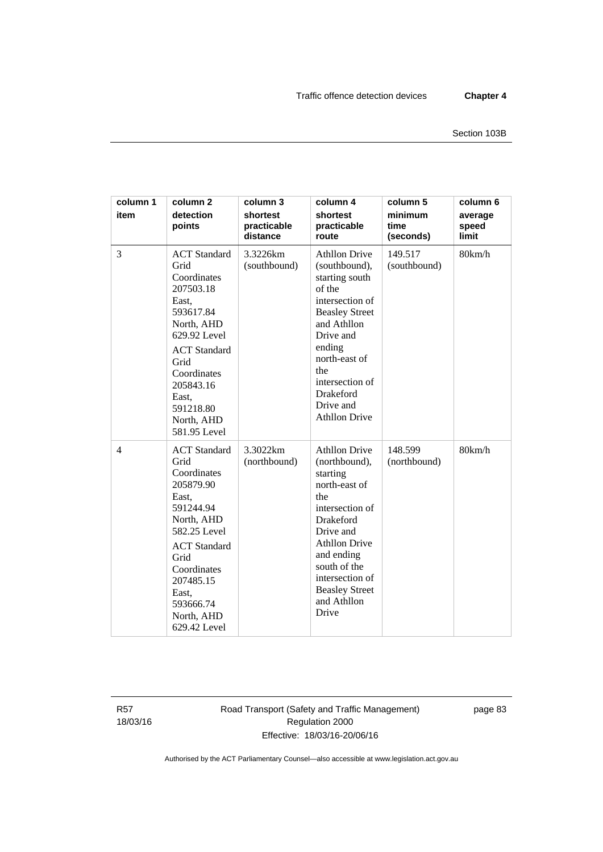| column 1<br>item | column <sub>2</sub><br>detection<br>points                                                                                                                                                                                 | column 3<br>shortest<br>practicable<br>distance | column 4<br>shortest<br>practicable<br>route                                                                                                                                                                                                            | column 5<br>minimum<br>time<br>(seconds) | column 6<br>average<br>speed<br>limit |
|------------------|----------------------------------------------------------------------------------------------------------------------------------------------------------------------------------------------------------------------------|-------------------------------------------------|---------------------------------------------------------------------------------------------------------------------------------------------------------------------------------------------------------------------------------------------------------|------------------------------------------|---------------------------------------|
| 3                | <b>ACT</b> Standard<br>Grid<br>Coordinates<br>207503.18<br>East,<br>593617.84<br>North, AHD<br>629.92 Level<br><b>ACT</b> Standard<br>Grid<br>Coordinates<br>205843.16<br>East,<br>591218.80<br>North, AHD<br>581.95 Level | 3.3226km<br>(southbound)                        | <b>Athllon Drive</b><br>(southbound),<br>starting south<br>of the<br>intersection of<br><b>Beasley Street</b><br>and Athllon<br>Drive and<br>ending<br>north-east of<br>the<br>intersection of<br>Drakeford<br>Drive and<br><b>Athllon Drive</b>        | 149.517<br>(southbound)                  | 80km/h                                |
| $\overline{4}$   | <b>ACT</b> Standard<br>Grid<br>Coordinates<br>205879.90<br>East,<br>591244.94<br>North, AHD<br>582.25 Level<br><b>ACT</b> Standard<br>Grid<br>Coordinates<br>207485.15<br>East,<br>593666.74<br>North, AHD<br>629.42 Level | 3.3022km<br>(northbound)                        | <b>Athllon Drive</b><br>(northbound),<br>starting<br>north-east of<br>the<br>intersection of<br><b>Drakeford</b><br>Drive and<br><b>Athllon Drive</b><br>and ending<br>south of the<br>intersection of<br><b>Beasley Street</b><br>and Athllon<br>Drive | 148.599<br>(northbound)                  | 80km/h                                |

R57 18/03/16 Road Transport (Safety and Traffic Management) Regulation 2000 Effective: 18/03/16-20/06/16

page 83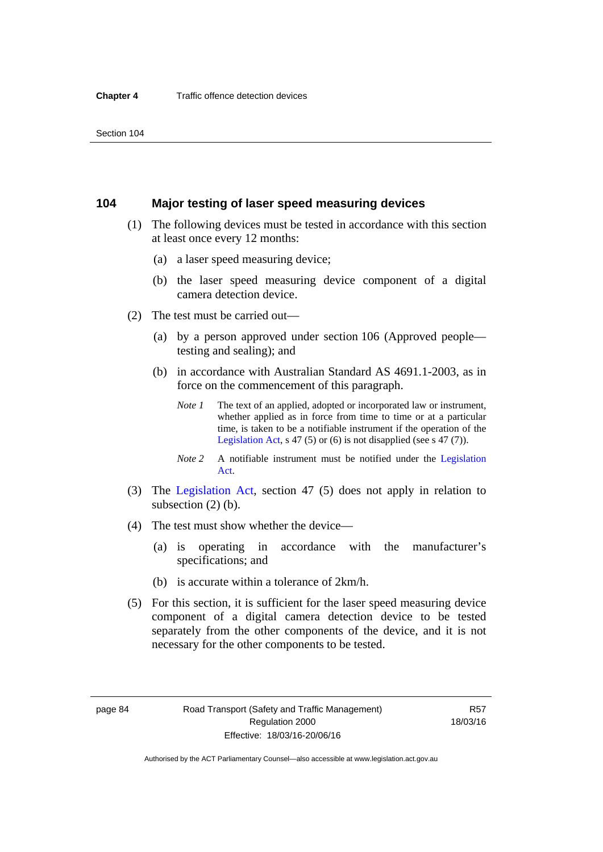### **104 Major testing of laser speed measuring devices**

- (1) The following devices must be tested in accordance with this section at least once every 12 months:
	- (a) a laser speed measuring device;
	- (b) the laser speed measuring device component of a digital camera detection device.
- (2) The test must be carried out—
	- (a) by a person approved under section 106 (Approved people testing and sealing); and
	- (b) in accordance with Australian Standard AS 4691.1-2003, as in force on the commencement of this paragraph.
		- *Note 1* The text of an applied, adopted or incorporated law or instrument, whether applied as in force from time to time or at a particular time, is taken to be a notifiable instrument if the operation of the [Legislation Act,](http://www.legislation.act.gov.au/a/2001-14) s 47 (5) or (6) is not disapplied (see s 47 (7)).
		- *Note 2* A notifiable instrument must be notified under the [Legislation](http://www.legislation.act.gov.au/a/2001-14)  [Act](http://www.legislation.act.gov.au/a/2001-14).
- (3) The [Legislation Act,](http://www.legislation.act.gov.au/a/2001-14) section 47 (5) does not apply in relation to subsection (2) (b).
- (4) The test must show whether the device—
	- (a) is operating in accordance with the manufacturer's specifications; and
	- (b) is accurate within a tolerance of 2km/h.
- (5) For this section, it is sufficient for the laser speed measuring device component of a digital camera detection device to be tested separately from the other components of the device, and it is not necessary for the other components to be tested.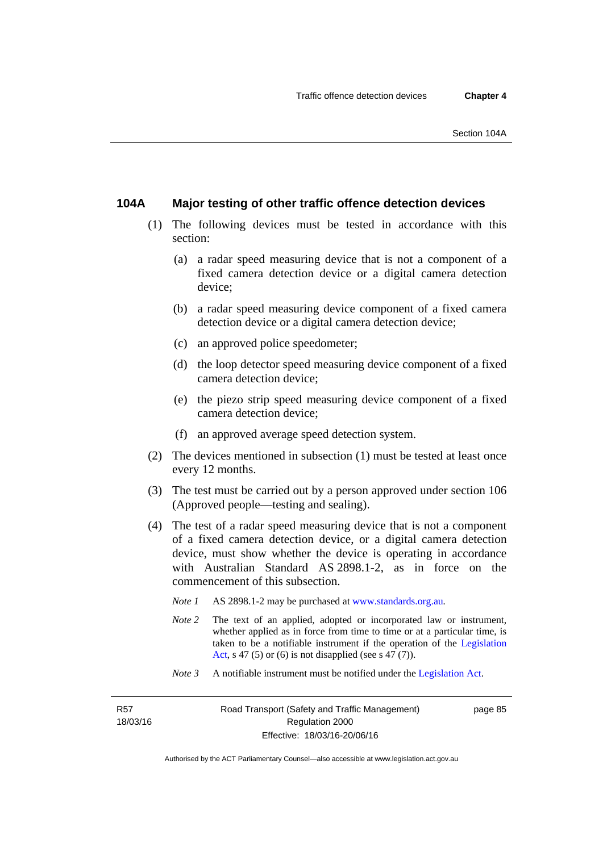### **104A Major testing of other traffic offence detection devices**

- (1) The following devices must be tested in accordance with this section:
	- (a) a radar speed measuring device that is not a component of a fixed camera detection device or a digital camera detection device;
	- (b) a radar speed measuring device component of a fixed camera detection device or a digital camera detection device;
	- (c) an approved police speedometer;
	- (d) the loop detector speed measuring device component of a fixed camera detection device;
	- (e) the piezo strip speed measuring device component of a fixed camera detection device;
	- (f) an approved average speed detection system.
- (2) The devices mentioned in subsection (1) must be tested at least once every 12 months.
- (3) The test must be carried out by a person approved under section 106 (Approved people—testing and sealing).
- (4) The test of a radar speed measuring device that is not a component of a fixed camera detection device, or a digital camera detection device, must show whether the device is operating in accordance with Australian Standard AS 2898.1-2, as in force on the commencement of this subsection.
	- *Note 1* AS 2898.1-2 may be purchased at [www.standards.org.au](http://www.standards.org.au/Pages/default.aspx)*.*
	- *Note* 2 The text of an applied, adopted or incorporated law or instrument, whether applied as in force from time to time or at a particular time, is taken to be a notifiable instrument if the operation of the [Legislation](http://www.legislation.act.gov.au/a/2001-14)  [Act,](http://www.legislation.act.gov.au/a/2001-14) s 47 (5) or (6) is not disapplied (see s 47 (7)).
	- *Note 3* A notifiable instrument must be notified under the [Legislation Act](http://www.legislation.act.gov.au/a/2001-14).

R57 18/03/16 page 85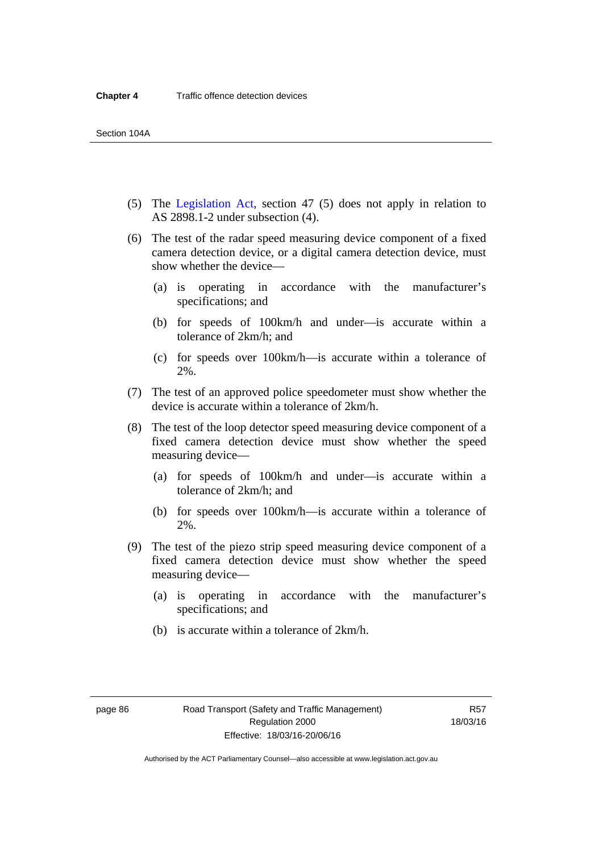- (5) The [Legislation Act,](http://www.legislation.act.gov.au/a/2001-14) section 47 (5) does not apply in relation to AS 2898.1-2 under subsection (4).
- (6) The test of the radar speed measuring device component of a fixed camera detection device, or a digital camera detection device, must show whether the device—
	- (a) is operating in accordance with the manufacturer's specifications; and
	- (b) for speeds of 100km/h and under—is accurate within a tolerance of 2km/h; and
	- (c) for speeds over 100km/h—is accurate within a tolerance of 2%.
- (7) The test of an approved police speedometer must show whether the device is accurate within a tolerance of 2km/h.
- (8) The test of the loop detector speed measuring device component of a fixed camera detection device must show whether the speed measuring device—
	- (a) for speeds of 100km/h and under—is accurate within a tolerance of 2km/h; and
	- (b) for speeds over 100km/h—is accurate within a tolerance of 2%.
- (9) The test of the piezo strip speed measuring device component of a fixed camera detection device must show whether the speed measuring device—
	- (a) is operating in accordance with the manufacturer's specifications; and
	- (b) is accurate within a tolerance of 2km/h.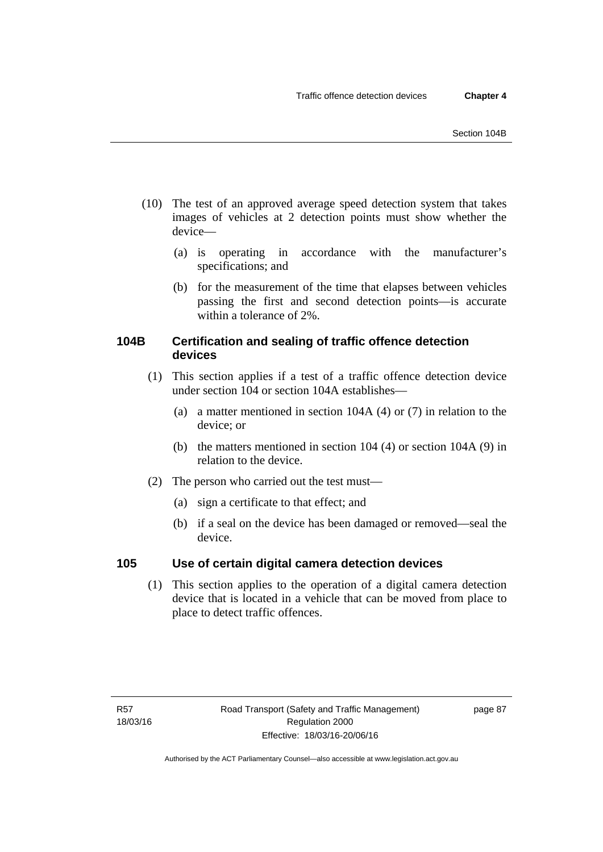- (10) The test of an approved average speed detection system that takes images of vehicles at 2 detection points must show whether the device—
	- (a) is operating in accordance with the manufacturer's specifications; and
	- (b) for the measurement of the time that elapses between vehicles passing the first and second detection points—is accurate within a tolerance of 2%.

# **104B Certification and sealing of traffic offence detection devices**

- (1) This section applies if a test of a traffic offence detection device under section 104 or section 104A establishes—
	- (a) a matter mentioned in section 104A (4) or (7) in relation to the device; or
	- (b) the matters mentioned in section 104 (4) or section 104A (9) in relation to the device.
- (2) The person who carried out the test must—
	- (a) sign a certificate to that effect; and
	- (b) if a seal on the device has been damaged or removed—seal the device.

# **105 Use of certain digital camera detection devices**

(1) This section applies to the operation of a digital camera detection device that is located in a vehicle that can be moved from place to place to detect traffic offences.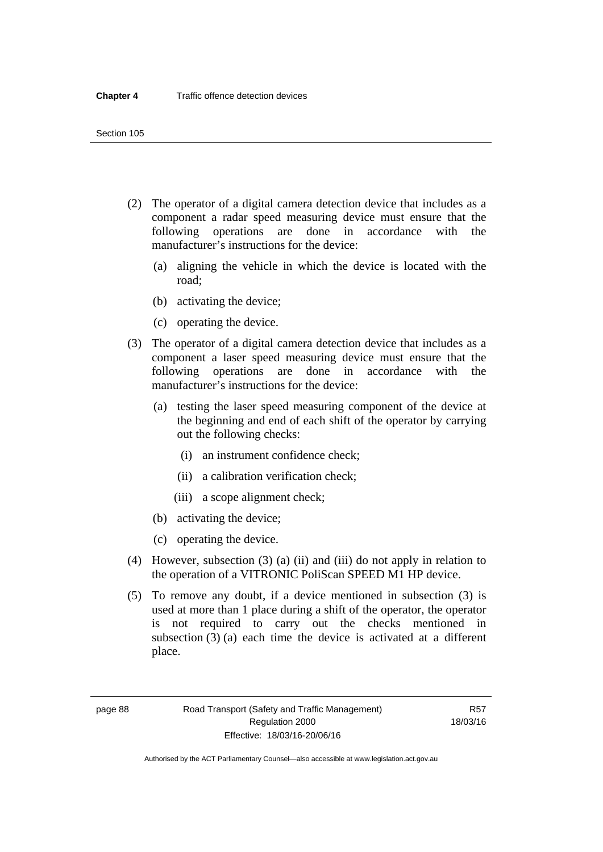- (2) The operator of a digital camera detection device that includes as a component a radar speed measuring device must ensure that the following operations are done in accordance with the manufacturer's instructions for the device:
	- (a) aligning the vehicle in which the device is located with the road;
	- (b) activating the device;
	- (c) operating the device.
- (3) The operator of a digital camera detection device that includes as a component a laser speed measuring device must ensure that the following operations are done in accordance with the manufacturer's instructions for the device:
	- (a) testing the laser speed measuring component of the device at the beginning and end of each shift of the operator by carrying out the following checks:
		- (i) an instrument confidence check;
		- (ii) a calibration verification check;
		- (iii) a scope alignment check;
	- (b) activating the device;
	- (c) operating the device.
- (4) However, subsection (3) (a) (ii) and (iii) do not apply in relation to the operation of a VITRONIC PoliScan SPEED M1 HP device.
- (5) To remove any doubt, if a device mentioned in subsection (3) is used at more than 1 place during a shift of the operator, the operator is not required to carry out the checks mentioned in subsection (3) (a) each time the device is activated at a different place.

page 88 Road Transport (Safety and Traffic Management) Regulation 2000 Effective: 18/03/16-20/06/16

R57 18/03/16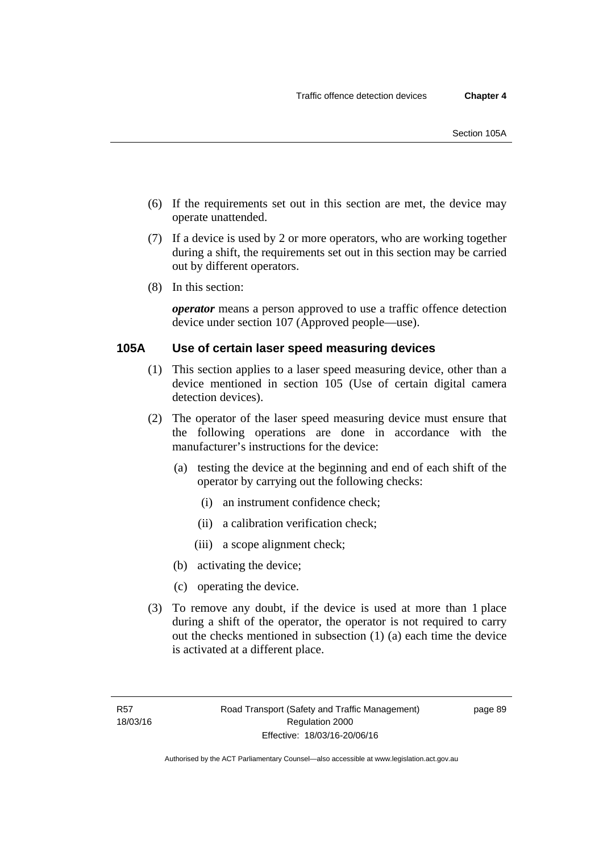- (6) If the requirements set out in this section are met, the device may operate unattended.
- (7) If a device is used by 2 or more operators, who are working together during a shift, the requirements set out in this section may be carried out by different operators.
- (8) In this section:

*operator* means a person approved to use a traffic offence detection device under section 107 (Approved people—use).

## **105A Use of certain laser speed measuring devices**

- (1) This section applies to a laser speed measuring device, other than a device mentioned in section 105 (Use of certain digital camera detection devices).
- (2) The operator of the laser speed measuring device must ensure that the following operations are done in accordance with the manufacturer's instructions for the device:
	- (a) testing the device at the beginning and end of each shift of the operator by carrying out the following checks:
		- (i) an instrument confidence check;
		- (ii) a calibration verification check;
		- (iii) a scope alignment check;
	- (b) activating the device;
	- (c) operating the device.
- (3) To remove any doubt, if the device is used at more than 1 place during a shift of the operator, the operator is not required to carry out the checks mentioned in subsection (1) (a) each time the device is activated at a different place.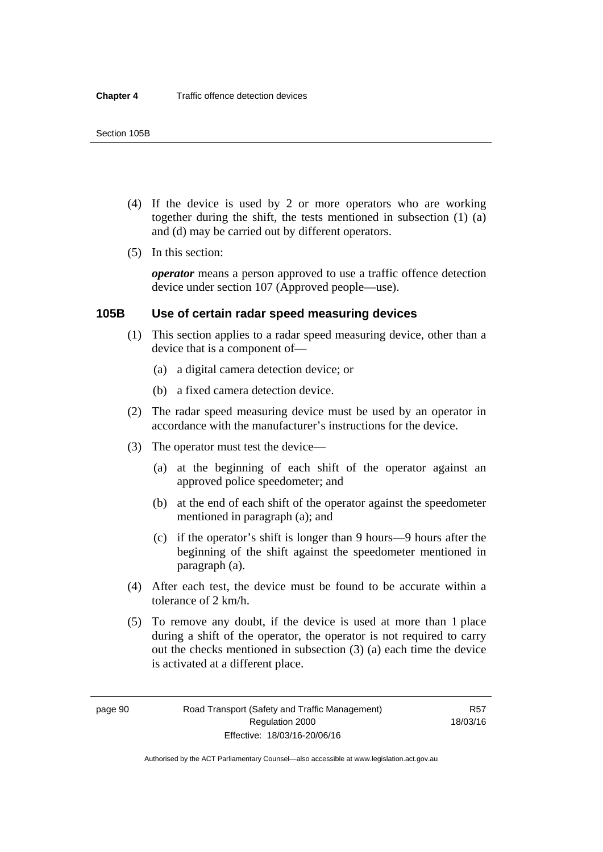- (4) If the device is used by 2 or more operators who are working together during the shift, the tests mentioned in subsection (1) (a) and (d) may be carried out by different operators.
- (5) In this section:

*operator* means a person approved to use a traffic offence detection device under section 107 (Approved people—use).

### **105B Use of certain radar speed measuring devices**

- (1) This section applies to a radar speed measuring device, other than a device that is a component of—
	- (a) a digital camera detection device; or
	- (b) a fixed camera detection device.
- (2) The radar speed measuring device must be used by an operator in accordance with the manufacturer's instructions for the device.
- (3) The operator must test the device—
	- (a) at the beginning of each shift of the operator against an approved police speedometer; and
	- (b) at the end of each shift of the operator against the speedometer mentioned in paragraph (a); and
	- (c) if the operator's shift is longer than 9 hours—9 hours after the beginning of the shift against the speedometer mentioned in paragraph (a).
- (4) After each test, the device must be found to be accurate within a tolerance of 2 km/h.
- (5) To remove any doubt, if the device is used at more than 1 place during a shift of the operator, the operator is not required to carry out the checks mentioned in subsection (3) (a) each time the device is activated at a different place.

page 90 Road Transport (Safety and Traffic Management) Regulation 2000 Effective: 18/03/16-20/06/16

R57 18/03/16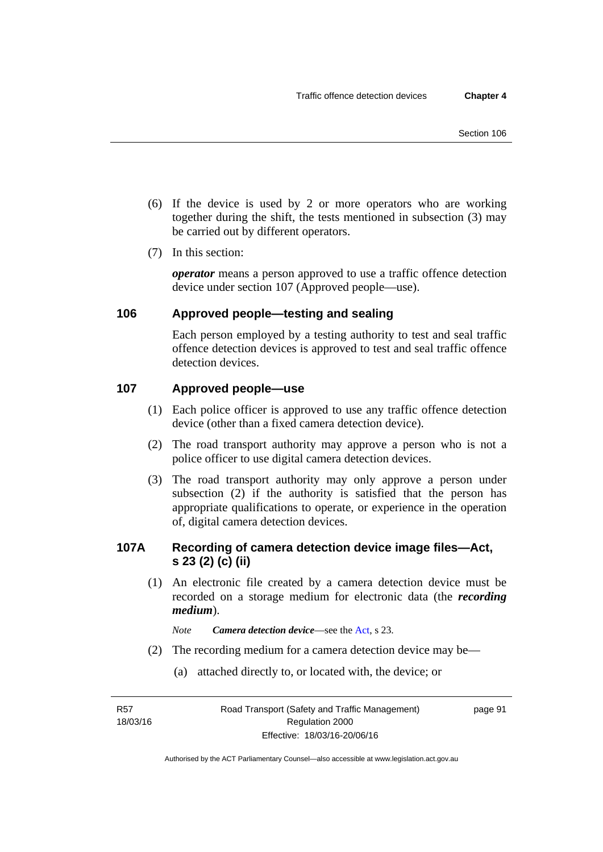- (6) If the device is used by 2 or more operators who are working together during the shift, the tests mentioned in subsection (3) may be carried out by different operators.
- (7) In this section:

*operator* means a person approved to use a traffic offence detection device under section 107 (Approved people—use).

# **106 Approved people—testing and sealing**

Each person employed by a testing authority to test and seal traffic offence detection devices is approved to test and seal traffic offence detection devices.

## **107 Approved people—use**

- (1) Each police officer is approved to use any traffic offence detection device (other than a fixed camera detection device).
- (2) The road transport authority may approve a person who is not a police officer to use digital camera detection devices.
- (3) The road transport authority may only approve a person under subsection (2) if the authority is satisfied that the person has appropriate qualifications to operate, or experience in the operation of, digital camera detection devices.

# **107A Recording of camera detection device image files—Act, s 23 (2) (c) (ii)**

(1) An electronic file created by a camera detection device must be recorded on a storage medium for electronic data (the *recording medium*).

*Note Camera detection device*—see the [Act](http://www.legislation.act.gov.au/a/1999-80/default.asp), s 23.

- (2) The recording medium for a camera detection device may be—
	- (a) attached directly to, or located with, the device; or

R57 18/03/16 page 91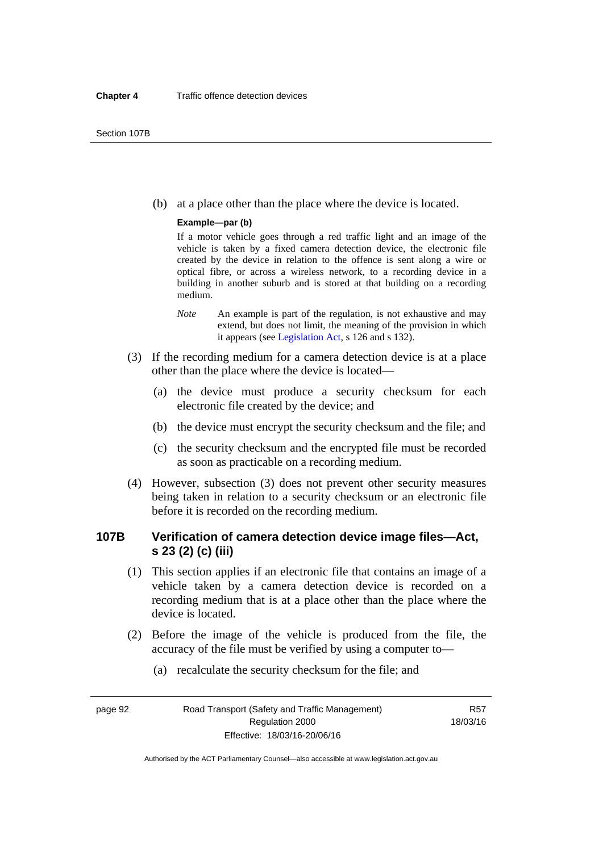(b) at a place other than the place where the device is located.

#### **Example—par (b)**

If a motor vehicle goes through a red traffic light and an image of the vehicle is taken by a fixed camera detection device, the electronic file created by the device in relation to the offence is sent along a wire or optical fibre, or across a wireless network, to a recording device in a building in another suburb and is stored at that building on a recording medium.

- *Note* An example is part of the regulation, is not exhaustive and may extend, but does not limit, the meaning of the provision in which it appears (see [Legislation Act,](http://www.legislation.act.gov.au/a/2001-14) s 126 and s 132).
- (3) If the recording medium for a camera detection device is at a place other than the place where the device is located—
	- (a) the device must produce a security checksum for each electronic file created by the device; and
	- (b) the device must encrypt the security checksum and the file; and
	- (c) the security checksum and the encrypted file must be recorded as soon as practicable on a recording medium.
- (4) However, subsection (3) does not prevent other security measures being taken in relation to a security checksum or an electronic file before it is recorded on the recording medium.

# **107B Verification of camera detection device image files—Act, s 23 (2) (c) (iii)**

- (1) This section applies if an electronic file that contains an image of a vehicle taken by a camera detection device is recorded on a recording medium that is at a place other than the place where the device is located.
- (2) Before the image of the vehicle is produced from the file, the accuracy of the file must be verified by using a computer to—
	- (a) recalculate the security checksum for the file; and

page 92 Road Transport (Safety and Traffic Management) Regulation 2000 Effective: 18/03/16-20/06/16

R57 18/03/16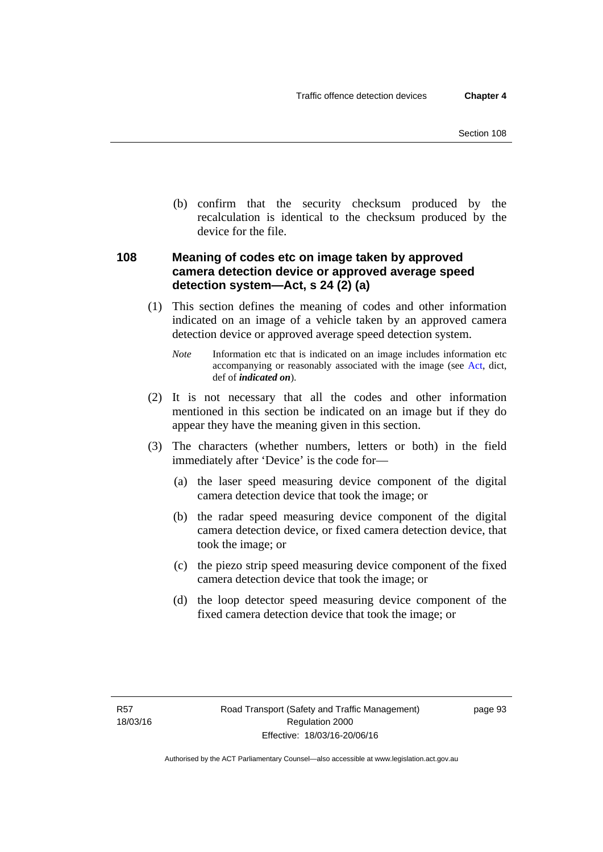(b) confirm that the security checksum produced by the recalculation is identical to the checksum produced by the device for the file.

# **108 Meaning of codes etc on image taken by approved camera detection device or approved average speed detection system—Act, s 24 (2) (a)**

(1) This section defines the meaning of codes and other information indicated on an image of a vehicle taken by an approved camera detection device or approved average speed detection system.

*Note* Information etc that is indicated on an image includes information etc accompanying or reasonably associated with the image (see [Act,](http://www.legislation.act.gov.au/a/1999-80/default.asp) dict, def of *indicated on*).

- (2) It is not necessary that all the codes and other information mentioned in this section be indicated on an image but if they do appear they have the meaning given in this section.
- (3) The characters (whether numbers, letters or both) in the field immediately after 'Device' is the code for—
	- (a) the laser speed measuring device component of the digital camera detection device that took the image; or
	- (b) the radar speed measuring device component of the digital camera detection device, or fixed camera detection device, that took the image; or
	- (c) the piezo strip speed measuring device component of the fixed camera detection device that took the image; or
	- (d) the loop detector speed measuring device component of the fixed camera detection device that took the image; or

page 93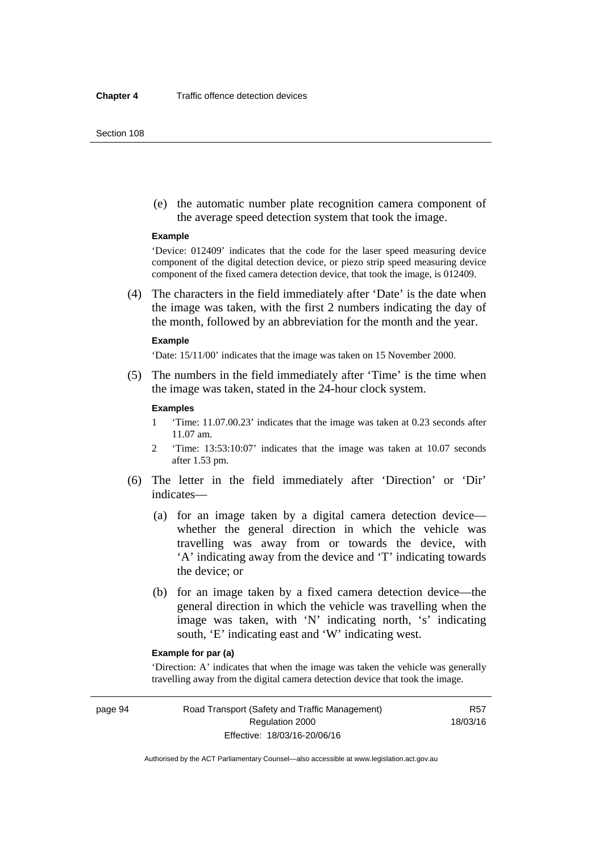#### Section 108

 (e) the automatic number plate recognition camera component of the average speed detection system that took the image.

#### **Example**

'Device: 012409' indicates that the code for the laser speed measuring device component of the digital detection device, or piezo strip speed measuring device component of the fixed camera detection device, that took the image, is 012409.

 (4) The characters in the field immediately after 'Date' is the date when the image was taken, with the first 2 numbers indicating the day of the month, followed by an abbreviation for the month and the year.

#### **Example**

'Date: 15/11/00' indicates that the image was taken on 15 November 2000.

 (5) The numbers in the field immediately after 'Time' is the time when the image was taken, stated in the 24-hour clock system.

#### **Examples**

- 1 'Time: 11.07.00.23' indicates that the image was taken at 0.23 seconds after 11.07 am.
- 2 'Time: 13:53:10:07' indicates that the image was taken at 10.07 seconds after 1.53 pm.
- (6) The letter in the field immediately after 'Direction' or 'Dir' indicates—
	- (a) for an image taken by a digital camera detection device whether the general direction in which the vehicle was travelling was away from or towards the device, with 'A' indicating away from the device and 'T' indicating towards the device; or
	- (b) for an image taken by a fixed camera detection device—the general direction in which the vehicle was travelling when the image was taken, with 'N' indicating north, 's' indicating south, 'E' indicating east and 'W' indicating west.

## **Example for par (a)**

'Direction: A' indicates that when the image was taken the vehicle was generally travelling away from the digital camera detection device that took the image.

page 94 Road Transport (Safety and Traffic Management) Regulation 2000 Effective: 18/03/16-20/06/16

R57 18/03/16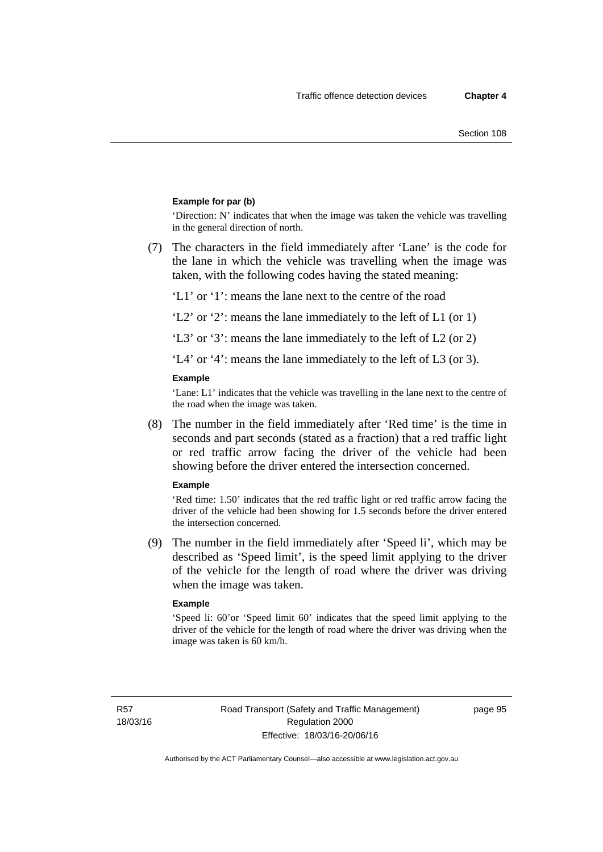#### **Example for par (b)**

'Direction: N' indicates that when the image was taken the vehicle was travelling in the general direction of north.

 (7) The characters in the field immediately after 'Lane' is the code for the lane in which the vehicle was travelling when the image was taken, with the following codes having the stated meaning:

'L1' or '1': means the lane next to the centre of the road

'L2' or '2': means the lane immediately to the left of L1 (or 1)

'L3' or '3': means the lane immediately to the left of L2 (or 2)

'L4' or '4': means the lane immediately to the left of L3 (or 3).

#### **Example**

'Lane: L1' indicates that the vehicle was travelling in the lane next to the centre of the road when the image was taken.

 (8) The number in the field immediately after 'Red time' is the time in seconds and part seconds (stated as a fraction) that a red traffic light or red traffic arrow facing the driver of the vehicle had been showing before the driver entered the intersection concerned.

#### **Example**

'Red time: 1.50' indicates that the red traffic light or red traffic arrow facing the driver of the vehicle had been showing for 1.5 seconds before the driver entered the intersection concerned.

 (9) The number in the field immediately after 'Speed li', which may be described as 'Speed limit', is the speed limit applying to the driver of the vehicle for the length of road where the driver was driving when the image was taken.

#### **Example**

'Speed li: 60'or 'Speed limit 60' indicates that the speed limit applying to the driver of the vehicle for the length of road where the driver was driving when the image was taken is 60 km/h.

R57 18/03/16 page 95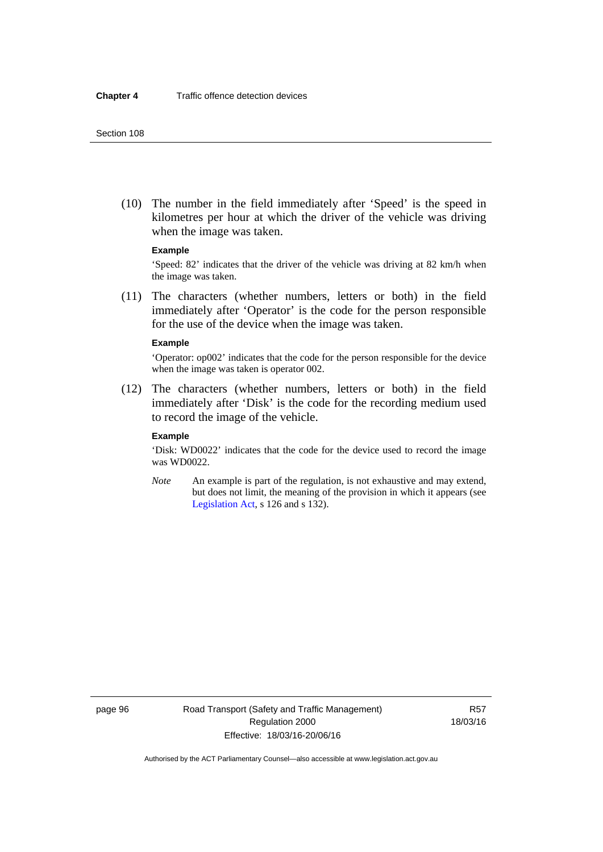(10) The number in the field immediately after 'Speed' is the speed in kilometres per hour at which the driver of the vehicle was driving when the image was taken.

#### **Example**

'Speed: 82' indicates that the driver of the vehicle was driving at 82 km/h when the image was taken.

 (11) The characters (whether numbers, letters or both) in the field immediately after 'Operator' is the code for the person responsible for the use of the device when the image was taken.

#### **Example**

'Operator: op002' indicates that the code for the person responsible for the device when the image was taken is operator 002.

 (12) The characters (whether numbers, letters or both) in the field immediately after 'Disk' is the code for the recording medium used to record the image of the vehicle.

#### **Example**

'Disk: WD0022' indicates that the code for the device used to record the image was WD0022.

*Note* An example is part of the regulation, is not exhaustive and may extend, but does not limit, the meaning of the provision in which it appears (see [Legislation Act,](http://www.legislation.act.gov.au/a/2001-14) s 126 and s 132).

page 96 Road Transport (Safety and Traffic Management) Regulation 2000 Effective: 18/03/16-20/06/16

R57 18/03/16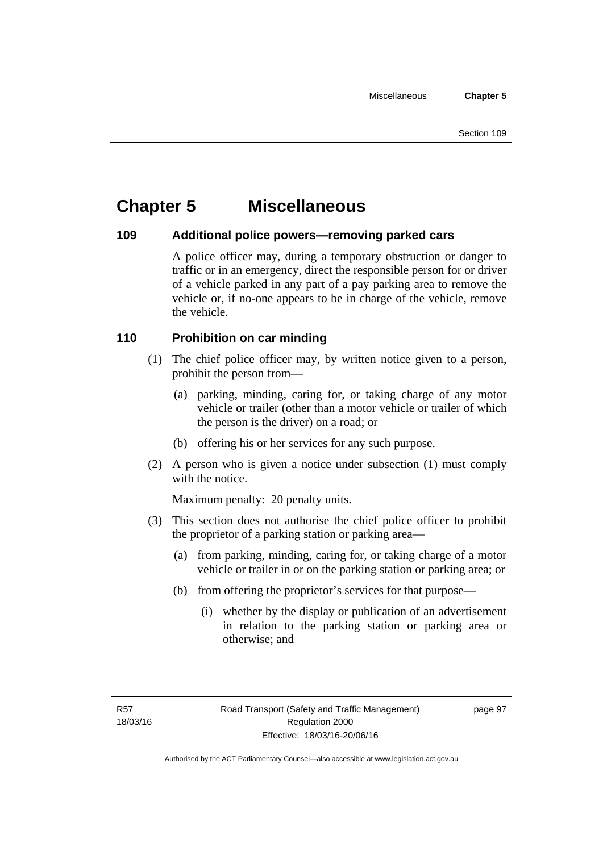# **Chapter 5 Miscellaneous**

# **109 Additional police powers—removing parked cars**

A police officer may, during a temporary obstruction or danger to traffic or in an emergency, direct the responsible person for or driver of a vehicle parked in any part of a pay parking area to remove the vehicle or, if no-one appears to be in charge of the vehicle, remove the vehicle.

# **110 Prohibition on car minding**

- (1) The chief police officer may, by written notice given to a person, prohibit the person from—
	- (a) parking, minding, caring for, or taking charge of any motor vehicle or trailer (other than a motor vehicle or trailer of which the person is the driver) on a road; or
	- (b) offering his or her services for any such purpose.
- (2) A person who is given a notice under subsection (1) must comply with the notice.

Maximum penalty: 20 penalty units.

- (3) This section does not authorise the chief police officer to prohibit the proprietor of a parking station or parking area—
	- (a) from parking, minding, caring for, or taking charge of a motor vehicle or trailer in or on the parking station or parking area; or
	- (b) from offering the proprietor's services for that purpose—
		- (i) whether by the display or publication of an advertisement in relation to the parking station or parking area or otherwise; and

page 97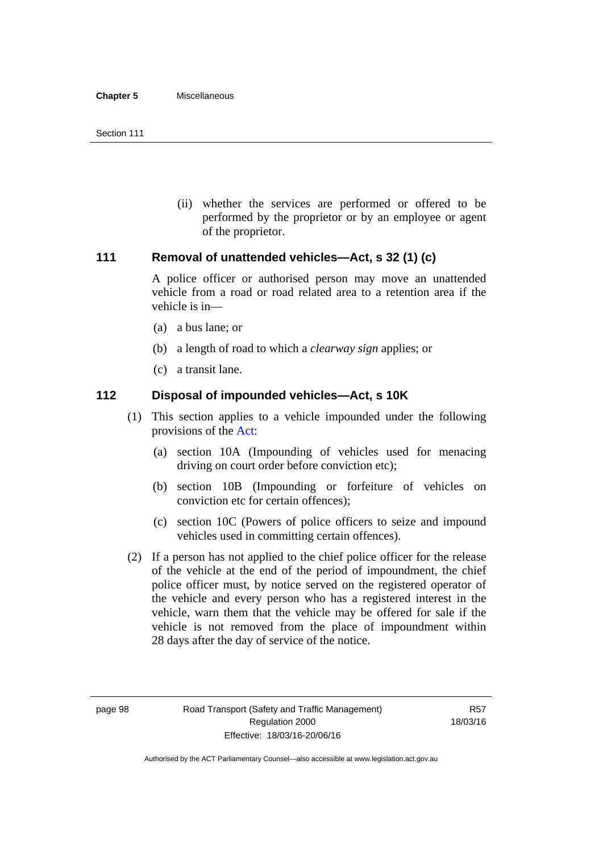(ii) whether the services are performed or offered to be performed by the proprietor or by an employee or agent of the proprietor.

# **111 Removal of unattended vehicles—Act, s 32 (1) (c)**

A police officer or authorised person may move an unattended vehicle from a road or road related area to a retention area if the vehicle is in—

- (a) a bus lane; or
- (b) a length of road to which a *clearway sign* applies; or
- (c) a transit lane.

# **112 Disposal of impounded vehicles—Act, s 10K**

- (1) This section applies to a vehicle impounded under the following provisions of the [Act:](http://www.legislation.act.gov.au/a/1999-80/default.asp)
	- (a) section 10A (Impounding of vehicles used for menacing driving on court order before conviction etc);
	- (b) section 10B (Impounding or forfeiture of vehicles on conviction etc for certain offences);
	- (c) section 10C (Powers of police officers to seize and impound vehicles used in committing certain offences).
- (2) If a person has not applied to the chief police officer for the release of the vehicle at the end of the period of impoundment, the chief police officer must, by notice served on the registered operator of the vehicle and every person who has a registered interest in the vehicle, warn them that the vehicle may be offered for sale if the vehicle is not removed from the place of impoundment within 28 days after the day of service of the notice.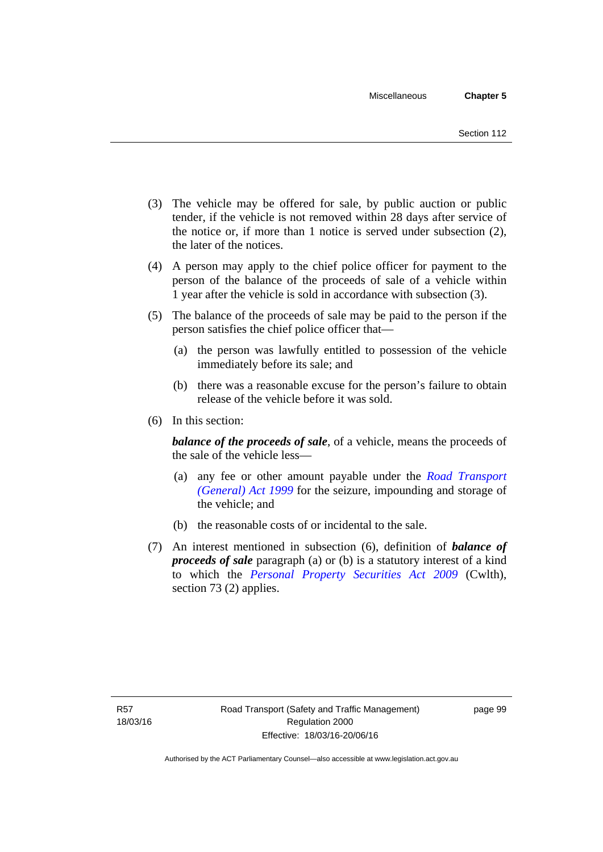- (3) The vehicle may be offered for sale, by public auction or public tender, if the vehicle is not removed within 28 days after service of the notice or, if more than 1 notice is served under subsection (2), the later of the notices.
- (4) A person may apply to the chief police officer for payment to the person of the balance of the proceeds of sale of a vehicle within 1 year after the vehicle is sold in accordance with subsection (3).
- (5) The balance of the proceeds of sale may be paid to the person if the person satisfies the chief police officer that—
	- (a) the person was lawfully entitled to possession of the vehicle immediately before its sale; and
	- (b) there was a reasonable excuse for the person's failure to obtain release of the vehicle before it was sold.
- (6) In this section:

*balance of the proceeds of sale*, of a vehicle, means the proceeds of the sale of the vehicle less—

- (a) any fee or other amount payable under the *[Road Transport](http://www.legislation.act.gov.au/a/1999-77)  [\(General\) Act 1999](http://www.legislation.act.gov.au/a/1999-77)* for the seizure, impounding and storage of the vehicle; and
- (b) the reasonable costs of or incidental to the sale.
- (7) An interest mentioned in subsection (6), definition of *balance of proceeds of sale* paragraph (a) or (b) is a statutory interest of a kind to which the *[Personal Property Securities Act 2009](http://www.comlaw.gov.au/Series/C2009A00130)* (Cwlth), section 73 (2) applies.

page 99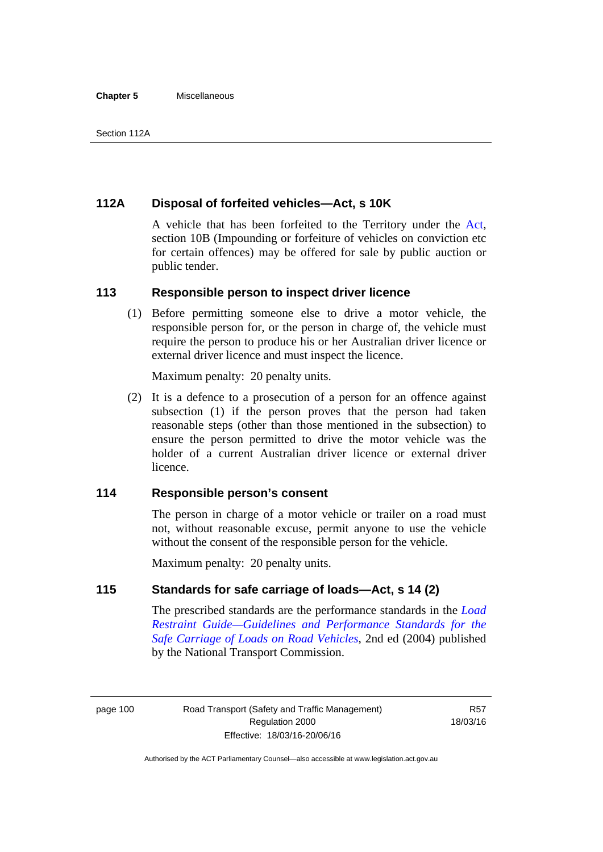#### **Chapter 5** Miscellaneous

# **112A Disposal of forfeited vehicles—Act, s 10K**

A vehicle that has been forfeited to the Territory under the [Act](http://www.legislation.act.gov.au/a/1999-80/default.asp), section 10B (Impounding or forfeiture of vehicles on conviction etc for certain offences) may be offered for sale by public auction or public tender.

## **113 Responsible person to inspect driver licence**

(1) Before permitting someone else to drive a motor vehicle, the responsible person for, or the person in charge of, the vehicle must require the person to produce his or her Australian driver licence or external driver licence and must inspect the licence.

Maximum penalty: 20 penalty units.

 (2) It is a defence to a prosecution of a person for an offence against subsection (1) if the person proves that the person had taken reasonable steps (other than those mentioned in the subsection) to ensure the person permitted to drive the motor vehicle was the holder of a current Australian driver licence or external driver licence.

# **114 Responsible person's consent**

The person in charge of a motor vehicle or trailer on a road must not, without reasonable excuse, permit anyone to use the vehicle without the consent of the responsible person for the vehicle.

Maximum penalty: 20 penalty units.

# **115 Standards for safe carriage of loads—Act, s 14 (2)**

The prescribed standards are the performance standards in the *[Load](http://www.ntc.gov.au/viewpage.aspx?documentid=862)  [Restraint Guide—Guidelines and Performance Standards for the](http://www.ntc.gov.au/viewpage.aspx?documentid=862)  [Safe Carriage of Loads on Road Vehicles](http://www.ntc.gov.au/viewpage.aspx?documentid=862)*, 2nd ed (2004) published by the National Transport Commission.

page 100 Road Transport (Safety and Traffic Management) Regulation 2000 Effective: 18/03/16-20/06/16

R57 18/03/16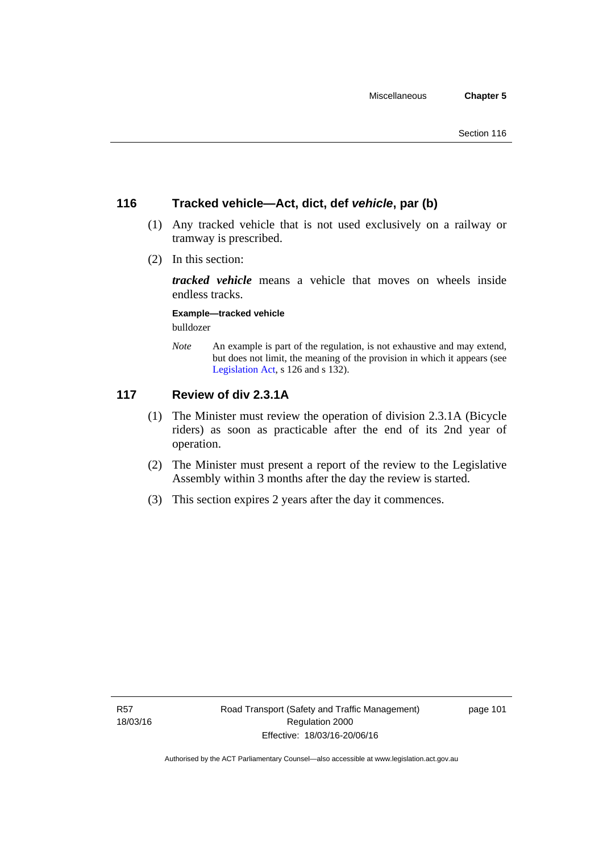# **116 Tracked vehicle—Act, dict, def** *vehicle***, par (b)**

- (1) Any tracked vehicle that is not used exclusively on a railway or tramway is prescribed.
- (2) In this section:

*tracked vehicle* means a vehicle that moves on wheels inside endless tracks.

**Example—tracked vehicle** 

bulldozer

*Note* An example is part of the regulation, is not exhaustive and may extend, but does not limit, the meaning of the provision in which it appears (see [Legislation Act,](http://www.legislation.act.gov.au/a/2001-14) s 126 and s 132).

# **117 Review of div 2.3.1A**

- (1) The Minister must review the operation of division 2.3.1A (Bicycle riders) as soon as practicable after the end of its 2nd year of operation.
- (2) The Minister must present a report of the review to the Legislative Assembly within 3 months after the day the review is started.
- (3) This section expires 2 years after the day it commences.

page 101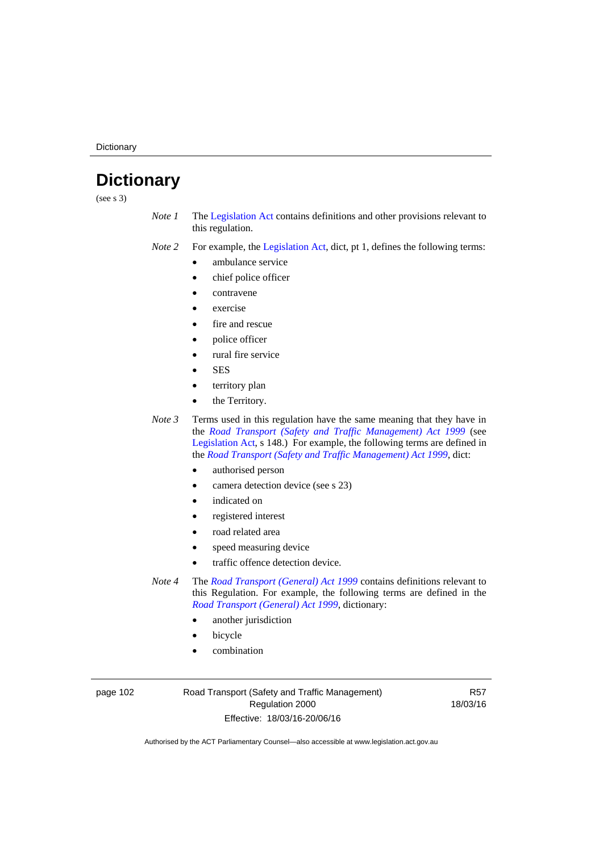**Dictionary** 

# **Dictionary**

(see s 3)

- *Note 1* The [Legislation Act](http://www.legislation.act.gov.au/a/2001-14) contains definitions and other provisions relevant to this regulation.
- *Note 2* For example, the [Legislation Act,](http://www.legislation.act.gov.au/a/2001-14) dict, pt 1, defines the following terms:
	- ambulance service
	- chief police officer
	- contravene
	- exercise
	- fire and rescue
	- police officer
	- rural fire service
	- **SES**
	- territory plan
	- the Territory.

*Note 3* Terms used in this regulation have the same meaning that they have in the *[Road Transport \(Safety and Traffic Management\) Act 1999](http://www.legislation.act.gov.au/a/1999-80)* (see [Legislation Act,](http://www.legislation.act.gov.au/a/2001-14) s 148.) For example, the following terms are defined in the *[Road Transport \(Safety and Traffic Management\) Act 1999](http://www.legislation.act.gov.au/a/1999-80)*, dict:

- authorised person
- camera detection device (see s 23)
- indicated on
- registered interest
- road related area
- speed measuring device
- traffic offence detection device.

*Note 4* The *[Road Transport \(General\) Act 1999](http://www.legislation.act.gov.au/a/1999-77)* contains definitions relevant to this Regulation. For example, the following terms are defined in the *[Road Transport \(General\) Act 1999](http://www.legislation.act.gov.au/a/1999-77)*, dictionary:

- another jurisdiction
- bicycle
- combination

page 102 Road Transport (Safety and Traffic Management) Regulation 2000 Effective: 18/03/16-20/06/16

R57 18/03/16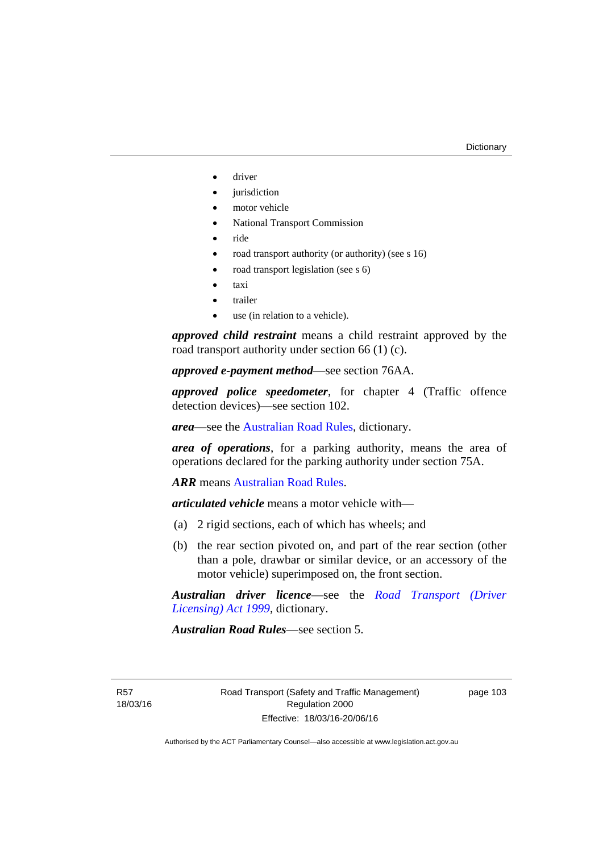- driver
- jurisdiction
- motor vehicle
- National Transport Commission
- ride
- road transport authority (or authority) (see s 16)
- road transport legislation (see s 6)
- taxi
- trailer
- use (in relation to a vehicle).

*approved child restraint* means a child restraint approved by the road transport authority under section 66 (1) (c).

*approved e-payment method*—see section 76AA.

*approved police speedometer*, for chapter 4 (Traffic offence detection devices)—see section 102.

*area*—see the [Australian Road Rules,](http://www.legislation.act.gov.au//ni/db_37271/default.asp) dictionary.

*area of operations*, for a parking authority, means the area of operations declared for the parking authority under section 75A.

*ARR* means [Australian Road Rules](http://www.legislation.act.gov.au//ni/db_37271/default.asp).

*articulated vehicle* means a motor vehicle with—

- (a) 2 rigid sections, each of which has wheels; and
- (b) the rear section pivoted on, and part of the rear section (other than a pole, drawbar or similar device, or an accessory of the motor vehicle) superimposed on, the front section.

*Australian driver licence*—see the *[Road Transport \(Driver](http://www.legislation.act.gov.au/a/1999-78)  [Licensing\) Act 1999](http://www.legislation.act.gov.au/a/1999-78)*, dictionary.

*Australian Road Rules*—see section 5.

R57 18/03/16 page 103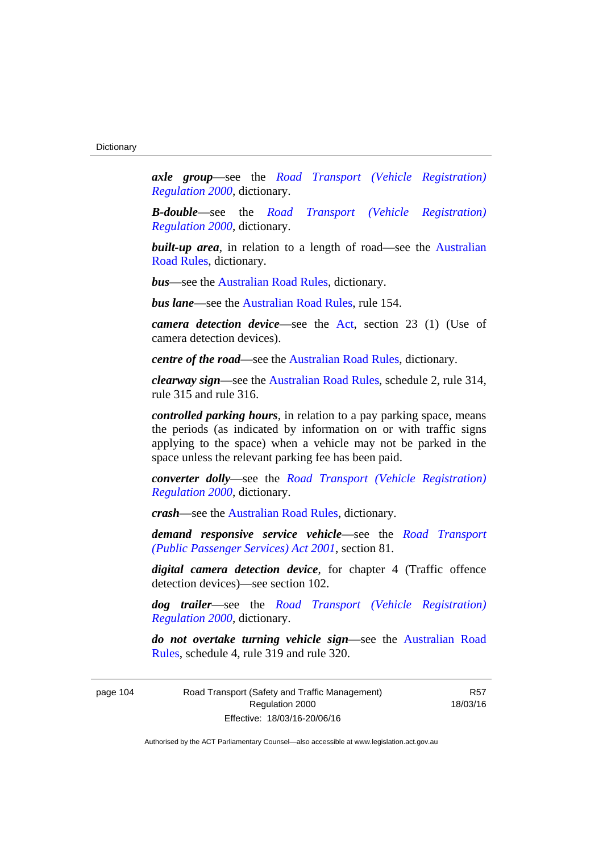*axle group*—see the *[Road Transport \(Vehicle Registration\)](http://www.legislation.act.gov.au/sl/2000-12)  [Regulation 2000](http://www.legislation.act.gov.au/sl/2000-12)*, dictionary.

*B-double*—see the *[Road Transport \(Vehicle Registration\)](http://www.legislation.act.gov.au/sl/2000-12)  [Regulation 2000](http://www.legislation.act.gov.au/sl/2000-12)*, dictionary.

**built-up area**, in relation to a length of road—see the Australian [Road Rules,](http://www.legislation.act.gov.au//ni/db_37271/default.asp) dictionary.

*bus*—see the [Australian Road Rules,](http://www.legislation.act.gov.au//ni/db_37271/default.asp) dictionary.

*bus lane*—see the [Australian Road Rules](http://www.legislation.act.gov.au//ni/db_37271/default.asp), rule 154.

*camera detection device*—see the [Act](http://www.legislation.act.gov.au/a/1999-80/default.asp), section 23 (1) (Use of camera detection devices).

*centre of the road*—see the [Australian Road Rules](http://www.legislation.act.gov.au//ni/db_37271/default.asp), dictionary.

*clearway sign*—see the [Australian Road Rules,](http://www.legislation.act.gov.au//ni/db_37271/default.asp) schedule 2, rule 314, rule 315 and rule 316.

*controlled parking hours*, in relation to a pay parking space, means the periods (as indicated by information on or with traffic signs applying to the space) when a vehicle may not be parked in the space unless the relevant parking fee has been paid.

*converter dolly*—see the *[Road Transport \(Vehicle Registration\)](http://www.legislation.act.gov.au/sl/2000-12)  [Regulation 2000](http://www.legislation.act.gov.au/sl/2000-12)*, dictionary.

*crash*—see the [Australian Road Rules](http://www.legislation.act.gov.au//ni/db_37271/default.asp), dictionary.

*demand responsive service vehicle*—see the *[Road Transport](http://www.legislation.act.gov.au/a/2001-62)  [\(Public Passenger Services\) Act 2001](http://www.legislation.act.gov.au/a/2001-62)*, section 81.

*digital camera detection device*, for chapter 4 (Traffic offence detection devices)—see section 102.

*dog trailer*—see the *[Road Transport \(Vehicle Registration\)](http://www.legislation.act.gov.au/sl/2000-12)  [Regulation 2000](http://www.legislation.act.gov.au/sl/2000-12)*, dictionary.

*do not overtake turning vehicle sign*—see the [Australian Road](http://www.legislation.act.gov.au//ni/db_37271/default.asp)  [Rules](http://www.legislation.act.gov.au//ni/db_37271/default.asp), schedule 4, rule 319 and rule 320.

page 104 Road Transport (Safety and Traffic Management) Regulation 2000 Effective: 18/03/16-20/06/16

R57 18/03/16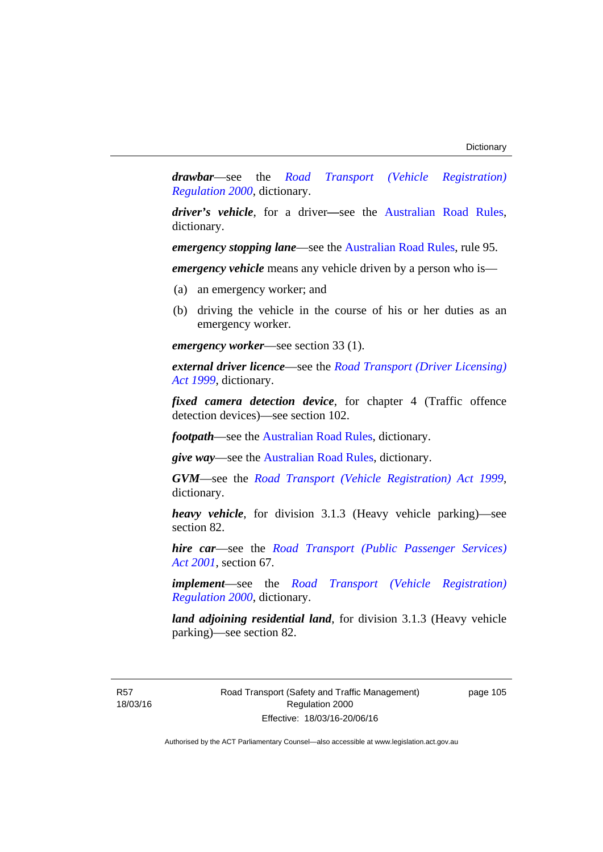*drawbar*—see the *[Road Transport \(Vehicle Registration\)](http://www.legislation.act.gov.au/sl/2000-12)  [Regulation 2000](http://www.legislation.act.gov.au/sl/2000-12)*, dictionary.

*driver's vehicle*, for a driver*—*see the [Australian Road Rules](http://www.legislation.act.gov.au//ni/db_37271/default.asp), dictionary.

*emergency stopping lane—see the [Australian Road Rules](http://www.legislation.act.gov.au//ni/db_37271/default.asp), rule 95.* 

*emergency vehicle* means any vehicle driven by a person who is—

- (a) an emergency worker; and
- (b) driving the vehicle in the course of his or her duties as an emergency worker.

*emergency worker*—see section 33 (1).

*external driver licence*—see the *[Road Transport \(Driver Licensing\)](http://www.legislation.act.gov.au/a/1999-78)  [Act 1999](http://www.legislation.act.gov.au/a/1999-78)*, dictionary.

*fixed camera detection device*, for chapter 4 (Traffic offence detection devices)—see section 102.

*footpath*—see the [Australian Road Rules](http://www.legislation.act.gov.au//ni/db_37271/default.asp), dictionary.

*give way*—see the [Australian Road Rules](http://www.legislation.act.gov.au//ni/db_37271/default.asp), dictionary.

*GVM*—see the *[Road Transport \(Vehicle Registration\) Act 1999](http://www.legislation.act.gov.au/a/1999-81)*, dictionary.

*heavy vehicle*, for division 3.1.3 (Heavy vehicle parking)—see section 82.

*hire car*—see the *[Road Transport \(Public Passenger Services\)](http://www.legislation.act.gov.au/a/2001-62)  [Act 2001](http://www.legislation.act.gov.au/a/2001-62)*, section 67.

*implement*—see the *[Road Transport \(Vehicle Registration\)](http://www.legislation.act.gov.au/sl/2000-12)  [Regulation 2000](http://www.legislation.act.gov.au/sl/2000-12)*, dictionary.

*land adjoining residential land*, for division 3.1.3 (Heavy vehicle parking)—see section 82.

R57 18/03/16 Road Transport (Safety and Traffic Management) Regulation 2000 Effective: 18/03/16-20/06/16

page 105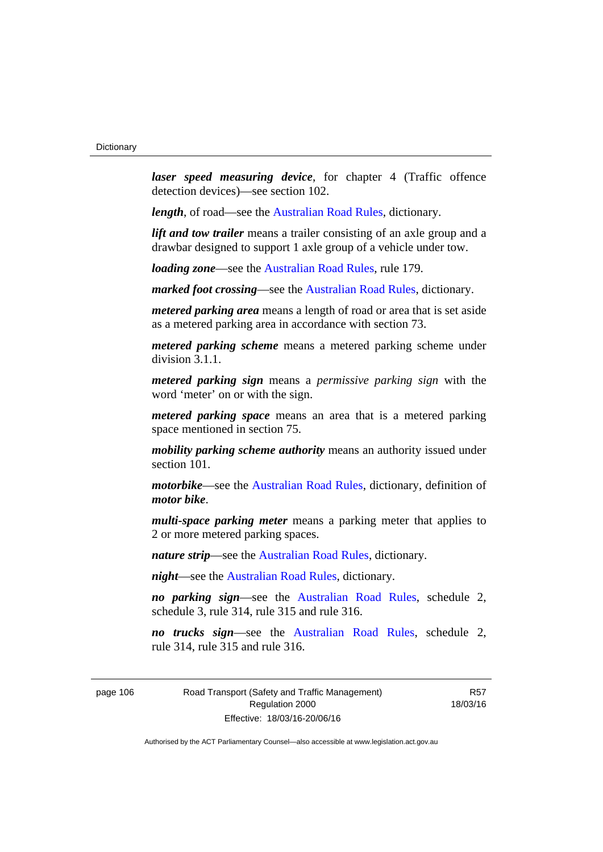*laser speed measuring device*, for chapter 4 (Traffic offence detection devices)—see section 102.

*length*, of road—see the [Australian Road Rules](http://www.legislation.act.gov.au//ni/db_37271/default.asp), dictionary.

*lift and tow trailer* means a trailer consisting of an axle group and a drawbar designed to support 1 axle group of a vehicle under tow.

*loading zone*—see the [Australian Road Rules,](http://www.legislation.act.gov.au//ni/db_37271/default.asp) rule 179.

*marked foot crossing*—see the [Australian Road Rules,](http://www.legislation.act.gov.au//ni/db_37271/default.asp) dictionary.

*metered parking area* means a length of road or area that is set aside as a metered parking area in accordance with section 73.

*metered parking scheme* means a metered parking scheme under division 3.1.1.

*metered parking sign* means a *permissive parking sign* with the word 'meter' on or with the sign.

*metered parking space* means an area that is a metered parking space mentioned in section 75.

*mobility parking scheme authority* means an authority issued under section 101.

*motorbike*—see the [Australian Road Rules,](http://www.legislation.act.gov.au//ni/db_37271/default.asp) dictionary, definition of *motor bike*.

*multi-space parking meter* means a parking meter that applies to 2 or more metered parking spaces.

*nature strip*—see the [Australian Road Rules](http://www.legislation.act.gov.au//ni/db_37271/default.asp), dictionary.

*night*—see the [Australian Road Rules,](http://www.legislation.act.gov.au//ni/db_37271/default.asp) dictionary.

*no parking sign*—see the [Australian Road Rules](http://www.legislation.act.gov.au//ni/db_37271/default.asp), schedule 2, schedule 3, rule 314, rule 315 and rule 316.

*no trucks sign*—see the [Australian Road Rules,](http://www.legislation.act.gov.au//ni/db_37271/default.asp) schedule 2, rule 314, rule 315 and rule 316.

page 106 Road Transport (Safety and Traffic Management) Regulation 2000 Effective: 18/03/16-20/06/16

R57 18/03/16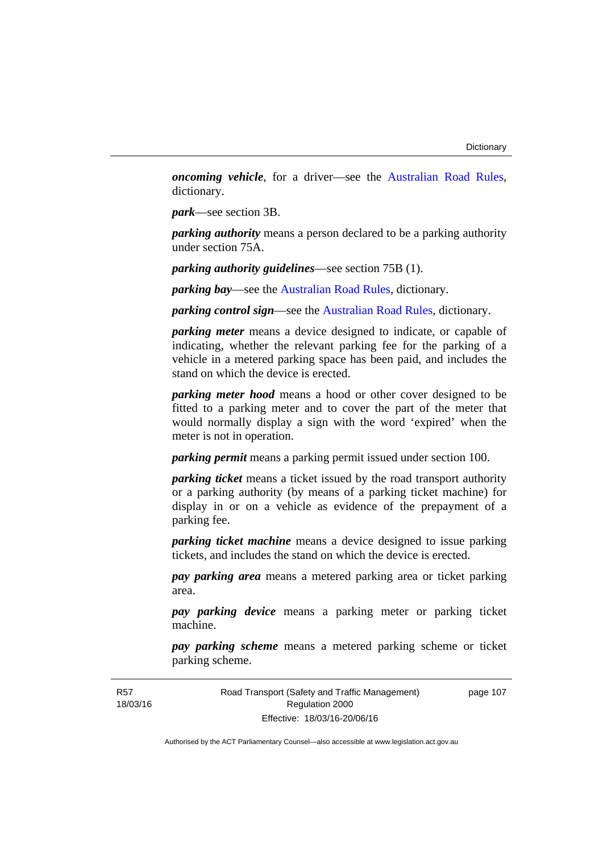*oncoming vehicle*, for a driver—see the [Australian Road Rules](http://www.legislation.act.gov.au//ni/db_37271/default.asp), dictionary.

*park*—see section 3B.

*parking authority* means a person declared to be a parking authority under section 75A.

*parking authority guidelines*—see section 75B (1).

*parking bay*—see the [Australian Road Rules,](http://www.legislation.act.gov.au//ni/db_37271/default.asp) dictionary.

*parking control sign*—see the [Australian Road Rules](http://www.legislation.act.gov.au//ni/db_37271/default.asp), dictionary.

*parking meter* means a device designed to indicate, or capable of indicating, whether the relevant parking fee for the parking of a vehicle in a metered parking space has been paid, and includes the stand on which the device is erected.

*parking meter hood* means a hood or other cover designed to be fitted to a parking meter and to cover the part of the meter that would normally display a sign with the word 'expired' when the meter is not in operation.

*parking permit* means a parking permit issued under section 100.

*parking ticket* means a ticket issued by the road transport authority or a parking authority (by means of a parking ticket machine) for display in or on a vehicle as evidence of the prepayment of a parking fee.

*parking ticket machine* means a device designed to issue parking tickets, and includes the stand on which the device is erected.

*pay parking area* means a metered parking area or ticket parking area.

*pay parking device* means a parking meter or parking ticket machine.

*pay parking scheme* means a metered parking scheme or ticket parking scheme.

Road Transport (Safety and Traffic Management) Regulation 2000 Effective: 18/03/16-20/06/16

page 107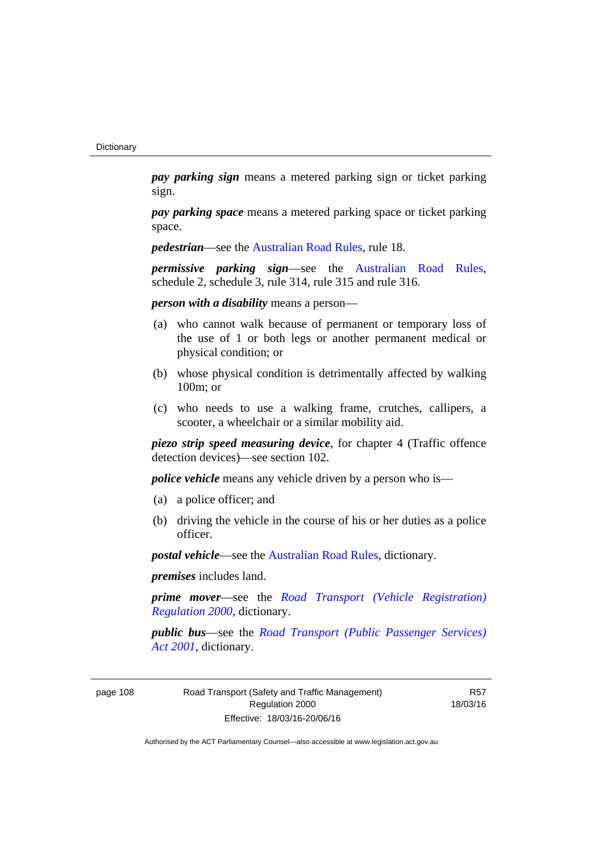*pay parking sign* means a metered parking sign or ticket parking sign.

*pay parking space* means a metered parking space or ticket parking space.

*pedestrian***—see the [Australian Road Rules](http://www.legislation.act.gov.au//ni/db_37271/default.asp)**, rule 18.

*permissive parking sign*—see the [Australian Road Rules](http://www.legislation.act.gov.au//ni/db_37271/default.asp), schedule 2, schedule 3, rule 314, rule 315 and rule 316.

*person with a disability* means a person—

- (a) who cannot walk because of permanent or temporary loss of the use of 1 or both legs or another permanent medical or physical condition; or
- (b) whose physical condition is detrimentally affected by walking 100m; or
- (c) who needs to use a walking frame, crutches, callipers, a scooter, a wheelchair or a similar mobility aid.

*piezo strip speed measuring device*, for chapter 4 (Traffic offence detection devices)—see section 102.

*police vehicle* means any vehicle driven by a person who is—

- (a) a police officer; and
- (b) driving the vehicle in the course of his or her duties as a police officer.

*postal vehicle*—see the [Australian Road Rules,](http://www.legislation.act.gov.au//ni/db_37271/default.asp) dictionary.

*premises* includes land.

*prime mover*—see the *[Road Transport \(Vehicle Registration\)](http://www.legislation.act.gov.au/sl/2000-12)  [Regulation 2000](http://www.legislation.act.gov.au/sl/2000-12)*, dictionary.

*public bus*—see the *[Road Transport \(Public Passenger Services\)](http://www.legislation.act.gov.au/a/2001-62)  [Act 2001](http://www.legislation.act.gov.au/a/2001-62)*, dictionary.

page 108 Road Transport (Safety and Traffic Management) Regulation 2000 Effective: 18/03/16-20/06/16

R57 18/03/16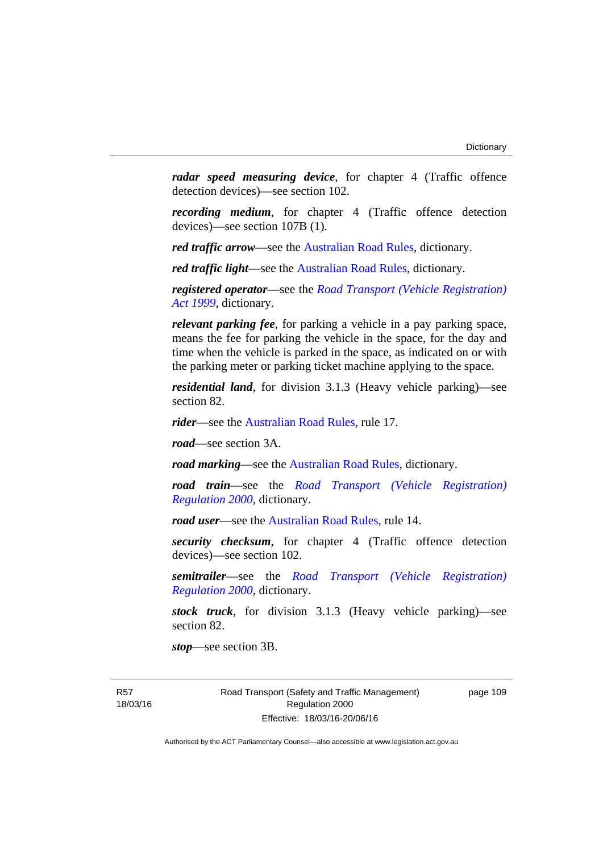*radar speed measuring device*, for chapter 4 (Traffic offence detection devices)—see section 102.

*recording medium*, for chapter 4 (Traffic offence detection devices)—see section 107B (1).

*red traffic arrow*—see the [Australian Road Rules,](http://www.legislation.act.gov.au//ni/db_37271/default.asp) dictionary.

*red traffic light*—see the [Australian Road Rules](http://www.legislation.act.gov.au//ni/db_37271/default.asp), dictionary.

*registered operator*—see the *[Road Transport \(Vehicle Registration\)](http://www.legislation.act.gov.au/a/1999-81)  [Act 1999](http://www.legislation.act.gov.au/a/1999-81)*, dictionary.

*relevant parking fee*, for parking a vehicle in a pay parking space, means the fee for parking the vehicle in the space, for the day and time when the vehicle is parked in the space, as indicated on or with the parking meter or parking ticket machine applying to the space.

*residential land*, for division 3.1.3 (Heavy vehicle parking)—see section 82.

*rider*—see the [Australian Road Rules,](http://www.legislation.act.gov.au//ni/db_37271/default.asp) rule 17.

*road*—see section 3A.

*road marking*—see the [Australian Road Rules](http://www.legislation.act.gov.au//ni/db_37271/default.asp), dictionary.

*road train*—see the *[Road Transport \(Vehicle Registration\)](http://www.legislation.act.gov.au/sl/2000-12)  [Regulation 2000](http://www.legislation.act.gov.au/sl/2000-12)*, dictionary.

*road user*—see the [Australian Road Rules,](http://www.legislation.act.gov.au//ni/db_37271/default.asp) rule 14.

*security checksum*, for chapter 4 (Traffic offence detection devices)—see section 102.

*semitrailer*—see the *[Road Transport \(Vehicle Registration\)](http://www.legislation.act.gov.au/sl/2000-12)  [Regulation 2000](http://www.legislation.act.gov.au/sl/2000-12)*, dictionary.

*stock truck*, for division 3.1.3 (Heavy vehicle parking)—see section 82.

*stop*—see section 3B.

R57 18/03/16 Road Transport (Safety and Traffic Management) Regulation 2000 Effective: 18/03/16-20/06/16

page 109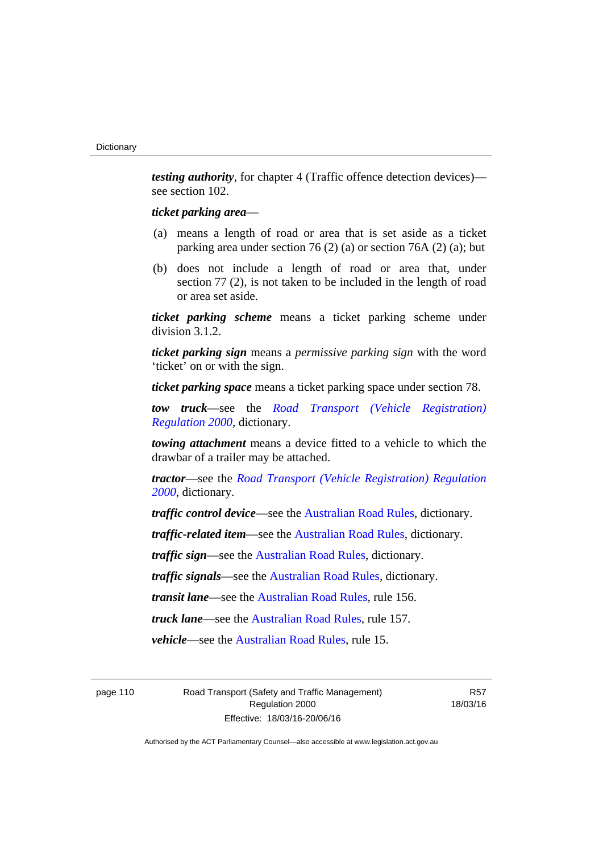*testing authority*, for chapter 4 (Traffic offence detection devices) see section 102.

## *ticket parking area*—

- (a) means a length of road or area that is set aside as a ticket parking area under section 76 (2) (a) or section 76A (2) (a); but
- (b) does not include a length of road or area that, under section 77 (2), is not taken to be included in the length of road or area set aside.

*ticket parking scheme* means a ticket parking scheme under division 3.1.2.

*ticket parking sign* means a *permissive parking sign* with the word 'ticket' on or with the sign.

*ticket parking space* means a ticket parking space under section 78.

*tow truck*—see the *[Road Transport \(Vehicle Registration\)](http://www.legislation.act.gov.au/sl/2000-12)  [Regulation 2000](http://www.legislation.act.gov.au/sl/2000-12)*, dictionary.

*towing attachment* means a device fitted to a vehicle to which the drawbar of a trailer may be attached.

*tractor*—see the *[Road Transport \(Vehicle Registration\) Regulation](http://www.legislation.act.gov.au/sl/2000-12)  [2000](http://www.legislation.act.gov.au/sl/2000-12)*, dictionary.

*traffic control device*—see the [Australian Road Rules](http://www.legislation.act.gov.au//ni/db_37271/default.asp), dictionary.

*traffic-related item*—see the [Australian Road Rules,](http://www.legislation.act.gov.au//ni/db_37271/default.asp) dictionary.

*traffic sign*—see the [Australian Road Rules](http://www.legislation.act.gov.au//ni/db_37271/default.asp), dictionary.

*traffic signals*—see the [Australian Road Rules](http://www.legislation.act.gov.au//ni/db_37271/default.asp), dictionary.

*transit lane*—see the [Australian Road Rules,](http://www.legislation.act.gov.au//ni/db_37271/default.asp) rule 156.

*truck lane*—see the [Australian Road Rules,](http://www.legislation.act.gov.au//ni/db_37271/default.asp) rule 157.

*vehicle*—see the [Australian Road Rules](http://www.legislation.act.gov.au//ni/db_37271/default.asp), rule 15.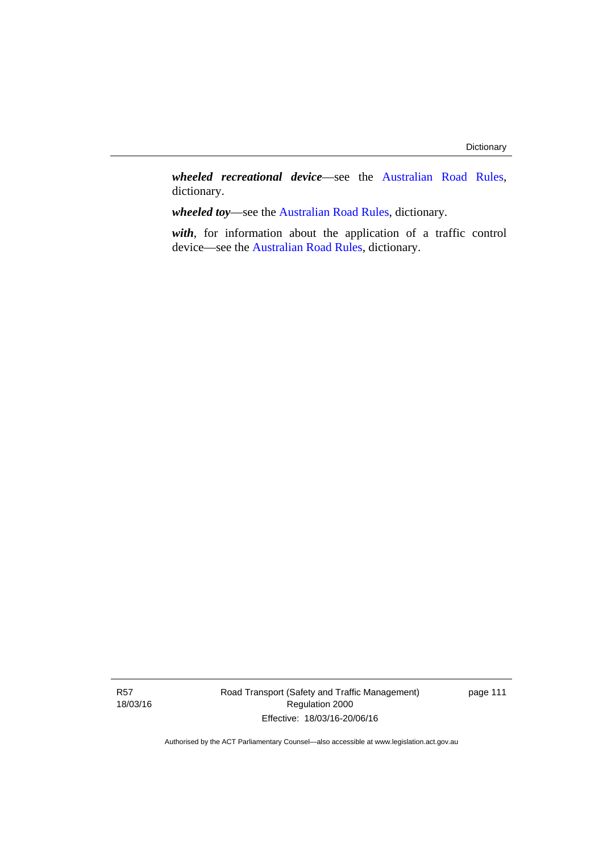*wheeled recreational device*—see the [Australian Road Rules](http://www.legislation.act.gov.au//ni/db_37271/default.asp), dictionary.

*wheeled toy*—see the [Australian Road Rules](http://www.legislation.act.gov.au//ni/db_37271/default.asp), dictionary.

*with*, for information about the application of a traffic control device—see the [Australian Road Rules](http://www.legislation.act.gov.au//ni/db_37271/default.asp), dictionary.

Road Transport (Safety and Traffic Management) Regulation 2000 Effective: 18/03/16-20/06/16

page 111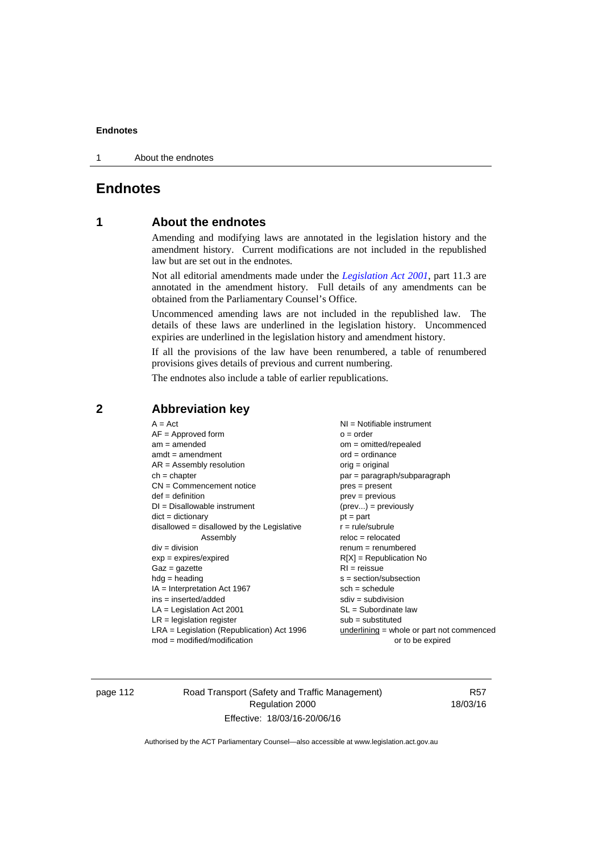1 About the endnotes

# **Endnotes**

# **1 About the endnotes**

Amending and modifying laws are annotated in the legislation history and the amendment history. Current modifications are not included in the republished law but are set out in the endnotes.

Not all editorial amendments made under the *[Legislation Act 2001](http://www.legislation.act.gov.au/a/2001-14)*, part 11.3 are annotated in the amendment history. Full details of any amendments can be obtained from the Parliamentary Counsel's Office.

Uncommenced amending laws are not included in the republished law. The details of these laws are underlined in the legislation history. Uncommenced expiries are underlined in the legislation history and amendment history.

If all the provisions of the law have been renumbered, a table of renumbered provisions gives details of previous and current numbering.

The endnotes also include a table of earlier republications.

| $A = Act$                                    | $NI = Notifiable$ instrument                |
|----------------------------------------------|---------------------------------------------|
| $AF =$ Approved form                         | $o = order$                                 |
| $am = amended$                               | $om = omitted/report$                       |
| $amdt = amendment$                           | $ord = ordinance$                           |
| $AR = Assembly$ resolution                   | $orig = original$                           |
| $ch = chapter$                               | par = paragraph/subparagraph                |
| $CN =$ Commencement notice                   | $pres = present$                            |
| $def = definition$                           | prev = previous                             |
| $DI = Disallowable instrument$               | $(\text{prev}) = \text{previously}$         |
| $dict = dictionary$                          | $pt = part$                                 |
| disallowed = disallowed by the Legislative   | $r = rule/subrule$                          |
| Assembly                                     | $reloc = relocated$                         |
| $div = division$                             | $remum = renumbered$                        |
| $exp = expires/expired$                      | $R[X]$ = Republication No                   |
| $Gaz = gazette$                              | $RI = reissue$                              |
| $hdg = heading$                              | $s = section/subsection$                    |
| $IA = Interpretation Act 1967$               | $sch = schedule$                            |
| $ins = inserted/added$                       | $sdiv = subdivision$                        |
| $LA =$ Legislation Act 2001                  | $SL = Subordinate$ law                      |
| $LR =$ legislation register                  | $sub =$ substituted                         |
| $LRA =$ Legislation (Republication) Act 1996 | $underlining = whole or part not commenced$ |
| $mod = modified/modification$                | or to be expired                            |
|                                              |                                             |

## **2 Abbreviation key**

page 112 Road Transport (Safety and Traffic Management) Regulation 2000 Effective: 18/03/16-20/06/16

R57 18/03/16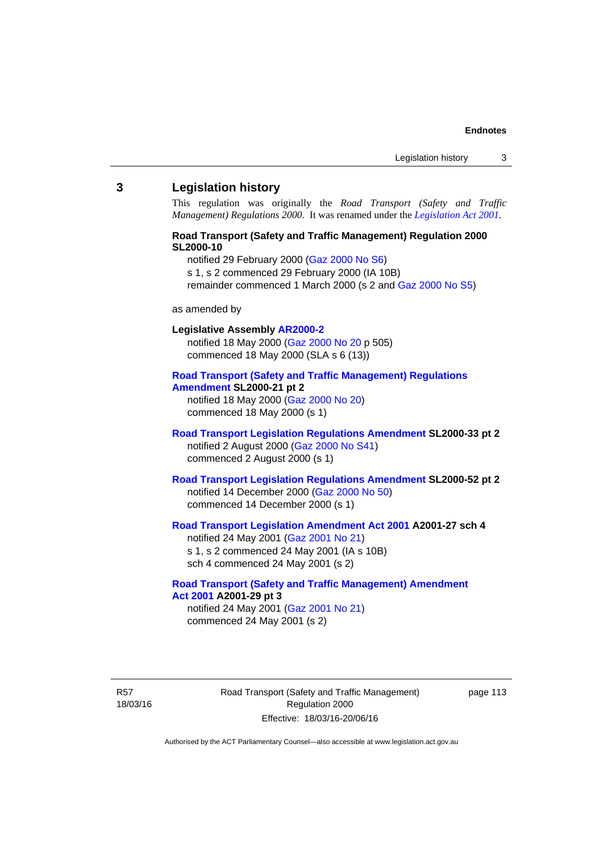#### **3 Legislation history**

This regulation was originally the *Road Transport (Safety and Traffic Management) Regulations 2000*. It was renamed under the *[Legislation Act 2001](http://www.legislation.act.gov.au/a/2001-14)*.

## **Road Transport (Safety and Traffic Management) Regulation 2000 SL2000-10**

notified 29 February 2000 [\(Gaz 2000 No S6](http://www.legislation.act.gov.au/gaz/2000-S6/default.asp))

s 1, s 2 commenced 29 February 2000 (IA 10B)

remainder commenced 1 March 2000 (s 2 and [Gaz 2000 No S5\)](http://www.legislation.act.gov.au/gaz/2000-S5/default.asp)

#### as amended by

## **Legislative Assembly [AR2000-2](http://www.legislation.act.gov.au/ar/2000-2/default.asp)**

notified 18 May 2000 ([Gaz 2000 No 20 p](http://www.legislation.act.gov.au/gaz/2000-20/default.asp) 505) commenced 18 May 2000 (SLA s 6 (13))

#### **[Road Transport \(Safety and Traffic Management\) Regulations](http://www.legislation.act.gov.au/sl/2000-21/default.asp)  [Amendment](http://www.legislation.act.gov.au/sl/2000-21/default.asp) SL2000-21 pt 2**

notified 18 May 2000 ([Gaz 2000 No 20\)](http://www.legislation.act.gov.au/gaz/2000-20/default.asp) commenced 18 May 2000 (s 1)

## **[Road Transport Legislation Regulations Amendment](http://www.legislation.act.gov.au/sl/2000-33/default.asp) SL2000-33 pt 2**  notified 2 August 2000 ([Gaz 2000 No S41](http://www.legislation.act.gov.au/gaz/2000-S41/default.asp)) commenced 2 August 2000 (s 1)

## **[Road Transport Legislation Regulations Amendment](http://www.legislation.act.gov.au/sl/2000-52/default.asp) SL2000-52 pt 2**  notified 14 December 2000 [\(Gaz 2000 No 50](http://www.legislation.act.gov.au/gaz/2000-50/default.asp)) commenced 14 December 2000 (s 1)

# **[Road Transport Legislation Amendment Act 2001](http://www.legislation.act.gov.au/a/2001-27) A2001-27 sch 4**

notified 24 May 2001 ([Gaz 2001 No 21\)](http://www.legislation.act.gov.au/gaz/2001-21/default.asp) s 1, s 2 commenced 24 May 2001 (IA s 10B) sch 4 commenced 24 May 2001 (s 2)

#### **[Road Transport \(Safety and Traffic Management\) Amendment](http://www.legislation.act.gov.au/a/2001-29)  [Act 2001](http://www.legislation.act.gov.au/a/2001-29) A2001-29 pt 3**  notified 24 May 2001 ([Gaz 2001 No 21\)](http://www.legislation.act.gov.au/gaz/2001-21/default.asp)

commenced 24 May 2001 (s 2)

R57 18/03/16 Road Transport (Safety and Traffic Management) Regulation 2000 Effective: 18/03/16-20/06/16

page 113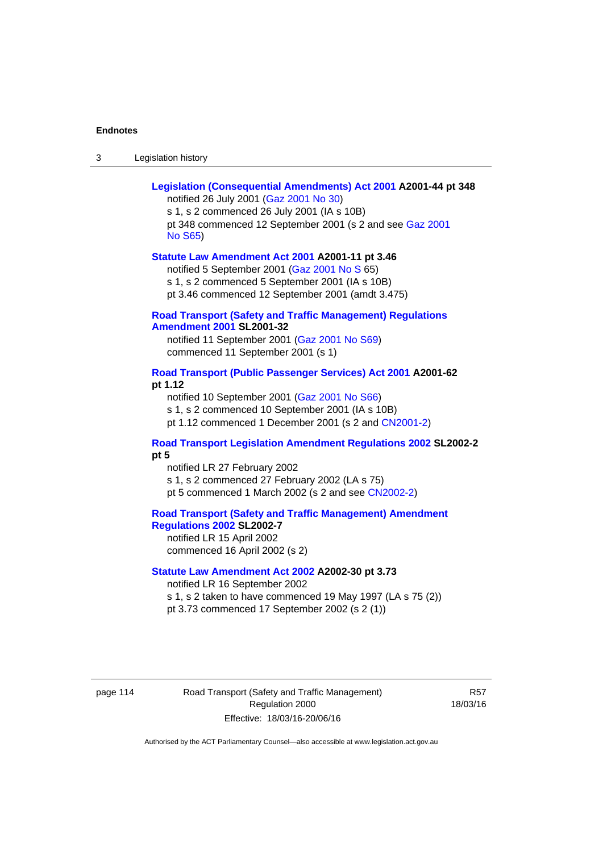| Legislation history<br>-3 |
|---------------------------|
|---------------------------|

| Legislation (Consequential Amendments) Act 2001 A2001-44 pt 348<br>notified 26 July 2001 (Gaz 2001 No 30)<br>s 1, s 2 commenced 26 July 2001 (IA s 10B)<br>pt 348 commenced 12 September 2001 (s 2 and see Gaz 2001<br><b>No S65)</b> |  |
|---------------------------------------------------------------------------------------------------------------------------------------------------------------------------------------------------------------------------------------|--|
| Statute Law Amendment Act 2001 A2001-11 pt 3.46<br>notified 5 September 2001 (Gaz 2001 No S 65)<br>s 1, s 2 commenced 5 September 2001 (IA s 10B)<br>pt 3.46 commenced 12 September 2001 (amdt 3.475)                                 |  |
| <b>Road Transport (Safety and Traffic Management) Regulations</b><br><b>Amendment 2001 SL2001-32</b><br>notified 11 September 2001 (Gaz 2001 No S69)<br>commenced 11 September 2001 (s 1)                                             |  |
| Road Transport (Public Passenger Services) Act 2001 A2001-62<br>pt 1.12<br>notified 10 September 2001 (Gaz 2001 No S66)<br>s 1, s 2 commenced 10 September 2001 (IA s 10B)<br>pt 1.12 commenced 1 December 2001 (s 2 and CN2001-2)    |  |
| <b>Road Transport Legislation Amendment Regulations 2002 SL2002-2</b><br>pt 5<br>notified LR 27 February 2002<br>s 1, s 2 commenced 27 February 2002 (LA s 75)<br>pt 5 commenced 1 March 2002 (s 2 and see CN2002-2)                  |  |
| <b>Road Transport (Safety and Traffic Management) Amendment</b><br><b>Regulations 2002 SL2002-7</b><br>notified LR 15 April 2002<br>commenced 16 April 2002 (s 2)                                                                     |  |
| Statute Law Amendment Act 2002 A2002-30 pt 3.73<br>notified LR 16 September 2002<br>s 1, s 2 taken to have commenced 19 May 1997 (LA s 75 (2))<br>pt 3.73 commenced 17 September 2002 (s 2 (1))                                       |  |

page 114 Road Transport (Safety and Traffic Management) Regulation 2000 Effective: 18/03/16-20/06/16

R57 18/03/16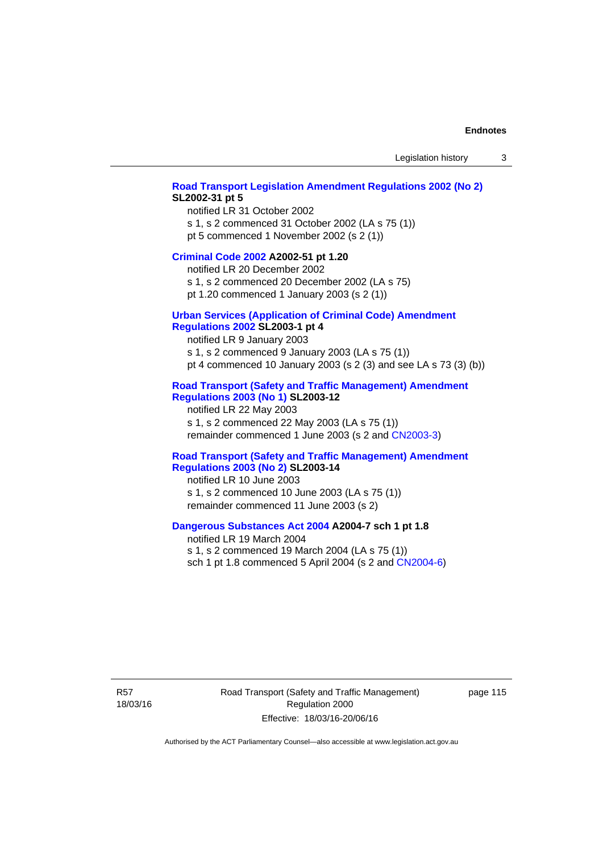#### **[Road Transport Legislation Amendment Regulations 2002 \(No 2\)](http://www.legislation.act.gov.au/sl/2002-31) SL2002-31 pt 5**

notified LR 31 October 2002 s 1, s 2 commenced 31 October 2002 (LA s 75 (1)) pt 5 commenced 1 November 2002 (s 2 (1))

#### **[Criminal Code 2002](http://www.legislation.act.gov.au/a/2002-51) A2002-51 pt 1.20**

notified LR 20 December 2002 s 1, s 2 commenced 20 December 2002 (LA s 75)

pt 1.20 commenced 1 January 2003 (s 2 (1))

# **[Urban Services \(Application of Criminal Code\) Amendment](http://www.legislation.act.gov.au/sl/2003-1)**

# **[Regulations 2002](http://www.legislation.act.gov.au/sl/2003-1) SL2003-1 pt 4**

notified LR 9 January 2003 s 1, s 2 commenced 9 January 2003 (LA s 75 (1)) pt 4 commenced 10 January 2003 (s 2 (3) and see LA s 73 (3) (b))

## **[Road Transport \(Safety and Traffic Management\) Amendment](http://www.legislation.act.gov.au/sl/2003-12)  [Regulations 2003 \(No 1\)](http://www.legislation.act.gov.au/sl/2003-12) SL2003-12**

notified LR 22 May 2003 s 1, s 2 commenced 22 May 2003 (LA s 75 (1)) remainder commenced 1 June 2003 (s 2 and [CN2003-3](http://www.legislation.act.gov.au/cn/2003-3/default.asp))

#### **[Road Transport \(Safety and Traffic Management\) Amendment](http://www.legislation.act.gov.au/sl/2003-14)  [Regulations 2003 \(No 2\)](http://www.legislation.act.gov.au/sl/2003-14) SL2003-14**

notified LR 10 June 2003 s 1, s 2 commenced 10 June 2003 (LA s 75 (1)) remainder commenced 11 June 2003 (s 2)

#### **[Dangerous Substances Act 2004](http://www.legislation.act.gov.au/a/2004-7) A2004-7 sch 1 pt 1.8**

notified LR 19 March 2004 s 1, s 2 commenced 19 March 2004 (LA s 75 (1)) sch 1 pt 1.8 commenced 5 April 2004 (s 2 and [CN2004-6](http://www.legislation.act.gov.au/cn/2004-6/default.asp))

R57 18/03/16 Road Transport (Safety and Traffic Management) Regulation 2000 Effective: 18/03/16-20/06/16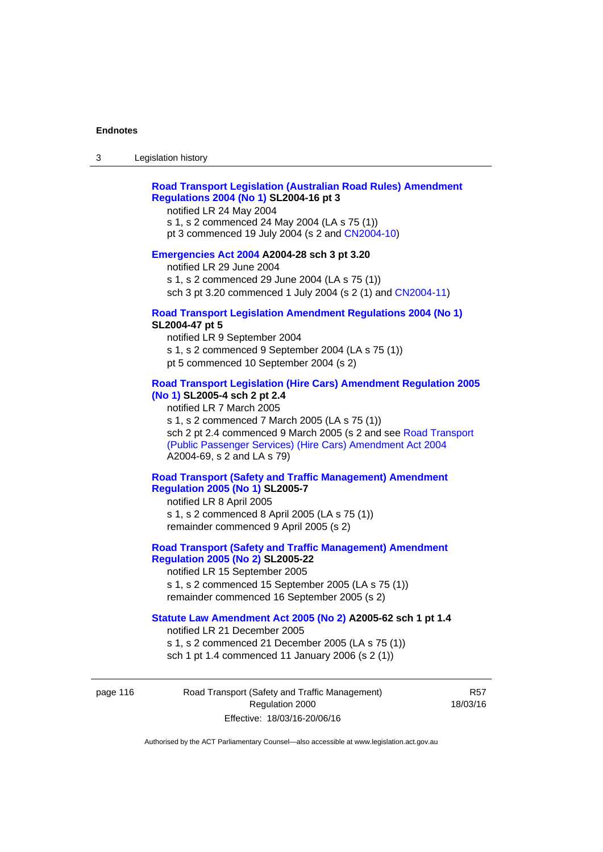## **[Road Transport Legislation \(Australian Road Rules\) Amendment](http://www.legislation.act.gov.au/sl/2004-16)  [Regulations 2004 \(No 1\)](http://www.legislation.act.gov.au/sl/2004-16) SL2004-16 pt 3**

notified LR 24 May 2004

s 1, s 2 commenced 24 May 2004 (LA s 75 (1)) pt 3 commenced 19 July 2004 (s 2 and [CN2004-10](http://www.legislation.act.gov.au/cn/2004-10/default.asp))

#### **[Emergencies Act 2004](http://www.legislation.act.gov.au/a/2004-28) A2004-28 sch 3 pt 3.20**

notified LR 29 June 2004 s 1, s 2 commenced 29 June 2004 (LA s 75 (1)) sch 3 pt 3.20 commenced 1 July 2004 (s 2 (1) and [CN2004-11](http://www.legislation.act.gov.au/cn/2004-11/default.asp))

#### **[Road Transport Legislation Amendment Regulations 2004 \(No 1\)](http://www.legislation.act.gov.au/sl/2004-47) SL2004-47 pt 5**

notified LR 9 September 2004 s 1, s 2 commenced 9 September 2004 (LA s 75 (1)) pt 5 commenced 10 September 2004 (s 2)

## **[Road Transport Legislation \(Hire Cars\) Amendment Regulation 2005](http://www.legislation.act.gov.au/sl/2005-4)  [\(No 1\)](http://www.legislation.act.gov.au/sl/2005-4) SL2005-4 sch 2 pt 2.4**

notified LR 7 March 2005 s 1, s 2 commenced 7 March 2005 (LA s 75 (1)) sch 2 pt 2.4 commenced 9 March 2005 (s 2 and see [Road Transport](http://www.legislation.act.gov.au/a/2004-69)  [\(Public Passenger Services\) \(Hire Cars\) Amendment Act 2004](http://www.legislation.act.gov.au/a/2004-69) A2004-69, s 2 and LA s 79)

## **[Road Transport \(Safety and Traffic Management\) Amendment](http://www.legislation.act.gov.au/sl/2005-7)  [Regulation 2005 \(No 1\)](http://www.legislation.act.gov.au/sl/2005-7) SL2005-7**

notified LR 8 April 2005 s 1, s 2 commenced 8 April 2005 (LA s 75 (1)) remainder commenced 9 April 2005 (s 2)

## **[Road Transport \(Safety and Traffic Management\) Amendment](http://www.legislation.act.gov.au/sl/2005-22)  [Regulation 2005 \(No 2\)](http://www.legislation.act.gov.au/sl/2005-22) SL2005-22**

notified LR 15 September 2005 s 1, s 2 commenced 15 September 2005 (LA s 75 (1)) remainder commenced 16 September 2005 (s 2)

## **[Statute Law Amendment Act 2005 \(No 2\)](http://www.legislation.act.gov.au/a/2005-62) A2005-62 sch 1 pt 1.4**

notified LR 21 December 2005 s 1, s 2 commenced 21 December 2005 (LA s 75 (1)) sch 1 pt 1.4 commenced 11 January 2006 (s 2 (1))

page 116 Road Transport (Safety and Traffic Management) Regulation 2000 Effective: 18/03/16-20/06/16

R57 18/03/16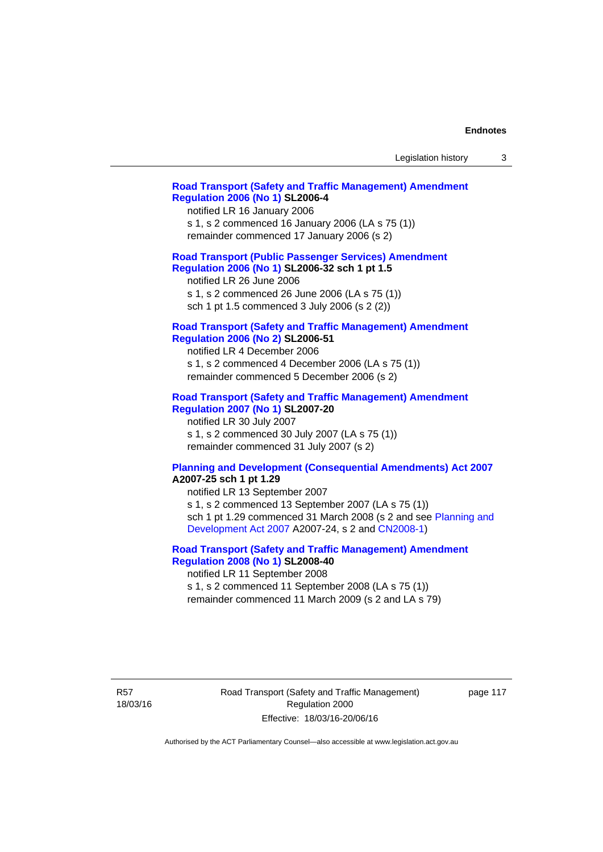| Legislation history |  |
|---------------------|--|
|---------------------|--|

## **[Road Transport \(Safety and Traffic Management\) Amendment](http://www.legislation.act.gov.au/sl/2006-4)  [Regulation 2006 \(No 1\)](http://www.legislation.act.gov.au/sl/2006-4) SL2006-4**

notified LR 16 January 2006 s 1, s 2 commenced 16 January 2006 (LA s 75 (1)) remainder commenced 17 January 2006 (s 2)

#### **[Road Transport \(Public Passenger Services\) Amendment](http://www.legislation.act.gov.au/sl/2006-32)  [Regulation 2006 \(No 1\)](http://www.legislation.act.gov.au/sl/2006-32) SL2006-32 sch 1 pt 1.5**

notified LR 26 June 2006 s 1, s 2 commenced 26 June 2006 (LA s 75 (1)) sch 1 pt 1.5 commenced 3 July 2006 (s 2 (2))

#### **[Road Transport \(Safety and Traffic Management\) Amendment](http://www.legislation.act.gov.au/sl/2006-51)  [Regulation 2006 \(No 2\)](http://www.legislation.act.gov.au/sl/2006-51) SL2006-51**

notified LR 4 December 2006 s 1, s 2 commenced 4 December 2006 (LA s 75 (1)) remainder commenced 5 December 2006 (s 2)

### **[Road Transport \(Safety and Traffic Management\) Amendment](http://www.legislation.act.gov.au/sl/2007-20)**

**[Regulation 2007 \(No 1\)](http://www.legislation.act.gov.au/sl/2007-20) SL2007-20**  notified LR 30 July 2007 s 1, s 2 commenced 30 July 2007 (LA s 75 (1)) remainder commenced 31 July 2007 (s 2)

#### **[Planning and Development \(Consequential Amendments\) Act 2007](http://www.legislation.act.gov.au/a/2007-25) A2007-25 sch 1 pt 1.29**

notified LR 13 September 2007 s 1, s 2 commenced 13 September 2007 (LA s 75 (1)) sch 1 pt 1.29 commenced 31 March 2008 (s 2 and see [Planning and](http://www.legislation.act.gov.au/a/2007-24)  [Development Act 2007](http://www.legislation.act.gov.au/a/2007-24) A2007-24, s 2 and [CN2008-1](http://www.legislation.act.gov.au/cn/2008-1/default.asp))

## **[Road Transport \(Safety and Traffic Management\) Amendment](http://www.legislation.act.gov.au/sl/2008-40)  [Regulation 2008 \(No 1\)](http://www.legislation.act.gov.au/sl/2008-40) SL2008-40**

notified LR 11 September 2008 s 1, s 2 commenced 11 September 2008 (LA s 75 (1)) remainder commenced 11 March 2009 (s 2 and LA s 79)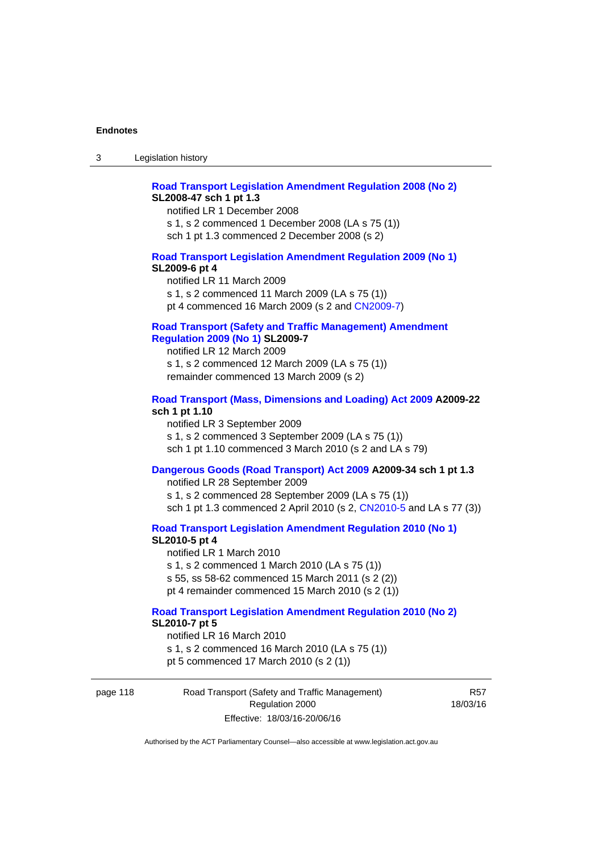## **[Road Transport Legislation Amendment Regulation 2008 \(No 2\)](http://www.legislation.act.gov.au/sl/2008-47) SL2008-47 sch 1 pt 1.3**

notified LR 1 December 2008 s 1, s 2 commenced 1 December 2008 (LA s 75 (1)) sch 1 pt 1.3 commenced 2 December 2008 (s 2)

#### **[Road Transport Legislation Amendment Regulation 2009 \(No 1\)](http://www.legislation.act.gov.au/sl/2009-6) SL2009-6 pt 4**

notified LR 11 March 2009 s 1, s 2 commenced 11 March 2009 (LA s 75 (1)) pt 4 commenced 16 March 2009 (s 2 and [CN2009-7\)](http://www.legislation.act.gov.au/cn/2009-7/default.asp)

## **[Road Transport \(Safety and Traffic Management\) Amendment](http://www.legislation.act.gov.au/sl/2009-7)  [Regulation 2009 \(No 1\)](http://www.legislation.act.gov.au/sl/2009-7) SL2009-7**

notified LR 12 March 2009 s 1, s 2 commenced 12 March 2009 (LA s 75 (1)) remainder commenced 13 March 2009 (s 2)

#### **[Road Transport \(Mass, Dimensions and Loading\) Act 2009](http://www.legislation.act.gov.au/a/2009-22/default.asp) A2009-22 sch 1 pt 1.10**

notified LR 3 September 2009 s 1, s 2 commenced 3 September 2009 (LA s 75 (1)) sch 1 pt 1.10 commenced 3 March 2010 (s 2 and LA s 79)

## **[Dangerous Goods \(Road Transport\) Act 2009](http://www.legislation.act.gov.au/a/2009-34) A2009-34 sch 1 pt 1.3**

notified LR 28 September 2009 s 1, s 2 commenced 28 September 2009 (LA s 75 (1)) sch 1 pt 1.3 commenced 2 April 2010 (s 2, [CN2010-5 a](http://www.legislation.act.gov.au/cn/2010-5/default.asp)nd LA s 77 (3))

**[Road Transport Legislation Amendment Regulation 2010 \(No 1\)](http://www.legislation.act.gov.au/sl/2010-5)**

#### **SL2010-5 pt 4**

notified LR 1 March 2010 s 1, s 2 commenced 1 March 2010 (LA s 75 (1)) s 55, ss 58-62 commenced 15 March 2011 (s 2 (2)) pt 4 remainder commenced 15 March 2010 (s 2 (1))

#### **[Road Transport Legislation Amendment Regulation 2010 \(No 2\)](http://www.legislation.act.gov.au/sl/2010-7) SL2010-7 pt 5**  notified LR 16 March 2010

s 1, s 2 commenced 16 March 2010 (LA s 75 (1)) pt 5 commenced 17 March 2010 (s 2 (1))

page 118 Road Transport (Safety and Traffic Management) Regulation 2000 Effective: 18/03/16-20/06/16

R57 18/03/16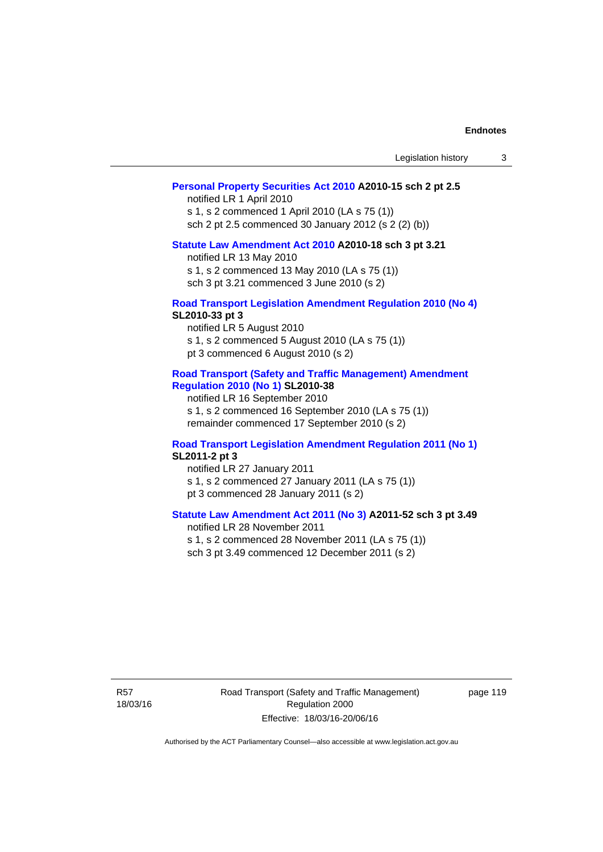| Legislation history |  |  |
|---------------------|--|--|
|---------------------|--|--|

### **[Personal Property Securities Act 2010](http://www.legislation.act.gov.au/a/2010-15) A2010-15 sch 2 pt 2.5**

notified LR 1 April 2010 s 1, s 2 commenced 1 April 2010 (LA s 75 (1)) sch 2 pt 2.5 commenced 30 January 2012 (s 2 (2) (b))

# **[Statute Law Amendment Act 2010](http://www.legislation.act.gov.au/a/2010-18) A2010-18 sch 3 pt 3.21**

notified LR 13 May 2010 s 1, s 2 commenced 13 May 2010 (LA s 75 (1)) sch 3 pt 3.21 commenced 3 June 2010 (s 2)

#### **[Road Transport Legislation Amendment Regulation 2010 \(No 4\)](http://www.legislation.act.gov.au/sl/2010-33) SL2010-33 pt 3**

notified LR 5 August 2010 s 1, s 2 commenced 5 August 2010 (LA s 75 (1)) pt 3 commenced 6 August 2010 (s 2)

#### **[Road Transport \(Safety and Traffic Management\) Amendment](http://www.legislation.act.gov.au/sl/2010-38)  [Regulation 2010 \(No 1\)](http://www.legislation.act.gov.au/sl/2010-38) SL2010-38**

notified LR 16 September 2010 s 1, s 2 commenced 16 September 2010 (LA s 75 (1)) remainder commenced 17 September 2010 (s 2)

#### **[Road Transport Legislation Amendment Regulation 2011 \(No 1\)](http://www.legislation.act.gov.au/sl/2011-2) SL2011-2 pt 3**

notified LR 27 January 2011 s 1, s 2 commenced 27 January 2011 (LA s 75 (1)) pt 3 commenced 28 January 2011 (s 2)

## **[Statute Law Amendment Act 2011 \(No 3\)](http://www.legislation.act.gov.au/a/2011-52) A2011-52 sch 3 pt 3.49**

notified LR 28 November 2011 s 1, s 2 commenced 28 November 2011 (LA s 75 (1)) sch 3 pt 3.49 commenced 12 December 2011 (s 2)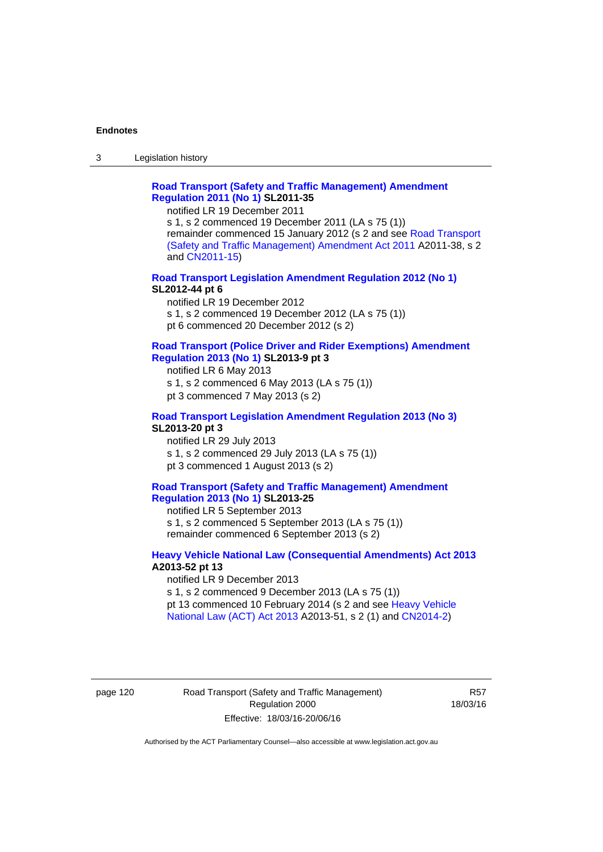3 Legislation history

## **[Road Transport \(Safety and Traffic Management\) Amendment](http://www.legislation.act.gov.au/sl/2011-35)  [Regulation 2011 \(No 1\)](http://www.legislation.act.gov.au/sl/2011-35) SL2011-35**

notified LR 19 December 2011

s 1, s 2 commenced 19 December 2011 (LA s 75 (1)) remainder commenced 15 January 2012 (s 2 and see [Road Transport](http://www.legislation.act.gov.au/a/2011-38)  [\(Safety and Traffic Management\) Amendment Act 2011](http://www.legislation.act.gov.au/a/2011-38) A2011-38, s 2 and [CN2011-15\)](http://www.legislation.act.gov.au/cn/2011-15/default.asp)

## **[Road Transport Legislation Amendment Regulation 2012 \(No 1\)](http://www.legislation.act.gov.au/sl/2012-44/default.asp) SL2012-44 pt 6**

notified LR 19 December 2012 s 1, s 2 commenced 19 December 2012 (LA s 75 (1)) pt 6 commenced 20 December 2012 (s 2)

#### **[Road Transport \(Police Driver and Rider Exemptions\) Amendment](http://www.legislation.act.gov.au/sl/2013-9/default.asp)  [Regulation 2013 \(No 1\)](http://www.legislation.act.gov.au/sl/2013-9/default.asp) SL2013-9 pt 3**

notified LR 6 May 2013 s 1, s 2 commenced 6 May 2013 (LA s 75 (1)) pt 3 commenced 7 May 2013 (s 2)

#### **[Road Transport Legislation Amendment Regulation 2013 \(No 3\)](http://www.legislation.act.gov.au/sl/2013-20) SL2013-20 pt 3**  notified LR 29 July 2013

s 1, s 2 commenced 29 July 2013 (LA s 75 (1)) pt 3 commenced 1 August 2013 (s 2)

## **[Road Transport \(Safety and Traffic Management\) Amendment](http://www.legislation.act.gov.au/sl/2013-25)  [Regulation 2013 \(No 1\)](http://www.legislation.act.gov.au/sl/2013-25) SL2013-25**

notified LR 5 September 2013 s 1, s 2 commenced 5 September 2013 (LA s 75 (1)) remainder commenced 6 September 2013 (s 2)

#### **[Heavy Vehicle National Law \(Consequential Amendments\) Act 2013](http://www.legislation.act.gov.au/a/2013-52) A2013-52 pt 13**  notified LR 9 December 2013

s 1, s 2 commenced 9 December 2013 (LA s 75 (1)) pt 13 commenced 10 February 2014 (s 2 and see [Heavy Vehicle](http://www.legislation.act.gov.au/a/2013-51/default.asp)  [National Law \(ACT\) Act 2013](http://www.legislation.act.gov.au/a/2013-51/default.asp) A2013-51, s 2 (1) and [CN2014-2](http://www.legislation.act.gov.au/cn/2014-2/default.asp))

## page 120 Road Transport (Safety and Traffic Management) Regulation 2000 Effective: 18/03/16-20/06/16

R57 18/03/16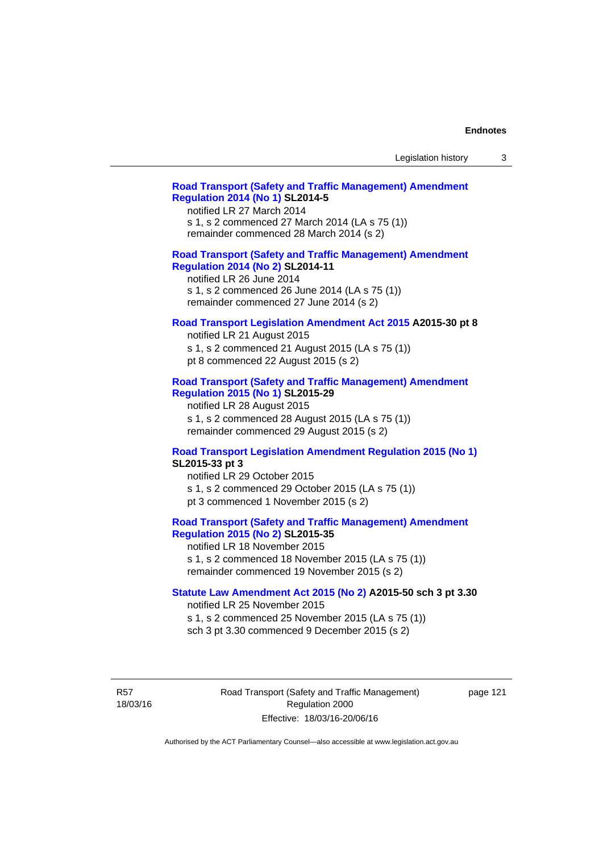| Legislation history |  |  |
|---------------------|--|--|
|---------------------|--|--|

## **[Road Transport \(Safety and Traffic Management\) Amendment](http://www.legislation.act.gov.au/sl/2014-5)  [Regulation 2014 \(No 1\)](http://www.legislation.act.gov.au/sl/2014-5) SL2014-5**

notified LR 27 March 2014 s 1, s 2 commenced 27 March 2014 (LA s 75 (1)) remainder commenced 28 March 2014 (s 2)

## **[Road Transport \(Safety and Traffic Management\) Amendment](http://www.legislation.act.gov.au/sl/2014-11)**

**[Regulation 2014 \(No 2\)](http://www.legislation.act.gov.au/sl/2014-11) SL2014-11**  notified LR 26 June 2014

s 1, s 2 commenced 26 June 2014 (LA s 75 (1)) remainder commenced 27 June 2014 (s 2)

#### **[Road Transport Legislation Amendment Act 2015](http://www.legislation.act.gov.au/a/2015-30/default.asp) A2015-30 pt 8**

notified LR 21 August 2015 s 1, s 2 commenced 21 August 2015 (LA s 75 (1)) pt 8 commenced 22 August 2015 (s 2)

#### **[Road Transport \(Safety and Traffic Management\) Amendment](http://www.legislation.act.gov.au/sl/2015-29)  [Regulation 2015 \(No 1\)](http://www.legislation.act.gov.au/sl/2015-29) SL2015-29**

notified LR 28 August 2015 s 1, s 2 commenced 28 August 2015 (LA s 75 (1)) remainder commenced 29 August 2015 (s 2)

#### **[Road Transport Legislation Amendment Regulation 2015 \(No 1\)](http://www.legislation.act.gov.au/sl/2015-33) SL2015-33 pt 3**

notified LR 29 October 2015 s 1, s 2 commenced 29 October 2015 (LA s 75 (1)) pt 3 commenced 1 November 2015 (s 2)

## **[Road Transport \(Safety and Traffic Management\) Amendment](http://www.legislation.act.gov.au/sl/2015-35)  [Regulation 2015 \(No 2\)](http://www.legislation.act.gov.au/sl/2015-35) SL2015-35**

notified LR 18 November 2015 s 1, s 2 commenced 18 November 2015 (LA s 75 (1)) remainder commenced 19 November 2015 (s 2)

### **[Statute Law Amendment Act 2015 \(No 2\)](http://www.legislation.act.gov.au/a/2015-50) A2015-50 sch 3 pt 3.30**

notified LR 25 November 2015

s 1, s 2 commenced 25 November 2015 (LA s 75 (1))

sch 3 pt 3.30 commenced 9 December 2015 (s 2)

R57 18/03/16 Road Transport (Safety and Traffic Management) Regulation 2000 Effective: 18/03/16-20/06/16

page 121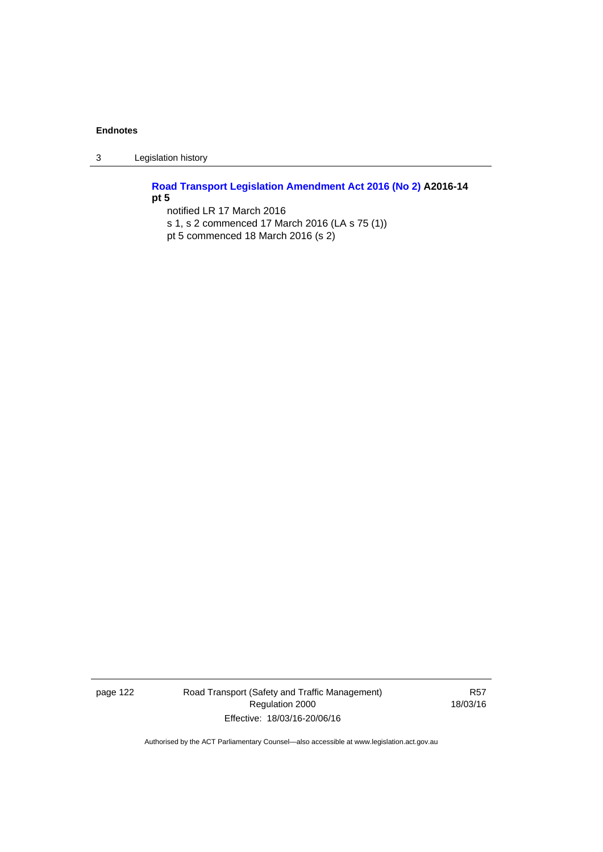3 Legislation history

**[Road Transport Legislation Amendment Act 2016 \(No 2\)](http://www.legislation.act.gov.au/a/2016-14) A2016-14 pt 5**  notified LR 17 March 2016

s 1, s 2 commenced 17 March 2016 (LA s 75 (1)) pt 5 commenced 18 March 2016 (s 2)

page 122 Road Transport (Safety and Traffic Management) Regulation 2000 Effective: 18/03/16-20/06/16

R57 18/03/16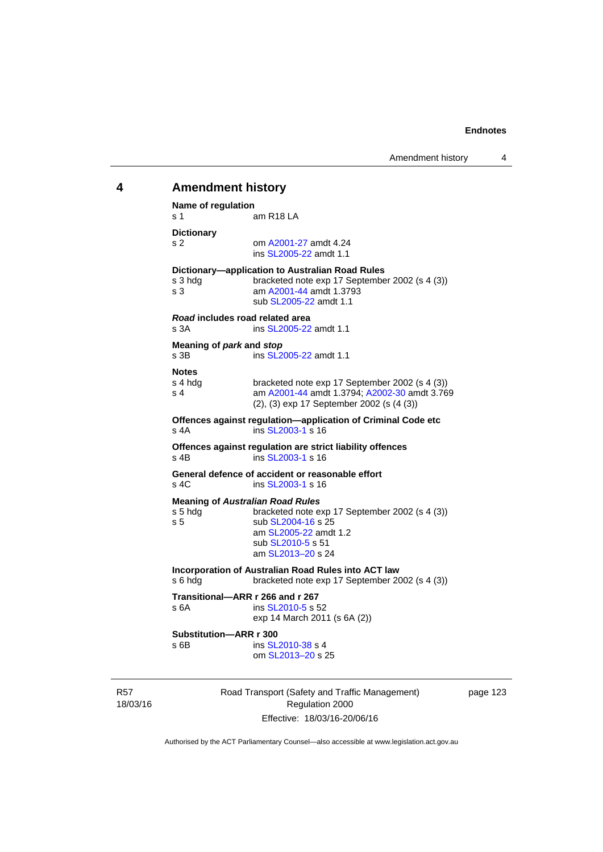# 18/03/16 Road Transport (Safety and Traffic Management) Regulation 2000 **4 Amendment history Name of regulation**  s 1 am R18 LA **Dictionary**  s 2 om [A2001-27](http://www.legislation.act.gov.au/a/2001-27) amdt 4.24 ins [SL2005-22](http://www.legislation.act.gov.au/sl/2005-22) amdt 1.1 **Dictionary—application to Australian Road Rules**  s 3 hdg bracketed note exp 17 September 2002 (s 4 (3)) s 3 am [A2001-44](http://www.legislation.act.gov.au/a/2001-44) amdt 1.3793 sub [SL2005-22](http://www.legislation.act.gov.au/sl/2005-22) amdt 1.1 *Road* **includes road related area**  s 3A **ins SL2005-22** amdt 1.1 **Meaning of** *park* **and** *stop* s 3B ins [SL2005-22](http://www.legislation.act.gov.au/sl/2005-22) amdt 1.1 **Notes**  s 4 hdg bracketed note exp 17 September 2002 (s 4 (3))<br>s 4 am A2001-44 amdt 1.3794: A2002-30 amdt 3.76 am [A2001-44](http://www.legislation.act.gov.au/a/2001-44) amdt 1.3794; [A2002-30](http://www.legislation.act.gov.au/a/2002-30) amdt 3.769 (2), (3) exp 17 September 2002 (s (4 (3)) **Offences against regulation—application of Criminal Code etc**  s 4A ins [SL2003-1](http://www.legislation.act.gov.au/sl/2003-1) s 16 **Offences against regulation are strict liability offences**  s 4B ins [SL2003-1](http://www.legislation.act.gov.au/sl/2003-1) s 16 **General defence of accident or reasonable effort**  s 4C ins [SL2003-1](http://www.legislation.act.gov.au/sl/2003-1) s 16 **Meaning of** *Australian Road Rules* s 5 hdg bracketed note exp 17 September 2002 (s 4 (3)) s 5 sub [SL2004-16](http://www.legislation.act.gov.au/sl/2004-16) s 25 am [SL2005-22](http://www.legislation.act.gov.au/sl/2005-22) amdt 1.2 sub [SL2010-5](http://www.legislation.act.gov.au/sl/2010-5) s 51 am [SL2013–20](http://www.legislation.act.gov.au/sl/2013-20) s 24 **Incorporation of Australian Road Rules into ACT law**  s 6 hdg bracketed note exp 17 September 2002 (s 4 (3)) **Transitional—ARR r 266 and r 267**  s 6A ins [SL2010-5](http://www.legislation.act.gov.au/sl/2010-5) s 52 exp 14 March 2011 (s 6A (2)) **Substitution—ARR r 300**  s 6B ins [SL2010-38](http://www.legislation.act.gov.au/sl/2010-38) s 4 om [SL2013–20](http://www.legislation.act.gov.au/sl/2013-20) s 25

page 123

Authorised by the ACT Parliamentary Counsel—also accessible at www.legislation.act.gov.au

Effective: 18/03/16-20/06/16

R57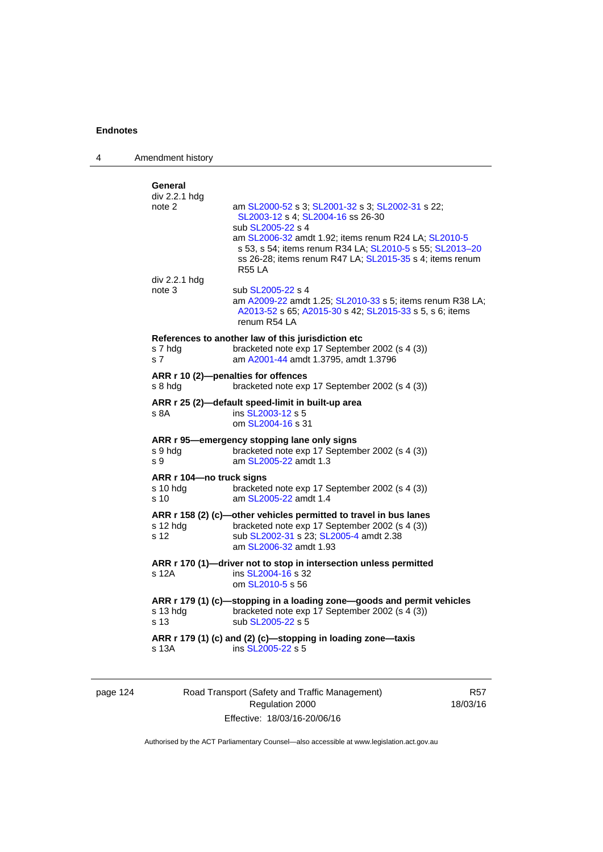4 Amendment history

| s 13A                                                   | ARR r 179 (1) (c) and (2) (c)-stopping in loading zone-taxis<br>ins SL2005-22 s 5                                                                                                                                                                       |
|---------------------------------------------------------|---------------------------------------------------------------------------------------------------------------------------------------------------------------------------------------------------------------------------------------------------------|
| s 13 hdg<br>s 13                                        | ARR r 179 (1) (c)-stopping in a loading zone-goods and permit vehicles<br>bracketed note exp 17 September 2002 (s 4 (3))<br>sub SL2005-22 s 5                                                                                                           |
| s 12A                                                   | ARR r 170 (1)-driver not to stop in intersection unless permitted<br>ins SL2004-16 s 32<br>om SL2010-5 s 56                                                                                                                                             |
| $s$ 12 hdg<br>s 12                                      | ARR r 158 (2) (c)-other vehicles permitted to travel in bus lanes<br>bracketed note exp 17 September 2002 (s 4 (3))<br>sub SL2002-31 s 23; SL2005-4 amdt 2.38<br>am SL 2006-32 amdt 1.93                                                                |
| ARR r 104-no truck signs<br>s 10 hda<br>s <sub>10</sub> | bracketed note exp 17 September 2002 (s 4 (3))<br>am SL2005-22 amdt 1.4                                                                                                                                                                                 |
| s 9 hdg<br>s 9                                          | ARR r 95-emergency stopping lane only signs<br>bracketed note exp 17 September 2002 (s 4 (3))<br>am SL2005-22 amdt 1.3                                                                                                                                  |
| s 8A                                                    | ARR r 25 (2)-default speed-limit in built-up area<br>ins SL2003-12 s 5<br>om SL2004-16 s 31                                                                                                                                                             |
| s 8 hdg                                                 | ARR r 10 (2)-penalties for offences<br>bracketed note exp 17 September 2002 (s 4 (3))                                                                                                                                                                   |
| s 7 hdg<br>s 7                                          | References to another law of this jurisdiction etc<br>bracketed note exp 17 September 2002 (s 4 (3))<br>am A2001-44 amdt 1.3795, amdt 1.3796                                                                                                            |
| div 2.2.1 hdg<br>note 3                                 | sub SL2005-22 s 4<br>am A2009-22 amdt 1.25; SL2010-33 s 5; items renum R38 LA;<br>A2013-52 s 65; A2015-30 s 42; SL2015-33 s 5, s 6; items<br>renum R54 LA                                                                                               |
|                                                         | SL2003-12 s 4; SL2004-16 ss 26-30<br>sub SL2005-22 s 4<br>am SL2006-32 amdt 1.92; items renum R24 LA; SL2010-5<br>s 53, s 54; items renum R34 LA; SL2010-5 s 55; SL2013-20<br>ss 26-28; items renum R47 LA; SL2015-35 s 4; items renum<br><b>R55 LA</b> |
| General<br>div 2.2.1 hdg<br>note 2                      | am SL2000-52 s 3; SL2001-32 s 3; SL2002-31 s 22;                                                                                                                                                                                                        |

# page 124 Road Transport (Safety and Traffic Management) Regulation 2000 Effective: 18/03/16-20/06/16

R57 18/03/16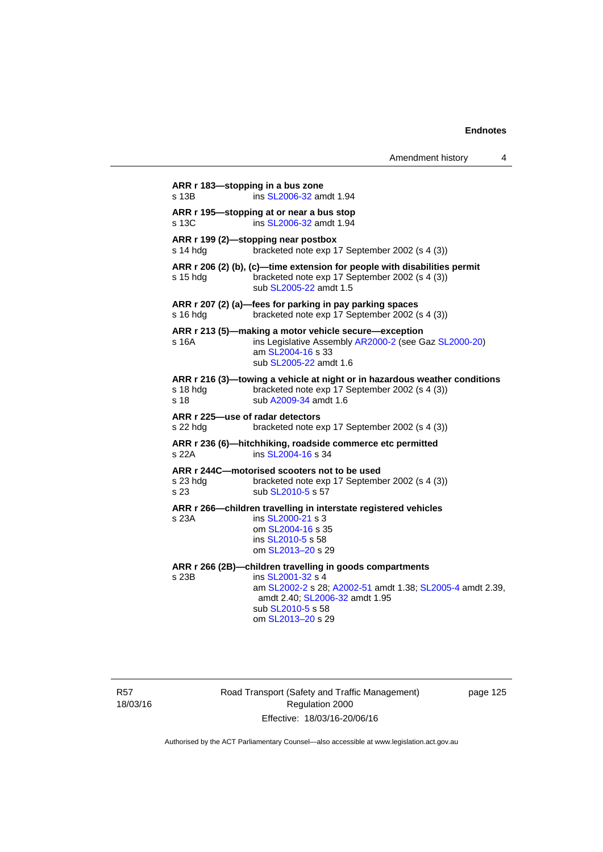|                                              |                                                                                                                                                                                                                        | Amendment history | 4 |
|----------------------------------------------|------------------------------------------------------------------------------------------------------------------------------------------------------------------------------------------------------------------------|-------------------|---|
| s 13B                                        | ARR r 183-stopping in a bus zone<br>ins SL2006-32 amdt 1.94                                                                                                                                                            |                   |   |
| s 13C                                        | ARR r 195—stopping at or near a bus stop<br>ins SL2006-32 amdt 1.94                                                                                                                                                    |                   |   |
| s 14 hda                                     | ARR r 199 (2)-stopping near postbox<br>bracketed note exp 17 September 2002 (s 4 (3))                                                                                                                                  |                   |   |
| $s$ 15 hdg                                   | ARR r 206 (2) (b), (c)-time extension for people with disabilities permit<br>bracketed note exp 17 September 2002 (s 4 (3))<br>sub SL2005-22 amdt 1.5                                                                  |                   |   |
| s 16 hdg                                     | ARR r 207 (2) (a)-fees for parking in pay parking spaces<br>bracketed note exp 17 September 2002 (s 4 (3))                                                                                                             |                   |   |
| s 16A                                        | ARR r 213 (5)-making a motor vehicle secure-exception<br>ins Legislative Assembly AR2000-2 (see Gaz SL2000-20)<br>am SL2004-16 s 33<br>sub SL2005-22 amdt 1.6                                                          |                   |   |
| s 18 hdg<br>s 18                             | ARR r 216 (3)—towing a vehicle at night or in hazardous weather conditions<br>bracketed note exp 17 September 2002 (s 4 (3))<br>sub A2009-34 amdt 1.6                                                                  |                   |   |
| ARR r 225-use of radar detectors<br>s 22 hdg | bracketed note exp 17 September 2002 (s 4 (3))                                                                                                                                                                         |                   |   |
| s 22A                                        | ARR r 236 (6)-hitchhiking, roadside commerce etc permitted<br>ins SL2004-16 s 34                                                                                                                                       |                   |   |
| s 23 hdg<br>s 23                             | ARR r 244C-motorised scooters not to be used<br>bracketed note exp 17 September 2002 (s 4 (3))<br>sub SL2010-5 s 57                                                                                                    |                   |   |
| s 23A                                        | ARR r 266-children travelling in interstate registered vehicles<br>ins SL2000-21 s 3<br>om SL2004-16 s 35<br>ins SL2010-5 s 58<br>om SL2013-20 s 29                                                                    |                   |   |
| s 23B                                        | ARR r 266 (2B)-children travelling in goods compartments<br>ins SL2001-32 s 4<br>am SL2002-2 s 28; A2002-51 amdt 1.38; SL2005-4 amdt 2.39,<br>amdt 2.40; SL2006-32 amdt 1.95<br>sub SL2010-5 s 58<br>om SL2013-20 s 29 |                   |   |

R57 18/03/16 Road Transport (Safety and Traffic Management) Regulation 2000 Effective: 18/03/16-20/06/16

page 125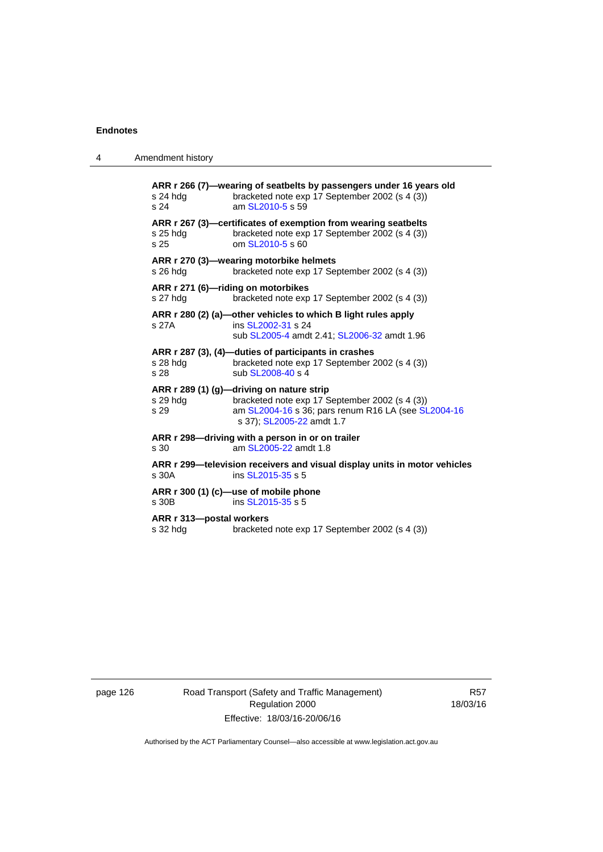4 Amendment history

| s 24 hdg<br>s 24                     | ARR r 266 (7)-wearing of seatbelts by passengers under 16 years old<br>bracketed note exp 17 September 2002 (s 4 (3))<br>am SL2010-5 s 59                                       |
|--------------------------------------|---------------------------------------------------------------------------------------------------------------------------------------------------------------------------------|
| $s25$ hdg<br>s <sub>25</sub>         | ARR r 267 (3)—certificates of exemption from wearing seatbelts<br>bracketed note exp 17 September 2002 (s 4 (3))<br>om SL2010-5 s 60                                            |
| s 26 hdg                             | ARR r 270 (3)-wearing motorbike helmets<br>bracketed note exp 17 September 2002 (s 4 (3))                                                                                       |
| s 27 hdg                             | ARR r 271 (6)-riding on motorbikes<br>bracketed note exp 17 September 2002 (s 4 (3))                                                                                            |
| s 27A                                | ARR r 280 (2) (a)-other vehicles to which B light rules apply<br>ins SL2002-31 s 24<br>sub SL2005-4 amdt 2.41; SL2006-32 amdt 1.96                                              |
| s 28 hdg<br>s 28                     | ARR r 287 (3), (4)-duties of participants in crashes<br>bracketed note exp 17 September 2002 (s 4 (3))<br>sub SL2008-40 s 4                                                     |
| s 29 hdg<br>s 29                     | ARR r 289 (1) (g)-driving on nature strip<br>bracketed note exp 17 September 2002 (s 4 (3))<br>am SL2004-16 s 36; pars renum R16 LA (see SL2004-16<br>s 37); SL2005-22 amdt 1.7 |
| s 30                                 | ARR r 298-driving with a person in or on trailer<br>am SL2005-22 amdt 1.8                                                                                                       |
| s 30A                                | ARR r 299—television receivers and visual display units in motor vehicles<br>ins SL2015-35 s 5                                                                                  |
| s 30B                                | ARR r 300 (1) (c)-use of mobile phone<br>ins SL2015-35 s 5                                                                                                                      |
| ARR r 313-postal workers<br>s 32 hdg | bracketed note exp 17 September 2002 (s 4 (3))                                                                                                                                  |
|                                      |                                                                                                                                                                                 |

page 126 **Road Transport (Safety and Traffic Management)** Regulation 2000 Effective: 18/03/16-20/06/16

R57 18/03/16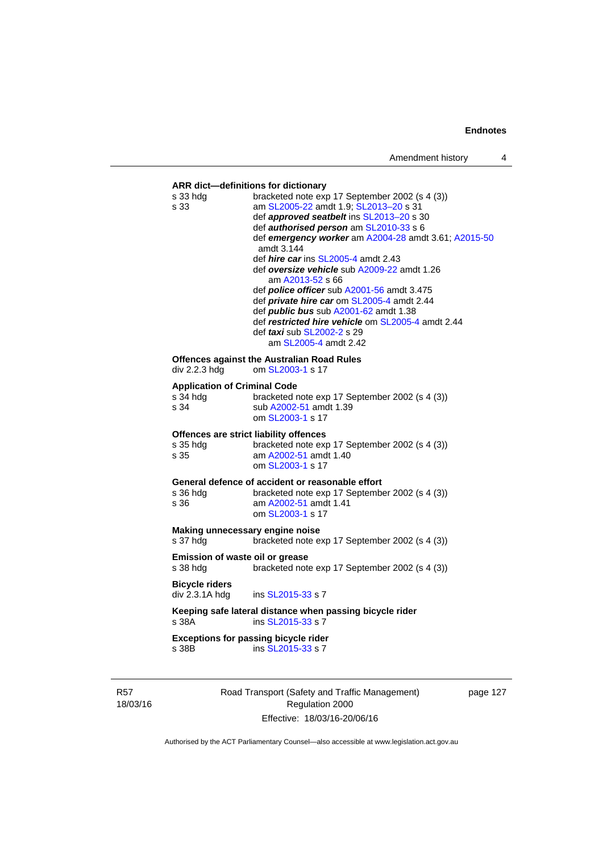| def approved seatbelt ins SL2013-20 s 30<br>def <i>authorised person</i> am SL2010-33 s 6<br>def emergency worker am A2004-28 amdt 3.61; A2015-50<br>amdt 3.144<br>def <i>hire car</i> ins $SL2005-4$ amdt 2.43<br>def oversize vehicle sub A2009-22 amdt 1.26<br>am A2013-52 s 66<br>def <i>police officer</i> sub A2001-56 amdt 3.475<br>def <i>private hire car</i> om SL2005-4 amdt 2.44<br>def <i>public bus</i> sub A2001-62 amdt 1.38<br>def restricted hire vehicle om SL2005-4 amdt 2.44<br>def taxi sub SL2002-2 s 29<br>am SL2005-4 amdt 2.42<br><b>Offences against the Australian Road Rules</b><br>om SL2003-1 s 17<br><b>Application of Criminal Code</b><br>s 34 hdg<br>bracketed note exp 17 September 2002 (s 4 (3))<br>sub A2002-51 amdt 1.39<br>om SL2003-1 s 17<br>Offences are strict liability offences<br>bracketed note exp 17 September 2002 (s 4 (3))<br>am A2002-51 amdt 1.40<br>om SL2003-1 s 17<br>General defence of accident or reasonable effort<br>bracketed note exp 17 September 2002 (s 4 (3))<br>am A2002-51 amdt 1.41<br>s 36<br>om SL2003-1 s 17<br>Making unnecessary engine noise<br>s 37 hdg<br>bracketed note exp 17 September 2002 (s 4 (3))<br>Emission of waste oil or grease<br>bracketed note exp 17 September 2002 (s 4 (3))<br>ins SL2015-33 s 7<br>Keeping safe lateral distance when passing bicycle rider<br>ins SL2015-33 s 7<br><b>Exceptions for passing bicycle rider</b><br>ins SL2015-33 s 7 | s 33 hdg              | bracketed note exp 17 September 2002 (s 4 (3)) |
|----------------------------------------------------------------------------------------------------------------------------------------------------------------------------------------------------------------------------------------------------------------------------------------------------------------------------------------------------------------------------------------------------------------------------------------------------------------------------------------------------------------------------------------------------------------------------------------------------------------------------------------------------------------------------------------------------------------------------------------------------------------------------------------------------------------------------------------------------------------------------------------------------------------------------------------------------------------------------------------------------------------------------------------------------------------------------------------------------------------------------------------------------------------------------------------------------------------------------------------------------------------------------------------------------------------------------------------------------------------------------------------------------------------------------------------------------------|-----------------------|------------------------------------------------|
|                                                                                                                                                                                                                                                                                                                                                                                                                                                                                                                                                                                                                                                                                                                                                                                                                                                                                                                                                                                                                                                                                                                                                                                                                                                                                                                                                                                                                                                          | s 33                  | am SL2005-22 amdt 1.9; SL2013-20 s 31          |
|                                                                                                                                                                                                                                                                                                                                                                                                                                                                                                                                                                                                                                                                                                                                                                                                                                                                                                                                                                                                                                                                                                                                                                                                                                                                                                                                                                                                                                                          |                       |                                                |
|                                                                                                                                                                                                                                                                                                                                                                                                                                                                                                                                                                                                                                                                                                                                                                                                                                                                                                                                                                                                                                                                                                                                                                                                                                                                                                                                                                                                                                                          |                       |                                                |
|                                                                                                                                                                                                                                                                                                                                                                                                                                                                                                                                                                                                                                                                                                                                                                                                                                                                                                                                                                                                                                                                                                                                                                                                                                                                                                                                                                                                                                                          |                       |                                                |
|                                                                                                                                                                                                                                                                                                                                                                                                                                                                                                                                                                                                                                                                                                                                                                                                                                                                                                                                                                                                                                                                                                                                                                                                                                                                                                                                                                                                                                                          |                       |                                                |
|                                                                                                                                                                                                                                                                                                                                                                                                                                                                                                                                                                                                                                                                                                                                                                                                                                                                                                                                                                                                                                                                                                                                                                                                                                                                                                                                                                                                                                                          |                       |                                                |
|                                                                                                                                                                                                                                                                                                                                                                                                                                                                                                                                                                                                                                                                                                                                                                                                                                                                                                                                                                                                                                                                                                                                                                                                                                                                                                                                                                                                                                                          |                       |                                                |
|                                                                                                                                                                                                                                                                                                                                                                                                                                                                                                                                                                                                                                                                                                                                                                                                                                                                                                                                                                                                                                                                                                                                                                                                                                                                                                                                                                                                                                                          |                       |                                                |
|                                                                                                                                                                                                                                                                                                                                                                                                                                                                                                                                                                                                                                                                                                                                                                                                                                                                                                                                                                                                                                                                                                                                                                                                                                                                                                                                                                                                                                                          |                       |                                                |
|                                                                                                                                                                                                                                                                                                                                                                                                                                                                                                                                                                                                                                                                                                                                                                                                                                                                                                                                                                                                                                                                                                                                                                                                                                                                                                                                                                                                                                                          |                       |                                                |
|                                                                                                                                                                                                                                                                                                                                                                                                                                                                                                                                                                                                                                                                                                                                                                                                                                                                                                                                                                                                                                                                                                                                                                                                                                                                                                                                                                                                                                                          |                       |                                                |
|                                                                                                                                                                                                                                                                                                                                                                                                                                                                                                                                                                                                                                                                                                                                                                                                                                                                                                                                                                                                                                                                                                                                                                                                                                                                                                                                                                                                                                                          | div 2.2.3 hdg         |                                                |
|                                                                                                                                                                                                                                                                                                                                                                                                                                                                                                                                                                                                                                                                                                                                                                                                                                                                                                                                                                                                                                                                                                                                                                                                                                                                                                                                                                                                                                                          |                       |                                                |
|                                                                                                                                                                                                                                                                                                                                                                                                                                                                                                                                                                                                                                                                                                                                                                                                                                                                                                                                                                                                                                                                                                                                                                                                                                                                                                                                                                                                                                                          |                       |                                                |
|                                                                                                                                                                                                                                                                                                                                                                                                                                                                                                                                                                                                                                                                                                                                                                                                                                                                                                                                                                                                                                                                                                                                                                                                                                                                                                                                                                                                                                                          | s 34                  |                                                |
|                                                                                                                                                                                                                                                                                                                                                                                                                                                                                                                                                                                                                                                                                                                                                                                                                                                                                                                                                                                                                                                                                                                                                                                                                                                                                                                                                                                                                                                          |                       |                                                |
|                                                                                                                                                                                                                                                                                                                                                                                                                                                                                                                                                                                                                                                                                                                                                                                                                                                                                                                                                                                                                                                                                                                                                                                                                                                                                                                                                                                                                                                          |                       |                                                |
|                                                                                                                                                                                                                                                                                                                                                                                                                                                                                                                                                                                                                                                                                                                                                                                                                                                                                                                                                                                                                                                                                                                                                                                                                                                                                                                                                                                                                                                          | s 35 hdg              |                                                |
|                                                                                                                                                                                                                                                                                                                                                                                                                                                                                                                                                                                                                                                                                                                                                                                                                                                                                                                                                                                                                                                                                                                                                                                                                                                                                                                                                                                                                                                          | s 35                  |                                                |
|                                                                                                                                                                                                                                                                                                                                                                                                                                                                                                                                                                                                                                                                                                                                                                                                                                                                                                                                                                                                                                                                                                                                                                                                                                                                                                                                                                                                                                                          |                       |                                                |
|                                                                                                                                                                                                                                                                                                                                                                                                                                                                                                                                                                                                                                                                                                                                                                                                                                                                                                                                                                                                                                                                                                                                                                                                                                                                                                                                                                                                                                                          |                       |                                                |
|                                                                                                                                                                                                                                                                                                                                                                                                                                                                                                                                                                                                                                                                                                                                                                                                                                                                                                                                                                                                                                                                                                                                                                                                                                                                                                                                                                                                                                                          | s 36 hdg              |                                                |
|                                                                                                                                                                                                                                                                                                                                                                                                                                                                                                                                                                                                                                                                                                                                                                                                                                                                                                                                                                                                                                                                                                                                                                                                                                                                                                                                                                                                                                                          |                       |                                                |
|                                                                                                                                                                                                                                                                                                                                                                                                                                                                                                                                                                                                                                                                                                                                                                                                                                                                                                                                                                                                                                                                                                                                                                                                                                                                                                                                                                                                                                                          |                       |                                                |
|                                                                                                                                                                                                                                                                                                                                                                                                                                                                                                                                                                                                                                                                                                                                                                                                                                                                                                                                                                                                                                                                                                                                                                                                                                                                                                                                                                                                                                                          |                       |                                                |
|                                                                                                                                                                                                                                                                                                                                                                                                                                                                                                                                                                                                                                                                                                                                                                                                                                                                                                                                                                                                                                                                                                                                                                                                                                                                                                                                                                                                                                                          |                       |                                                |
|                                                                                                                                                                                                                                                                                                                                                                                                                                                                                                                                                                                                                                                                                                                                                                                                                                                                                                                                                                                                                                                                                                                                                                                                                                                                                                                                                                                                                                                          |                       |                                                |
|                                                                                                                                                                                                                                                                                                                                                                                                                                                                                                                                                                                                                                                                                                                                                                                                                                                                                                                                                                                                                                                                                                                                                                                                                                                                                                                                                                                                                                                          | s 38 hdg              |                                                |
|                                                                                                                                                                                                                                                                                                                                                                                                                                                                                                                                                                                                                                                                                                                                                                                                                                                                                                                                                                                                                                                                                                                                                                                                                                                                                                                                                                                                                                                          | <b>Bicycle riders</b> |                                                |
|                                                                                                                                                                                                                                                                                                                                                                                                                                                                                                                                                                                                                                                                                                                                                                                                                                                                                                                                                                                                                                                                                                                                                                                                                                                                                                                                                                                                                                                          | div 2.3.1A hdg        |                                                |
|                                                                                                                                                                                                                                                                                                                                                                                                                                                                                                                                                                                                                                                                                                                                                                                                                                                                                                                                                                                                                                                                                                                                                                                                                                                                                                                                                                                                                                                          |                       |                                                |
|                                                                                                                                                                                                                                                                                                                                                                                                                                                                                                                                                                                                                                                                                                                                                                                                                                                                                                                                                                                                                                                                                                                                                                                                                                                                                                                                                                                                                                                          | s 38A                 |                                                |
|                                                                                                                                                                                                                                                                                                                                                                                                                                                                                                                                                                                                                                                                                                                                                                                                                                                                                                                                                                                                                                                                                                                                                                                                                                                                                                                                                                                                                                                          |                       |                                                |
|                                                                                                                                                                                                                                                                                                                                                                                                                                                                                                                                                                                                                                                                                                                                                                                                                                                                                                                                                                                                                                                                                                                                                                                                                                                                                                                                                                                                                                                          | s 38B                 |                                                |
|                                                                                                                                                                                                                                                                                                                                                                                                                                                                                                                                                                                                                                                                                                                                                                                                                                                                                                                                                                                                                                                                                                                                                                                                                                                                                                                                                                                                                                                          |                       |                                                |
|                                                                                                                                                                                                                                                                                                                                                                                                                                                                                                                                                                                                                                                                                                                                                                                                                                                                                                                                                                                                                                                                                                                                                                                                                                                                                                                                                                                                                                                          |                       |                                                |
| Road Transport (Safety and Traffic Management)<br>page 127                                                                                                                                                                                                                                                                                                                                                                                                                                                                                                                                                                                                                                                                                                                                                                                                                                                                                                                                                                                                                                                                                                                                                                                                                                                                                                                                                                                               |                       | $D = 4$                                        |

R57 18/03/16

Regulation 2000 Effective: 18/03/16-20/06/16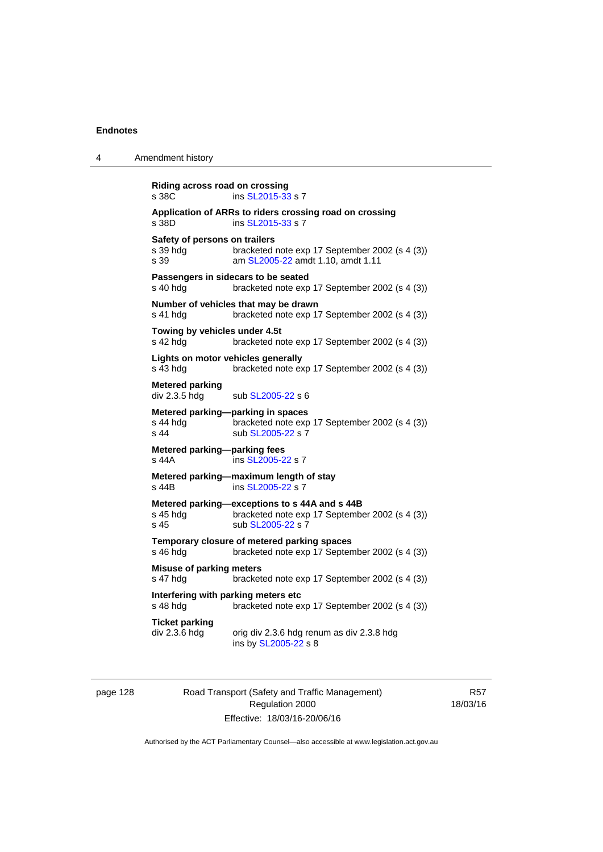| 4 | Amendment history                                                                                                                        |
|---|------------------------------------------------------------------------------------------------------------------------------------------|
|   | Riding across road on crossing<br>ins SL2015-33 s 7<br>s 38C                                                                             |
|   | Application of ARRs to riders crossing road on crossing<br>ins SL2015-33 s 7<br>s 38D                                                    |
|   | Safety of persons on trailers<br>s 39 hdg<br>bracketed note exp 17 September 2002 (s 4 (3))<br>am SL2005-22 amdt 1.10, amdt 1.11<br>s 39 |
|   | Passengers in sidecars to be seated<br>s 40 hdg<br>bracketed note exp 17 September 2002 (s 4 (3))                                        |
|   | Number of vehicles that may be drawn<br>s 41 hdg<br>bracketed note exp 17 September 2002 (s 4 (3))                                       |
|   | Towing by vehicles under 4.5t<br>s 42 hda<br>bracketed note exp 17 September 2002 (s 4 (3))                                              |
|   | Lights on motor vehicles generally<br>bracketed note exp 17 September 2002 (s 4 (3))<br>s 43 hdg                                         |
|   | <b>Metered parking</b><br>div 2.3.5 hdg<br>sub SL2005-22 s 6                                                                             |
|   | Metered parking-parking in spaces<br>s 44 hdq<br>bracketed note exp 17 September 2002 (s 4 (3))<br>sub SL2005-22 s 7<br>s 44             |
|   | Metered parking-parking fees<br>ins SL2005-22 s 7<br>s 44A                                                                               |
|   | Metered parking-maximum length of stay<br>ins SL2005-22 s 7<br>s 44B                                                                     |
|   | Metered parking-exceptions to s 44A and s 44B<br>bracketed note exp 17 September 2002 (s 4 (3))<br>s 45 hda<br>sub SL2005-22 s 7<br>s 45 |
|   | Temporary closure of metered parking spaces<br>bracketed note exp 17 September 2002 (s 4 (3))<br>s 46 hdg                                |
|   | <b>Misuse of parking meters</b><br>s 47 hdg<br>bracketed note exp 17 September 2002 (s 4 (3))                                            |
|   | Interfering with parking meters etc<br>bracketed note exp 17 September 2002 (s 4 (3))<br>s 48 hdg                                        |
|   | <b>Ticket parking</b><br>div 2.3.6 hdg<br>orig div 2.3.6 hdg renum as div 2.3.8 hdg<br>ins by SL2005-22 s 8                              |

page 128 Road Transport (Safety and Traffic Management) Regulation 2000 Effective: 18/03/16-20/06/16

R57 18/03/16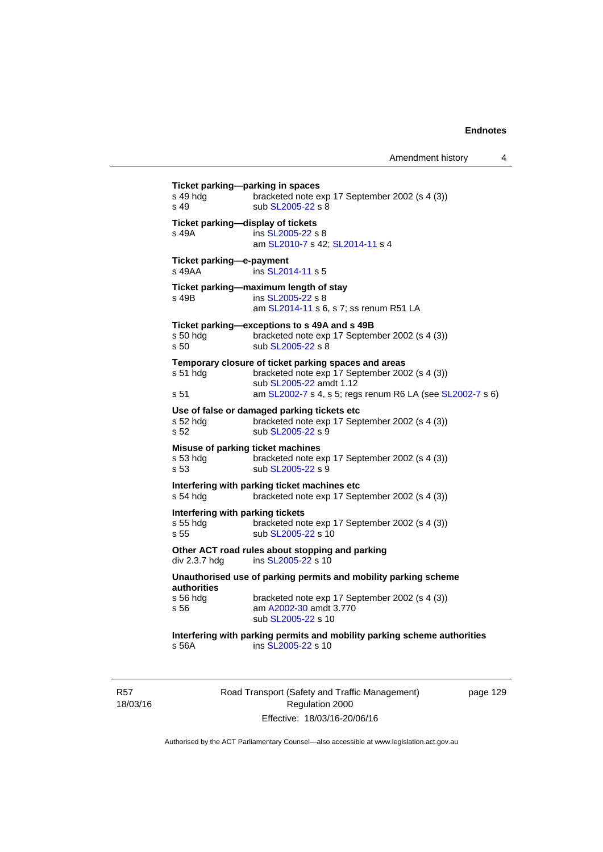Amendment history 4

| s 49 hda<br>s 49                                     | Ticket parking-parking in spaces<br>bracketed note exp 17 September 2002 (s 4 (3))<br>sub SL2005-22 s 8                                                                                        |
|------------------------------------------------------|------------------------------------------------------------------------------------------------------------------------------------------------------------------------------------------------|
| s 49A                                                | Ticket parking-display of tickets<br>ins SL2005-22 s 8<br>am SL2010-7 s 42; SL2014-11 s 4                                                                                                      |
| Ticket parking-e-payment<br>s 49AA                   | ins SL2014-11 s 5                                                                                                                                                                              |
| s 49B                                                | Ticket parking-maximum length of stay<br>ins SL2005-22 s 8<br>am SL2014-11 s 6, s 7; ss renum R51 LA                                                                                           |
| s 50 hdg<br>s <sub>50</sub>                          | Ticket parking-exceptions to s 49A and s 49B<br>bracketed note exp 17 September 2002 (s 4 (3))<br>sub SL2005-22 s 8                                                                            |
| s 51 hdg<br>s 51                                     | Temporary closure of ticket parking spaces and areas<br>bracketed note exp 17 September 2002 (s 4 (3))<br>sub SL2005-22 amdt 1.12<br>am SL2002-7 s 4, s 5; regs renum R6 LA (see SL2002-7 s 6) |
| s 52 hdg<br>s <sub>52</sub>                          | Use of false or damaged parking tickets etc<br>bracketed note exp 17 September 2002 (s 4 (3))<br>sub SL2005-22 s 9                                                                             |
| s 53 hdg<br>s 53                                     | Misuse of parking ticket machines<br>bracketed note exp 17 September 2002 (s 4 (3))<br>sub SL2005-22 s 9                                                                                       |
| s 54 hdg                                             | Interfering with parking ticket machines etc<br>bracketed note exp 17 September 2002 (s 4 (3))                                                                                                 |
| Interfering with parking tickets<br>s 55 hda<br>s 55 | bracketed note exp 17 September 2002 (s 4 (3))<br>sub SL2005-22 s 10                                                                                                                           |
| div 2.3.7 hdg                                        | Other ACT road rules about stopping and parking<br>ins SL2005-22 s 10                                                                                                                          |
|                                                      | Unauthorised use of parking permits and mobility parking scheme                                                                                                                                |
| <b>authorities</b><br>s 56 hdg<br>s 56               | bracketed note exp 17 September 2002 (s 4 (3))<br>am A2002-30 amdt 3.770<br>sub SL2005-22 s 10                                                                                                 |
| s 56A                                                | Interfering with parking permits and mobility parking scheme authorities<br>ins SL2005-22 s 10                                                                                                 |

R57 18/03/16 Road Transport (Safety and Traffic Management) Regulation 2000 Effective: 18/03/16-20/06/16

page 129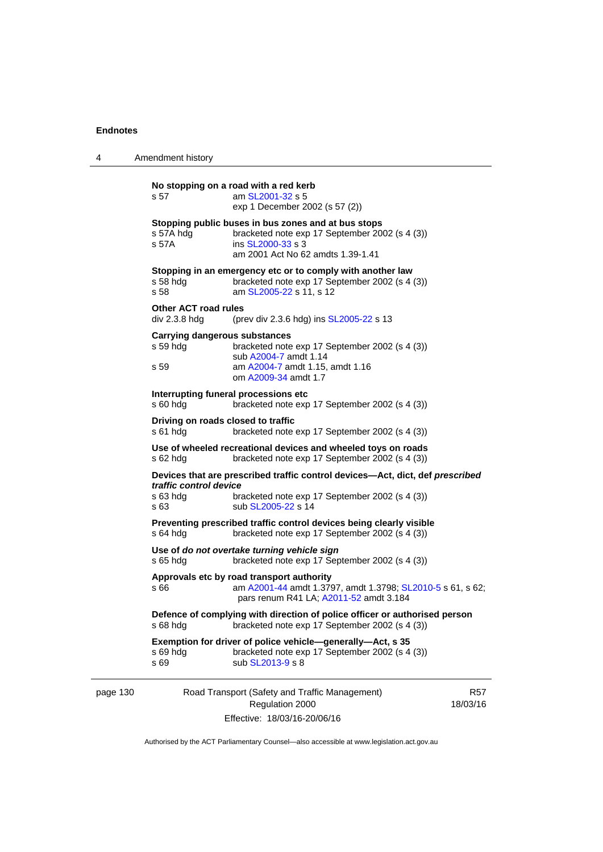| 4        | Amendment history                                                                                                                                                                                   |
|----------|-----------------------------------------------------------------------------------------------------------------------------------------------------------------------------------------------------|
|          | No stopping on a road with a red kerb<br>am SL2001-32 s 5<br>s 57<br>exp 1 December 2002 (s 57 (2))                                                                                                 |
|          | Stopping public buses in bus zones and at bus stops<br>s 57A hdg<br>bracketed note exp 17 September 2002 (s 4 (3))<br>s 57A<br>ins SL2000-33 s 3<br>am 2001 Act No 62 amdts 1.39-1.41               |
|          | Stopping in an emergency etc or to comply with another law<br>bracketed note exp 17 September 2002 (s 4 (3))<br>s 58 hdg<br>s 58<br>am SL2005-22 s 11, s 12                                         |
|          | <b>Other ACT road rules</b><br>div 2.3.8 hdg<br>(prev div 2.3.6 hdg) ins SL2005-22 s 13                                                                                                             |
|          | <b>Carrying dangerous substances</b><br>$s59$ hdg<br>bracketed note exp 17 September 2002 (s 4 (3))<br>sub A2004-7 amdt 1.14<br>am A2004-7 amdt 1.15, amdt 1.16<br>s 59<br>om A2009-34 amdt 1.7     |
|          | Interrupting funeral processions etc<br>s 60 hdg<br>bracketed note exp 17 September 2002 (s 4 (3))                                                                                                  |
|          | Driving on roads closed to traffic<br>$s61$ hdg<br>bracketed note exp 17 September 2002 (s 4 (3))                                                                                                   |
|          | Use of wheeled recreational devices and wheeled toys on roads<br>s 62 hdg<br>bracketed note exp 17 September 2002 (s 4 (3))                                                                         |
|          | Devices that are prescribed traffic control devices-Act, dict, def prescribed<br>traffic control device<br>s 63 hdg<br>bracketed note exp 17 September 2002 (s 4 (3))<br>sub SL2005-22 s 14<br>s 63 |
|          | Preventing prescribed traffic control devices being clearly visible<br>$s$ 64 hdg<br>bracketed note exp 17 September 2002 (s 4 (3))                                                                 |
|          | Use of do not overtake turning vehicle sign<br>s 65 hdg<br>bracketed note exp 17 September 2002 (s 4 (3))                                                                                           |
|          | Approvals etc by road transport authority<br>am A2001-44 amdt 1.3797, amdt 1.3798; SL2010-5 s 61, s 62;<br>s 66<br>pars renum R41 LA; A2011-52 amdt 3.184                                           |
|          | Defence of complying with direction of police officer or authorised person<br>bracketed note exp 17 September 2002 (s 4 (3))<br>s 68 hda                                                            |
|          | Exemption for driver of police vehicle—generally—Act, s 35<br>bracketed note exp 17 September 2002 (s 4 (3))<br>s 69 hdg<br>s 69<br>sub SL2013-9 s 8                                                |
| page 130 | Road Transport (Safety and Traffic Management)<br><b>R57</b><br>Regulation 2000<br>18/03/16<br>Effective: 18/03/16-20/06/16                                                                         |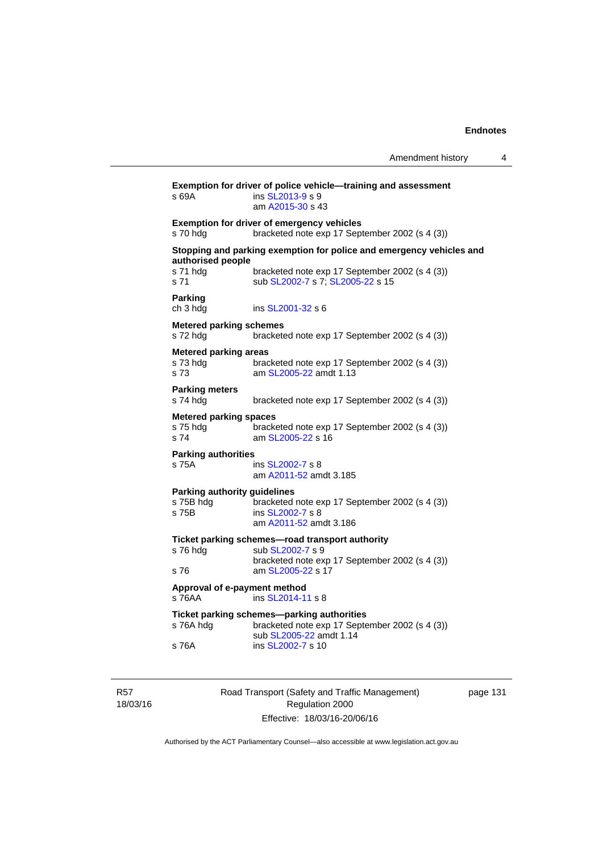| s 69A                                             | Exemption for driver of police vehicle-training and assessment<br>ins SL2013-9 s 9<br>am A2015-30 s 43                  |
|---------------------------------------------------|-------------------------------------------------------------------------------------------------------------------------|
| s 70 hdg                                          | <b>Exemption for driver of emergency vehicles</b><br>bracketed note exp 17 September 2002 (s 4 (3))                     |
| authorised people                                 | Stopping and parking exemption for police and emergency vehicles and                                                    |
| s 71 hdg<br>s 71                                  | bracketed note exp 17 September 2002 (s 4 (3))<br>sub SL2002-7 s 7; SL2005-22 s 15                                      |
| Parking<br>ch 3 hdg                               | ins SL2001-32 s 6                                                                                                       |
| <b>Metered parking schemes</b><br>s 72 hdg        | bracketed note exp 17 September 2002 (s 4 (3))                                                                          |
| <b>Metered parking areas</b><br>s 73 hdg<br>s 73  | bracketed note exp 17 September 2002 (s 4 (3))<br>am SL2005-22 amdt 1.13                                                |
| <b>Parking meters</b><br>s 74 hdg                 | bracketed note exp 17 September 2002 (s 4 (3))                                                                          |
| <b>Metered parking spaces</b><br>s 75 hdg<br>s 74 | bracketed note exp 17 September 2002 (s 4 (3))<br>am SL2005-22 s 16                                                     |
| <b>Parking authorities</b><br>s 75A               | ins SL2002-7 s 8<br>am A2011-52 amdt 3.185                                                                              |
| <b>Parking authority guidelines</b><br>s 75B hdg  | bracketed note exp 17 September 2002 (s 4 (3))                                                                          |
| s 75B                                             | ins SL2002-7 s 8<br>am A2011-52 amdt 3.186                                                                              |
|                                                   | Ticket parking schemes-road transport authority                                                                         |
| s 76 hdg                                          | sub SL2002-7 s 9<br>bracketed note exp 17 September 2002 (s 4 (3))                                                      |
| s 76                                              | am SL2005-22 s 17                                                                                                       |
| Approval of e-payment method<br>$s$ 76AA          | ins SL2014-11 s 8                                                                                                       |
| s 76A hdg                                         | Ticket parking schemes-parking authorities<br>bracketed note exp 17 September 2002 (s 4 (3))<br>sub SL2005-22 amdt 1.14 |
| s 76A                                             | ins SL2002-7 s 10                                                                                                       |
|                                                   |                                                                                                                         |

R57 18/03/16 Road Transport (Safety and Traffic Management) Regulation 2000 Effective: 18/03/16-20/06/16

page 131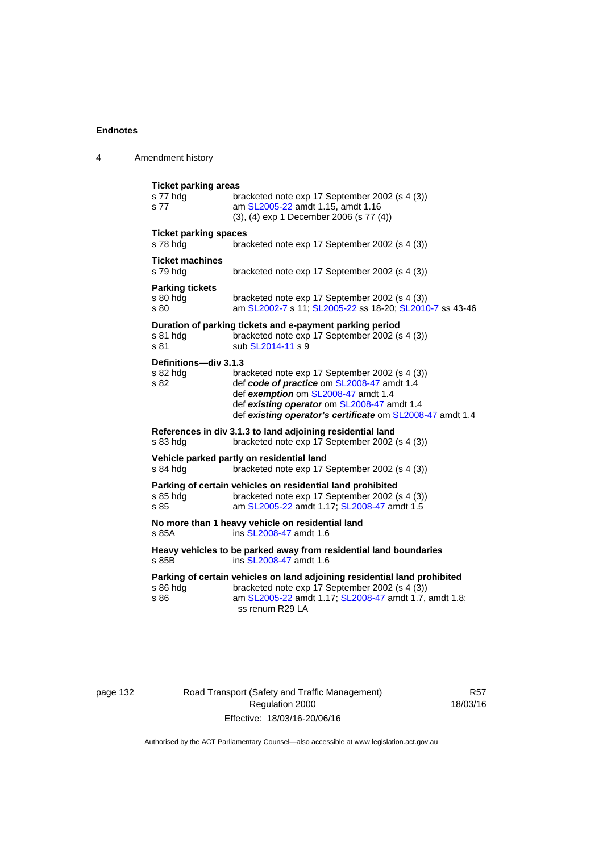| 4 | Amendment history                               |                                                                                                                                                                                                                                                 |
|---|-------------------------------------------------|-------------------------------------------------------------------------------------------------------------------------------------------------------------------------------------------------------------------------------------------------|
|   | <b>Ticket parking areas</b><br>s 77 hdg<br>s 77 | bracketed note exp 17 September 2002 (s 4 (3))<br>am SL2005-22 amdt 1.15, amdt 1.16<br>(3), (4) exp 1 December 2006 (s 77 (4))                                                                                                                  |
|   | <b>Ticket parking spaces</b><br>s 78 hdg        | bracketed note exp 17 September 2002 (s 4 (3))                                                                                                                                                                                                  |
|   | <b>Ticket machines</b><br>s 79 hdg              | bracketed note exp 17 September 2002 (s 4 (3))                                                                                                                                                                                                  |
|   | <b>Parking tickets</b><br>$s80h$ dg<br>s 80     | bracketed note exp 17 September 2002 (s 4 (3))<br>am SL2002-7 s 11; SL2005-22 ss 18-20; SL2010-7 ss 43-46                                                                                                                                       |
|   | s 81 hdg<br>s 81                                | Duration of parking tickets and e-payment parking period<br>bracketed note exp 17 September 2002 (s 4 (3))<br>sub SL2014-11 s 9                                                                                                                 |
|   | Definitions-div 3.1.3<br>s 82 hdg<br>s 82       | bracketed note exp 17 September 2002 (s 4 (3))<br>def code of practice om SL2008-47 amdt 1.4<br>def exemption om SL2008-47 amdt 1.4<br>def existing operator om SL2008-47 amdt 1.4<br>def existing operator's certificate om SL2008-47 amdt 1.4 |
|   | s 83 hdg                                        | References in div 3.1.3 to land adjoining residential land<br>bracketed note exp 17 September 2002 (s 4 (3))                                                                                                                                    |
|   | s 84 hdg                                        | Vehicle parked partly on residential land<br>bracketed note exp 17 September 2002 (s 4 (3))                                                                                                                                                     |
|   | s 85 hdg<br>s 85                                | Parking of certain vehicles on residential land prohibited<br>bracketed note exp 17 September 2002 (s 4 (3))<br>am SL2005-22 amdt 1.17; SL2008-47 amdt 1.5                                                                                      |
|   | s 85A                                           | No more than 1 heavy vehicle on residential land<br>ins SL2008-47 amdt 1.6                                                                                                                                                                      |
|   | s 85B                                           | Heavy vehicles to be parked away from residential land boundaries<br>ins SL2008-47 amdt 1.6                                                                                                                                                     |
|   | $s86h$ dg<br>s 86                               | Parking of certain vehicles on land adjoining residential land prohibited<br>bracketed note exp 17 September 2002 (s 4 (3))<br>am SL2005-22 amdt 1.17; SL2008-47 amdt 1.7, amdt 1.8;<br>ss renum R29 LA                                         |
|   |                                                 |                                                                                                                                                                                                                                                 |

page 132 Road Transport (Safety and Traffic Management) Regulation 2000 Effective: 18/03/16-20/06/16

R57 18/03/16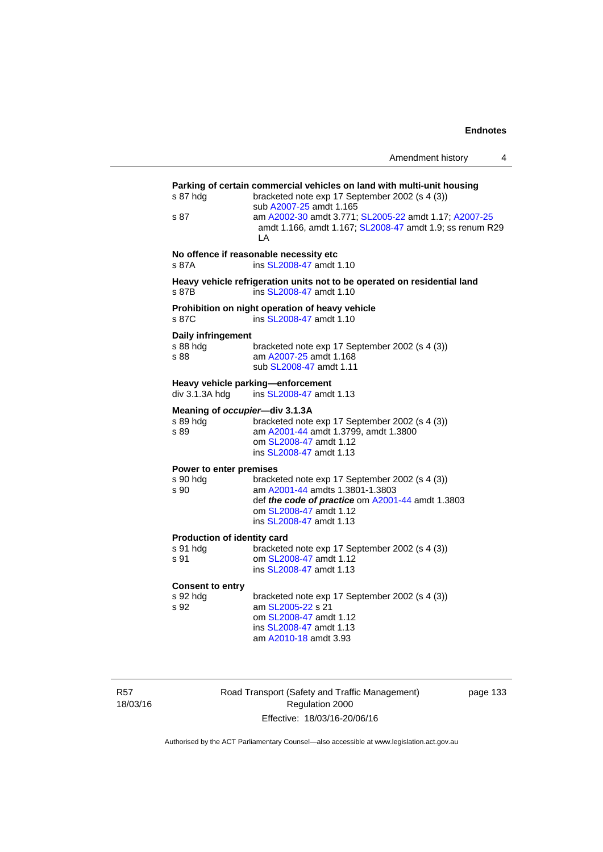| Amendment history |  |
|-------------------|--|
|                   |  |

| s 87 hdg<br>s 87                                   | Parking of certain commercial vehicles on land with multi-unit housing<br>bracketed note exp 17 September 2002 (s 4 (3))<br>sub A2007-25 amdt 1.165<br>am A2002-30 amdt 3.771; SL2005-22 amdt 1.17; A2007-25<br>amdt 1.166, amdt 1.167; SL2008-47 amdt 1.9; ss renum R29<br>LA |
|----------------------------------------------------|--------------------------------------------------------------------------------------------------------------------------------------------------------------------------------------------------------------------------------------------------------------------------------|
| s 87A                                              | No offence if reasonable necessity etc<br>ins SL2008-47 amdt 1.10                                                                                                                                                                                                              |
| s 87B                                              | Heavy vehicle refrigeration units not to be operated on residential land<br>ins SL2008-47 amdt 1.10                                                                                                                                                                            |
| s 87C                                              | Prohibition on night operation of heavy vehicle<br>ins SL2008-47 amdt 1.10                                                                                                                                                                                                     |
| Daily infringement<br>s 88 hdg<br>s 88             | bracketed note exp 17 September 2002 (s 4 (3))<br>am A2007-25 amdt 1.168<br>sub SL2008-47 amdt 1.11                                                                                                                                                                            |
| div 3.1.3A hdg                                     | Heavy vehicle parking-enforcement<br>ins SL2008-47 amdt 1.13                                                                                                                                                                                                                   |
| Meaning of occupier-div 3.1.3A<br>s 89 hda<br>s 89 | bracketed note exp 17 September 2002 (s 4 (3))<br>am A2001-44 amdt 1.3799, amdt 1.3800<br>om SL2008-47 amdt 1.12<br>ins SL2008-47 amdt 1.13                                                                                                                                    |
| Power to enter premises<br>s 90 hdg<br>s 90        | bracketed note exp 17 September 2002 (s 4 (3))<br>am A2001-44 amdts 1.3801-1.3803<br>def the code of practice om A2001-44 amdt 1.3803<br>om SL2008-47 amdt 1.12<br>ins SL2008-47 amdt 1.13                                                                                     |
| Production of identity card<br>s 91 hda<br>s 91    | bracketed note exp 17 September 2002 (s 4 (3))<br>om SL2008-47 amdt 1.12<br>ins SL2008-47 amdt 1.13                                                                                                                                                                            |
| <b>Consent to entry</b><br>s 92 hda<br>s 92        | bracketed note exp 17 September 2002 (s 4 (3))<br>am SL2005-22 s 21<br>om SL2008-47 amdt 1.12<br>ins SL2008-47 amdt 1.13<br>am A2010-18 amdt 3.93                                                                                                                              |

R57 18/03/16 Road Transport (Safety and Traffic Management) Regulation 2000 Effective: 18/03/16-20/06/16

page 133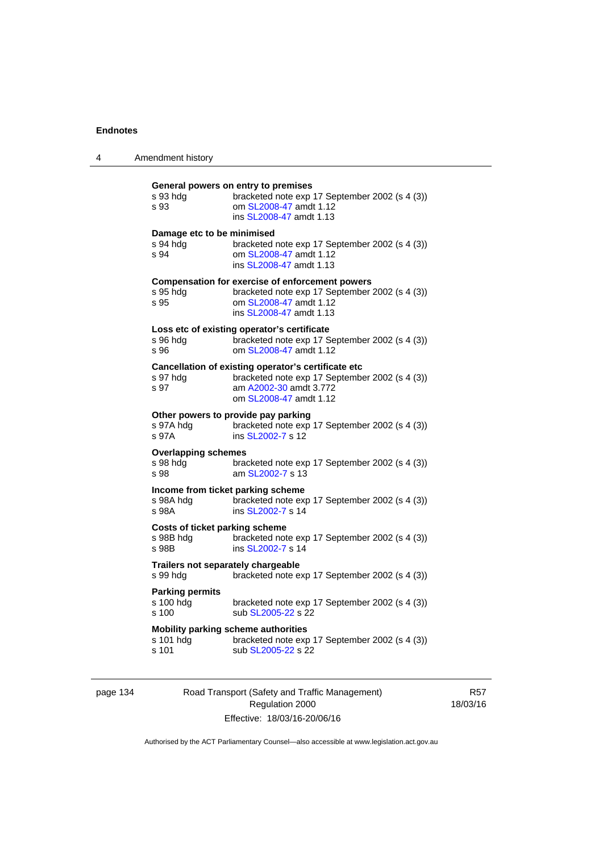| 4 | Amendment history                                                                                                                                                                 |  |
|---|-----------------------------------------------------------------------------------------------------------------------------------------------------------------------------------|--|
|   | General powers on entry to premises<br>s 93 hdg<br>bracketed note exp 17 September 2002 (s 4 (3))<br>om SL2008-47 amdt 1.12<br>s 93<br>ins SL2008-47 amdt 1.13                    |  |
|   | Damage etc to be minimised<br>s 94 hdg<br>bracketed note exp 17 September 2002 (s 4 (3))<br>om SL2008-47 amdt 1.12<br>s 94<br>ins SL2008-47 amdt 1.13                             |  |
|   | <b>Compensation for exercise of enforcement powers</b><br>bracketed note exp 17 September 2002 (s 4 (3))<br>s 95 hdg<br>om SL2008-47 amdt 1.12<br>s 95<br>ins SL2008-47 amdt 1.13 |  |
|   | Loss etc of existing operator's certificate<br>bracketed note exp 17 September 2002 (s 4 (3))<br>s 96 hdg<br>om SL2008-47 amdt 1.12<br>s 96                                       |  |
|   | Cancellation of existing operator's certificate etc<br>bracketed note exp 17 September 2002 (s 4 (3))<br>s 97 hdg<br>am A2002-30 amdt 3.772<br>s 97<br>om SL2008-47 amdt 1.12     |  |
|   | Other powers to provide pay parking<br>bracketed note exp 17 September 2002 (s 4 (3))<br>s 97A hdq<br>s 97A<br>ins SL2002-7 s 12                                                  |  |
|   | <b>Overlapping schemes</b><br>s 98 hdg<br>bracketed note exp 17 September 2002 (s 4 (3))<br>am SL2002-7 s 13<br>s 98                                                              |  |
|   | Income from ticket parking scheme<br>s 98A hdg<br>bracketed note exp 17 September 2002 (s 4 (3))<br>s 98A<br>ins SL2002-7 s 14                                                    |  |
|   | Costs of ticket parking scheme<br>s 98B hdg<br>bracketed note exp 17 September 2002 (s 4 (3))<br>s 98B<br>ins SL2002-7 s 14                                                       |  |
|   | Trailers not separately chargeable<br>s 99 hdg<br>bracketed note exp 17 September 2002 (s 4 (3))                                                                                  |  |
|   | <b>Parking permits</b><br>s 100 hdg<br>bracketed note exp 17 September 2002 (s 4 (3))<br>s 100<br>sub SL2005-22 s 22                                                              |  |
|   | Mobility parking scheme authorities<br>s 101 hdg<br>bracketed note exp 17 September 2002 (s 4 (3))<br>sub SL2005-22 s 22<br>s 101                                                 |  |
|   |                                                                                                                                                                                   |  |

# page 134 Road Transport (Safety and Traffic Management) Regulation 2000 Effective: 18/03/16-20/06/16

R57 18/03/16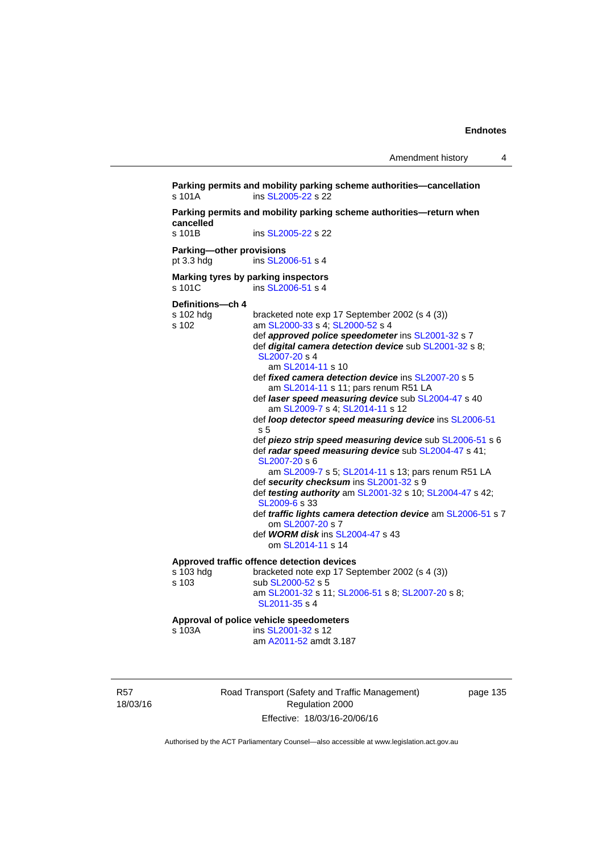**Parking permits and mobility parking scheme authorities—cancellation**  s 101A **ins SL2005-22** s 22 **Parking permits and mobility parking scheme authorities—return when**  cancelled<br>s 101B ins [SL2005-22](http://www.legislation.act.gov.au/sl/2005-22) s 22 **Parking—other provisions**  pt 3.3 hdg ins [SL2006-51](http://www.legislation.act.gov.au/sl/2006-51) s 4 **Marking tyres by parking inspectors**  s 101C ins SL 2006-51 s 4 **Definitions—ch 4**  s 102 hdg bracketed note exp 17 September 2002 (s 4 (3))<br>s 102 am SL2000-33 s 4; SL2000-52 s 4 am [SL2000-33](http://www.legislation.act.gov.au/sl/2000-33) s 4; [SL2000-52](http://www.legislation.act.gov.au/sl/2000-52) s 4 def *approved police speedometer* ins [SL2001-32](http://www.legislation.act.gov.au/sl/2001-32) s 7 def *digital camera detection device* sub [SL2001-32](http://www.legislation.act.gov.au/sl/2001-32) s 8; [SL2007-20](http://www.legislation.act.gov.au/sl/2007-20) s 4 am [SL2014-11](http://www.legislation.act.gov.au/sl/2014-11) s 10 def *fixed camera detection device* ins [SL2007-20](http://www.legislation.act.gov.au/sl/2007-20) s 5 am [SL2014-11](http://www.legislation.act.gov.au/sl/2014-11) s 11; pars renum R51 LA def *laser speed measuring device* sub [SL2004-47](http://www.legislation.act.gov.au/sl/2004-47) s 40 am [SL2009-7](http://www.legislation.act.gov.au/sl/2009-7) s 4; [SL2014-11](http://www.legislation.act.gov.au/sl/2014-11) s 12 def *loop detector speed measuring device* ins [SL2006-51](http://www.legislation.act.gov.au/sl/2006-51) s 5 def *piezo strip speed measuring device* sub [SL2006-51](http://www.legislation.act.gov.au/sl/2006-51) s 6 def *radar speed measuring device* sub [SL2004-47](http://www.legislation.act.gov.au/sl/2004-47) s 41; [SL2007-20](http://www.legislation.act.gov.au/sl/2007-20) s 6 am [SL2009-7](http://www.legislation.act.gov.au/sl/2009-7) s 5; [SL2014-11](http://www.legislation.act.gov.au/sl/2014-11) s 13; pars renum R51 LA def *security checksum* ins [SL2001-32](http://www.legislation.act.gov.au/sl/2001-32) s 9 def *testing authority* am [SL2001-32](http://www.legislation.act.gov.au/sl/2001-32) s 10; [SL2004-47](http://www.legislation.act.gov.au/sl/2004-47) s 42; [SL2009-6](http://www.legislation.act.gov.au/sl/2009-6) s 33 def *traffic lights camera detection device* am [SL2006-51](http://www.legislation.act.gov.au/sl/2006-51) s 7 om [SL2007-20](http://www.legislation.act.gov.au/sl/2007-20) s 7 def *WORM disk* ins [SL2004-47](http://www.legislation.act.gov.au/sl/2004-47) s 43 om [SL2014-11](http://www.legislation.act.gov.au/sl/2014-11) s 14 **Approved traffic offence detection devices**  s 103 hdg bracketed note exp 17 September 2002 (s 4 (3))<br>s 103 sub SL2000-52 s 5 sub [SL2000-52](http://www.legislation.act.gov.au/sl/2000-52) s 5 am [SL2001-32](http://www.legislation.act.gov.au/sl/2001-32) s 11; [SL2006-51](http://www.legislation.act.gov.au/sl/2006-51) s 8; [SL2007-20](http://www.legislation.act.gov.au/sl/2007-20) s 8; [SL2011-35](http://www.legislation.act.gov.au/sl/2011-35) s 4 **Approval of police vehicle speedometers**  s 103A **ins [SL2001-32](http://www.legislation.act.gov.au/sl/2001-32) s** 12 am [A2011-52](http://www.legislation.act.gov.au/a/2011-52) amdt 3.187

R57 18/03/16 Road Transport (Safety and Traffic Management) Regulation 2000 Effective: 18/03/16-20/06/16

page 135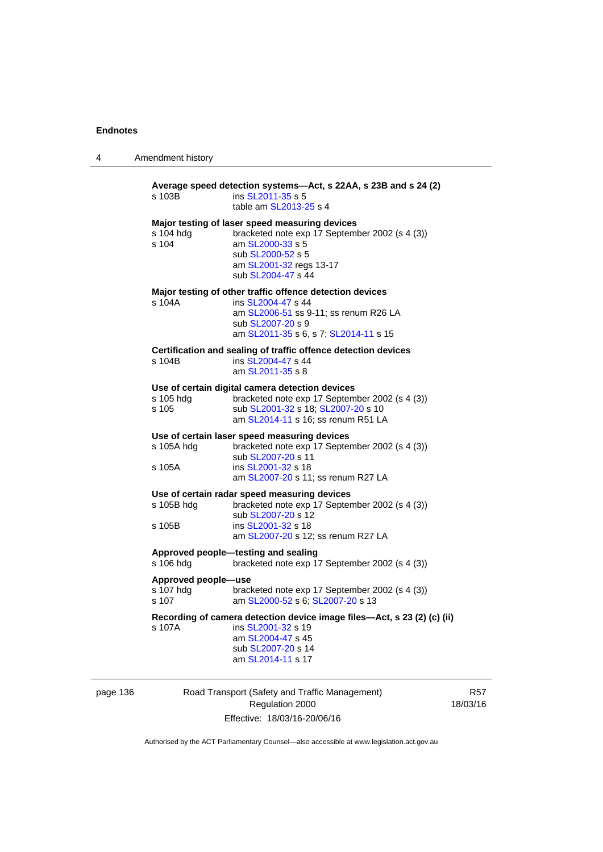| 4 | Amendment history                         |                                                                                                                                                                                            |
|---|-------------------------------------------|--------------------------------------------------------------------------------------------------------------------------------------------------------------------------------------------|
|   | s 103B                                    | Average speed detection systems-Act, s 22AA, s 23B and s 24 (2)<br>ins SL2011-35 s 5<br>table am SL2013-25 s 4                                                                             |
|   | s 104 hdg<br>s 104                        | Major testing of laser speed measuring devices<br>bracketed note exp 17 September 2002 (s 4 (3))<br>am SL2000-33 s 5<br>sub SL2000-52 s 5<br>am SL2001-32 regs 13-17<br>sub SL2004-47 s 44 |
|   | s 104A                                    | Major testing of other traffic offence detection devices<br>ins SL2004-47 s 44<br>am SL2006-51 ss 9-11; ss renum R26 LA<br>sub SL2007-20 s 9<br>am SL2011-35 s 6, s 7; SL2014-11 s 15      |
|   | s 104B                                    | Certification and sealing of traffic offence detection devices<br>ins SL2004-47 s 44<br>am SL2011-35 s 8                                                                                   |
|   | s 105 hdg<br>s 105                        | Use of certain digital camera detection devices<br>bracketed note exp 17 September 2002 (s 4 (3))<br>sub SL2001-32 s 18; SL2007-20 s 10<br>am SL2014-11 s 16; ss renum R51 LA              |
|   | s 105A hdg<br>s 105A                      | Use of certain laser speed measuring devices<br>bracketed note exp 17 September 2002 (s 4 (3))<br>sub SL2007-20 s 11<br>ins SL2001-32 s 18<br>am SL2007-20 s 11; ss renum R27 LA           |
|   | s 105B hdg<br>s 105B                      | Use of certain radar speed measuring devices<br>bracketed note exp 17 September 2002 (s 4 (3))<br>sub SL2007-20 s 12<br>ins SL2001-32 s 18<br>am SL2007-20 s 12; ss renum R27 LA           |
|   | s 106 hdg                                 | Approved people-testing and sealing<br>bracketed note exp 17 September 2002 (s 4 (3))                                                                                                      |
|   | Approved people-use<br>s 107 hdg<br>s 107 | bracketed note exp 17 September 2002 (s 4 (3))<br>am SL2000-52 s 6; SL2007-20 s 13                                                                                                         |
|   | s 107A                                    | Recording of camera detection device image files—Act, s 23 (2) (c) (ii)<br>ins SL2001-32 s 19<br>am SL2004-47 s 45<br>sub SL2007-20 s 14<br>am SL2014-11 s 17                              |
|   |                                           |                                                                                                                                                                                            |

| page 136 |  |
|----------|--|
|----------|--|

Road Transport (Safety and Traffic Management) Regulation 2000 Effective: 18/03/16-20/06/16

R57 18/03/16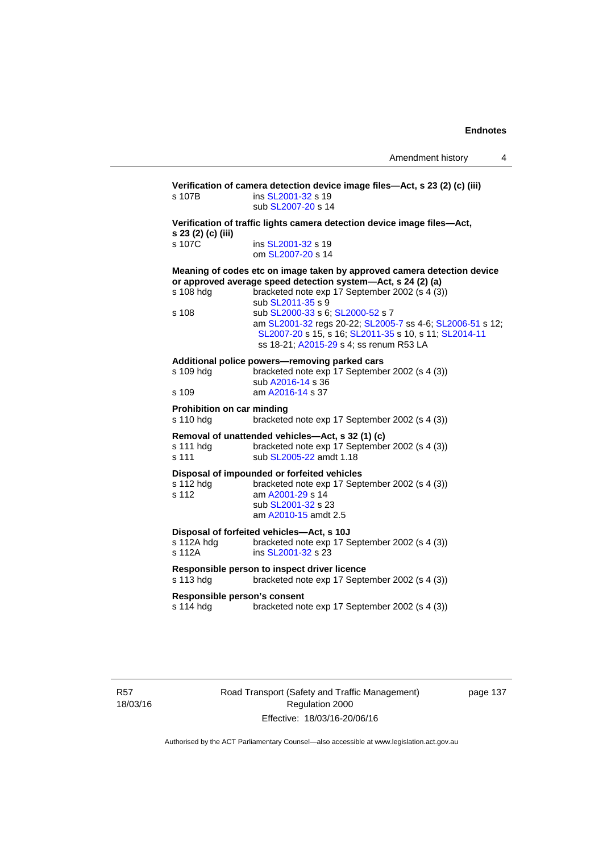**Verification of camera detection device image files—Act, s 23 (2) (c) (iii)**  s 107B ins [SL2001-32](http://www.legislation.act.gov.au/sl/2001-32) s 19 sub [SL2007-20](http://www.legislation.act.gov.au/sl/2007-20) s 14 **Verification of traffic lights camera detection device image files—Act, s 23 (2) (c) (iii)**  s 107C ins [SL2001-32](http://www.legislation.act.gov.au/sl/2001-32) s 19 om [SL2007-20](http://www.legislation.act.gov.au/sl/2007-20) s 14 **Meaning of codes etc on image taken by approved camera detection device or approved average speed detection system—Act, s 24 (2) (a)**  s 108 hdg bracketed note exp 17 September 2002 (s 4 (3)) sub [SL2011-35](http://www.legislation.act.gov.au/sl/2011-35) s 9 s 108 sub [SL2000-33](http://www.legislation.act.gov.au/sl/2000-33) s 6; [SL2000-52](http://www.legislation.act.gov.au/sl/2000-52) s 7 am [SL2001-32](http://www.legislation.act.gov.au/sl/2001-32) regs 20-22; [SL2005-7](http://www.legislation.act.gov.au/sl/2005-7) ss 4-6; [SL2006-51](http://www.legislation.act.gov.au/sl/2006-51) s 12; [SL2007-20](http://www.legislation.act.gov.au/sl/2007-20) s 15, s 16; [SL2011-35](http://www.legislation.act.gov.au/sl/2011-35) s 10, s 11; [SL2014-11](http://www.legislation.act.gov.au/sl/2014-11) ss 18-21; [A2015-29](http://www.legislation.act.gov.au/a/2015-29) s 4; ss renum R53 LA **Additional police powers—removing parked cars**  s 109 hdg bracketed note exp 17 September 2002 (s 4 (3)) sub [A2016-14](http://www.legislation.act.gov.au/a/2016-14) s 36<br>s 109 am A2016-14 s 37 am [A2016-14](http://www.legislation.act.gov.au/a/2016-14) s 37 **Prohibition on car minding**  s 110 hdg bracketed note exp 17 September 2002 (s 4 (3)) **Removal of unattended vehicles—Act, s 32 (1) (c)**  bracketed note exp 17 September 2002 (s 4 (3)) s 111 sub [SL2005-22](http://www.legislation.act.gov.au/sl/2005-22) amdt 1.18 **Disposal of impounded or forfeited vehicles**  s 112 hdg bracketed note exp 17 September 2002 (s 4 (3))<br>s 112  $\frac{2001-29}{5}$  s 14 am [A2001-29](http://www.legislation.act.gov.au/a/2001-29) s 14 sub [SL2001-32](http://www.legislation.act.gov.au/sl/2001-32) s 23 am [A2010-15](http://www.legislation.act.gov.au/a/2010-15) amdt 2.5 **Disposal of forfeited vehicles—Act, s 10J**  s 112A hdg bracketed note exp 17 September 2002 (s 4 (3)) s 112A **ins SL2001-32** s 23 **Responsible person to inspect driver licence**  s 113 hdg bracketed note exp 17 September 2002 (s 4 (3)) **Responsible person's consent**  s 114 hdg bracketed note exp 17 September 2002 (s 4 (3))

R57 18/03/16 Road Transport (Safety and Traffic Management) Regulation 2000 Effective: 18/03/16-20/06/16

page 137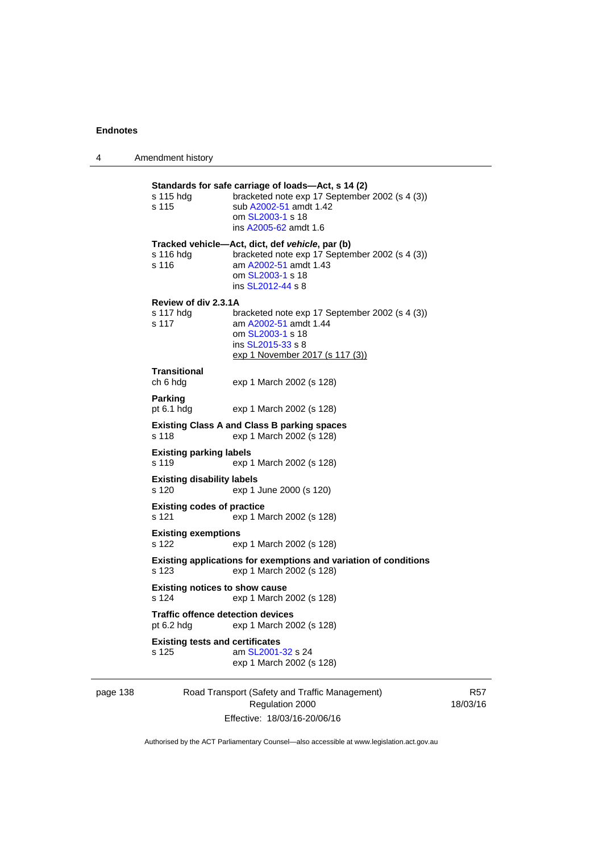| 4   | Amendment history                                        |                                                                                                                                                                             |
|-----|----------------------------------------------------------|-----------------------------------------------------------------------------------------------------------------------------------------------------------------------------|
|     | s 115 hdg<br>s 115                                       | Standards for safe carriage of loads—Act, s 14 (2)<br>bracketed note exp 17 September 2002 (s 4 (3))<br>sub A2002-51 amdt 1.42<br>om SL2003-1 s 18<br>ins A2005-62 amdt 1.6 |
|     | s 116 hda<br>s 116                                       | Tracked vehicle—Act, dict, def vehicle, par (b)<br>bracketed note exp 17 September 2002 (s 4 (3))<br>am A2002-51 amdt 1.43<br>om SL2003-1 s 18<br>ins SL2012-44 s 8         |
|     | Review of div 2.3.1A<br>s 117 hdg<br>s 117               | bracketed note exp 17 September 2002 (s 4 (3))<br>am A2002-51 amdt 1.44<br>om SL2003-1 s 18<br>ins SL2015-33 s 8<br>exp 1 November 2017 (s 117 (3))                         |
|     | <b>Transitional</b><br>ch 6 hdg                          | exp 1 March 2002 (s 128)                                                                                                                                                    |
|     | Parking<br>pt $6.1$ hdg                                  | exp 1 March 2002 (s 128)                                                                                                                                                    |
|     | s 118                                                    | <b>Existing Class A and Class B parking spaces</b><br>exp 1 March 2002 (s 128)                                                                                              |
|     | <b>Existing parking labels</b><br>s 119                  | exp 1 March 2002 (s 128)                                                                                                                                                    |
|     | <b>Existing disability labels</b><br>s 120               | exp 1 June 2000 (s 120)                                                                                                                                                     |
|     | <b>Existing codes of practice</b><br>s 121               | exp 1 March 2002 (s 128)                                                                                                                                                    |
|     | <b>Existing exemptions</b><br>s 122                      | exp 1 March 2002 (s 128)                                                                                                                                                    |
|     | s 123                                                    | Existing applications for exemptions and variation of conditions<br>exp 1 March 2002 (s 128)                                                                                |
|     | <b>Existing notices to show cause</b><br>s 124           | exp 1 March 2002 (s 128)                                                                                                                                                    |
|     | <b>Traffic offence detection devices</b><br>pt $6.2$ hdg | exp 1 March 2002 (s 128)                                                                                                                                                    |
|     | <b>Existing tests and certificates</b><br>s 125          | am SL2001-32 s 24<br>exp 1 March 2002 (s 128)                                                                                                                               |
| 120 |                                                          | Bood Trapaport (Safaty and Traffic Managamont)                                                                                                                              |

page 138 Road Transport (Safety and Traffic Management) Regulation 2000 Effective: 18/03/16-20/06/16

R57 18/03/16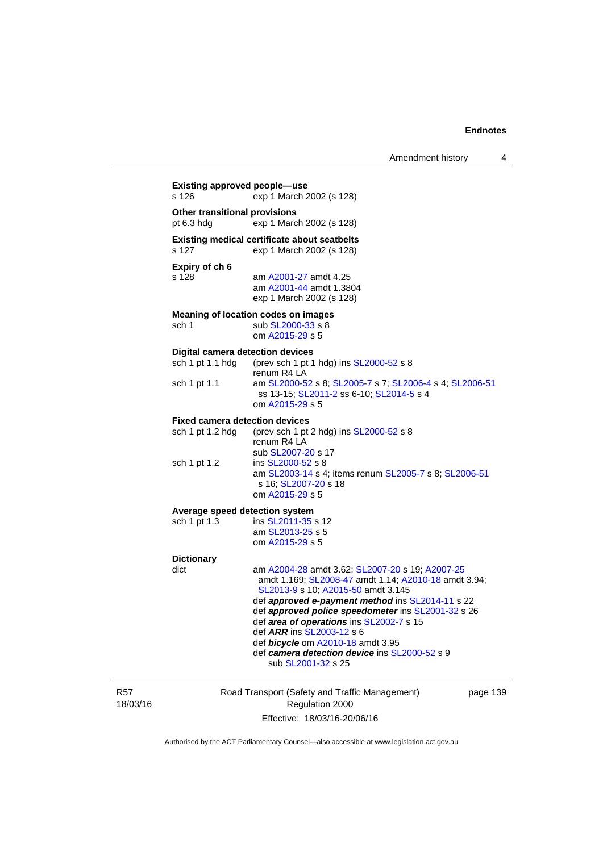|                                                             | Amendment history                                                                                                                                                                                                                                                                                                                       | 4 |
|-------------------------------------------------------------|-----------------------------------------------------------------------------------------------------------------------------------------------------------------------------------------------------------------------------------------------------------------------------------------------------------------------------------------|---|
| <b>Existing approved people-use</b><br>s 126                | exp 1 March 2002 (s 128)                                                                                                                                                                                                                                                                                                                |   |
| <b>Other transitional provisions</b><br>pt $6.3$ hdg        | exp 1 March 2002 (s 128)                                                                                                                                                                                                                                                                                                                |   |
| s 127                                                       | <b>Existing medical certificate about seatbelts</b><br>exp 1 March 2002 (s 128)                                                                                                                                                                                                                                                         |   |
| Expiry of ch 6<br>s 128                                     | am A2001-27 amdt 4.25<br>am A2001-44 amdt 1.3804<br>exp 1 March 2002 (s 128)                                                                                                                                                                                                                                                            |   |
| sch 1                                                       | Meaning of location codes on images<br>sub SL2000-33 s 8<br>om A2015-29 s 5                                                                                                                                                                                                                                                             |   |
| <b>Digital camera detection devices</b><br>sch 1 pt 1.1 hdg | (prev sch 1 pt 1 hdg) ins SL2000-52 s 8<br>renum R4 LA                                                                                                                                                                                                                                                                                  |   |
| sch 1 pt 1.1                                                | am SL2000-52 s 8; SL2005-7 s 7; SL2006-4 s 4; SL2006-51<br>ss 13-15; SL2011-2 ss 6-10; SL2014-5 s 4<br>om A2015-29 s 5                                                                                                                                                                                                                  |   |
| <b>Fixed camera detection devices</b><br>sch 1 pt 1.2 hdg   | (prev sch 1 pt 2 hdg) ins SL2000-52 s 8<br>renum R4 LA<br>sub SL2007-20 s 17                                                                                                                                                                                                                                                            |   |
| sch 1 pt 1.2                                                | ins SL2000-52 s 8<br>am SL2003-14 s 4; items renum SL2005-7 s 8; SL2006-51<br>s 16; SL2007-20 s 18<br>om A2015-29 s 5                                                                                                                                                                                                                   |   |
| Average speed detection system                              |                                                                                                                                                                                                                                                                                                                                         |   |
| sch 1 pt 1.3                                                | ins SL2011-35 s 12<br>am SL2013-25 s 5<br>om A2015-29 s 5                                                                                                                                                                                                                                                                               |   |
| <b>Dictionary</b>                                           |                                                                                                                                                                                                                                                                                                                                         |   |
| dict                                                        | am A2004-28 amdt 3.62; SL2007-20 s 19; A2007-25<br>amdt 1.169; SL2008-47 amdt 1.14; A2010-18 amdt 3.94;<br>SL2013-9 s 10; A2015-50 amdt 3.145<br>def approved e-payment method ins SL2014-11 s 22<br>def approved police speedometer ins SL2001-32 s 26<br>def area of operations ins SL2002-7 s 15<br>def <i>ARR</i> ins SL2003-12 s 6 |   |
|                                                             | def bicycle om A2010-18 amdt 3.95<br>def camera detection device ins SL2000-52 s 9<br>sub SL2001-32 s 25                                                                                                                                                                                                                                |   |

R57 18/03/16 Road Transport (Safety and Traffic Management) Regulation 2000 Effective: 18/03/16-20/06/16

page 139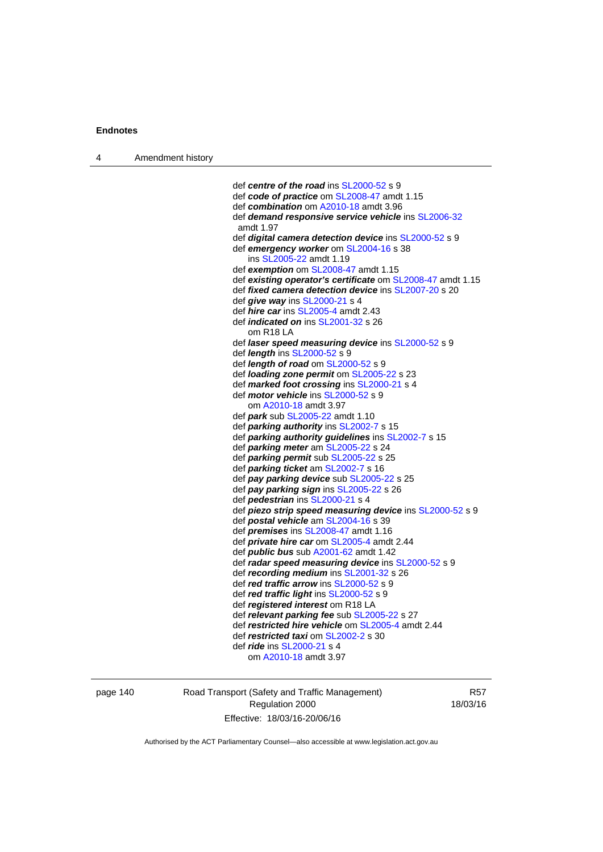| Amendment history<br>4 |  |
|------------------------|--|
|------------------------|--|

 def *centre of the road* ins [SL2000-52](http://www.legislation.act.gov.au/sl/2000-52) s 9 def *code of practice* om [SL2008-47](http://www.legislation.act.gov.au/sl/2008-47) amdt 1.15 def *combination* om [A2010-18](http://www.legislation.act.gov.au/a/2010-18) amdt 3.96 def *demand responsive service vehicle* ins [SL2006-32](http://www.legislation.act.gov.au/sl/2006-32) amdt 1.97 def *digital camera detection device* ins [SL2000-52](http://www.legislation.act.gov.au/sl/2000-52) s 9 def *emergency worker* om [SL2004-16](http://www.legislation.act.gov.au/sl/2004-16) s 38 ins [SL2005-22](http://www.legislation.act.gov.au/sl/2005-22) amdt 1.19 def *exemption* om [SL2008-47](http://www.legislation.act.gov.au/sl/2008-47) amdt 1.15 def *existing operator's certificate* om [SL2008-47](http://www.legislation.act.gov.au/sl/2008-47) amdt 1.15 def *fixed camera detection device* ins [SL2007-20](http://www.legislation.act.gov.au/sl/2007-20) s 20 def *give way* ins [SL2000-21](http://www.legislation.act.gov.au/sl/2000-21) s 4 def *hire car* ins [SL2005-4](http://www.legislation.act.gov.au/sl/2005-4) amdt 2.43 def *indicated on* ins [SL2001-32](http://www.legislation.act.gov.au/sl/2001-32) s 26 om R18 LA def *laser speed measuring device* ins [SL2000-52](http://www.legislation.act.gov.au/sl/2000-52) s 9 def *length* ins [SL2000-52](http://www.legislation.act.gov.au/sl/2000-52) s 9 def *length of road* om [SL2000-52](http://www.legislation.act.gov.au/sl/2000-52) s 9 def *loading zone permit* om [SL2005-22](http://www.legislation.act.gov.au/sl/2005-22) s 23 def *marked foot crossing* ins [SL2000-21](http://www.legislation.act.gov.au/sl/2000-21) s 4 def *motor vehicle* ins [SL2000-52](http://www.legislation.act.gov.au/sl/2000-52) s 9 om [A2010-18](http://www.legislation.act.gov.au/a/2010-18) amdt 3.97 def *park* sub [SL2005-22](http://www.legislation.act.gov.au/sl/2005-22) amdt 1.10 def *parking authority* ins [SL2002-7](http://www.legislation.act.gov.au/sl/2002-7) s 15 def *parking authority guidelines* ins [SL2002-7](http://www.legislation.act.gov.au/sl/2002-7) s 15 def *parking meter* am [SL2005-22](http://www.legislation.act.gov.au/sl/2005-22) s 24 def *parking permit* sub [SL2005-22](http://www.legislation.act.gov.au/sl/2005-22) s 25 def *parking ticket* am [SL2002-7](http://www.legislation.act.gov.au/sl/2002-7) s 16 def *pay parking device* sub [SL2005-22](http://www.legislation.act.gov.au/sl/2005-22) s 25 def *pay parking sign* ins [SL2005-22](http://www.legislation.act.gov.au/sl/2005-22) s 26 def *pedestrian* ins [SL2000-21](http://www.legislation.act.gov.au/sl/2000-21) s 4 def *piezo strip speed measuring device* ins [SL2000-52](http://www.legislation.act.gov.au/sl/2000-52) s 9 def *postal vehicle* am [SL2004-16](http://www.legislation.act.gov.au/sl/2004-16) s 39 def *premises* ins [SL2008-47](http://www.legislation.act.gov.au/sl/2008-47) amdt 1.16 def *private hire car* om [SL2005-4](http://www.legislation.act.gov.au/sl/2005-4) amdt 2.44 def *public bus* sub [A2001-62](http://www.legislation.act.gov.au/a/2001-62) amdt 1.42 def *radar speed measuring device* ins [SL2000-52](http://www.legislation.act.gov.au/sl/2000-52) s 9 def *recording medium* ins [SL2001-32](http://www.legislation.act.gov.au/sl/2001-32) s 26 def *red traffic arrow* ins [SL2000-52](http://www.legislation.act.gov.au/sl/2000-52) s 9 def *red traffic light* ins [SL2000-52](http://www.legislation.act.gov.au/sl/2000-52) s 9 def *registered interest* om R18 LA def *relevant parking fee* sub [SL2005-22](http://www.legislation.act.gov.au/sl/2005-22) s 27 def *restricted hire vehicle* om [SL2005-4](http://www.legislation.act.gov.au/sl/2005-4) amdt 2.44 def *restricted taxi* om [SL2002-2](http://www.legislation.act.gov.au/sl/2002-2) s 30 def *ride* ins [SL2000-21](http://www.legislation.act.gov.au/sl/2000-21) s 4 om [A2010-18](http://www.legislation.act.gov.au/a/2010-18) amdt 3.97

page 140 Road Transport (Safety and Traffic Management) Regulation 2000 Effective: 18/03/16-20/06/16

R57 18/03/16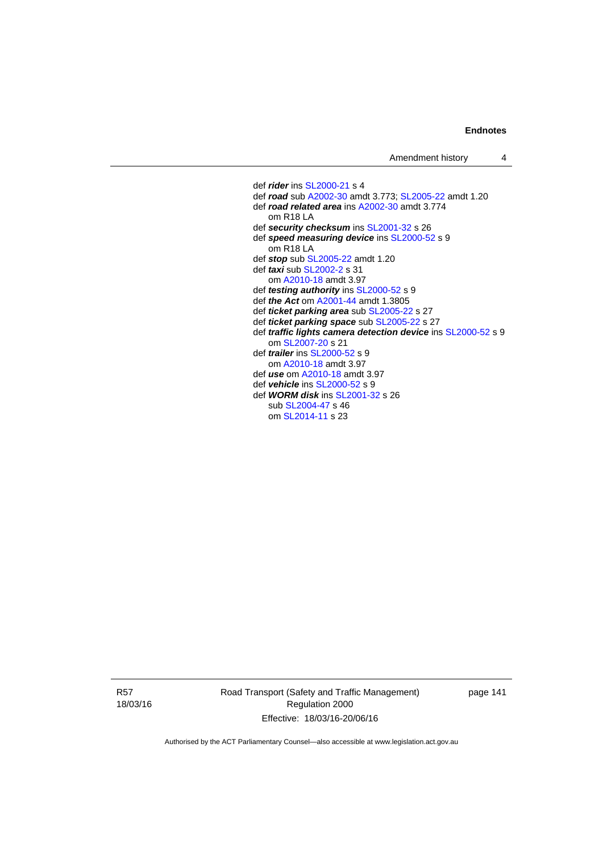def *rider* ins [SL2000-21](http://www.legislation.act.gov.au/sl/2000-21) s 4 def *road* sub [A2002-30](http://www.legislation.act.gov.au/a/2002-30) amdt 3.773; [SL2005-22](http://www.legislation.act.gov.au/sl/2005-22) amdt 1.20 def *road related area* ins [A2002-30](http://www.legislation.act.gov.au/a/2002-30) amdt 3.774 om R18 LA def *security checksum* ins [SL2001-32](http://www.legislation.act.gov.au/sl/2001-32) s 26 def *speed measuring device* ins [SL2000-52](http://www.legislation.act.gov.au/sl/2000-52) s 9 om R18 LA def *stop* sub [SL2005-22](http://www.legislation.act.gov.au/sl/2005-22) amdt 1.20 def *taxi* sub [SL2002-2](http://www.legislation.act.gov.au/sl/2002-2) s 31 om [A2010-18](http://www.legislation.act.gov.au/a/2010-18) amdt 3.97 def *testing authority* ins [SL2000-52](http://www.legislation.act.gov.au/sl/2000-52) s 9 def *the Act* om [A2001-44](http://www.legislation.act.gov.au/a/2001-44) amdt 1.3805 def *ticket parking area* sub [SL2005-22](http://www.legislation.act.gov.au/sl/2005-22) s 27 def *ticket parking space* sub [SL2005-22](http://www.legislation.act.gov.au/sl/2005-22) s 27 def *traffic lights camera detection device* ins [SL2000-52](http://www.legislation.act.gov.au/sl/2000-52) s 9 om [SL2007-20](http://www.legislation.act.gov.au/sl/2007-20) s 21 def *trailer* ins [SL2000-52](http://www.legislation.act.gov.au/sl/2000-52) s 9 om [A2010-18](http://www.legislation.act.gov.au/a/2010-18) amdt 3.97 def *use* om [A2010-18](http://www.legislation.act.gov.au/a/2010-18) amdt 3.97 def *vehicle* ins [SL2000-52](http://www.legislation.act.gov.au/sl/2000-52) s 9 def *WORM disk* ins [SL2001-32](http://www.legislation.act.gov.au/sl/2001-32) s 26 sub [SL2004-47](http://www.legislation.act.gov.au/sl/2004-47) s 46 om [SL2014-11](http://www.legislation.act.gov.au/sl/2014-11) s 23

R57 18/03/16 Road Transport (Safety and Traffic Management) Regulation 2000 Effective: 18/03/16-20/06/16

page 141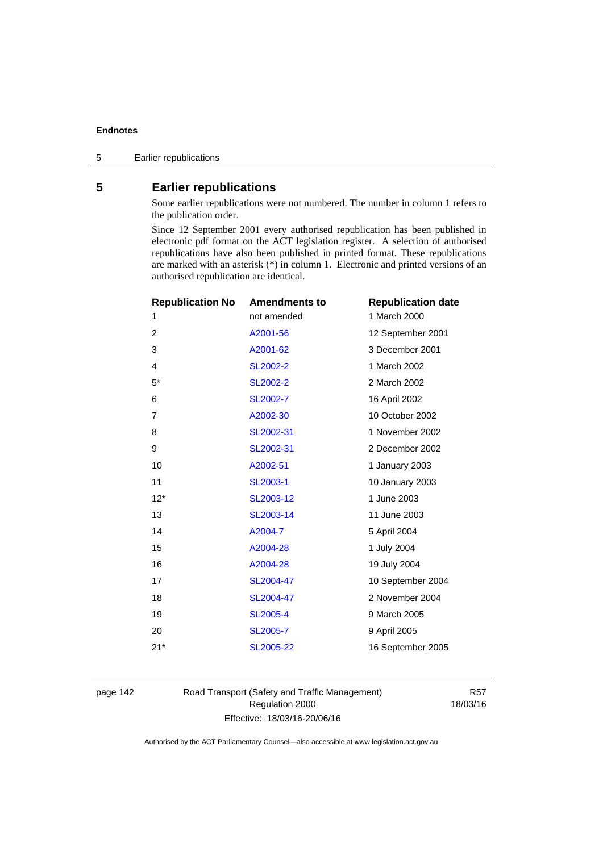# **5 Earlier republications**

Some earlier republications were not numbered. The number in column 1 refers to the publication order.

Since 12 September 2001 every authorised republication has been published in electronic pdf format on the ACT legislation register. A selection of authorised republications have also been published in printed format. These republications are marked with an asterisk (\*) in column 1. Electronic and printed versions of an authorised republication are identical.

| <b>Republication No</b> | <b>Amendments to</b> | <b>Republication date</b> |
|-------------------------|----------------------|---------------------------|
| 1                       | not amended          | 1 March 2000              |
| 2                       | A2001-56             | 12 September 2001         |
| 3                       | A2001-62             | 3 December 2001           |
| 4                       | SL2002-2             | 1 March 2002              |
| $5*$                    | <b>SL2002-2</b>      | 2 March 2002              |
| 6                       | SL2002-7             | 16 April 2002             |
| 7                       | A2002-30             | 10 October 2002           |
| 8                       | SL2002-31            | 1 November 2002           |
| 9                       | SL2002-31            | 2 December 2002           |
| 10                      | A2002-51             | 1 January 2003            |
| 11                      | <b>SL2003-1</b>      | 10 January 2003           |
| $12*$                   | SL2003-12            | 1 June 2003               |
| 13                      | SL2003-14            | 11 June 2003              |
| 14                      | A2004-7              | 5 April 2004              |
| 15                      | A2004-28             | 1 July 2004               |
| 16                      | A2004-28             | 19 July 2004              |
| 17                      | SL2004-47            | 10 September 2004         |
| 18                      | SL2004-47            | 2 November 2004           |
| 19                      | <b>SL2005-4</b>      | 9 March 2005              |
| 20                      | SL2005-7             | 9 April 2005              |
| $21*$                   | SL2005-22            | 16 September 2005         |
|                         |                      |                           |

page 142 Road Transport (Safety and Traffic Management) Regulation 2000 Effective: 18/03/16-20/06/16

R57 18/03/16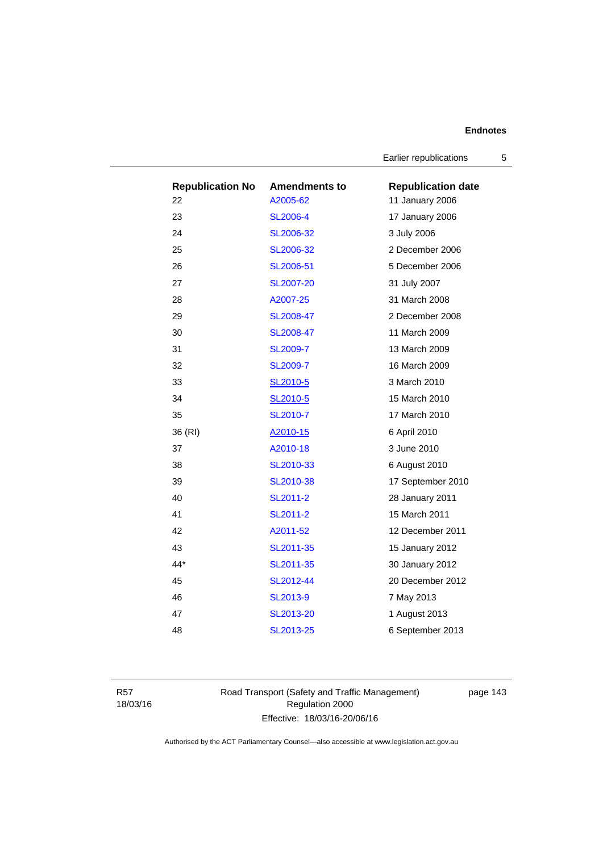Earlier republications 5

| <b>Republication No</b> | <b>Amendments to</b> | <b>Republication date</b> |
|-------------------------|----------------------|---------------------------|
| 22                      | A2005-62             | 11 January 2006           |
| 23                      | <b>SL2006-4</b>      | 17 January 2006           |
| 24                      | SL2006-32            | 3 July 2006               |
| 25                      | SL2006-32            | 2 December 2006           |
| 26                      | SL2006-51            | 5 December 2006           |
| 27                      | SL2007-20            | 31 July 2007              |
| 28                      | A2007-25             | 31 March 2008             |
| 29                      | SL2008-47            | 2 December 2008           |
| 30                      | SL2008-47            | 11 March 2009             |
| 31                      | <b>SL2009-7</b>      | 13 March 2009             |
| 32                      | <b>SL2009-7</b>      | 16 March 2009             |
| 33                      | SL2010-5             | 3 March 2010              |
| 34                      | SL2010-5             | 15 March 2010             |
| 35                      | SL2010-7             | 17 March 2010             |
| 36 (RI)                 | A2010-15             | 6 April 2010              |
| 37                      | A2010-18             | 3 June 2010               |
| 38                      | SL2010-33            | 6 August 2010             |
| 39                      | SL2010-38            | 17 September 2010         |
| 40                      | SL2011-2             | 28 January 2011           |
| 41                      | SL2011-2             | 15 March 2011             |
| 42                      | A2011-52             | 12 December 2011          |
| 43                      | SL2011-35            | 15 January 2012           |
| 44*                     | SL2011-35            | 30 January 2012           |
| 45                      | SL2012-44            | 20 December 2012          |
| 46                      | SL2013-9             | 7 May 2013                |
| 47                      | SL2013-20            | 1 August 2013             |
| 48                      | SL2013-25            | 6 September 2013          |

R57 18/03/16 Road Transport (Safety and Traffic Management) Regulation 2000 Effective: 18/03/16-20/06/16

page 143